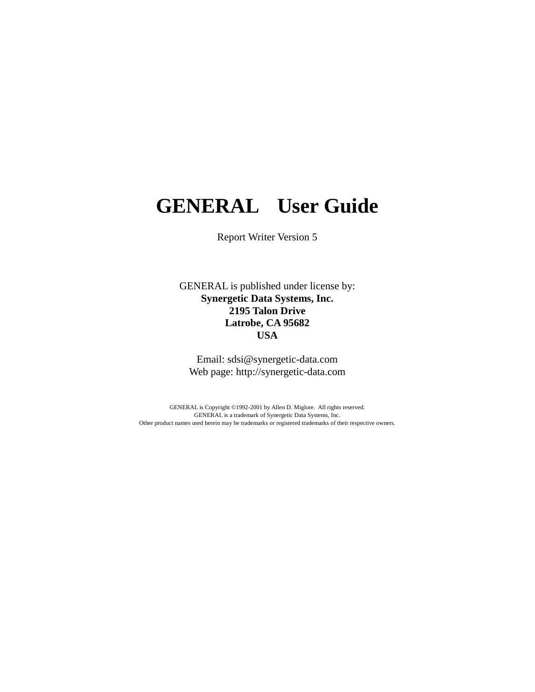# **GENERAL User Guide**

Report Writer Version 5

GENERAL is published under license by: **Synergetic Data Systems, Inc. 2195 Talon Drive Latrobe, CA 95682 USA**

Email: sdsi@synergetic-data.com Web page: http://synergetic-data.com

GENERAL is Copyright ©1992-2001 by Allen D. Miglore. All rights reserved. GENERAL is a trademark of Synergetic Data Systems, Inc. Other product names used herein may be trademarks or registered trademarks of their respective owners.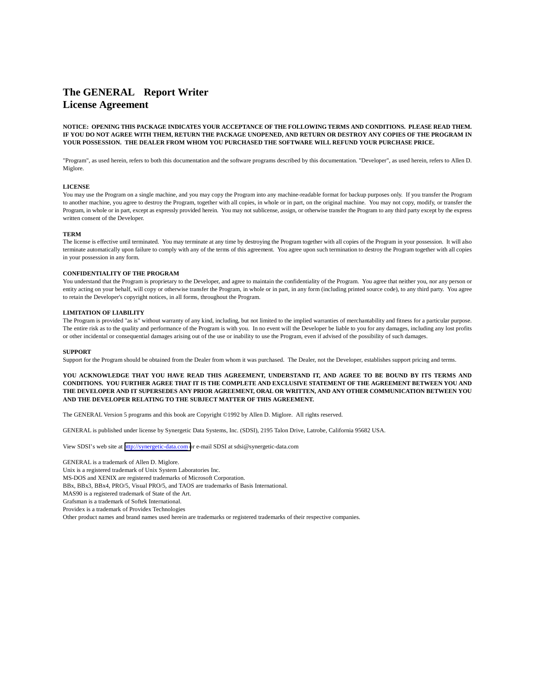## **The GENERAL Report Writer License Agreement**

#### **NOTICE: OPENING THIS PACKAGE INDICATES YOUR ACCEPTANCE OF THE FOLLOWING TERMS AND CONDITIONS. PLEASE READ THEM. IF YOU DO NOT AGREE WITH THEM, RETURN THE PACKAGE UNOPENED, AND RETURN OR DESTROY ANY COPIES OF THE PROGRAM IN YOUR POSSESSION. THE DEALER FROM WHOM YOU PURCHASED THE SOFTWARE WILL REFUND YOUR PURCHASE PRICE.**

"Program", as used herein, refers to both this documentation and the software programs described by this documentation. "Developer", as used herein, refers to Allen D. Miglore.

#### **LICENSE**

You may use the Program on a single machine, and you may copy the Program into any machine-readable format for backup purposes only. If you transfer the Program to another machine, you agree to destroy the Program, together with all copies, in whole or in part, on the original machine. You may not copy, modify, or transfer the Program, in whole or in part, except as expressly provided herein. You may not sublicense, assign, or otherwise transfer the Program to any third party except by the express written consent of the Developer.

#### **TERM**

The license is effective until terminated. You may terminate at any time by destroying the Program together with all copies of the Program in your possession. It will also terminate automatically upon failure to comply with any of the terms of this agreement. You agree upon such termination to destroy the Program together with all copies in your possession in any form.

#### **CONFIDENTIALITY OF THE PROGRAM**

You understand that the Program is proprietary to the Developer, and agree to maintain the confidentiality of the Program. You agree that neither you, nor any person or entity acting on your behalf, will copy or otherwise transfer the Program, in whole or in part, in any form (including printed source code), to any third party. You agree to retain the Developer's copyright notices, in all forms, throughout the Program.

#### **LIMITATION OF LIABILITY**

The Program is provided "as is" without warranty of any kind, including, but not limited to the implied warranties of merchantability and fitness for a particular purpose. The entire risk as to the quality and performance of the Program is with you. In no event will the Developer be liable to you for any damages, including any lost profits or other incidental or consequential damages arising out of the use or inability to use the Program, even if advised of the possibility of such damages.

#### **SUPPORT**

Support for the Program should be obtained from the Dealer from whom it was purchased. The Dealer, not the Developer, establishes support pricing and terms.

**YOU ACKNOWLEDGE THAT YOU HAVE READ THIS AGREEMENT, UNDERSTAND IT, AND AGREE TO BE BOUND BY ITS TERMS AND CONDITIONS. YOU FURTHER AGREE THAT IT IS THE COMPLETE AND EXCLUSIVE STATEMENT OF THE AGREEMENT BETWEEN YOU AND THE DEVELOPER AND IT SUPERSEDES ANY PRIOR AGREEMENT, ORAL OR WRITTEN, AND ANY OTHER COMMUNICATION BETWEEN YOU AND THE DEVELOPER RELATING TO THE SUBJECT MATTER OF THIS AGREEMENT.**

The GENERAL Version 5 programs and this book are Copyright ©1992 by Allen D. Miglore. All rights reserved.

GENERAL is published under license by Synergetic Data Systems, Inc. (SDSI), 2195 Talon Drive, Latrobe, California 95682 USA.

View SDSI's web site at [http://synergetic-data.com o](http://i99.com/sdsi)r e-mail SDSI at sdsi@synergetic-data.com

GENERAL is a trademark of Allen D. Miglore.

Unix is a registered trademark of Unix System Laboratories Inc.

MS-DOS and XENIX are registered trademarks of Microsoft Corporation.

BBx, BBx3, BBx4, PRO/5, Visual PRO/5, and TAOS are trademarks of Basis International.

MAS90 is a registered trademark of State of the Art.

Grafsman is a trademark of Softek International.

Providex is a trademark of Providex Technologies

Other product names and brand names used herein are trademarks or registered trademarks of their respective companies.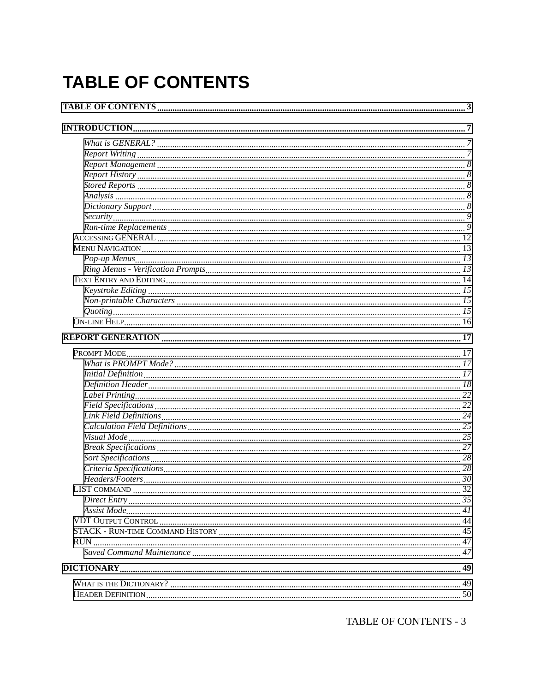# **TABLE OF CONTENTS**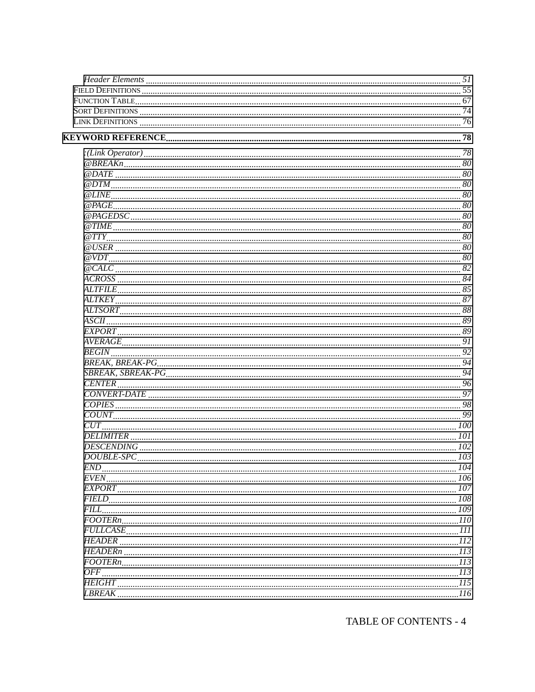| END |  |
|-----|--|
|     |  |
|     |  |
|     |  |
|     |  |
|     |  |
|     |  |
|     |  |
|     |  |
|     |  |
|     |  |
|     |  |
|     |  |
|     |  |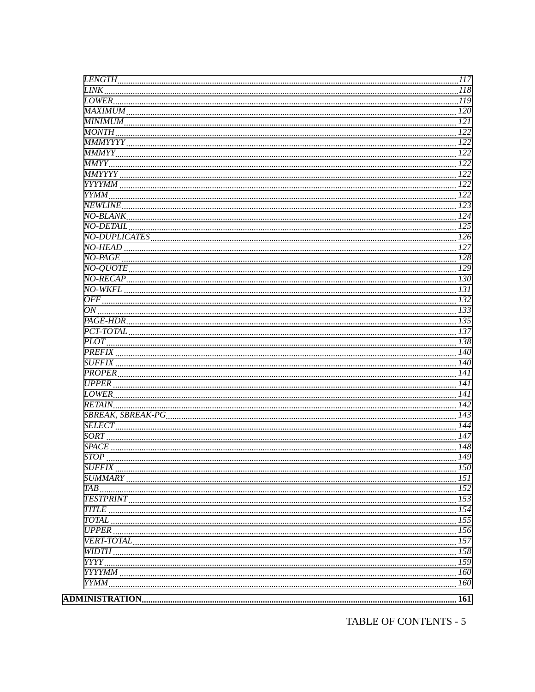| <i>SPACE</i> |  |
|--------------|--|
| SORT.        |  |
|              |  |
|              |  |
|              |  |
|              |  |
|              |  |
|              |  |
|              |  |
| <b>PLOT</b>  |  |
|              |  |
|              |  |
|              |  |
|              |  |
|              |  |
|              |  |
|              |  |
|              |  |
|              |  |
|              |  |
|              |  |
|              |  |
|              |  |
|              |  |
|              |  |
|              |  |
| <b>MMYY</b>  |  |
|              |  |
|              |  |
| <i>MONTH</i> |  |
|              |  |
|              |  |
|              |  |
|              |  |
|              |  |
|              |  |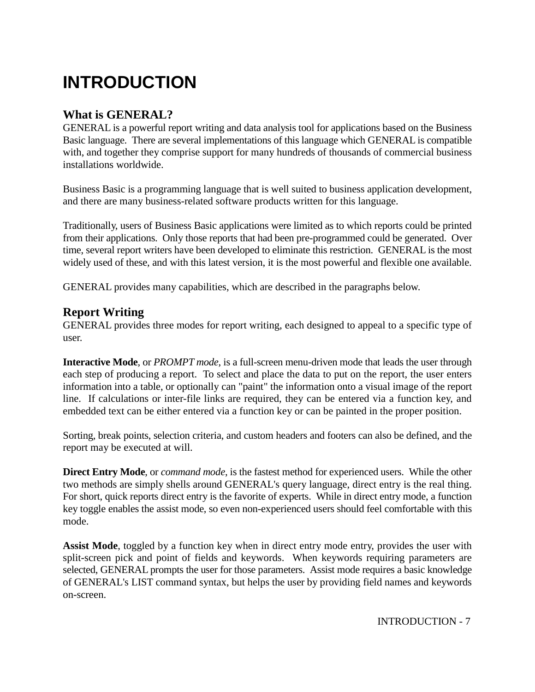# <span id="page-6-0"></span>**INTRODUCTION**

# **What is GENERAL?**

GENERAL is a powerful report writing and data analysis tool for applications based on the Business Basic language. There are several implementations of this language which GENERAL is compatible with, and together they comprise support for many hundreds of thousands of commercial business installations worldwide.

Business Basic is a programming language that is well suited to business application development, and there are many business-related software products written for this language.

Traditionally, users of Business Basic applications were limited as to which reports could be printed from their applications. Only those reports that had been pre-programmed could be generated. Over time, several report writers have been developed to eliminate this restriction. GENERAL is the most widely used of these, and with this latest version, it is the most powerful and flexible one available.

GENERAL provides many capabilities, which are described in the paragraphs below.

# **Report Writing**

GENERAL provides three modes for report writing, each designed to appeal to a specific type of user.

**Interactive Mode**, or *PROMPT mode*, is a full-screen menu-driven mode that leads the user through each step of producing a report. To select and place the data to put on the report, the user enters information into a table, or optionally can "paint" the information onto a visual image of the report line. If calculations or inter-file links are required, they can be entered via a function key, and embedded text can be either entered via a function key or can be painted in the proper position.

Sorting, break points, selection criteria, and custom headers and footers can also be defined, and the report may be executed at will.

**Direct Entry Mode**, or *command mode*, is the fastest method for experienced users. While the other two methods are simply shells around GENERAL's query language, direct entry is the real thing. For short, quick reports direct entry is the favorite of experts. While in direct entry mode, a function key toggle enables the assist mode, so even non-experienced users should feel comfortable with this mode.

**Assist Mode**, toggled by a function key when in direct entry mode entry, provides the user with split-screen pick and point of fields and keywords. When keywords requiring parameters are selected, GENERAL prompts the user for those parameters. Assist mode requires a basic knowledge of GENERAL's LIST command syntax, but helps the user by providing field names and keywords on-screen.

INTRODUCTION - 7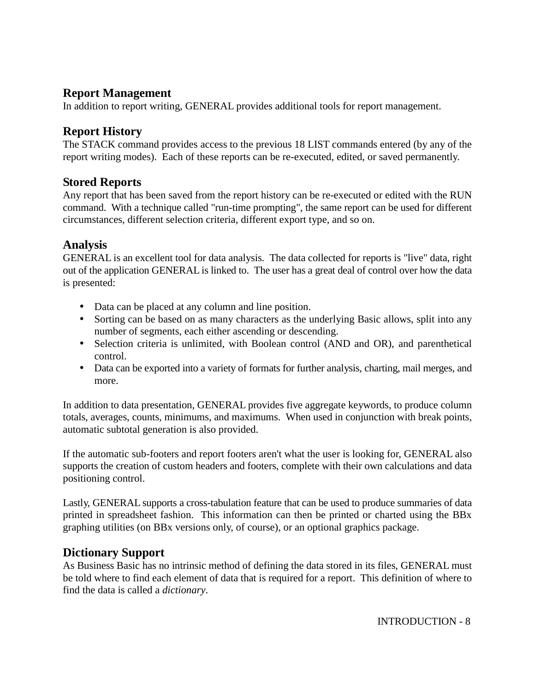# <span id="page-7-0"></span>**Report Management**

In addition to report writing, GENERAL provides additional tools for report management.

# **Report History**

The STACK command provides access to the previous 18 LIST commands entered (by any of the report writing modes). Each of these reports can be re-executed, edited, or saved permanently.

# **Stored Reports**

Any report that has been saved from the report history can be re-executed or edited with the RUN command. With a technique called "run-time prompting", the same report can be used for different circumstances, different selection criteria, different export type, and so on.

# **Analysis**

GENERAL is an excellent tool for data analysis. The data collected for reports is "live" data, right out of the application GENERAL is linked to. The user has a great deal of control over how the data is presented:

- Data can be placed at any column and line position.
- Sorting can be based on as many characters as the underlying Basic allows, split into any number of segments, each either ascending or descending.
- Selection criteria is unlimited, with Boolean control (AND and OR), and parenthetical control.
- Data can be exported into a variety of formats for further analysis, charting, mail merges, and more.

In addition to data presentation, GENERAL provides five aggregate keywords, to produce column totals, averages, counts, minimums, and maximums. When used in conjunction with break points, automatic subtotal generation is also provided.

If the automatic sub-footers and report footers aren't what the user is looking for, GENERAL also supports the creation of custom headers and footers, complete with their own calculations and data positioning control.

Lastly, GENERAL supports a cross-tabulation feature that can be used to produce summaries of data printed in spreadsheet fashion. This information can then be printed or charted using the BBx graphing utilities (on BBx versions only, of course), or an optional graphics package.

# **Dictionary Support**

As Business Basic has no intrinsic method of defining the data stored in its files, GENERAL must be told where to find each element of data that is required for a report. This definition of where to find the data is called a *dictionary*.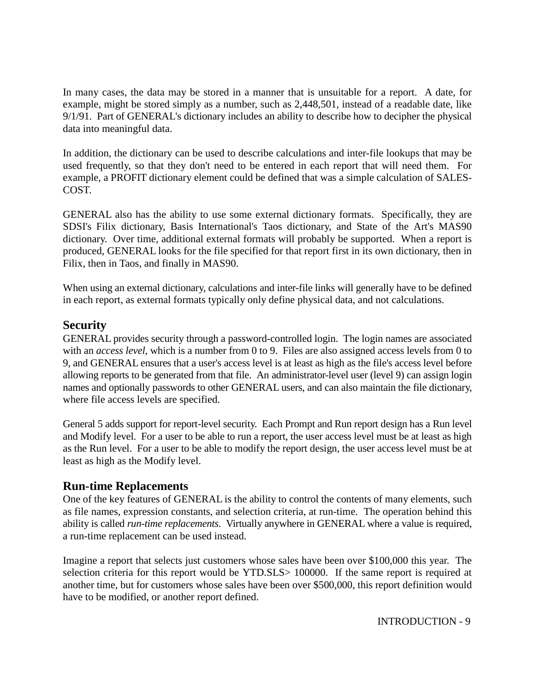<span id="page-8-0"></span>In many cases, the data may be stored in a manner that is unsuitable for a report. A date, for example, might be stored simply as a number, such as 2,448,501, instead of a readable date, like 9/1/91. Part of GENERAL's dictionary includes an ability to describe how to decipher the physical data into meaningful data.

In addition, the dictionary can be used to describe calculations and inter-file lookups that may be used frequently, so that they don't need to be entered in each report that will need them. For example, a PROFIT dictionary element could be defined that was a simple calculation of SALES-COST.

GENERAL also has the ability to use some external dictionary formats. Specifically, they are SDSI's Filix dictionary, Basis International's Taos dictionary, and State of the Art's MAS90 dictionary. Over time, additional external formats will probably be supported. When a report is produced, GENERAL looks for the file specified for that report first in its own dictionary, then in Filix, then in Taos, and finally in MAS90.

When using an external dictionary, calculations and inter-file links will generally have to be defined in each report, as external formats typically only define physical data, and not calculations.

## **Security**

GENERAL provides security through a password-controlled login. The login names are associated with an *access level*, which is a number from 0 to 9. Files are also assigned access levels from 0 to 9, and GENERAL ensures that a user's access level is at least as high as the file's access level before allowing reports to be generated from that file. An administrator-level user (level 9) can assign login names and optionally passwords to other GENERAL users, and can also maintain the file dictionary, where file access levels are specified.

General 5 adds support for report-level security. Each Prompt and Run report design has a Run level and Modify level. For a user to be able to run a report, the user access level must be at least as high as the Run level. For a user to be able to modify the report design, the user access level must be at least as high as the Modify level.

## **Run-time Replacements**

One of the key features of GENERAL is the ability to control the contents of many elements, such as file names, expression constants, and selection criteria, at run-time. The operation behind this ability is called *run-time replacements*. Virtually anywhere in GENERAL where a value is required, a run-time replacement can be used instead.

Imagine a report that selects just customers whose sales have been over \$100,000 this year. The selection criteria for this report would be YTD.SLS> 100000. If the same report is required at another time, but for customers whose sales have been over \$500,000, this report definition would have to be modified, or another report defined.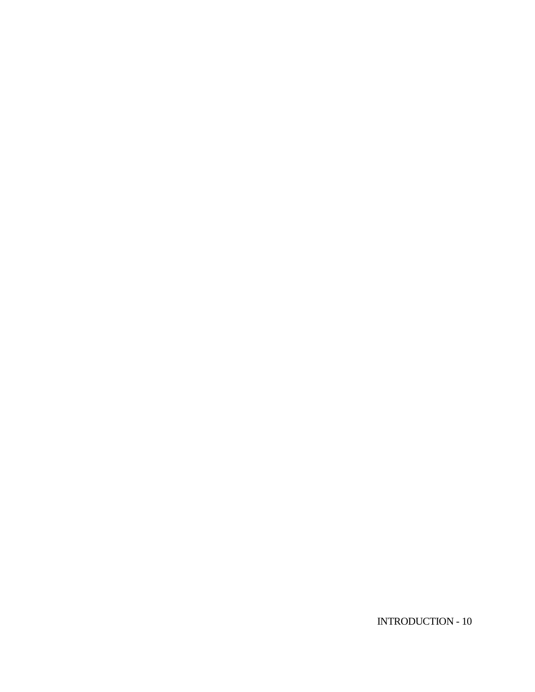INTRODUCTION - 10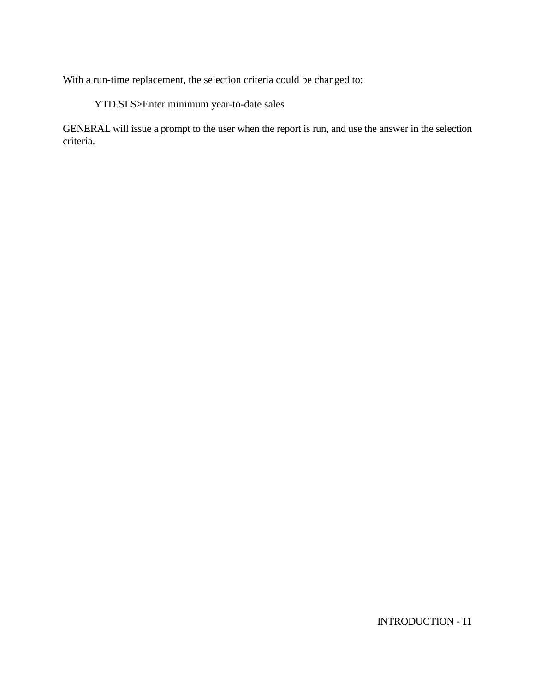With a run-time replacement, the selection criteria could be changed to:

YTD.SLS>Enter minimum year-to-date sales

GENERAL will issue a prompt to the user when the report is run, and use the answer in the selection criteria.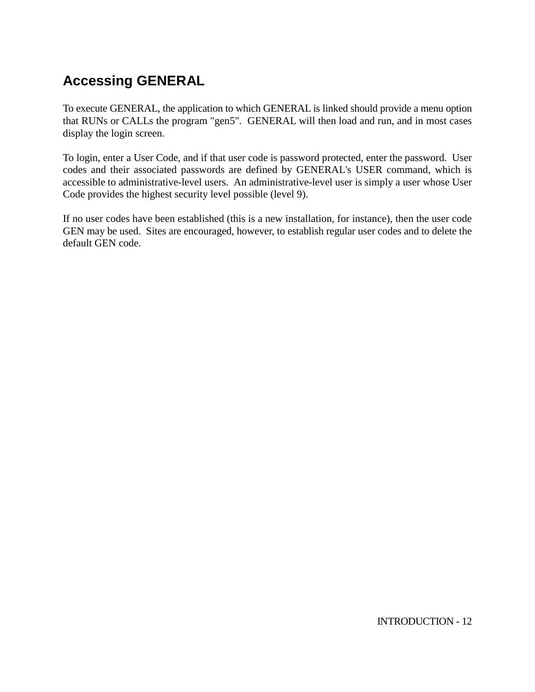# <span id="page-11-0"></span>**Accessing GENERAL**

To execute GENERAL, the application to which GENERAL is linked should provide a menu option that RUNs or CALLs the program "gen5". GENERAL will then load and run, and in most cases display the login screen.

To login, enter a User Code, and if that user code is password protected, enter the password. User codes and their associated passwords are defined by GENERAL's USER command, which is accessible to administrative-level users. An administrative-level user is simply a user whose User Code provides the highest security level possible (level 9).

If no user codes have been established (this is a new installation, for instance), then the user code GEN may be used. Sites are encouraged, however, to establish regular user codes and to delete the default GEN code.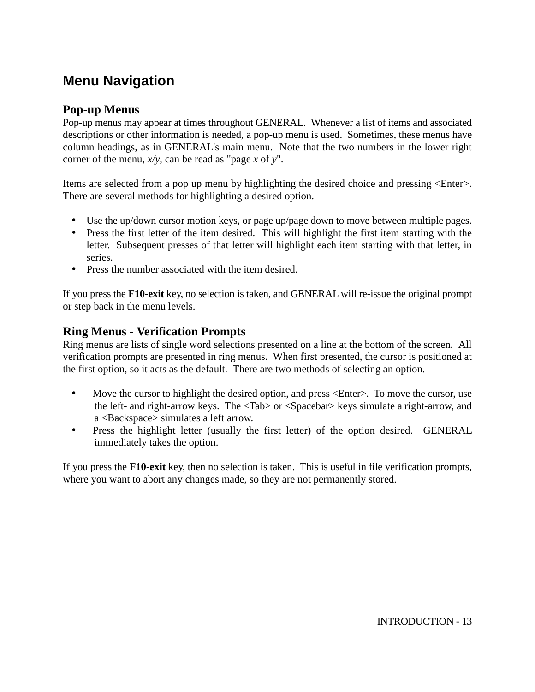# <span id="page-12-0"></span>**Menu Navigation**

# **Pop-up Menus**

Pop-up menus may appear at times throughout GENERAL. Whenever a list of items and associated descriptions or other information is needed, a pop-up menu is used. Sometimes, these menus have column headings, as in GENERAL's main menu. Note that the two numbers in the lower right corner of the menu, *x/y*, can be read as "page *x* of *y*".

Items are selected from a pop up menu by highlighting the desired choice and pressing <Enter>. There are several methods for highlighting a desired option.

- Use the up/down cursor motion keys, or page up/page down to move between multiple pages.
- Press the first letter of the item desired. This will highlight the first item starting with the letter. Subsequent presses of that letter will highlight each item starting with that letter, in series.
- Press the number associated with the item desired.

If you press the **F10-exit** key, no selection is taken, and GENERAL will re-issue the original prompt or step back in the menu levels.

## **Ring Menus - Verification Prompts**

Ring menus are lists of single word selections presented on a line at the bottom of the screen. All verification prompts are presented in ring menus. When first presented, the cursor is positioned at the first option, so it acts as the default. There are two methods of selecting an option.

- Move the cursor to highlight the desired option, and press <Enter>. To move the cursor, use the left- and right-arrow keys. The <Tab> or <Spacebar> keys simulate a right-arrow, and a <Backspace> simulates a left arrow.
- Press the highlight letter (usually the first letter) of the option desired. GENERAL immediately takes the option.

If you press the **F10-exit** key, then no selection is taken. This is useful in file verification prompts, where you want to abort any changes made, so they are not permanently stored.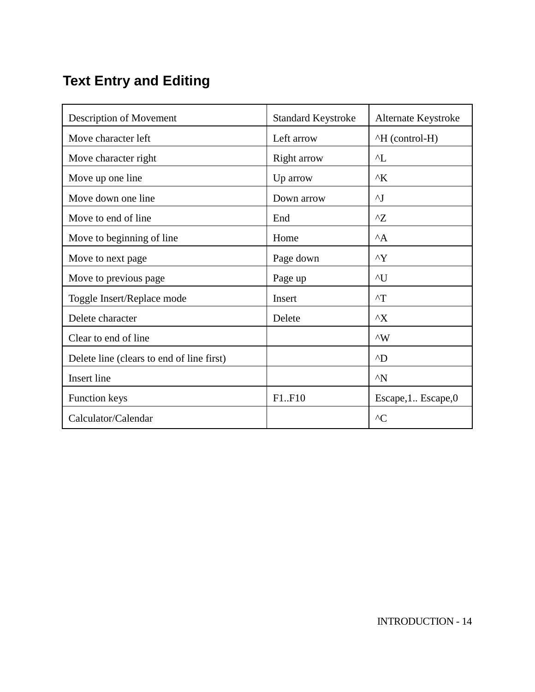# <span id="page-13-0"></span>**Text Entry and Editing**

| Description of Movement                   | <b>Standard Keystroke</b> | Alternate Keystroke    |
|-------------------------------------------|---------------------------|------------------------|
| Move character left                       | Left arrow                | $\Delta H$ (control-H) |
| Move character right                      | Right arrow               | $^{\wedge}$            |
| Move up one line                          | Up arrow                  | $^{\wedge}K$           |
| Move down one line                        | Down arrow                | $\mathbf{v}$           |
| Move to end of line                       | End                       | $^{\wedge}Z$           |
| Move to beginning of line                 | Home                      | $^{\wedge}$ A          |
| Move to next page                         | Page down                 | $\mathsf{A}\mathsf{Y}$ |
| Move to previous page                     | Page up                   | $\wedge U$             |
| Toggle Insert/Replace mode                | Insert                    | $\mathsf{r}$           |
| Delete character                          | Delete                    | $^{\wedge}X$           |
| Clear to end of line                      |                           | $\wedge$ W             |
| Delete line (clears to end of line first) |                           | $^{\wedge}D$           |
| Insert line                               |                           | $^{\wedge}$ N          |
| Function keys                             | F1F10                     | Escape, 1 Escape, 0    |
| Calculator/Calendar                       |                           | $^{\wedge}$ C          |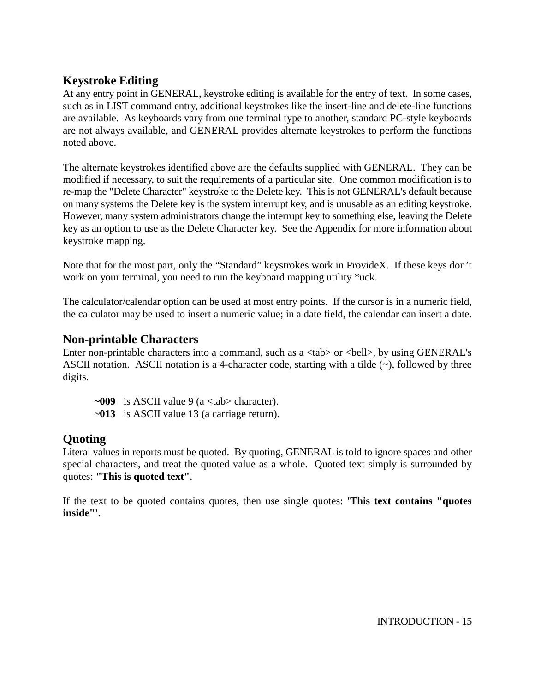# <span id="page-14-0"></span>**Keystroke Editing**

At any entry point in GENERAL, keystroke editing is available for the entry of text. In some cases, such as in LIST command entry, additional keystrokes like the insert-line and delete-line functions are available. As keyboards vary from one terminal type to another, standard PC-style keyboards are not always available, and GENERAL provides alternate keystrokes to perform the functions noted above.

The alternate keystrokes identified above are the defaults supplied with GENERAL. They can be modified if necessary, to suit the requirements of a particular site. One common modification is to re-map the "Delete Character" keystroke to the Delete key. This is not GENERAL's default because on many systems the Delete key is the system interrupt key, and is unusable as an editing keystroke. However, many system administrators change the interrupt key to something else, leaving the Delete key as an option to use as the Delete Character key. See the Appendix for more information about keystroke mapping.

Note that for the most part, only the "Standard" keystrokes work in ProvideX. If these keys don't work on your terminal, you need to run the keyboard mapping utility \*uck.

The calculator/calendar option can be used at most entry points. If the cursor is in a numeric field, the calculator may be used to insert a numeric value; in a date field, the calendar can insert a date.

# **Non-printable Characters**

Enter non-printable characters into a command, such as a  $\langle \text{tab} \rangle$  or  $\langle \text{bell} \rangle$ , by using GENERAL's ASCII notation. ASCII notation is a 4-character code, starting with a tilde  $(\sim)$ , followed by three digits.

**~009** is ASCII value 9 (a <tab> character). **~013** is ASCII value 13 (a carriage return).

# **Quoting**

Literal values in reports must be quoted. By quoting, GENERAL is told to ignore spaces and other special characters, and treat the quoted value as a whole. Quoted text simply is surrounded by quotes: **"This is quoted text"**.

If the text to be quoted contains quotes, then use single quotes: **'This text contains "quotes inside"'**.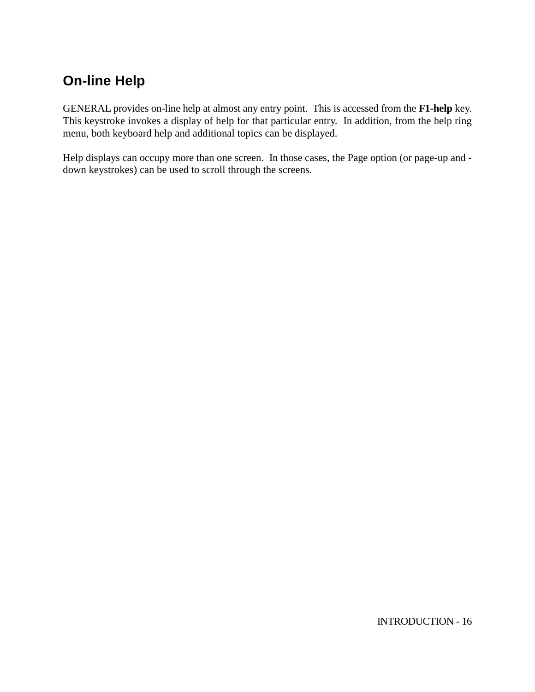# <span id="page-15-0"></span>**On-line Help**

GENERAL provides on-line help at almost any entry point. This is accessed from the **F1-help** key. This keystroke invokes a display of help for that particular entry. In addition, from the help ring menu, both keyboard help and additional topics can be displayed.

Help displays can occupy more than one screen. In those cases, the Page option (or page-up and down keystrokes) can be used to scroll through the screens.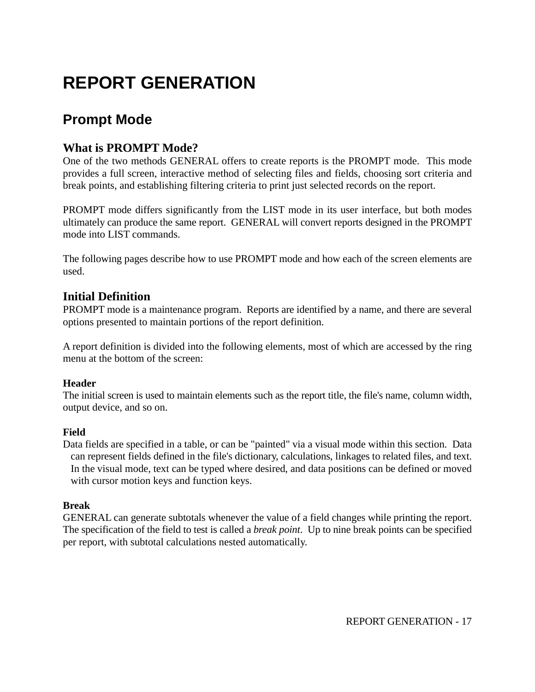# <span id="page-16-0"></span>**REPORT GENERATION**

# **Prompt Mode**

# **What is PROMPT Mode?**

One of the two methods GENERAL offers to create reports is the PROMPT mode. This mode provides a full screen, interactive method of selecting files and fields, choosing sort criteria and break points, and establishing filtering criteria to print just selected records on the report.

PROMPT mode differs significantly from the LIST mode in its user interface, but both modes ultimately can produce the same report. GENERAL will convert reports designed in the PROMPT mode into LIST commands.

The following pages describe how to use PROMPT mode and how each of the screen elements are used.

# **Initial Definition**

PROMPT mode is a maintenance program. Reports are identified by a name, and there are several options presented to maintain portions of the report definition.

A report definition is divided into the following elements, most of which are accessed by the ring menu at the bottom of the screen:

#### **Header**

The initial screen is used to maintain elements such as the report title, the file's name, column width, output device, and so on.

## **Field**

Data fields are specified in a table, or can be "painted" via a visual mode within this section. Data can represent fields defined in the file's dictionary, calculations, linkages to related files, and text. In the visual mode, text can be typed where desired, and data positions can be defined or moved with cursor motion keys and function keys.

#### **Break**

GENERAL can generate subtotals whenever the value of a field changes while printing the report. The specification of the field to test is called a *break point*. Up to nine break points can be specified per report, with subtotal calculations nested automatically.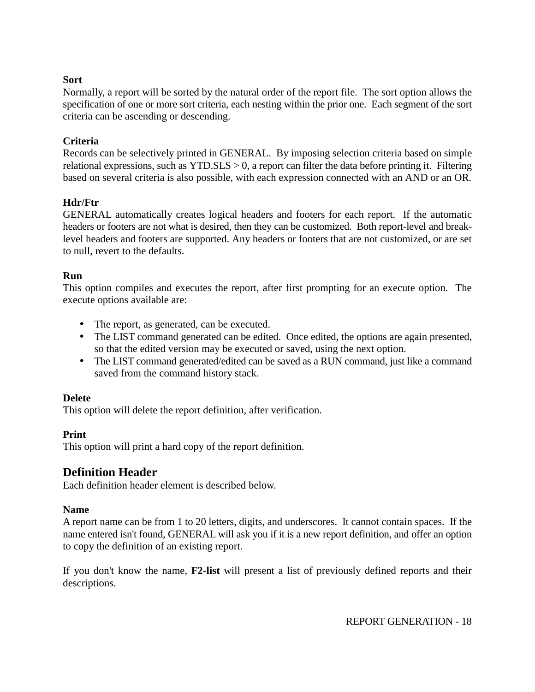#### <span id="page-17-0"></span>**Sort**

Normally, a report will be sorted by the natural order of the report file. The sort option allows the specification of one or more sort criteria, each nesting within the prior one. Each segment of the sort criteria can be ascending or descending.

#### **Criteria**

Records can be selectively printed in GENERAL. By imposing selection criteria based on simple relational expressions, such as  $YTD.SLS > 0$ , a report can filter the data before printing it. Filtering based on several criteria is also possible, with each expression connected with an AND or an OR.

#### **Hdr/Ftr**

GENERAL automatically creates logical headers and footers for each report. If the automatic headers or footers are not what is desired, then they can be customized. Both report-level and breaklevel headers and footers are supported. Any headers or footers that are not customized, or are set to null, revert to the defaults.

#### **Run**

This option compiles and executes the report, after first prompting for an execute option. The execute options available are:

- The report, as generated, can be executed.
- The LIST command generated can be edited. Once edited, the options are again presented, so that the edited version may be executed or saved, using the next option.
- The LIST command generated/edited can be saved as a RUN command, just like a command saved from the command history stack.

#### **Delete**

This option will delete the report definition, after verification.

#### **Print**

This option will print a hard copy of the report definition.

# **Definition Header**

Each definition header element is described below.

#### **Name**

A report name can be from 1 to 20 letters, digits, and underscores. It cannot contain spaces. If the name entered isn't found, GENERAL will ask you if it is a new report definition, and offer an option to copy the definition of an existing report.

If you don't know the name, **F2-list** will present a list of previously defined reports and their descriptions.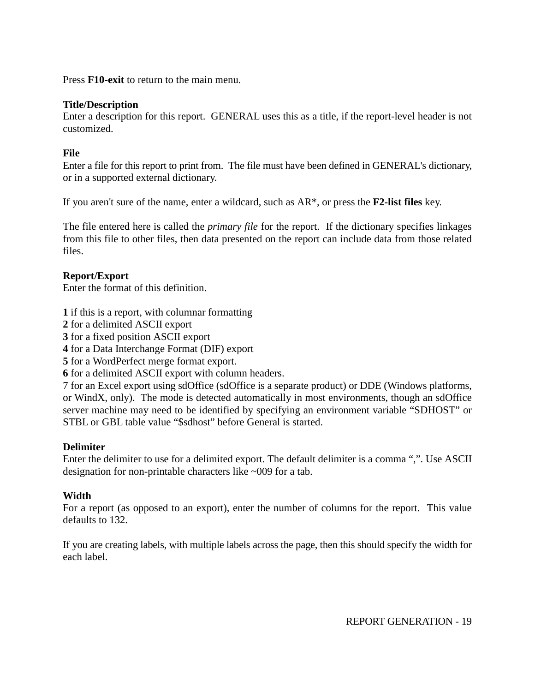Press **F10-exit** to return to the main menu.

#### **Title/Description**

Enter a description for this report. GENERAL uses this as a title, if the report-level header is not customized.

#### **File**

Enter a file for this report to print from. The file must have been defined in GENERAL's dictionary, or in a supported external dictionary.

If you aren't sure of the name, enter a wildcard, such as AR\*, or press the **F2-list files** key.

The file entered here is called the *primary file* for the report. If the dictionary specifies linkages from this file to other files, then data presented on the report can include data from those related files.

#### **Report/Export**

Enter the format of this definition.

**1** if this is a report, with columnar formatting

- **2** for a delimited ASCII export
- **3** for a fixed position ASCII export
- **4** for a Data Interchange Format (DIF) export
- **5** for a WordPerfect merge format export.
- **6** for a delimited ASCII export with column headers.

7 for an Excel export using sdOffice (sdOffice is a separate product) or DDE (Windows platforms, or WindX, only). The mode is detected automatically in most environments, though an sdOffice server machine may need to be identified by specifying an environment variable "SDHOST" or STBL or GBL table value "\$sdhost" before General is started.

#### **Delimiter**

Enter the delimiter to use for a delimited export. The default delimiter is a comma ",". Use ASCII designation for non-printable characters like ~009 for a tab.

#### **Width**

For a report (as opposed to an export), enter the number of columns for the report. This value defaults to 132.

If you are creating labels, with multiple labels across the page, then this should specify the width for each label.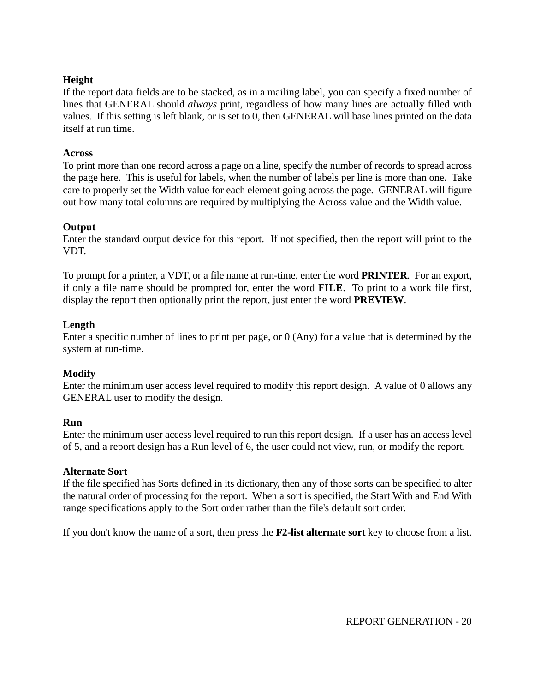#### **Height**

If the report data fields are to be stacked, as in a mailing label, you can specify a fixed number of lines that GENERAL should *always* print, regardless of how many lines are actually filled with values. If this setting is left blank, or is set to 0, then GENERAL will base lines printed on the data itself at run time.

#### **Across**

To print more than one record across a page on a line, specify the number of records to spread across the page here. This is useful for labels, when the number of labels per line is more than one. Take care to properly set the Width value for each element going across the page. GENERAL will figure out how many total columns are required by multiplying the Across value and the Width value.

#### **Output**

Enter the standard output device for this report. If not specified, then the report will print to the VDT.

To prompt for a printer, a VDT, or a file name at run-time, enter the word **PRINTER**. For an export, if only a file name should be prompted for, enter the word **FILE**. To print to a work file first, display the report then optionally print the report, just enter the word **PREVIEW**.

#### **Length**

Enter a specific number of lines to print per page, or 0 (Any) for a value that is determined by the system at run-time.

#### **Modify**

Enter the minimum user access level required to modify this report design. A value of 0 allows any GENERAL user to modify the design.

#### **Run**

Enter the minimum user access level required to run this report design. If a user has an access level of 5, and a report design has a Run level of 6, the user could not view, run, or modify the report.

#### **Alternate Sort**

If the file specified has Sorts defined in its dictionary, then any of those sorts can be specified to alter the natural order of processing for the report. When a sort is specified, the Start With and End With range specifications apply to the Sort order rather than the file's default sort order.

If you don't know the name of a sort, then press the **F2-list alternate sort** key to choose from a list.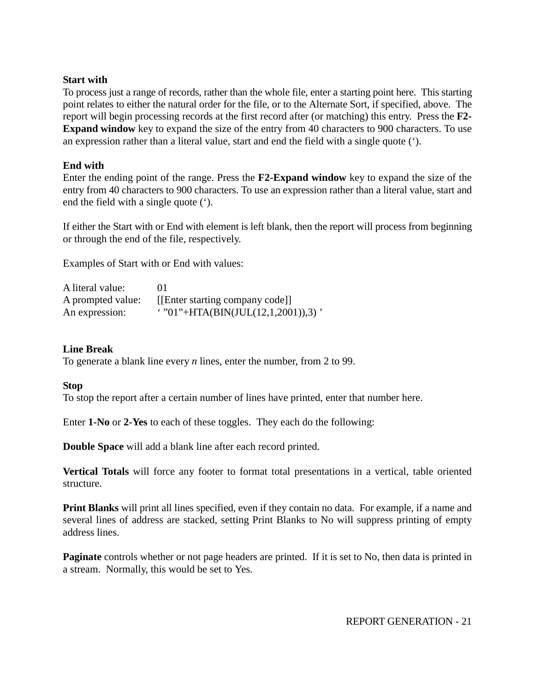#### **Start with**

To process just a range of records, rather than the whole file, enter a starting point here. This starting point relates to either the natural order for the file, or to the Alternate Sort, if specified, above. The report will begin processing records at the first record after (or matching) this entry. Press the **F2- Expand window** key to expand the size of the entry from 40 characters to 900 characters. To use an expression rather than a literal value, start and end the field with a single quote (').

#### **End with**

Enter the ending point of the range. Press the **F2-Expand window** key to expand the size of the entry from 40 characters to 900 characters. To use an expression rather than a literal value, start and end the field with a single quote (').

If either the Start with or End with element is left blank, then the report will process from beginning or through the end of the file, respectively.

Examples of Start with or End with values:

| A literal value:  | $^{01}$                              |
|-------------------|--------------------------------------|
| A prompted value: | [[Enter starting company code]]      |
| An expression:    | $'$ "01"+HTA(BIN(JUL(12,1,2001)),3)' |

#### **Line Break**

To generate a blank line every *n* lines, enter the number, from 2 to 99.

#### **Stop**

To stop the report after a certain number of lines have printed, enter that number here.

Enter **1-No** or **2-Yes** to each of these toggles. They each do the following:

**Double Space** will add a blank line after each record printed.

**Vertical Totals** will force any footer to format total presentations in a vertical, table oriented structure.

**Print Blanks** will print all lines specified, even if they contain no data. For example, if a name and several lines of address are stacked, setting Print Blanks to No will suppress printing of empty address lines.

**Paginate** controls whether or not page headers are printed. If it is set to No, then data is printed in a stream. Normally, this would be set to Yes.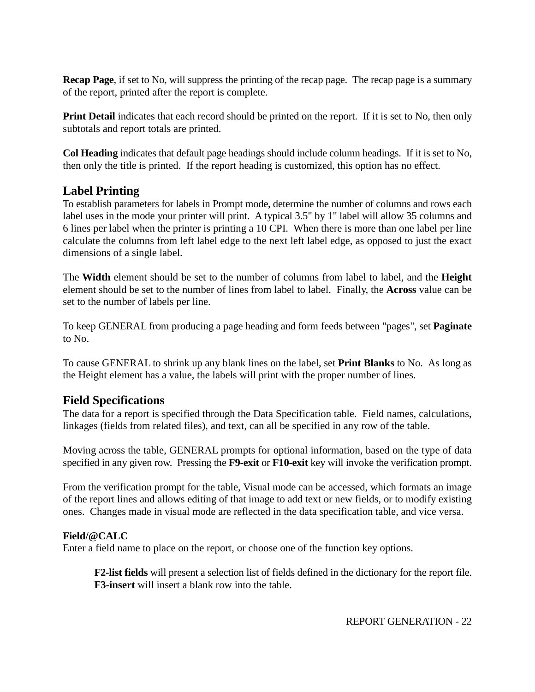<span id="page-21-0"></span>**Recap Page**, if set to No, will suppress the printing of the recap page. The recap page is a summary of the report, printed after the report is complete.

**Print Detail** indicates that each record should be printed on the report. If it is set to No, then only subtotals and report totals are printed.

**Col Heading** indicates that default page headings should include column headings. If it is set to No, then only the title is printed. If the report heading is customized, this option has no effect.

# **Label Printing**

To establish parameters for labels in Prompt mode, determine the number of columns and rows each label uses in the mode your printer will print. A typical 3.5" by 1" label will allow 35 columns and 6 lines per label when the printer is printing a 10 CPI. When there is more than one label per line calculate the columns from left label edge to the next left label edge, as opposed to just the exact dimensions of a single label.

The **Width** element should be set to the number of columns from label to label, and the **Height** element should be set to the number of lines from label to label. Finally, the **Across** value can be set to the number of labels per line.

To keep GENERAL from producing a page heading and form feeds between "pages", set **Paginate** to No.

To cause GENERAL to shrink up any blank lines on the label, set **Print Blanks** to No. As long as the Height element has a value, the labels will print with the proper number of lines.

# **Field Specifications**

The data for a report is specified through the Data Specification table. Field names, calculations, linkages (fields from related files), and text, can all be specified in any row of the table.

Moving across the table, GENERAL prompts for optional information, based on the type of data specified in any given row. Pressing the **F9-exit** or **F10-exit** key will invoke the verification prompt.

From the verification prompt for the table, Visual mode can be accessed, which formats an image of the report lines and allows editing of that image to add text or new fields, or to modify existing ones. Changes made in visual mode are reflected in the data specification table, and vice versa.

#### **Field/@CALC**

Enter a field name to place on the report, or choose one of the function key options.

**F2-list fields** will present a selection list of fields defined in the dictionary for the report file. **F3-insert** will insert a blank row into the table.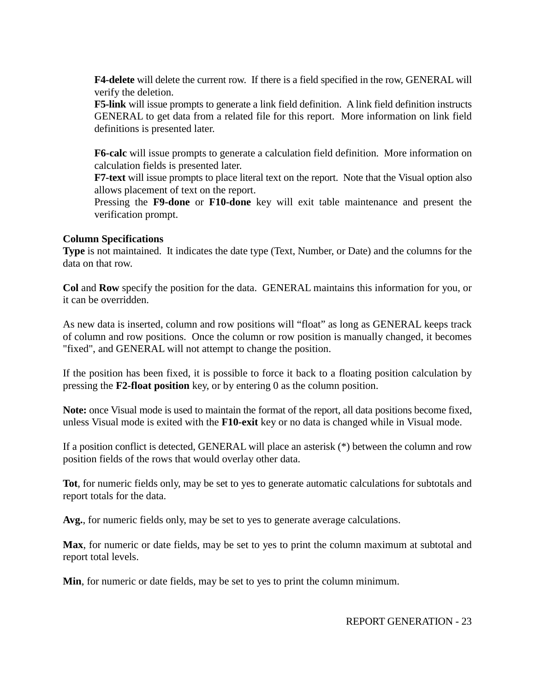**F4-delete** will delete the current row. If there is a field specified in the row, GENERAL will verify the deletion.

**F5-link** will issue prompts to generate a link field definition. A link field definition instructs GENERAL to get data from a related file for this report. More information on link field definitions is presented later.

**F6-calc** will issue prompts to generate a calculation field definition. More information on calculation fields is presented later.

**F7-text** will issue prompts to place literal text on the report. Note that the Visual option also allows placement of text on the report.

Pressing the **F9-done** or **F10-done** key will exit table maintenance and present the verification prompt.

#### **Column Specifications**

**Type** is not maintained. It indicates the date type (Text, Number, or Date) and the columns for the data on that row.

**Col** and **Row** specify the position for the data. GENERAL maintains this information for you, or it can be overridden.

As new data is inserted, column and row positions will "float" as long as GENERAL keeps track of column and row positions. Once the column or row position is manually changed, it becomes "fixed", and GENERAL will not attempt to change the position.

If the position has been fixed, it is possible to force it back to a floating position calculation by pressing the **F2-float position** key, or by entering 0 as the column position.

**Note:** once Visual mode is used to maintain the format of the report, all data positions become fixed, unless Visual mode is exited with the **F10-exit** key or no data is changed while in Visual mode.

If a position conflict is detected, GENERAL will place an asterisk (\*) between the column and row position fields of the rows that would overlay other data.

**Tot**, for numeric fields only, may be set to yes to generate automatic calculations for subtotals and report totals for the data.

**Avg.**, for numeric fields only, may be set to yes to generate average calculations.

**Max**, for numeric or date fields, may be set to yes to print the column maximum at subtotal and report total levels.

**Min**, for numeric or date fields, may be set to yes to print the column minimum.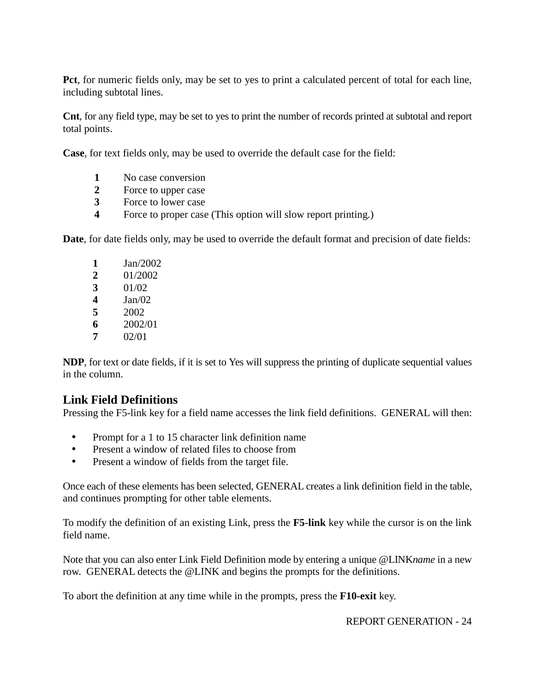<span id="page-23-0"></span>**Pct**, for numeric fields only, may be set to yes to print a calculated percent of total for each line, including subtotal lines.

**Cnt**, for any field type, may be set to yes to print the number of records printed at subtotal and report total points.

**Case**, for text fields only, may be used to override the default case for the field:

- **1** No case conversion
- **2** Force to upper case
- **3** Force to lower case
- **4** Force to proper case (This option will slow report printing.)

**Date**, for date fields only, may be used to override the default format and precision of date fields:

| 1 | Jan/2002 |
|---|----------|
| 2 | 01/2002  |
| 3 | 01/02    |
| 4 | Jan/02   |
| 5 | 2002     |
| 6 | 2002/01  |
| 7 | 02/01    |

**NDP**, for text or date fields, if it is set to Yes will suppress the printing of duplicate sequential values in the column.

## **Link Field Definitions**

Pressing the F5-link key for a field name accesses the link field definitions. GENERAL will then:

- Prompt for a 1 to 15 character link definition name
- Present a window of related files to choose from
- Present a window of fields from the target file.

Once each of these elements has been selected, GENERAL creates a link definition field in the table, and continues prompting for other table elements.

To modify the definition of an existing Link, press the **F5-link** key while the cursor is on the link field name.

Note that you can also enter Link Field Definition mode by entering a unique @LINK*name* in a new row. GENERAL detects the @LINK and begins the prompts for the definitions.

To abort the definition at any time while in the prompts, press the **F10-exit** key.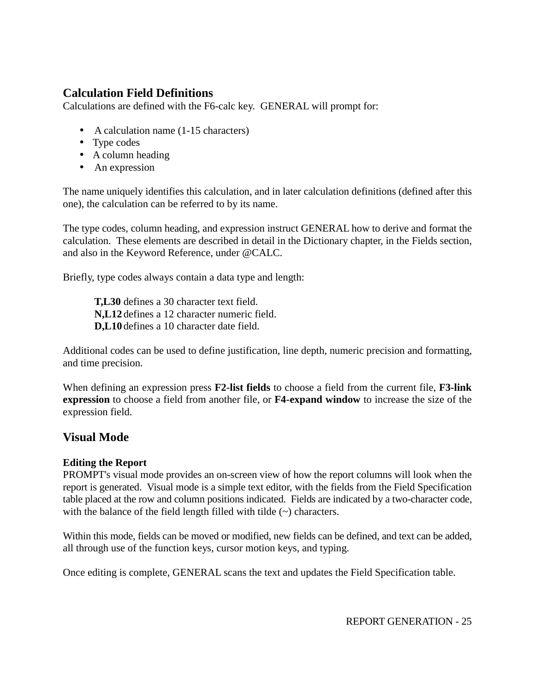# <span id="page-24-0"></span>**Calculation Field Definitions**

Calculations are defined with the F6-calc key. GENERAL will prompt for:

- A calculation name (1-15 characters)
- Type codes
- A column heading
- An expression

The name uniquely identifies this calculation, and in later calculation definitions (defined after this one), the calculation can be referred to by its name.

The type codes, column heading, and expression instruct GENERAL how to derive and format the calculation. These elements are described in detail in the Dictionary chapter, in the Fields section, and also in the Keyword Reference, under @CALC.

Briefly, type codes always contain a data type and length:

**T,L30** defines a 30 character text field. **N,L12** defines a 12 character numeric field. **D,L10** defines a 10 character date field.

Additional codes can be used to define justification, line depth, numeric precision and formatting, and time precision.

When defining an expression press **F2-list fields** to choose a field from the current file, **F3-link expression** to choose a field from another file, or **F4-expand window** to increase the size of the expression field.

# **Visual Mode**

#### **Editing the Report**

PROMPT's visual mode provides an on-screen view of how the report columns will look when the report is generated. Visual mode is a simple text editor, with the fields from the Field Specification table placed at the row and column positions indicated. Fields are indicated by a two-character code, with the balance of the field length filled with tilde  $(\sim)$  characters.

Within this mode, fields can be moved or modified, new fields can be defined, and text can be added, all through use of the function keys, cursor motion keys, and typing.

Once editing is complete, GENERAL scans the text and updates the Field Specification table.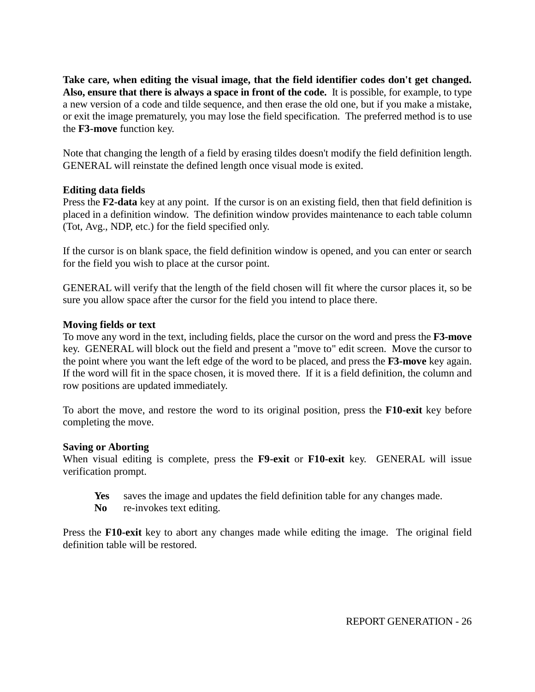**Take care, when editing the visual image, that the field identifier codes don't get changed. Also, ensure that there is always a space in front of the code.** It is possible, for example, to type a new version of a code and tilde sequence, and then erase the old one, but if you make a mistake, or exit the image prematurely, you may lose the field specification. The preferred method is to use the **F3-move** function key.

Note that changing the length of a field by erasing tildes doesn't modify the field definition length. GENERAL will reinstate the defined length once visual mode is exited.

#### **Editing data fields**

Press the **F2-data** key at any point. If the cursor is on an existing field, then that field definition is placed in a definition window. The definition window provides maintenance to each table column (Tot, Avg., NDP, etc.) for the field specified only.

If the cursor is on blank space, the field definition window is opened, and you can enter or search for the field you wish to place at the cursor point.

GENERAL will verify that the length of the field chosen will fit where the cursor places it, so be sure you allow space after the cursor for the field you intend to place there.

#### **Moving fields or text**

To move any word in the text, including fields, place the cursor on the word and press the **F3-move** key. GENERAL will block out the field and present a "move to" edit screen. Move the cursor to the point where you want the left edge of the word to be placed, and press the **F3-move** key again. If the word will fit in the space chosen, it is moved there. If it is a field definition, the column and row positions are updated immediately.

To abort the move, and restore the word to its original position, press the **F10-exit** key before completing the move.

#### **Saving or Aborting**

When visual editing is complete, press the **F9-exit** or **F10-exit** key. GENERAL will issue verification prompt.

- **Yes** saves the image and updates the field definition table for any changes made.
- **No** re-invokes text editing.

Press the **F10-exit** key to abort any changes made while editing the image. The original field definition table will be restored.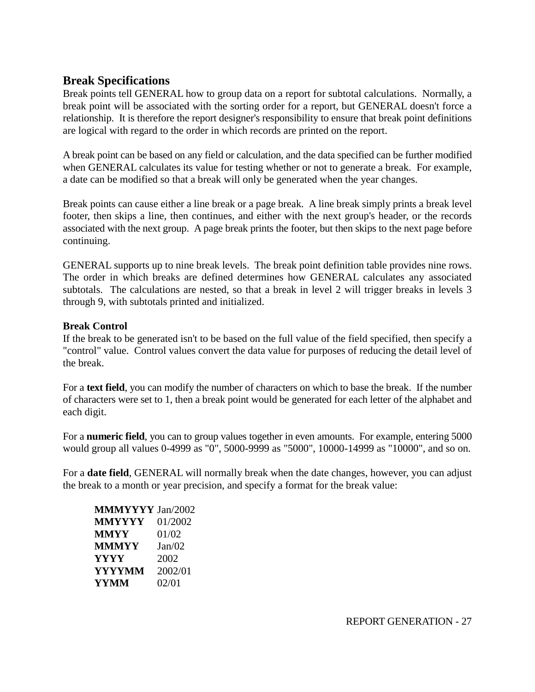## <span id="page-26-0"></span>**Break Specifications**

Break points tell GENERAL how to group data on a report for subtotal calculations. Normally, a break point will be associated with the sorting order for a report, but GENERAL doesn't force a relationship. It is therefore the report designer's responsibility to ensure that break point definitions are logical with regard to the order in which records are printed on the report.

A break point can be based on any field or calculation, and the data specified can be further modified when GENERAL calculates its value for testing whether or not to generate a break. For example, a date can be modified so that a break will only be generated when the year changes.

Break points can cause either a line break or a page break. A line break simply prints a break level footer, then skips a line, then continues, and either with the next group's header, or the records associated with the next group. A page break prints the footer, but then skips to the next page before continuing.

GENERAL supports up to nine break levels. The break point definition table provides nine rows. The order in which breaks are defined determines how GENERAL calculates any associated subtotals. The calculations are nested, so that a break in level 2 will trigger breaks in levels 3 through 9, with subtotals printed and initialized.

#### **Break Control**

If the break to be generated isn't to be based on the full value of the field specified, then specify a "control" value. Control values convert the data value for purposes of reducing the detail level of the break.

For a **text field**, you can modify the number of characters on which to base the break. If the number of characters were set to 1, then a break point would be generated for each letter of the alphabet and each digit.

For a **numeric field**, you can to group values together in even amounts. For example, entering 5000 would group all values 0-4999 as "0", 5000-9999 as "5000", 10000-14999 as "10000", and so on.

For a **date field**, GENERAL will normally break when the date changes, however, you can adjust the break to a month or year precision, and specify a format for the break value:

**MMMYYYY** Jan/2002 **MMYYYY** 01/2002 **MMYY** 01/02 **MMMYY** Jan/02 **YYYY** 2002 **YYYYMM** 2002/01 **YYMM** 02/01

REPORT GENERATION - 27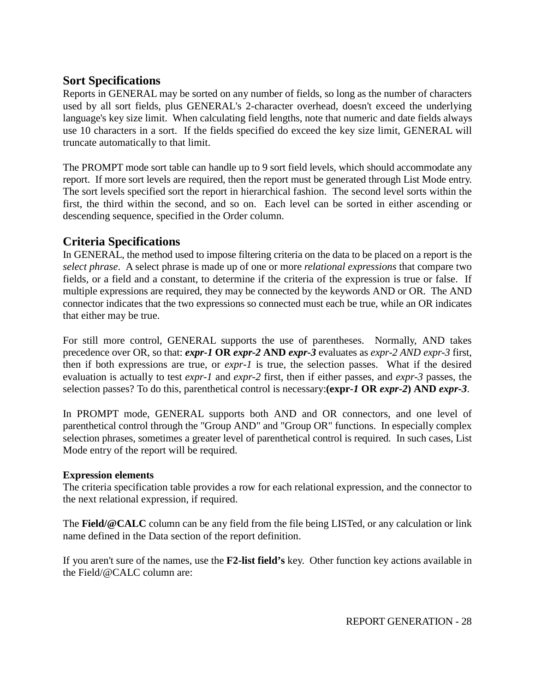# <span id="page-27-0"></span>**Sort Specifications**

Reports in GENERAL may be sorted on any number of fields, so long as the number of characters used by all sort fields, plus GENERAL's 2-character overhead, doesn't exceed the underlying language's key size limit. When calculating field lengths, note that numeric and date fields always use 10 characters in a sort. If the fields specified do exceed the key size limit, GENERAL will truncate automatically to that limit.

The PROMPT mode sort table can handle up to 9 sort field levels, which should accommodate any report. If more sort levels are required, then the report must be generated through List Mode entry. The sort levels specified sort the report in hierarchical fashion. The second level sorts within the first, the third within the second, and so on. Each level can be sorted in either ascending or descending sequence, specified in the Order column.

# **Criteria Specifications**

In GENERAL, the method used to impose filtering criteria on the data to be placed on a report is the *select phrase*. A select phrase is made up of one or more *relational expressions* that compare two fields, or a field and a constant, to determine if the criteria of the expression is true or false. If multiple expressions are required, they may be connected by the keywords AND or OR. The AND connector indicates that the two expressions so connected must each be true, while an OR indicates that either may be true.

For still more control, GENERAL supports the use of parentheses. Normally, AND takes precedence over OR, so that: *expr-1* **OR** *expr-2* **AND** *expr-3* evaluates as *expr-2 AND expr-3* first, then if both expressions are true, or *expr-1* is true, the selection passes. What if the desired evaluation is actually to test *expr-1* and *expr-2* first, then if either passes, and *expr-3* passes, the selection passes? To do this, parenthetical control is necessary:**(expr***-1* **OR** *expr-2***) AND** *expr-3*.

In PROMPT mode, GENERAL supports both AND and OR connectors, and one level of parenthetical control through the "Group AND" and "Group OR" functions. In especially complex selection phrases, sometimes a greater level of parenthetical control is required. In such cases, List Mode entry of the report will be required.

## **Expression elements**

The criteria specification table provides a row for each relational expression, and the connector to the next relational expression, if required.

The **Field/@CALC** column can be any field from the file being LISTed, or any calculation or link name defined in the Data section of the report definition.

If you aren't sure of the names, use the **F2-list field's** key. Other function key actions available in the Field/@CALC column are: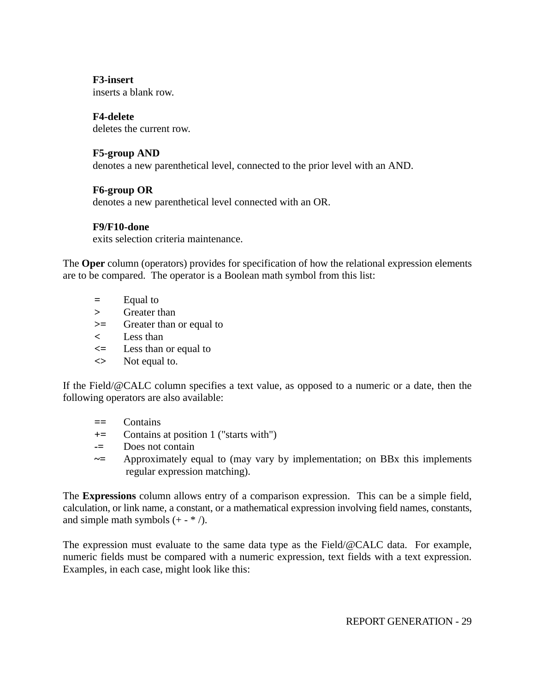#### **F3-insert** inserts a blank row.

**F4-delete**

deletes the current row.

# **F5-group AND**

denotes a new parenthetical level, connected to the prior level with an AND.

# **F6-group OR**

denotes a new parenthetical level connected with an OR.

# **F9/F10-done**

exits selection criteria maintenance.

The **Oper** column (operators) provides for specification of how the relational expression elements are to be compared. The operator is a Boolean math symbol from this list:

- **=** Equal to
- **>** Greater than
- **>=** Greater than or equal to
- **<** Less than
- **<=** Less than or equal to
- **<>** Not equal to.

If the Field/@CALC column specifies a text value, as opposed to a numeric or a date, then the following operators are also available:

- **==** Contains
- **+=** Contains at position 1 ("starts with")
- **-=** Does not contain
- **~=** Approximately equal to (may vary by implementation; on BBx this implements regular expression matching).

The **Expressions** column allows entry of a comparison expression. This can be a simple field, calculation, or link name, a constant, or a mathematical expression involving field names, constants, and simple math symbols  $(+ - * /).$ 

The expression must evaluate to the same data type as the Field/@CALC data. For example, numeric fields must be compared with a numeric expression, text fields with a text expression. Examples, in each case, might look like this: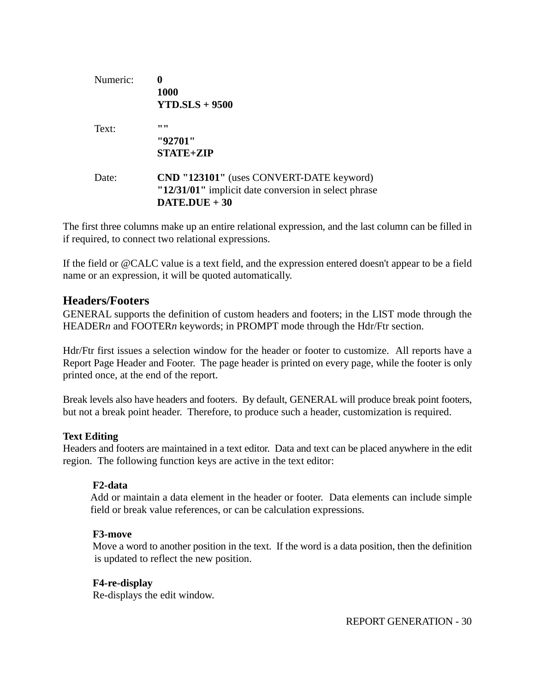<span id="page-29-0"></span>

| Numeric: | o<br><b>1000</b><br>$YTD.SLS + 9500$                                                                                                 |
|----------|--------------------------------------------------------------------------------------------------------------------------------------|
| Text:    | ,,,,<br>"92701"<br><b>STATE+ZIP</b>                                                                                                  |
| Date:    | <b>CND "123101"</b> (uses CONVERT-DATE keyword)<br>"12/31/01" implicit date conversion in select phrase<br>$\textbf{DATE}$ .DUE + 30 |

The first three columns make up an entire relational expression, and the last column can be filled in if required, to connect two relational expressions.

If the field or @CALC value is a text field, and the expression entered doesn't appear to be a field name or an expression, it will be quoted automatically.

#### **Headers/Footers**

GENERAL supports the definition of custom headers and footers; in the LIST mode through the HEADERn and FOOTERn keywords; in PROMPT mode through the Hdr/Ftr section.

Hdr/Ftr first issues a selection window for the header or footer to customize. All reports have a Report Page Header and Footer. The page header is printed on every page, while the footer is only printed once, at the end of the report.

Break levels also have headers and footers. By default, GENERAL will produce break point footers, but not a break point header. Therefore, to produce such a header, customization is required.

#### **Text Editing**

Headers and footers are maintained in a text editor. Data and text can be placed anywhere in the edit region. The following function keys are active in the text editor:

#### **F2-data**

Add or maintain a data element in the header or footer. Data elements can include simple field or break value references, or can be calculation expressions.

#### **F3-move**

Move a word to another position in the text. If the word is a data position, then the definition is updated to reflect the new position.

#### **F4-re-display**

Re-displays the edit window.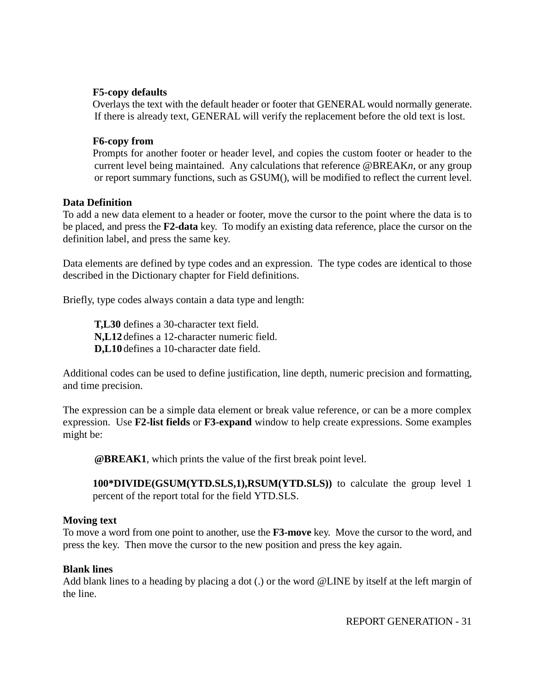#### **F5-copy defaults**

Overlays the text with the default header or footer that GENERAL would normally generate. If there is already text, GENERAL will verify the replacement before the old text is lost.

#### **F6-copy from**

Prompts for another footer or header level, and copies the custom footer or header to the current level being maintained. Any calculations that reference @BREAK*n*, or any group or report summary functions, such as GSUM(), will be modified to reflect the current level.

#### **Data Definition**

To add a new data element to a header or footer, move the cursor to the point where the data is to be placed, and press the **F2-data** key. To modify an existing data reference, place the cursor on the definition label, and press the same key.

Data elements are defined by type codes and an expression. The type codes are identical to those described in the Dictionary chapter for Field definitions.

Briefly, type codes always contain a data type and length:

**T,L30** defines a 30-character text field. **N,L12** defines a 12-character numeric field. **D,L10** defines a 10-character date field.

Additional codes can be used to define justification, line depth, numeric precision and formatting, and time precision.

The expression can be a simple data element or break value reference, or can be a more complex expression. Use **F2-list fields** or **F3-expand** window to help create expressions. Some examples might be:

**@BREAK1**, which prints the value of the first break point level.

**100\*DIVIDE(GSUM(YTD.SLS,1),RSUM(YTD.SLS))** to calculate the group level 1 percent of the report total for the field YTD.SLS.

#### **Moving text**

To move a word from one point to another, use the **F3-move** key. Move the cursor to the word, and press the key. Then move the cursor to the new position and press the key again.

#### **Blank lines**

Add blank lines to a heading by placing a dot (.) or the word @LINE by itself at the left margin of the line.

REPORT GENERATION - 31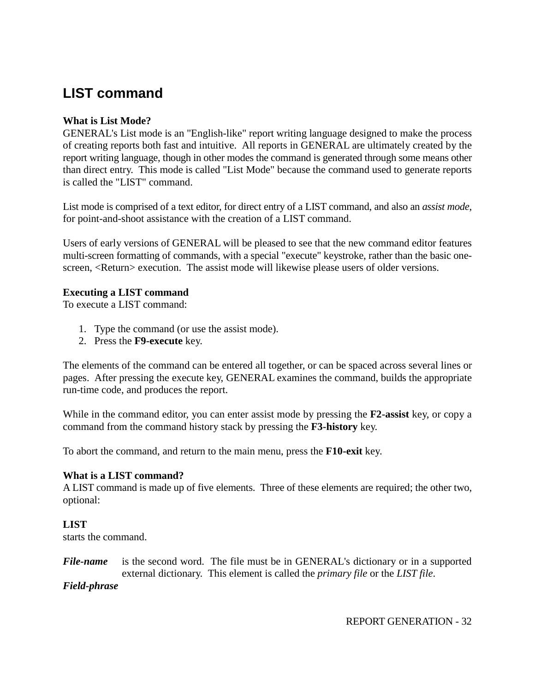# <span id="page-31-0"></span>**LIST command**

#### **What is List Mode?**

GENERAL's List mode is an "English-like" report writing language designed to make the process of creating reports both fast and intuitive. All reports in GENERAL are ultimately created by the report writing language, though in other modes the command is generated through some means other than direct entry. This mode is called "List Mode" because the command used to generate reports is called the "LIST" command.

List mode is comprised of a text editor, for direct entry of a LIST command, and also an *assist mode*, for point-and-shoot assistance with the creation of a LIST command.

Users of early versions of GENERAL will be pleased to see that the new command editor features multi-screen formatting of commands, with a special "execute" keystroke, rather than the basic onescreen, <Return> execution. The assist mode will likewise please users of older versions.

#### **Executing a LIST command**

To execute a LIST command:

- 1. Type the command (or use the assist mode).
- 2. Press the **F9-execute** key.

The elements of the command can be entered all together, or can be spaced across several lines or pages. After pressing the execute key, GENERAL examines the command, builds the appropriate run-time code, and produces the report.

While in the command editor, you can enter assist mode by pressing the **F2-assist** key, or copy a command from the command history stack by pressing the **F3-history** key.

To abort the command, and return to the main menu, press the **F10-exit** key.

#### **What is a LIST command?**

A LIST command is made up of five elements. Three of these elements are required; the other two, optional:

#### **LIST**

starts the command.

#### *File-name* is the second word. The file must be in GENERAL's dictionary or in a supported external dictionary. This element is called the *primary file* or the *LIST file*.

*Field-phrase*

REPORT GENERATION - 32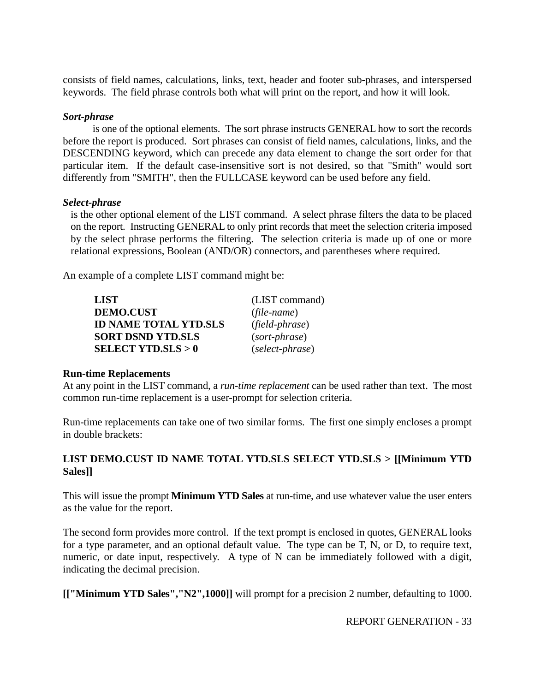consists of field names, calculations, links, text, header and footer sub-phrases, and interspersed keywords. The field phrase controls both what will print on the report, and how it will look.

#### *Sort-phrase*

is one of the optional elements. The sort phrase instructs GENERAL how to sort the records before the report is produced. Sort phrases can consist of field names, calculations, links, and the DESCENDING keyword, which can precede any data element to change the sort order for that particular item. If the default case-insensitive sort is not desired, so that "Smith" would sort differently from "SMITH", then the FULLCASE keyword can be used before any field.

#### *Select-phrase*

is the other optional element of the LIST command. A select phrase filters the data to be placed on the report. Instructing GENERAL to only print records that meet the selection criteria imposed by the select phrase performs the filtering. The selection criteria is made up of one or more relational expressions, Boolean (AND/OR) connectors, and parentheses where required.

An example of a complete LIST command might be:

| <b>LIST</b>                  | (LIST command)       |
|------------------------------|----------------------|
| <b>DEMO.CUST</b>             | $(\text{file-name})$ |
| <b>ID NAME TOTAL YTD.SLS</b> | (field-phrase)       |
| <b>SORT DSND YTD.SLS</b>     | $(sort-phrase)$      |
| <b>SELECT YTD.SLS &gt; 0</b> | (select-phrase)      |

#### **Run-time Replacements**

At any point in the LIST command, a *run-time replacement* can be used rather than text. The most common run-time replacement is a user-prompt for selection criteria.

Run-time replacements can take one of two similar forms. The first one simply encloses a prompt in double brackets:

#### **LIST DEMO.CUST ID NAME TOTAL YTD.SLS SELECT YTD.SLS > [[Minimum YTD Sales]]**

This will issue the prompt **Minimum YTD Sales** at run-time, and use whatever value the user enters as the value for the report.

The second form provides more control. If the text prompt is enclosed in quotes, GENERAL looks for a type parameter, and an optional default value. The type can be T, N, or D, to require text, numeric, or date input, respectively. A type of N can be immediately followed with a digit, indicating the decimal precision.

**[["Minimum YTD Sales","N2",1000]]** will prompt for a precision 2 number, defaulting to 1000.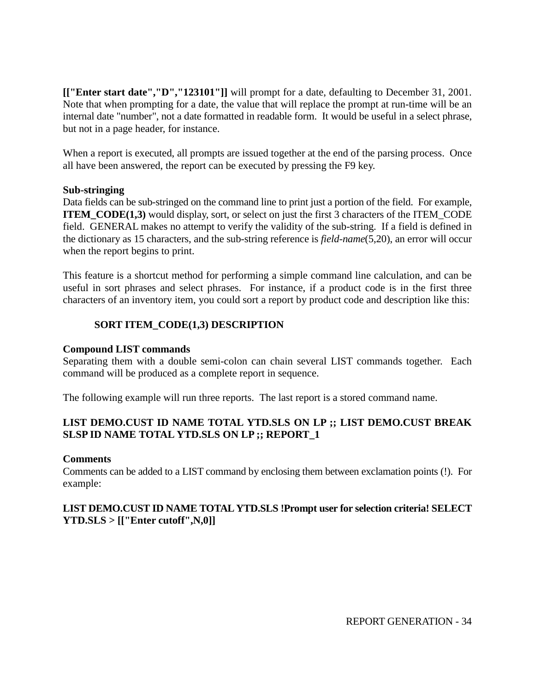**[["Enter start date","D","123101"]]** will prompt for a date, defaulting to December 31, 2001. Note that when prompting for a date, the value that will replace the prompt at run-time will be an internal date "number", not a date formatted in readable form. It would be useful in a select phrase, but not in a page header, for instance.

When a report is executed, all prompts are issued together at the end of the parsing process. Once all have been answered, the report can be executed by pressing the F9 key.

#### **Sub-stringing**

Data fields can be sub-stringed on the command line to print just a portion of the field. For example, **ITEM\_CODE(1,3)** would display, sort, or select on just the first 3 characters of the ITEM\_CODE field. GENERAL makes no attempt to verify the validity of the sub-string. If a field is defined in the dictionary as 15 characters, and the sub-string reference is *field-name*(5,20), an error will occur when the report begins to print.

This feature is a shortcut method for performing a simple command line calculation, and can be useful in sort phrases and select phrases. For instance, if a product code is in the first three characters of an inventory item, you could sort a report by product code and description like this:

#### **SORT ITEM\_CODE(1,3) DESCRIPTION**

#### **Compound LIST commands**

Separating them with a double semi-colon can chain several LIST commands together. Each command will be produced as a complete report in sequence.

The following example will run three reports. The last report is a stored command name.

## **LIST DEMO.CUST ID NAME TOTAL YTD.SLS ON LP ;; LIST DEMO.CUST BREAK SLSP ID NAME TOTAL YTD.SLS ON LP ;; REPORT\_1**

#### **Comments**

Comments can be added to a LIST command by enclosing them between exclamation points (!). For example:

#### **LIST DEMO.CUST ID NAME TOTAL YTD.SLS !Prompt user for selection criteria! SELECT YTD.SLS > [["Enter cutoff",N,0]]**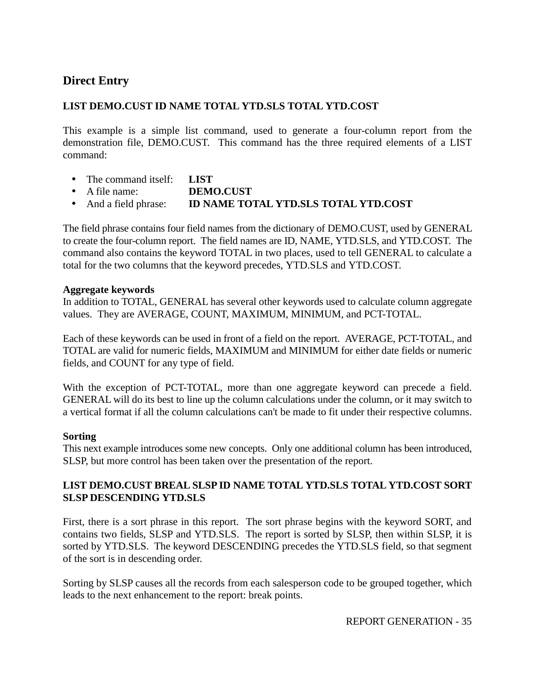# <span id="page-34-0"></span>**Direct Entry**

#### **LIST DEMO.CUST ID NAME TOTAL YTD.SLS TOTAL YTD.COST**

This example is a simple list command, used to generate a four-column report from the demonstration file, DEMO.CUST. This command has the three required elements of a LIST command:

- The command itself: **LIST**
- A file name: **DEMO.CUST**
- And a field phrase: **ID NAME TOTAL YTD.SLS TOTAL YTD.COST**

The field phrase contains four field names from the dictionary of DEMO.CUST, used by GENERAL to create the four-column report. The field names are ID, NAME, YTD.SLS, and YTD.COST. The command also contains the keyword TOTAL in two places, used to tell GENERAL to calculate a total for the two columns that the keyword precedes, YTD.SLS and YTD.COST.

#### **Aggregate keywords**

In addition to TOTAL, GENERAL has several other keywords used to calculate column aggregate values. They are AVERAGE, COUNT, MAXIMUM, MINIMUM, and PCT-TOTAL.

Each of these keywords can be used in front of a field on the report. AVERAGE, PCT-TOTAL, and TOTAL are valid for numeric fields, MAXIMUM and MINIMUM for either date fields or numeric fields, and COUNT for any type of field.

With the exception of PCT-TOTAL, more than one aggregate keyword can precede a field. GENERAL will do its best to line up the column calculations under the column, or it may switch to a vertical format if all the column calculations can't be made to fit under their respective columns.

#### **Sorting**

This next example introduces some new concepts. Only one additional column has been introduced, SLSP, but more control has been taken over the presentation of the report.

#### **LIST DEMO.CUST BREAL SLSP ID NAME TOTAL YTD.SLS TOTAL YTD.COST SORT SLSP DESCENDING YTD.SLS**

First, there is a sort phrase in this report. The sort phrase begins with the keyword SORT, and contains two fields, SLSP and YTD.SLS. The report is sorted by SLSP, then within SLSP, it is sorted by YTD.SLS. The keyword DESCENDING precedes the YTD.SLS field, so that segment of the sort is in descending order.

Sorting by SLSP causes all the records from each salesperson code to be grouped together, which leads to the next enhancement to the report: break points.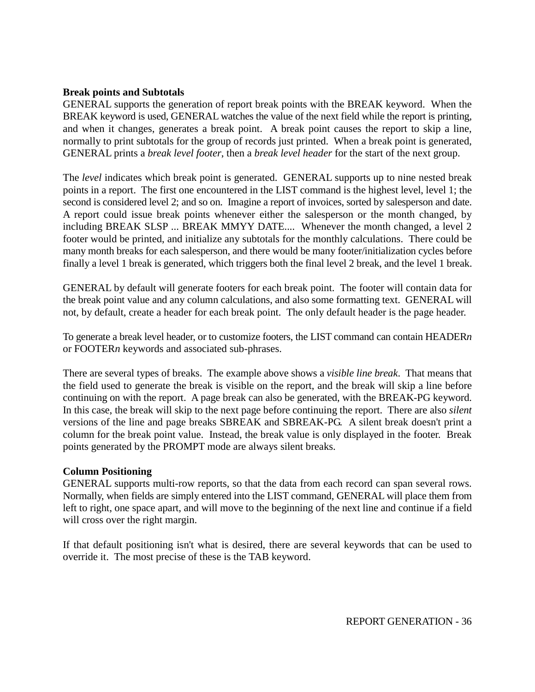#### **Break points and Subtotals**

GENERAL supports the generation of report break points with the BREAK keyword. When the BREAK keyword is used, GENERAL watches the value of the next field while the report is printing, and when it changes, generates a break point. A break point causes the report to skip a line, normally to print subtotals for the group of records just printed. When a break point is generated, GENERAL prints a *break level footer*, then a *break level header* for the start of the next group.

The *level* indicates which break point is generated. GENERAL supports up to nine nested break points in a report. The first one encountered in the LIST command is the highest level, level 1; the second is considered level 2; and so on. Imagine a report of invoices, sorted by salesperson and date. A report could issue break points whenever either the salesperson or the month changed, by including BREAK SLSP ... BREAK MMYY DATE.... Whenever the month changed, a level 2 footer would be printed, and initialize any subtotals for the monthly calculations. There could be many month breaks for each salesperson, and there would be many footer/initialization cycles before finally a level 1 break is generated, which triggers both the final level 2 break, and the level 1 break.

GENERAL by default will generate footers for each break point. The footer will contain data for the break point value and any column calculations, and also some formatting text. GENERAL will not, by default, create a header for each break point. The only default header is the page header.

To generate a break level header, or to customize footers, the LIST command can contain HEADER*n* or FOOTER*n* keywords and associated sub-phrases.

There are several types of breaks. The example above shows a *visible line break*. That means that the field used to generate the break is visible on the report, and the break will skip a line before continuing on with the report. A page break can also be generated, with the BREAK-PG keyword. In this case, the break will skip to the next page before continuing the report. There are also *silent* versions of the line and page breaks SBREAK and SBREAK-PG. A silent break doesn't print a column for the break point value. Instead, the break value is only displayed in the footer. Break points generated by the PROMPT mode are always silent breaks.

#### **Column Positioning**

GENERAL supports multi-row reports, so that the data from each record can span several rows. Normally, when fields are simply entered into the LIST command, GENERAL will place them from left to right, one space apart, and will move to the beginning of the next line and continue if a field will cross over the right margin.

If that default positioning isn't what is desired, there are several keywords that can be used to override it. The most precise of these is the TAB keyword.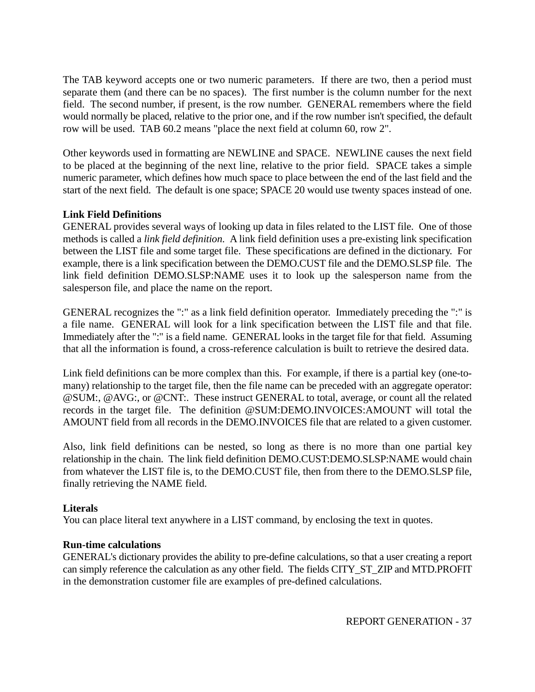The TAB keyword accepts one or two numeric parameters. If there are two, then a period must separate them (and there can be no spaces). The first number is the column number for the next field. The second number, if present, is the row number. GENERAL remembers where the field would normally be placed, relative to the prior one, and if the row number isn't specified, the default row will be used. TAB 60.2 means "place the next field at column 60, row 2".

Other keywords used in formatting are NEWLINE and SPACE. NEWLINE causes the next field to be placed at the beginning of the next line, relative to the prior field. SPACE takes a simple numeric parameter, which defines how much space to place between the end of the last field and the start of the next field. The default is one space; SPACE 20 would use twenty spaces instead of one.

## **Link Field Definitions**

GENERAL provides several ways of looking up data in files related to the LIST file. One of those methods is called a *link field definition*. A link field definition uses a pre-existing link specification between the LIST file and some target file. These specifications are defined in the dictionary. For example, there is a link specification between the DEMO.CUST file and the DEMO.SLSP file. The link field definition DEMO.SLSP:NAME uses it to look up the salesperson name from the salesperson file, and place the name on the report.

GENERAL recognizes the ":" as a link field definition operator. Immediately preceding the ":" is a file name. GENERAL will look for a link specification between the LIST file and that file. Immediately after the ":" is a field name. GENERAL looks in the target file for that field. Assuming that all the information is found, a cross-reference calculation is built to retrieve the desired data.

Link field definitions can be more complex than this. For example, if there is a partial key (one-tomany) relationship to the target file, then the file name can be preceded with an aggregate operator: @SUM:, @AVG:, or @CNT:. These instruct GENERAL to total, average, or count all the related records in the target file. The definition @SUM:DEMO.INVOICES:AMOUNT will total the AMOUNT field from all records in the DEMO.INVOICES file that are related to a given customer.

Also, link field definitions can be nested, so long as there is no more than one partial key relationship in the chain. The link field definition DEMO.CUST:DEMO.SLSP:NAME would chain from whatever the LIST file is, to the DEMO.CUST file, then from there to the DEMO.SLSP file, finally retrieving the NAME field.

## **Literals**

You can place literal text anywhere in a LIST command, by enclosing the text in quotes.

## **Run-time calculations**

GENERAL's dictionary provides the ability to pre-define calculations, so that a user creating a report can simply reference the calculation as any other field. The fields CITY\_ST\_ZIP and MTD.PROFIT in the demonstration customer file are examples of pre-defined calculations.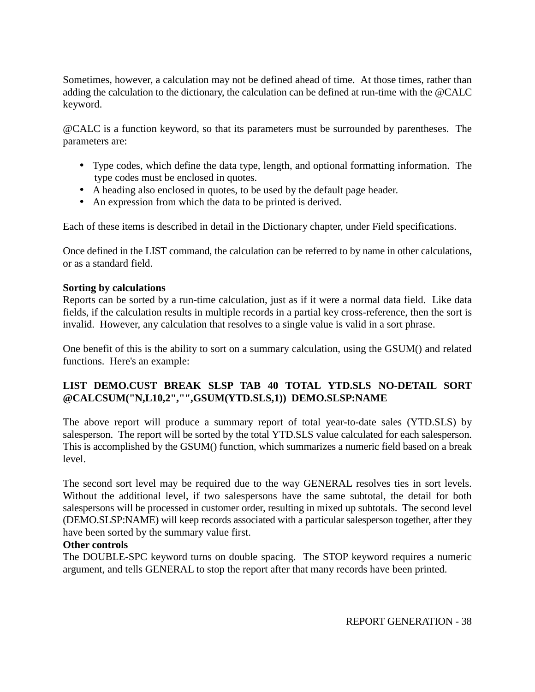Sometimes, however, a calculation may not be defined ahead of time. At those times, rather than adding the calculation to the dictionary, the calculation can be defined at run-time with the @CALC keyword.

@CALC is a function keyword, so that its parameters must be surrounded by parentheses. The parameters are:

- Type codes, which define the data type, length, and optional formatting information. The type codes must be enclosed in quotes.
- A heading also enclosed in quotes, to be used by the default page header.
- An expression from which the data to be printed is derived.

Each of these items is described in detail in the Dictionary chapter, under Field specifications.

Once defined in the LIST command, the calculation can be referred to by name in other calculations, or as a standard field.

#### **Sorting by calculations**

Reports can be sorted by a run-time calculation, just as if it were a normal data field. Like data fields, if the calculation results in multiple records in a partial key cross-reference, then the sort is invalid. However, any calculation that resolves to a single value is valid in a sort phrase.

One benefit of this is the ability to sort on a summary calculation, using the GSUM() and related functions. Here's an example:

## **LIST DEMO.CUST BREAK SLSP TAB 40 TOTAL YTD.SLS NO-DETAIL SORT @CALCSUM("N,L10,2","",GSUM(YTD.SLS,1)) DEMO.SLSP:NAME**

The above report will produce a summary report of total year-to-date sales (YTD.SLS) by salesperson. The report will be sorted by the total YTD.SLS value calculated for each salesperson. This is accomplished by the GSUM() function, which summarizes a numeric field based on a break level.

The second sort level may be required due to the way GENERAL resolves ties in sort levels. Without the additional level, if two salespersons have the same subtotal, the detail for both salespersons will be processed in customer order, resulting in mixed up subtotals. The second level (DEMO.SLSP:NAME) will keep records associated with a particular salesperson together, after they have been sorted by the summary value first.

## **Other controls**

The DOUBLE-SPC keyword turns on double spacing. The STOP keyword requires a numeric argument, and tells GENERAL to stop the report after that many records have been printed.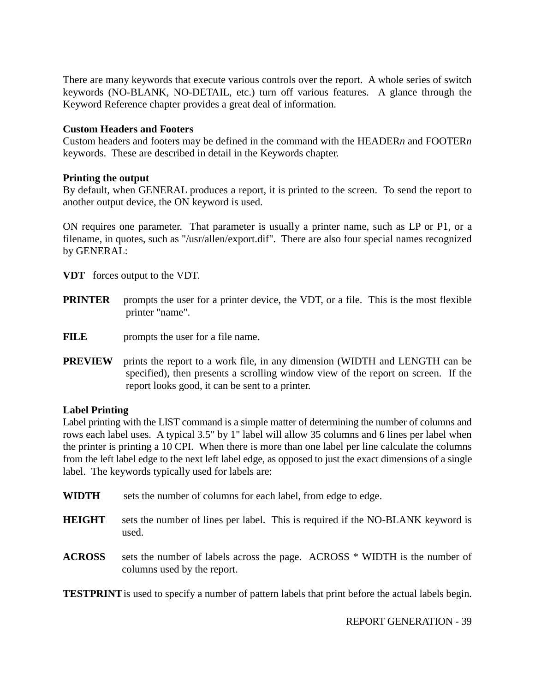There are many keywords that execute various controls over the report. A whole series of switch keywords (NO-BLANK, NO-DETAIL, etc.) turn off various features. A glance through the Keyword Reference chapter provides a great deal of information.

#### **Custom Headers and Footers**

Custom headers and footers may be defined in the command with the HEADER*n* and FOOTER*n* keywords. These are described in detail in the Keywords chapter.

#### **Printing the output**

By default, when GENERAL produces a report, it is printed to the screen. To send the report to another output device, the ON keyword is used.

ON requires one parameter. That parameter is usually a printer name, such as LP or P1, or a filename, in quotes, such as "/usr/allen/export.dif". There are also four special names recognized by GENERAL:

**VDT** forces output to the VDT.

- **PRINTER** prompts the user for a printer device, the VDT, or a file. This is the most flexible printer "name".
- FILE prompts the user for a file name.
- **PREVIEW** prints the report to a work file, in any dimension (WIDTH and LENGTH can be specified), then presents a scrolling window view of the report on screen. If the report looks good, it can be sent to a printer.

#### **Label Printing**

Label printing with the LIST command is a simple matter of determining the number of columns and rows each label uses. A typical 3.5" by 1" label will allow 35 columns and 6 lines per label when the printer is printing a 10 CPI. When there is more than one label per line calculate the columns from the left label edge to the next left label edge, as opposed to just the exact dimensions of a single label. The keywords typically used for labels are:

- **WIDTH** sets the number of columns for each label, from edge to edge.
- **HEIGHT** sets the number of lines per label. This is required if the NO-BLANK keyword is used.
- **ACROSS** sets the number of labels across the page. ACROSS \* WIDTH is the number of columns used by the report.

**TESTPRINT** is used to specify a number of pattern labels that print before the actual labels begin.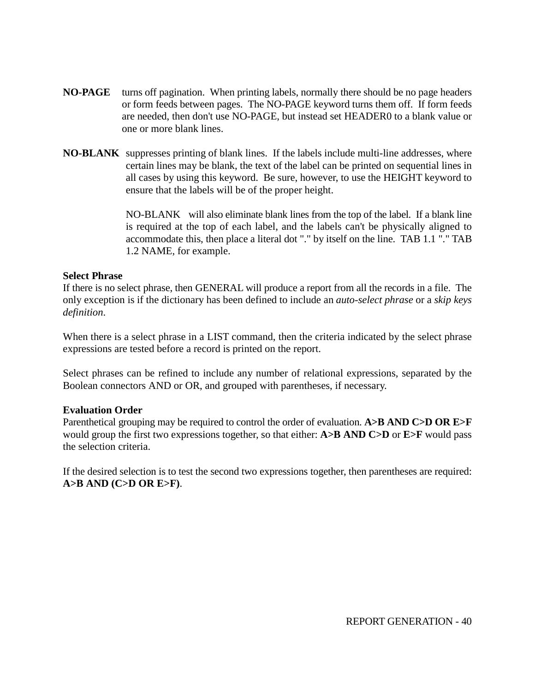- **NO-PAGE** turns off pagination. When printing labels, normally there should be no page headers or form feeds between pages. The NO-PAGE keyword turns them off. If form feeds are needed, then don't use NO-PAGE, but instead set HEADER0 to a blank value or one or more blank lines.
- **NO-BLANK** suppresses printing of blank lines. If the labels include multi-line addresses, where certain lines may be blank, the text of the label can be printed on sequential lines in all cases by using this keyword. Be sure, however, to use the HEIGHT keyword to ensure that the labels will be of the proper height.

NO-BLANK will also eliminate blank lines from the top of the label. If a blank line is required at the top of each label, and the labels can't be physically aligned to accommodate this, then place a literal dot "." by itself on the line. TAB 1.1 "." TAB 1.2 NAME, for example.

#### **Select Phrase**

If there is no select phrase, then GENERAL will produce a report from all the records in a file. The only exception is if the dictionary has been defined to include an *auto-select phrase* or a *skip keys definition*.

When there is a select phrase in a LIST command, then the criteria indicated by the select phrase expressions are tested before a record is printed on the report.

Select phrases can be refined to include any number of relational expressions, separated by the Boolean connectors AND or OR, and grouped with parentheses, if necessary.

#### **Evaluation Order**

Parenthetical grouping may be required to control the order of evaluation. **A>B AND C>D OR E>F** would group the first two expressions together, so that either: **A>B AND C>D** or **E>F** would pass the selection criteria.

If the desired selection is to test the second two expressions together, then parentheses are required: **A>B AND (C>D OR E>F)**.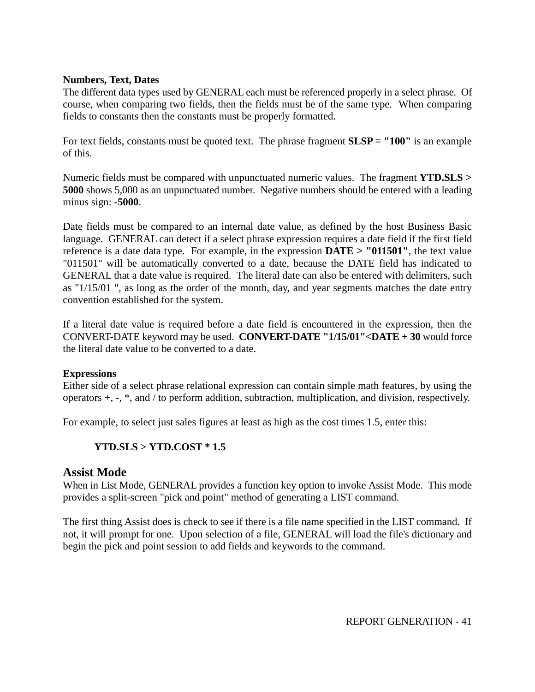#### **Numbers, Text, Dates**

The different data types used by GENERAL each must be referenced properly in a select phrase. Of course, when comparing two fields, then the fields must be of the same type. When comparing fields to constants then the constants must be properly formatted.

For text fields, constants must be quoted text. The phrase fragment **SLSP = "100"** is an example of this.

Numeric fields must be compared with unpunctuated numeric values. The fragment **YTD.SLS > 5000** shows 5,000 as an unpunctuated number. Negative numbers should be entered with a leading minus sign: **-5000**.

Date fields must be compared to an internal date value, as defined by the host Business Basic language. GENERAL can detect if a select phrase expression requires a date field if the first field reference is a date data type. For example, in the expression **DATE > "011501"**, the text value "011501" will be automatically converted to a date, because the DATE field has indicated to GENERAL that a date value is required. The literal date can also be entered with delimiters, such as "1/15/01 ", as long as the order of the month, day, and year segments matches the date entry convention established for the system.

If a literal date value is required before a date field is encountered in the expression, then the CONVERT-DATE keyword may be used. **CONVERT-DATE "1/15/01"<DATE + 30** would force the literal date value to be converted to a date.

## **Expressions**

Either side of a select phrase relational expression can contain simple math features, by using the operators +, -, \*, and / to perform addition, subtraction, multiplication, and division, respectively.

For example, to select just sales figures at least as high as the cost times 1.5, enter this:

## **YTD.SLS > YTD.COST \* 1.5**

## **Assist Mode**

When in List Mode, GENERAL provides a function key option to invoke Assist Mode. This mode provides a split-screen "pick and point" method of generating a LIST command.

The first thing Assist does is check to see if there is a file name specified in the LIST command. If not, it will prompt for one. Upon selection of a file, GENERAL will load the file's dictionary and begin the pick and point session to add fields and keywords to the command.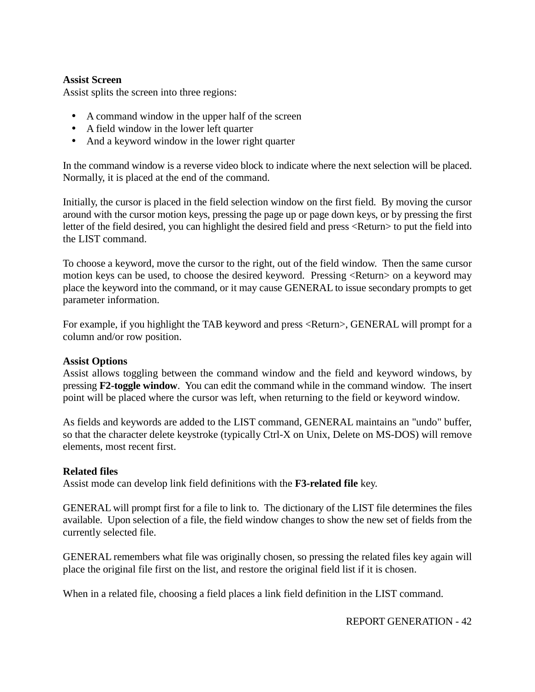#### **Assist Screen**

Assist splits the screen into three regions:

- A command window in the upper half of the screen
- A field window in the lower left quarter
- And a keyword window in the lower right quarter

In the command window is a reverse video block to indicate where the next selection will be placed. Normally, it is placed at the end of the command.

Initially, the cursor is placed in the field selection window on the first field. By moving the cursor around with the cursor motion keys, pressing the page up or page down keys, or by pressing the first letter of the field desired, you can highlight the desired field and press <Return> to put the field into the LIST command.

To choose a keyword, move the cursor to the right, out of the field window. Then the same cursor motion keys can be used, to choose the desired keyword. Pressing <Return> on a keyword may place the keyword into the command, or it may cause GENERAL to issue secondary prompts to get parameter information.

For example, if you highlight the TAB keyword and press <Return>, GENERAL will prompt for a column and/or row position.

#### **Assist Options**

Assist allows toggling between the command window and the field and keyword windows, by pressing **F2-toggle window**. You can edit the command while in the command window. The insert point will be placed where the cursor was left, when returning to the field or keyword window.

As fields and keywords are added to the LIST command, GENERAL maintains an "undo" buffer, so that the character delete keystroke (typically Ctrl-X on Unix, Delete on MS-DOS) will remove elements, most recent first.

#### **Related files**

Assist mode can develop link field definitions with the **F3-related file** key.

GENERAL will prompt first for a file to link to. The dictionary of the LIST file determines the files available. Upon selection of a file, the field window changes to show the new set of fields from the currently selected file.

GENERAL remembers what file was originally chosen, so pressing the related files key again will place the original file first on the list, and restore the original field list if it is chosen.

When in a related file, choosing a field places a link field definition in the LIST command.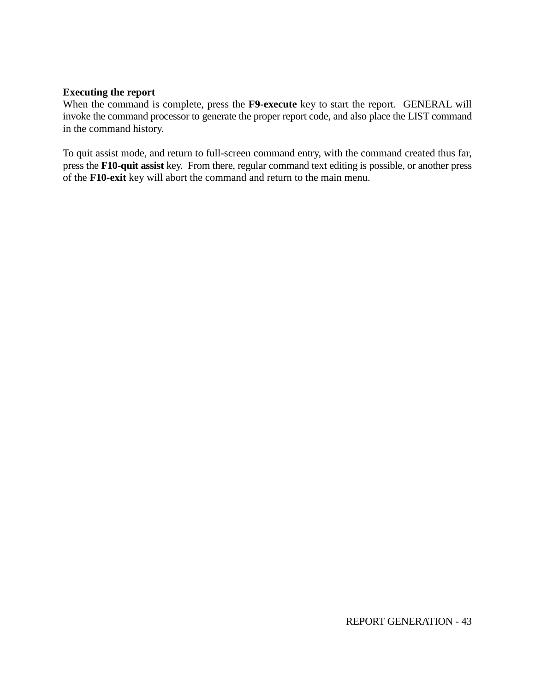#### **Executing the report**

When the command is complete, press the **F9-execute** key to start the report. GENERAL will invoke the command processor to generate the proper report code, and also place the LIST command in the command history.

To quit assist mode, and return to full-screen command entry, with the command created thus far, press the **F10-quit assist** key. From there, regular command text editing is possible, or another press of the **F10-exit** key will abort the command and return to the main menu.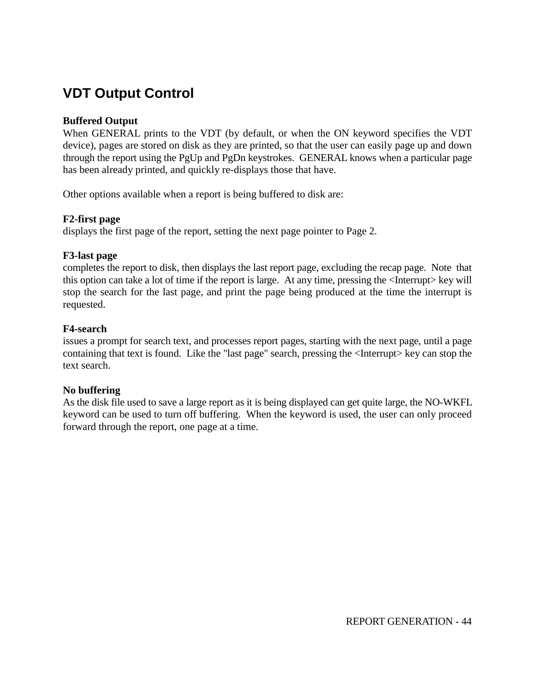## **VDT Output Control**

## **Buffered Output**

When GENERAL prints to the VDT (by default, or when the ON keyword specifies the VDT device), pages are stored on disk as they are printed, so that the user can easily page up and down through the report using the PgUp and PgDn keystrokes. GENERAL knows when a particular page has been already printed, and quickly re-displays those that have.

Other options available when a report is being buffered to disk are:

#### **F2-first page**

displays the first page of the report, setting the next page pointer to Page 2.

#### **F3-last page**

completes the report to disk, then displays the last report page, excluding the recap page. Note that this option can take a lot of time if the report is large. At any time, pressing the <Interrupt> key will stop the search for the last page, and print the page being produced at the time the interrupt is requested.

#### **F4-search**

issues a prompt for search text, and processes report pages, starting with the next page, until a page containing that text is found. Like the "last page" search, pressing the <Interrupt> key can stop the text search.

## **No buffering**

As the disk file used to save a large report as it is being displayed can get quite large, the NO-WKFL keyword can be used to turn off buffering. When the keyword is used, the user can only proceed forward through the report, one page at a time.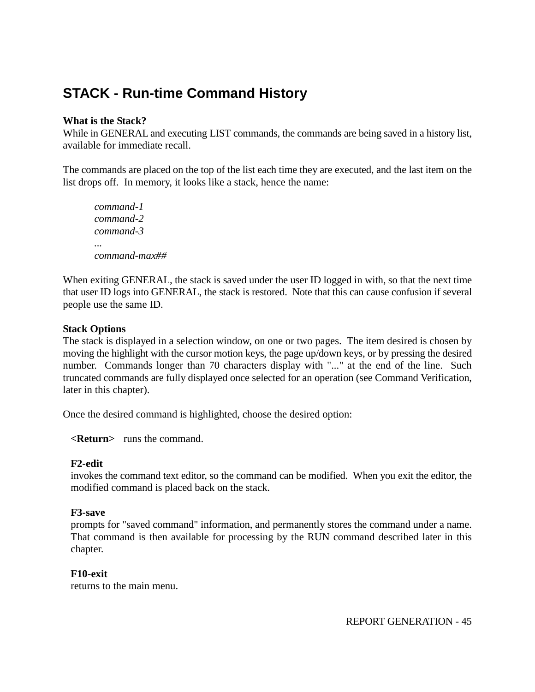## **STACK - Run-time Command History**

### **What is the Stack?**

While in GENERAL and executing LIST commands, the commands are being saved in a history list, available for immediate recall.

The commands are placed on the top of the list each time they are executed, and the last item on the list drops off. In memory, it looks like a stack, hence the name:

*command-1 command-2 command-3 ... command-max##*

When exiting GENERAL, the stack is saved under the user ID logged in with, so that the next time that user ID logs into GENERAL, the stack is restored. Note that this can cause confusion if several people use the same ID.

#### **Stack Options**

The stack is displayed in a selection window, on one or two pages. The item desired is chosen by moving the highlight with the cursor motion keys, the page up/down keys, or by pressing the desired number. Commands longer than 70 characters display with "..." at the end of the line. Such truncated commands are fully displayed once selected for an operation (see Command Verification, later in this chapter).

Once the desired command is highlighted, choose the desired option:

**<Return>** runs the command.

## **F2-edit**

invokes the command text editor, so the command can be modified. When you exit the editor, the modified command is placed back on the stack.

## **F3-save**

prompts for "saved command" information, and permanently stores the command under a name. That command is then available for processing by the RUN command described later in this chapter.

## **F10-exit**

returns to the main menu.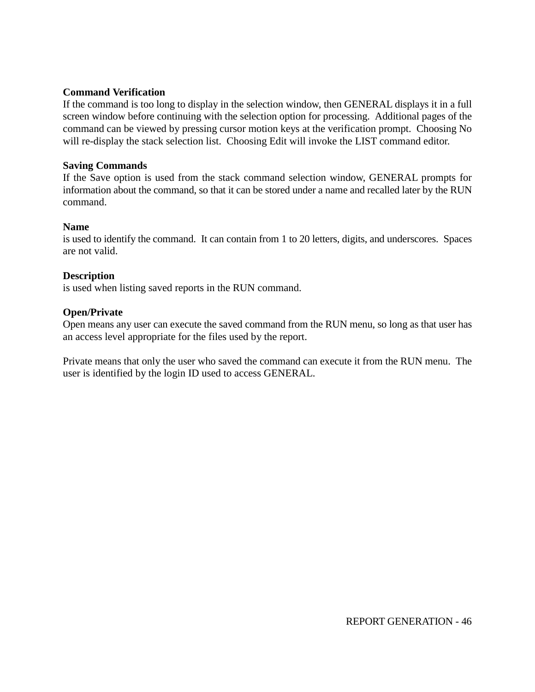#### **Command Verification**

If the command is too long to display in the selection window, then GENERAL displays it in a full screen window before continuing with the selection option for processing. Additional pages of the command can be viewed by pressing cursor motion keys at the verification prompt. Choosing No will re-display the stack selection list. Choosing Edit will invoke the LIST command editor.

#### **Saving Commands**

If the Save option is used from the stack command selection window, GENERAL prompts for information about the command, so that it can be stored under a name and recalled later by the RUN command.

#### **Name**

is used to identify the command. It can contain from 1 to 20 letters, digits, and underscores. Spaces are not valid.

#### **Description**

is used when listing saved reports in the RUN command.

#### **Open/Private**

Open means any user can execute the saved command from the RUN menu, so long as that user has an access level appropriate for the files used by the report.

Private means that only the user who saved the command can execute it from the RUN menu. The user is identified by the login ID used to access GENERAL.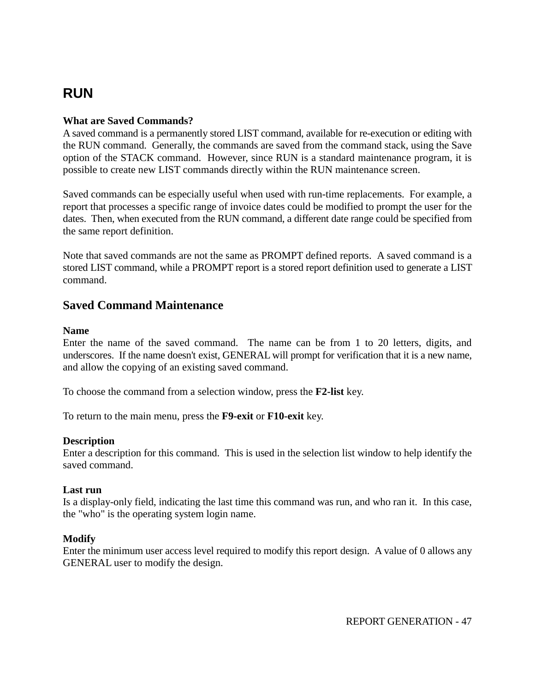## **RUN**

#### **What are Saved Commands?**

A saved command is a permanently stored LIST command, available for re-execution or editing with the RUN command. Generally, the commands are saved from the command stack, using the Save option of the STACK command. However, since RUN is a standard maintenance program, it is possible to create new LIST commands directly within the RUN maintenance screen.

Saved commands can be especially useful when used with run-time replacements. For example, a report that processes a specific range of invoice dates could be modified to prompt the user for the dates. Then, when executed from the RUN command, a different date range could be specified from the same report definition.

Note that saved commands are not the same as PROMPT defined reports. A saved command is a stored LIST command, while a PROMPT report is a stored report definition used to generate a LIST command.

## **Saved Command Maintenance**

#### **Name**

Enter the name of the saved command. The name can be from 1 to 20 letters, digits, and underscores. If the name doesn't exist, GENERAL will prompt for verification that it is a new name, and allow the copying of an existing saved command.

To choose the command from a selection window, press the **F2-list** key.

To return to the main menu, press the **F9-exit** or **F10-exit** key.

#### **Description**

Enter a description for this command. This is used in the selection list window to help identify the saved command.

#### **Last run**

Is a display-only field, indicating the last time this command was run, and who ran it. In this case, the "who" is the operating system login name.

#### **Modify**

Enter the minimum user access level required to modify this report design. A value of 0 allows any GENERAL user to modify the design.

REPORT GENERATION - 47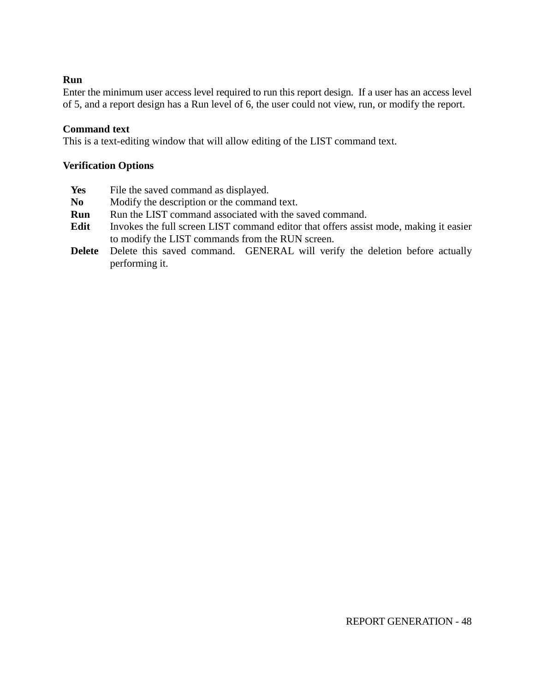#### **Run**

Enter the minimum user access level required to run this report design. If a user has an access level of 5, and a report design has a Run level of 6, the user could not view, run, or modify the report.

#### **Command text**

This is a text-editing window that will allow editing of the LIST command text.

### **Verification Options**

| <b>Yes</b>    | File the saved command as displayed.                                                  |  |  |
|---------------|---------------------------------------------------------------------------------------|--|--|
| No            | Modify the description or the command text.                                           |  |  |
| Run           | Run the LIST command associated with the saved command.                               |  |  |
| Edit          | Invokes the full screen LIST command editor that offers assist mode, making it easier |  |  |
|               | to modify the LIST commands from the RUN screen.                                      |  |  |
| <b>Delete</b> | Delete this saved command. GENERAL will verify the deletion before actually           |  |  |
|               | performing it.                                                                        |  |  |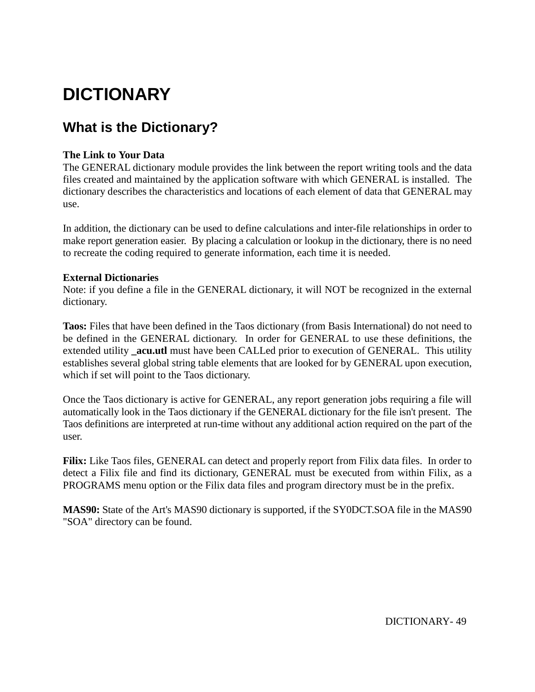# **DICTIONARY**

## **What is the Dictionary?**

## **The Link to Your Data**

The GENERAL dictionary module provides the link between the report writing tools and the data files created and maintained by the application software with which GENERAL is installed. The dictionary describes the characteristics and locations of each element of data that GENERAL may use.

In addition, the dictionary can be used to define calculations and inter-file relationships in order to make report generation easier. By placing a calculation or lookup in the dictionary, there is no need to recreate the coding required to generate information, each time it is needed.

## **External Dictionaries**

Note: if you define a file in the GENERAL dictionary, it will NOT be recognized in the external dictionary.

**Taos:** Files that have been defined in the Taos dictionary (from Basis International) do not need to be defined in the GENERAL dictionary. In order for GENERAL to use these definitions, the extended utility **\_acu.utl** must have been CALLed prior to execution of GENERAL. This utility establishes several global string table elements that are looked for by GENERAL upon execution, which if set will point to the Taos dictionary.

Once the Taos dictionary is active for GENERAL, any report generation jobs requiring a file will automatically look in the Taos dictionary if the GENERAL dictionary for the file isn't present. The Taos definitions are interpreted at run-time without any additional action required on the part of the user.

**Filix:** Like Taos files, GENERAL can detect and properly report from Filix data files. In order to detect a Filix file and find its dictionary, GENERAL must be executed from within Filix, as a PROGRAMS menu option or the Filix data files and program directory must be in the prefix.

**MAS90:** State of the Art's MAS90 dictionary is supported, if the SY0DCT.SOA file in the MAS90 "SOA" directory can be found.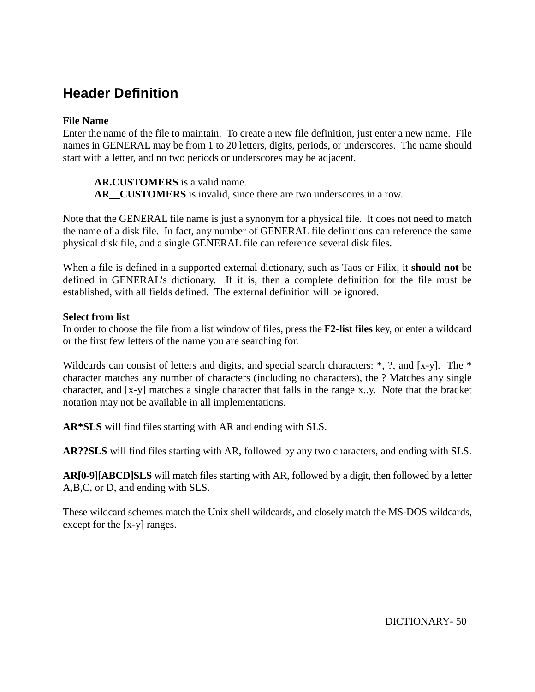## **Header Definition**

## **File Name**

Enter the name of the file to maintain. To create a new file definition, just enter a new name. File names in GENERAL may be from 1 to 20 letters, digits, periods, or underscores. The name should start with a letter, and no two periods or underscores may be adjacent.

## **AR.CUSTOMERS** is a valid name.

AR CUSTOMERS is invalid, since there are two underscores in a row.

Note that the GENERAL file name is just a synonym for a physical file. It does not need to match the name of a disk file. In fact, any number of GENERAL file definitions can reference the same physical disk file, and a single GENERAL file can reference several disk files.

When a file is defined in a supported external dictionary, such as Taos or Filix, it **should not** be defined in GENERAL's dictionary. If it is, then a complete definition for the file must be established, with all fields defined. The external definition will be ignored.

## **Select from list**

In order to choose the file from a list window of files, press the **F2-list files** key, or enter a wildcard or the first few letters of the name you are searching for.

Wildcards can consist of letters and digits, and special search characters:  $*, ?$ , and [x-y]. The  $*$ character matches any number of characters (including no characters), the ? Matches any single character, and [x-y] matches a single character that falls in the range x..y. Note that the bracket notation may not be available in all implementations.

**AR\*SLS** will find files starting with AR and ending with SLS.

**AR??SLS** will find files starting with AR, followed by any two characters, and ending with SLS.

**AR[0-9][ABCD]SLS** will match files starting with AR, followed by a digit, then followed by a letter A,B,C, or D, and ending with SLS.

These wildcard schemes match the Unix shell wildcards, and closely match the MS-DOS wildcards, except for the [x-y] ranges.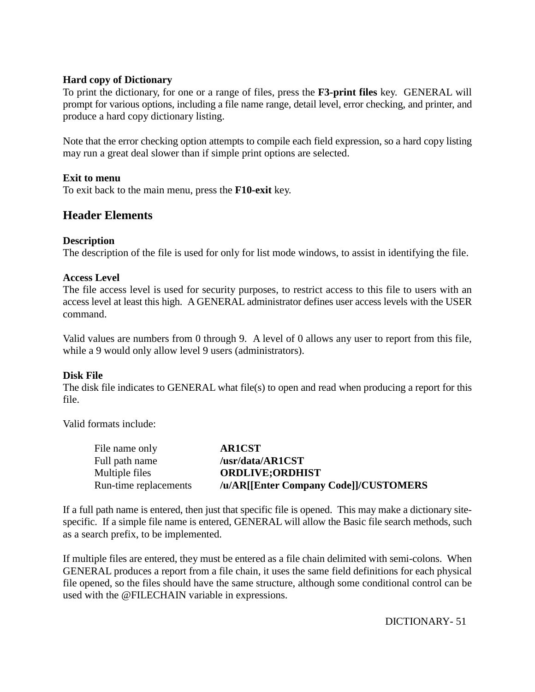#### **Hard copy of Dictionary**

To print the dictionary, for one or a range of files, press the **F3-print files** key. GENERAL will prompt for various options, including a file name range, detail level, error checking, and printer, and produce a hard copy dictionary listing.

Note that the error checking option attempts to compile each field expression, so a hard copy listing may run a great deal slower than if simple print options are selected.

## **Exit to menu**

To exit back to the main menu, press the **F10-exit** key.

## **Header Elements**

#### **Description**

The description of the file is used for only for list mode windows, to assist in identifying the file.

#### **Access Level**

The file access level is used for security purposes, to restrict access to this file to users with an access level at least this high. A GENERAL administrator defines user access levels with the USER command.

Valid values are numbers from 0 through 9. A level of 0 allows any user to report from this file, while a 9 would only allow level 9 users (administrators).

#### **Disk File**

The disk file indicates to GENERAL what file(s) to open and read when producing a report for this file.

Valid formats include:

| File name only        | <b>AR1CST</b>                         |
|-----------------------|---------------------------------------|
| Full path name        | /usr/data/AR1CST                      |
| Multiple files        | <b>ORDLIVE;ORDHIST</b>                |
| Run-time replacements | /u/AR[[Enter Company Code]]/CUSTOMERS |

If a full path name is entered, then just that specific file is opened. This may make a dictionary sitespecific. If a simple file name is entered, GENERAL will allow the Basic file search methods, such as a search prefix, to be implemented.

If multiple files are entered, they must be entered as a file chain delimited with semi-colons. When GENERAL produces a report from a file chain, it uses the same field definitions for each physical file opened, so the files should have the same structure, although some conditional control can be used with the @FILECHAIN variable in expressions.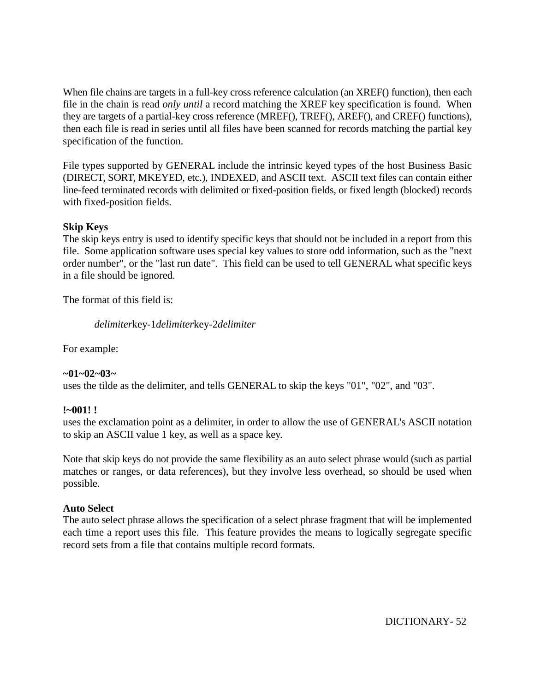When file chains are targets in a full-key cross reference calculation (an XREF() function), then each file in the chain is read *only until* a record matching the XREF key specification is found. When they are targets of a partial-key cross reference (MREF(), TREF(), AREF(), and CREF() functions), then each file is read in series until all files have been scanned for records matching the partial key specification of the function.

File types supported by GENERAL include the intrinsic keyed types of the host Business Basic (DIRECT, SORT, MKEYED, etc.), INDEXED, and ASCII text. ASCII text files can contain either line-feed terminated records with delimited or fixed-position fields, or fixed length (blocked) records with fixed-position fields.

#### **Skip Keys**

The skip keys entry is used to identify specific keys that should not be included in a report from this file. Some application software uses special key values to store odd information, such as the "next order number", or the "last run date". This field can be used to tell GENERAL what specific keys in a file should be ignored.

The format of this field is:

*delimiter*key-1*delimiter*key-2*delimiter*

For example:

#### **~01~02~03~**

uses the tilde as the delimiter, and tells GENERAL to skip the keys "01", "02", and "03".

#### **!~001! !**

uses the exclamation point as a delimiter, in order to allow the use of GENERAL's ASCII notation to skip an ASCII value 1 key, as well as a space key.

Note that skip keys do not provide the same flexibility as an auto select phrase would (such as partial matches or ranges, or data references), but they involve less overhead, so should be used when possible.

#### **Auto Select**

The auto select phrase allows the specification of a select phrase fragment that will be implemented each time a report uses this file. This feature provides the means to logically segregate specific record sets from a file that contains multiple record formats.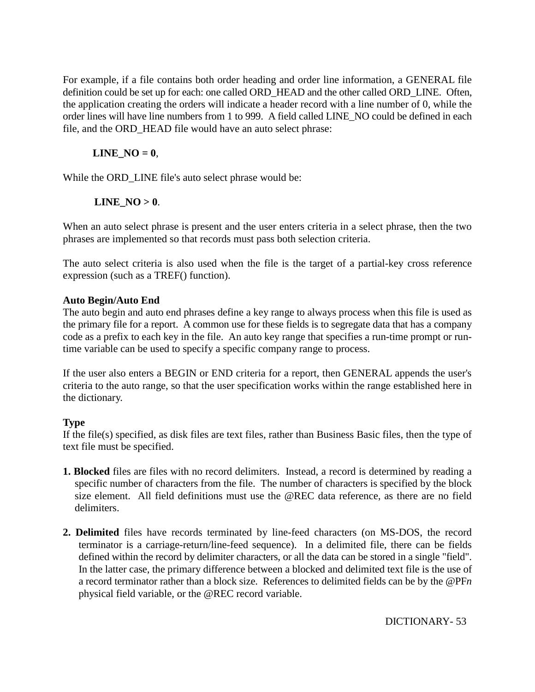For example, if a file contains both order heading and order line information, a GENERAL file definition could be set up for each: one called ORD\_HEAD and the other called ORD\_LINE. Often, the application creating the orders will indicate a header record with a line number of 0, while the order lines will have line numbers from 1 to 999. A field called LINE\_NO could be defined in each file, and the ORD HEAD file would have an auto select phrase:

## $LINE_NO = 0$ ,

While the ORD\_LINE file's auto select phrase would be:

## **LINE**  $NO > 0$ .

When an auto select phrase is present and the user enters criteria in a select phrase, then the two phrases are implemented so that records must pass both selection criteria.

The auto select criteria is also used when the file is the target of a partial-key cross reference expression (such as a TREF() function).

## **Auto Begin/Auto End**

The auto begin and auto end phrases define a key range to always process when this file is used as the primary file for a report. A common use for these fields is to segregate data that has a company code as a prefix to each key in the file. An auto key range that specifies a run-time prompt or runtime variable can be used to specify a specific company range to process.

If the user also enters a BEGIN or END criteria for a report, then GENERAL appends the user's criteria to the auto range, so that the user specification works within the range established here in the dictionary.

## **Type**

If the file(s) specified, as disk files are text files, rather than Business Basic files, then the type of text file must be specified.

- **1. Blocked** files are files with no record delimiters. Instead, a record is determined by reading a specific number of characters from the file. The number of characters is specified by the block size element. All field definitions must use the @REC data reference, as there are no field delimiters.
- **2. Delimited** files have records terminated by line-feed characters (on MS-DOS, the record terminator is a carriage-return/line-feed sequence). In a delimited file, there can be fields defined within the record by delimiter characters, or all the data can be stored in a single "field". In the latter case, the primary difference between a blocked and delimited text file is the use of a record terminator rather than a block size. References to delimited fields can be by the @PF*n* physical field variable, or the @REC record variable.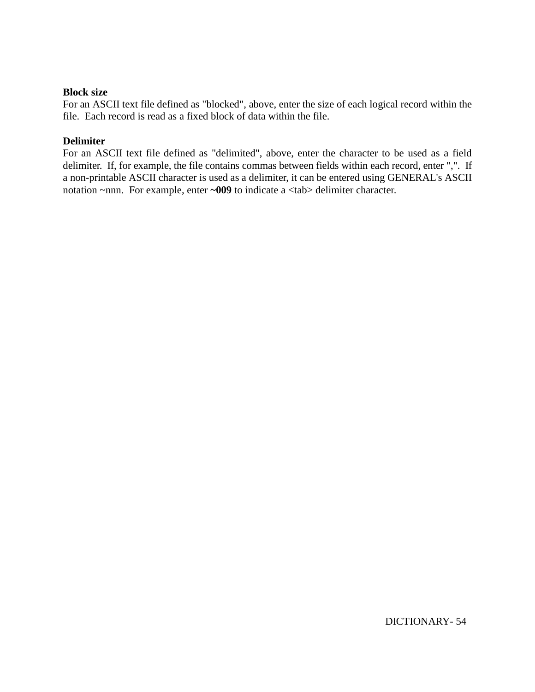#### **Block size**

For an ASCII text file defined as "blocked", above, enter the size of each logical record within the file. Each record is read as a fixed block of data within the file.

#### **Delimiter**

For an ASCII text file defined as "delimited", above, enter the character to be used as a field delimiter. If, for example, the file contains commas between fields within each record, enter ",". If a non-printable ASCII character is used as a delimiter, it can be entered using GENERAL's ASCII notation ~nnn. For example, enter **~009** to indicate a <tab> delimiter character.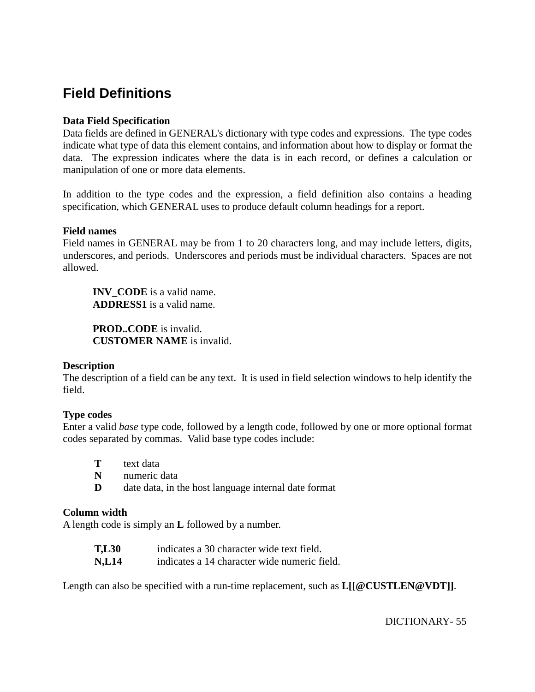## **Field Definitions**

### **Data Field Specification**

Data fields are defined in GENERAL's dictionary with type codes and expressions. The type codes indicate what type of data this element contains, and information about how to display or format the data. The expression indicates where the data is in each record, or defines a calculation or manipulation of one or more data elements.

In addition to the type codes and the expression, a field definition also contains a heading specification, which GENERAL uses to produce default column headings for a report.

#### **Field names**

Field names in GENERAL may be from 1 to 20 characters long, and may include letters, digits, underscores, and periods. Underscores and periods must be individual characters. Spaces are not allowed.

**INV** CODE is a valid name. **ADDRESS1** is a valid name.

**PROD..CODE** is invalid. **CUSTOMER NAME** is invalid.

#### **Description**

The description of a field can be any text. It is used in field selection windows to help identify the field.

#### **Type codes**

Enter a valid *base* type code, followed by a length code, followed by one or more optional format codes separated by commas. Valid base type codes include:

- **T** text data
- **N** numeric data
- **D** date data, in the host language internal date format

#### **Column width**

A length code is simply an **L** followed by a number.

- **T,L30** indicates a 30 character wide text field.
- **N,L14** indicates a 14 character wide numeric field.

Length can also be specified with a run-time replacement, such as **L[[@CUSTLEN@VDT]]**.

DICTIONARY- 55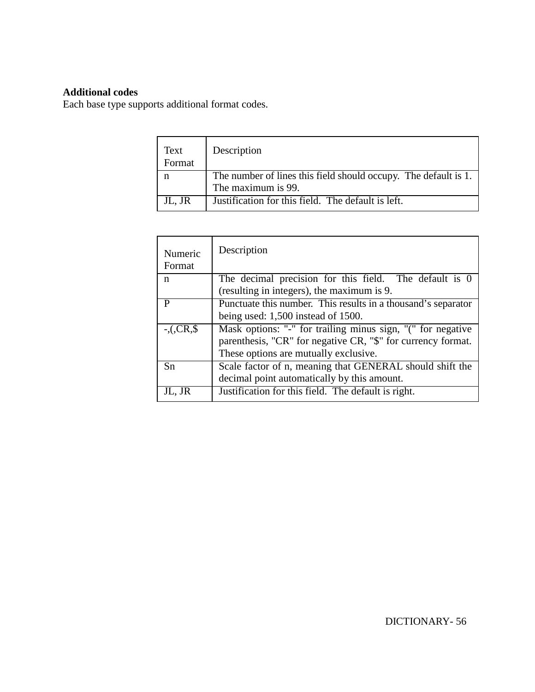## **Additional codes**

Each base type supports additional format codes.

| Text<br>Format | Description                                                     |
|----------------|-----------------------------------------------------------------|
| n              | The number of lines this field should occupy. The default is 1. |
|                | The maximum is 99.                                              |
| JL, JR         | Justification for this field. The default is left.              |

| Numeric<br>Format | Description                                                   |
|-------------------|---------------------------------------------------------------|
| n                 | The decimal precision for this field. The default is 0        |
|                   | (resulting in integers), the maximum is 9.                    |
| P                 | Punctuate this number. This results in a thousand's separator |
|                   | being used: 1,500 instead of 1500.                            |
| $-. (CR, $$       | Mask options: "-" for trailing minus sign, "(" for negative   |
|                   | parenthesis, "CR" for negative CR, "\$" for currency format.  |
|                   | These options are mutually exclusive.                         |
| Sn                | Scale factor of n, meaning that GENERAL should shift the      |
|                   | decimal point automatically by this amount.                   |
| JL. JR            | Justification for this field. The default is right.           |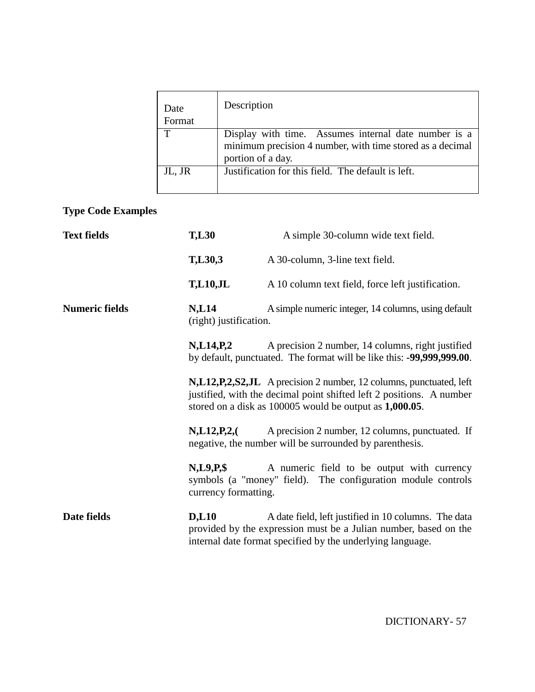| Date<br>Format | Description                                                                                                                            |
|----------------|----------------------------------------------------------------------------------------------------------------------------------------|
| T              | Display with time. Assumes internal date number is a<br>minimum precision 4 number, with time stored as a decimal<br>portion of a day. |
| JL, JR         | Justification for this field. The default is left.                                                                                     |

## **Type Code Examples**

| <b>Text fields</b>    | <b>T,L30</b>                         | A simple 30-column wide text field.                                                                                                                                                                   |
|-----------------------|--------------------------------------|-------------------------------------------------------------------------------------------------------------------------------------------------------------------------------------------------------|
|                       | <b>T,L30,3</b>                       | A 30-column, 3-line text field.                                                                                                                                                                       |
|                       | <b>T,L10,JL</b>                      | A 10 column text field, force left justification.                                                                                                                                                     |
| <b>Numeric fields</b> | N, L14<br>(right) justification.     | A simple numeric integer, 14 columns, using default                                                                                                                                                   |
|                       | N,L14,P,2                            | A precision 2 number, 14 columns, right justified<br>by default, punctuated. The format will be like this: -99,999,999.00.                                                                            |
|                       |                                      | N,L12,P,2,S2,JL A precision 2 number, 12 columns, punctuated, left<br>justified, with the decimal point shifted left 2 positions. A number<br>stored on a disk as 100005 would be output as 1,000.05. |
| N, L12, P, 2, (       |                                      | A precision 2 number, 12 columns, punctuated. If<br>negative, the number will be surrounded by parenthesis.                                                                                           |
|                       | N, L9, P, \$<br>currency formatting. | A numeric field to be output with currency<br>symbols (a "money" field). The configuration module controls                                                                                            |
| Date fields           | D,L10                                | A date field, left justified in 10 columns. The data<br>provided by the expression must be a Julian number, based on the<br>internal date format specified by the underlying language.                |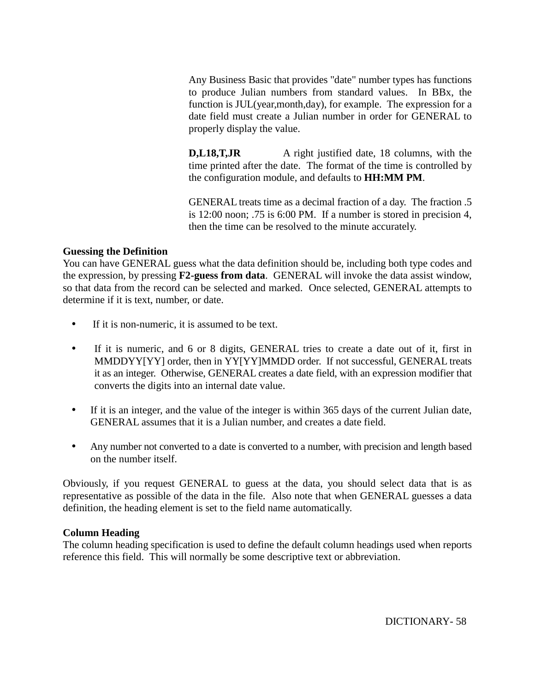Any Business Basic that provides "date" number types has functions to produce Julian numbers from standard values. In BBx, the function is JUL(year,month,day), for example. The expression for a date field must create a Julian number in order for GENERAL to properly display the value.

**D,L18,T,JR** A right justified date, 18 columns, with the time printed after the date. The format of the time is controlled by the configuration module, and defaults to **HH:MM PM**.

GENERAL treats time as a decimal fraction of a day. The fraction .5 is 12:00 noon; .75 is 6:00 PM. If a number is stored in precision 4, then the time can be resolved to the minute accurately.

#### **Guessing the Definition**

You can have GENERAL guess what the data definition should be, including both type codes and the expression, by pressing **F2-guess from data**. GENERAL will invoke the data assist window, so that data from the record can be selected and marked. Once selected, GENERAL attempts to determine if it is text, number, or date.

- If it is non-numeric, it is assumed to be text.
- If it is numeric, and 6 or 8 digits, GENERAL tries to create a date out of it, first in MMDDYY[YY] order, then in YY[YY]MMDD order. If not successful, GENERAL treats it as an integer. Otherwise, GENERAL creates a date field, with an expression modifier that converts the digits into an internal date value.
- If it is an integer, and the value of the integer is within 365 days of the current Julian date, GENERAL assumes that it is a Julian number, and creates a date field.
- Any number not converted to a date is converted to a number, with precision and length based on the number itself.

Obviously, if you request GENERAL to guess at the data, you should select data that is as representative as possible of the data in the file. Also note that when GENERAL guesses a data definition, the heading element is set to the field name automatically.

## **Column Heading**

The column heading specification is used to define the default column headings used when reports reference this field. This will normally be some descriptive text or abbreviation.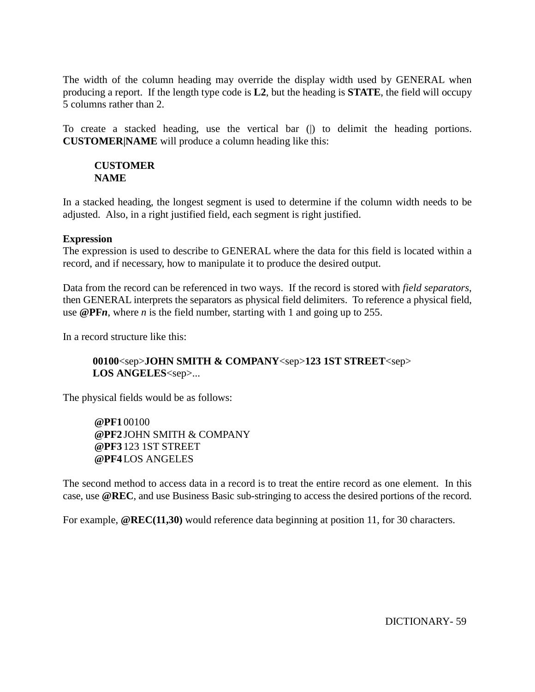The width of the column heading may override the display width used by GENERAL when producing a report. If the length type code is **L2**, but the heading is **STATE**, the field will occupy 5 columns rather than 2.

To create a stacked heading, use the vertical bar (|) to delimit the heading portions. **CUSTOMER|NAME** will produce a column heading like this:

### **CUSTOMER NAME**

In a stacked heading, the longest segment is used to determine if the column width needs to be adjusted. Also, in a right justified field, each segment is right justified.

## **Expression**

The expression is used to describe to GENERAL where the data for this field is located within a record, and if necessary, how to manipulate it to produce the desired output.

Data from the record can be referenced in two ways. If the record is stored with *field separators*, then GENERAL interprets the separators as physical field delimiters. To reference a physical field, use **@PF***n*, where *n* is the field number, starting with 1 and going up to 255.

In a record structure like this:

## **00100**<sep>**JOHN SMITH & COMPANY**<sep>**123 1ST STREET**<sep> **LOS ANGELES**<sep>...

The physical fields would be as follows:

**@PF1** 00100 **@PF2** JOHN SMITH & COMPANY **@PF3** 123 1ST STREET **@PF4**LOS ANGELES

The second method to access data in a record is to treat the entire record as one element. In this case, use **@REC**, and use Business Basic sub-stringing to access the desired portions of the record.

For example, **@REC(11,30)** would reference data beginning at position 11, for 30 characters.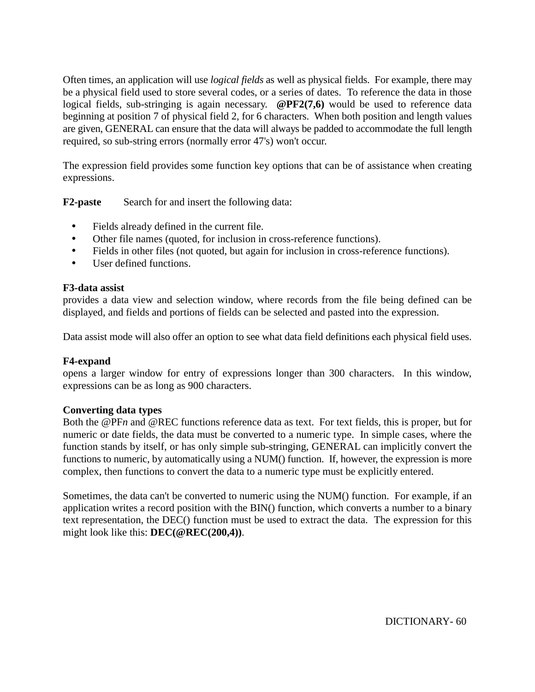Often times, an application will use *logical fields* as well as physical fields. For example, there may be a physical field used to store several codes, or a series of dates. To reference the data in those logical fields, sub-stringing is again necessary. **@PF2(7,6)** would be used to reference data beginning at position 7 of physical field 2, for 6 characters. When both position and length values are given, GENERAL can ensure that the data will always be padded to accommodate the full length required, so sub-string errors (normally error 47's) won't occur.

The expression field provides some function key options that can be of assistance when creating expressions.

**F2-paste** Search for and insert the following data:

- Fields already defined in the current file.
- Other file names (quoted, for inclusion in cross-reference functions).
- Fields in other files (not quoted, but again for inclusion in cross-reference functions).
- User defined functions.

#### **F3-data assist**

provides a data view and selection window, where records from the file being defined can be displayed, and fields and portions of fields can be selected and pasted into the expression.

Data assist mode will also offer an option to see what data field definitions each physical field uses.

## **F4-expand**

opens a larger window for entry of expressions longer than 300 characters. In this window, expressions can be as long as 900 characters.

#### **Converting data types**

Both the @PF*n* and @REC functions reference data as text. For text fields, this is proper, but for numeric or date fields, the data must be converted to a numeric type. In simple cases, where the function stands by itself, or has only simple sub-stringing, GENERAL can implicitly convert the functions to numeric, by automatically using a NUM() function. If, however, the expression is more complex, then functions to convert the data to a numeric type must be explicitly entered.

Sometimes, the data can't be converted to numeric using the NUM() function. For example, if an application writes a record position with the BIN() function, which converts a number to a binary text representation, the DEC() function must be used to extract the data. The expression for this might look like this: **DEC(@REC(200,4))**.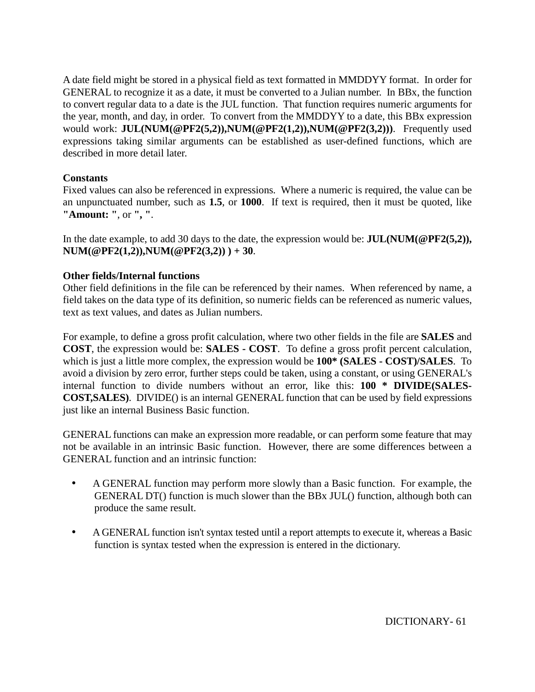A date field might be stored in a physical field as text formatted in MMDDYY format. In order for GENERAL to recognize it as a date, it must be converted to a Julian number. In BBx, the function to convert regular data to a date is the JUL function. That function requires numeric arguments for the year, month, and day, in order. To convert from the MMDDYY to a date, this BBx expression would work: **JUL(NUM(@PF2(5,2)),NUM(@PF2(1,2)),NUM(@PF2(3,2)))**. Frequently used expressions taking similar arguments can be established as user-defined functions, which are described in more detail later.

## **Constants**

Fixed values can also be referenced in expressions. Where a numeric is required, the value can be an unpunctuated number, such as **1.5**, or **1000**. If text is required, then it must be quoted, like **"Amount: "**, or **", "**.

In the date example, to add 30 days to the date, the expression would be: **JUL(NUM(@PF2(5,2)), NUM(@PF2(1,2)),NUM(@PF2(3,2)) ) + 30**.

#### **Other fields/Internal functions**

Other field definitions in the file can be referenced by their names. When referenced by name, a field takes on the data type of its definition, so numeric fields can be referenced as numeric values, text as text values, and dates as Julian numbers.

For example, to define a gross profit calculation, where two other fields in the file are **SALES** and **COST**, the expression would be: **SALES - COST**. To define a gross profit percent calculation, which is just a little more complex, the expression would be **100\* (SALES - COST)/SALES**. To avoid a division by zero error, further steps could be taken, using a constant, or using GENERAL's internal function to divide numbers without an error, like this: **100 \* DIVIDE(SALES-COST,SALES)**. DIVIDE() is an internal GENERAL function that can be used by field expressions just like an internal Business Basic function.

GENERAL functions can make an expression more readable, or can perform some feature that may not be available in an intrinsic Basic function. However, there are some differences between a GENERAL function and an intrinsic function:

- A GENERAL function may perform more slowly than a Basic function. For example, the GENERAL DT() function is much slower than the BBx JUL() function, although both can produce the same result.
- A GENERAL function isn't syntax tested until a report attempts to execute it, whereas a Basic function is syntax tested when the expression is entered in the dictionary.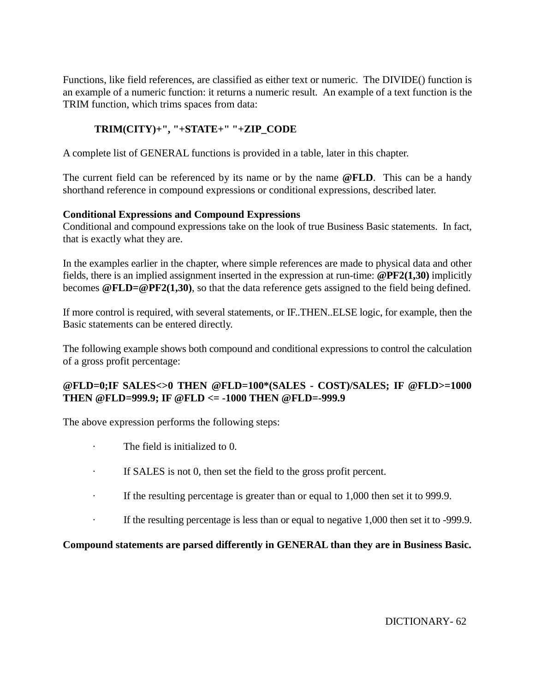Functions, like field references, are classified as either text or numeric. The DIVIDE() function is an example of a numeric function: it returns a numeric result. An example of a text function is the TRIM function, which trims spaces from data:

## **TRIM(CITY)+", "+STATE+" "+ZIP\_CODE**

A complete list of GENERAL functions is provided in a table, later in this chapter.

The current field can be referenced by its name or by the name **@FLD**. This can be a handy shorthand reference in compound expressions or conditional expressions, described later.

## **Conditional Expressions and Compound Expressions**

Conditional and compound expressions take on the look of true Business Basic statements. In fact, that is exactly what they are.

In the examples earlier in the chapter, where simple references are made to physical data and other fields, there is an implied assignment inserted in the expression at run-time: **@PF2(1,30)** implicitly becomes **@FLD=@PF2(1,30)**, so that the data reference gets assigned to the field being defined.

If more control is required, with several statements, or IF..THEN..ELSE logic, for example, then the Basic statements can be entered directly.

The following example shows both compound and conditional expressions to control the calculation of a gross profit percentage:

## **@FLD=0;IF SALES<>0 THEN @FLD=100\*(SALES - COST)/SALES; IF @FLD>=1000 THEN @FLD=999.9; IF @FLD <= -1000 THEN @FLD=-999.9**

The above expression performs the following steps:

- · The field is initialized to 0.
- · If SALES is not 0, then set the field to the gross profit percent.
- · If the resulting percentage is greater than or equal to 1,000 then set it to 999.9.
- If the resulting percentage is less than or equal to negative 1,000 then set it to -999.9.

**Compound statements are parsed differently in GENERAL than they are in Business Basic.**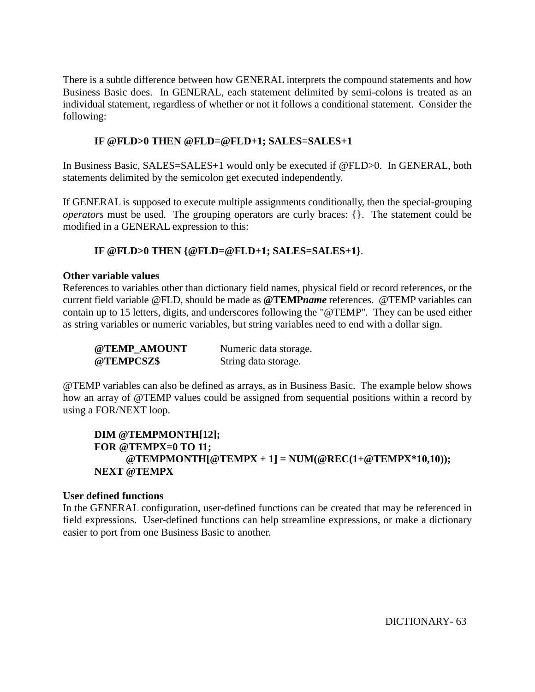There is a subtle difference between how GENERAL interprets the compound statements and how Business Basic does. In GENERAL, each statement delimited by semi-colons is treated as an individual statement, regardless of whether or not it follows a conditional statement. Consider the following:

## **IF @FLD>0 THEN @FLD=@FLD+1; SALES=SALES+1**

In Business Basic, SALES=SALES+1 would only be executed if @FLD>0. In GENERAL, both statements delimited by the semicolon get executed independently.

If GENERAL is supposed to execute multiple assignments conditionally, then the special-grouping *operators* must be used. The grouping operators are curly braces: {}. The statement could be modified in a GENERAL expression to this:

## **IF @FLD>0 THEN {@FLD=@FLD+1; SALES=SALES+1}**.

## **Other variable values**

References to variables other than dictionary field names, physical field or record references, or the current field variable @FLD, should be made as **@TEMP***name* references. @TEMP variables can contain up to 15 letters, digits, and underscores following the "@TEMP". They can be used either as string variables or numeric variables, but string variables need to end with a dollar sign.

| @TEMP AMOUNT | Numeric data storage. |
|--------------|-----------------------|
| @TEMPCSZ\$   | String data storage.  |

@TEMP variables can also be defined as arrays, as in Business Basic. The example below shows how an array of @TEMP values could be assigned from sequential positions within a record by using a FOR/NEXT loop.

## **DIM @TEMPMONTH[12]; FOR @TEMPX=0 TO 11; @TEMPMONTH[@TEMPX + 1] = NUM(@REC(1+@TEMPX\*10,10)); NEXT @TEMPX**

## **User defined functions**

In the GENERAL configuration, user-defined functions can be created that may be referenced in field expressions. User-defined functions can help streamline expressions, or make a dictionary easier to port from one Business Basic to another.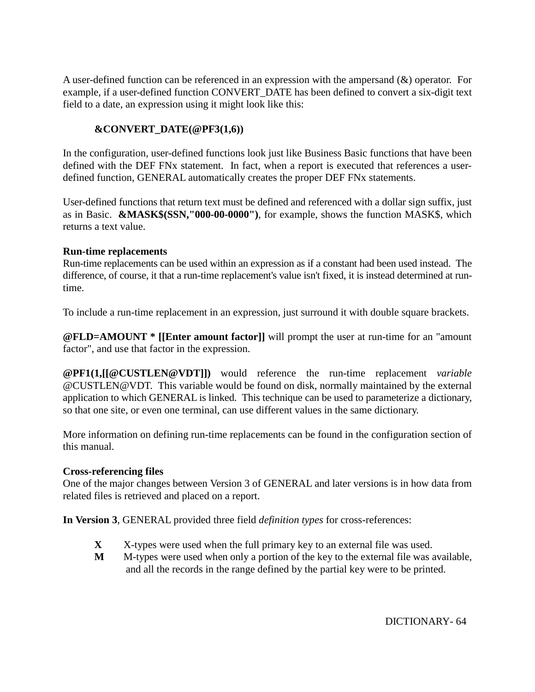A user-defined function can be referenced in an expression with the ampersand (&) operator. For example, if a user-defined function CONVERT\_DATE has been defined to convert a six-digit text field to a date, an expression using it might look like this:

## **&CONVERT\_DATE(@PF3(1,6))**

In the configuration, user-defined functions look just like Business Basic functions that have been defined with the DEF FNx statement. In fact, when a report is executed that references a userdefined function, GENERAL automatically creates the proper DEF FNx statements.

User-defined functions that return text must be defined and referenced with a dollar sign suffix, just as in Basic. **&MASK\$(SSN,"000-00-0000")**, for example, shows the function MASK\$, which returns a text value.

#### **Run-time replacements**

Run-time replacements can be used within an expression as if a constant had been used instead. The difference, of course, it that a run-time replacement's value isn't fixed, it is instead determined at runtime.

To include a run-time replacement in an expression, just surround it with double square brackets.

**@FLD=AMOUNT \* [[Enter amount factor]]** will prompt the user at run-time for an "amount factor", and use that factor in the expression.

**@PF1(1,[[@CUSTLEN@VDT]])** would reference the run-time replacement *variable* @CUSTLEN@VDT. This variable would be found on disk, normally maintained by the external application to which GENERAL is linked. This technique can be used to parameterize a dictionary, so that one site, or even one terminal, can use different values in the same dictionary.

More information on defining run-time replacements can be found in the configuration section of this manual.

## **Cross-referencing files**

One of the major changes between Version 3 of GENERAL and later versions is in how data from related files is retrieved and placed on a report.

**In Version 3**, GENERAL provided three field *definition types* for cross-references:

- **X** X-types were used when the full primary key to an external file was used.
- **M** M-types were used when only a portion of the key to the external file was available, and all the records in the range defined by the partial key were to be printed.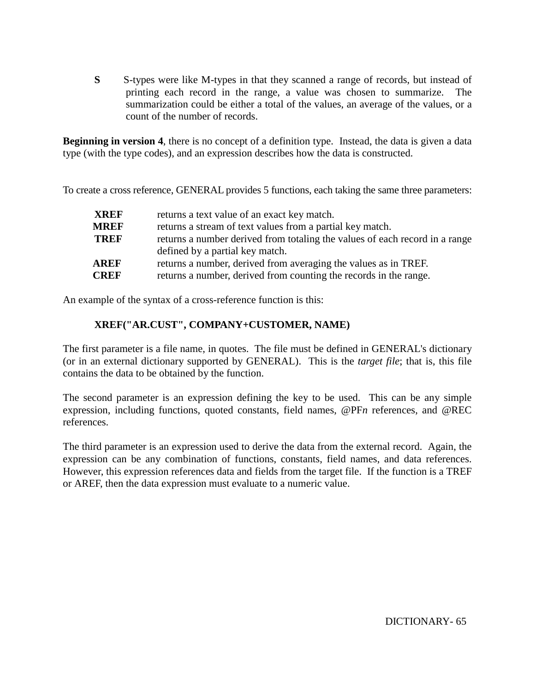**S** S-types were like M-types in that they scanned a range of records, but instead of printing each record in the range, a value was chosen to summarize. The summarization could be either a total of the values, an average of the values, or a count of the number of records.

**Beginning in version 4**, there is no concept of a definition type. Instead, the data is given a data type (with the type codes), and an expression describes how the data is constructed.

To create a cross reference, GENERAL provides 5 functions, each taking the same three parameters:

| <b>XREF</b> | returns a text value of an exact key match.                                                                    |
|-------------|----------------------------------------------------------------------------------------------------------------|
| <b>MREF</b> | returns a stream of text values from a partial key match.                                                      |
| <b>TREF</b> | returns a number derived from totaling the values of each record in a range<br>defined by a partial key match. |
|             |                                                                                                                |
| AREF        | returns a number, derived from averaging the values as in TREF.                                                |
| <b>CREF</b> | returns a number, derived from counting the records in the range.                                              |

An example of the syntax of a cross-reference function is this:

## **XREF("AR.CUST", COMPANY+CUSTOMER, NAME)**

The first parameter is a file name, in quotes. The file must be defined in GENERAL's dictionary (or in an external dictionary supported by GENERAL). This is the *target file*; that is, this file contains the data to be obtained by the function.

The second parameter is an expression defining the key to be used. This can be any simple expression, including functions, quoted constants, field names, @PF*n* references, and @REC references.

The third parameter is an expression used to derive the data from the external record. Again, the expression can be any combination of functions, constants, field names, and data references. However, this expression references data and fields from the target file. If the function is a TREF or AREF, then the data expression must evaluate to a numeric value.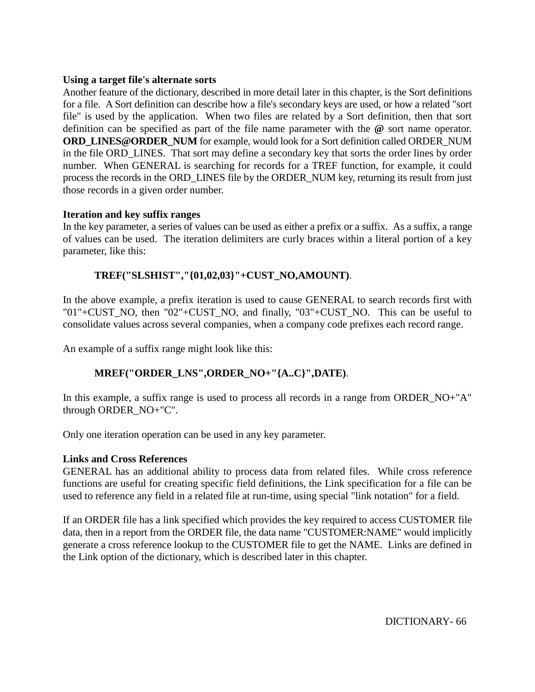#### **Using a target file's alternate sorts**

Another feature of the dictionary, described in more detail later in this chapter, is the Sort definitions for a file. A Sort definition can describe how a file's secondary keys are used, or how a related "sort file" is used by the application. When two files are related by a Sort definition, then that sort definition can be specified as part of the file name parameter with the **@** sort name operator. **ORD\_LINES@ORDER\_NUM** for example, would look for a Sort definition called ORDER\_NUM in the file ORD\_LINES. That sort may define a secondary key that sorts the order lines by order number. When GENERAL is searching for records for a TREF function, for example, it could process the records in the ORD\_LINES file by the ORDER\_NUM key, returning its result from just those records in a given order number.

#### **Iteration and key suffix ranges**

In the key parameter, a series of values can be used as either a prefix or a suffix. As a suffix, a range of values can be used. The iteration delimiters are curly braces within a literal portion of a key parameter, like this:

## **TREF("SLSHIST","{01,02,03}"+CUST\_NO,AMOUNT)**.

In the above example, a prefix iteration is used to cause GENERAL to search records first with "01"+CUST\_NO, then "02"+CUST\_NO, and finally, "03"+CUST\_NO. This can be useful to consolidate values across several companies, when a company code prefixes each record range.

An example of a suffix range might look like this:

## **MREF("ORDER\_LNS",ORDER\_NO+"{A..C}",DATE)**.

In this example, a suffix range is used to process all records in a range from ORDER\_NO+"A" through ORDER\_NO+"C".

Only one iteration operation can be used in any key parameter.

## **Links and Cross References**

GENERAL has an additional ability to process data from related files. While cross reference functions are useful for creating specific field definitions, the Link specification for a file can be used to reference any field in a related file at run-time, using special "link notation" for a field.

If an ORDER file has a link specified which provides the key required to access CUSTOMER file data, then in a report from the ORDER file, the data name "CUSTOMER:NAME" would implicitly generate a cross reference lookup to the CUSTOMER file to get the NAME. Links are defined in the Link option of the dictionary, which is described later in this chapter.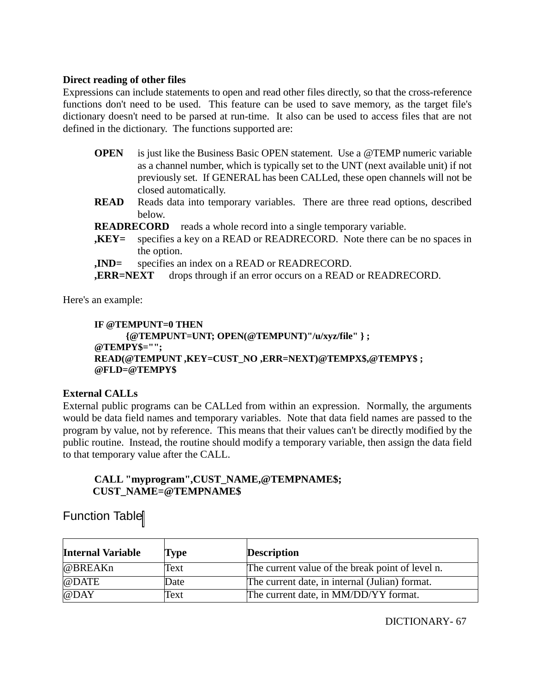#### **Direct reading of other files**

Expressions can include statements to open and read other files directly, so that the cross-reference functions don't need to be used. This feature can be used to save memory, as the target file's dictionary doesn't need to be parsed at run-time. It also can be used to access files that are not defined in the dictionary. The functions supported are:

- **OPEN** is just like the Business Basic OPEN statement. Use a @TEMP numeric variable as a channel number, which is typically set to the UNT (next available unit) if not previously set. If GENERAL has been CALLed, these open channels will not be closed automatically.
- **READ** Reads data into temporary variables. There are three read options, described below.

**READRECORD** reads a whole record into a single temporary variable.

- **,KEY** = specifies a key on a READ or READRECORD. Note there can be no spaces in the option.
- **,IND=** specifies an index on a READ or READRECORD.
- **,ERR=NEXT** drops through if an error occurs on a READ or READRECORD.

Here's an example:

**IF @TEMPUNT=0 THEN {@TEMPUNT=UNT; OPEN(@TEMPUNT)"/u/xyz/file" } ; @TEMPY\$=""; READ(@TEMPUNT ,KEY=CUST\_NO ,ERR=NEXT)@TEMPX\$,@TEMPY\$ ; @FLD=@TEMPY\$**

## **External CALLs**

External public programs can be CALLed from within an expression. Normally, the arguments would be data field names and temporary variables. Note that data field names are passed to the program by value, not by reference. This means that their values can't be directly modified by the public routine. Instead, the routine should modify a temporary variable, then assign the data field to that temporary value after the CALL.

#### **CALL "myprogram",CUST\_NAME,@TEMPNAME\$; CUST\_NAME=@TEMPNAME\$**

Function Tabl[e](mailto:/)

| <b>Internal Variable</b> | <b>Type</b> | <b>Description</b>                               |
|--------------------------|-------------|--------------------------------------------------|
| @BREAKn                  | Text        | The current value of the break point of level n. |
| @DATE                    | Date        | The current date, in internal (Julian) format.   |
| $@$ DAY                  | Text        | The current date, in MM/DD/YY format.            |

DICTIONARY- 67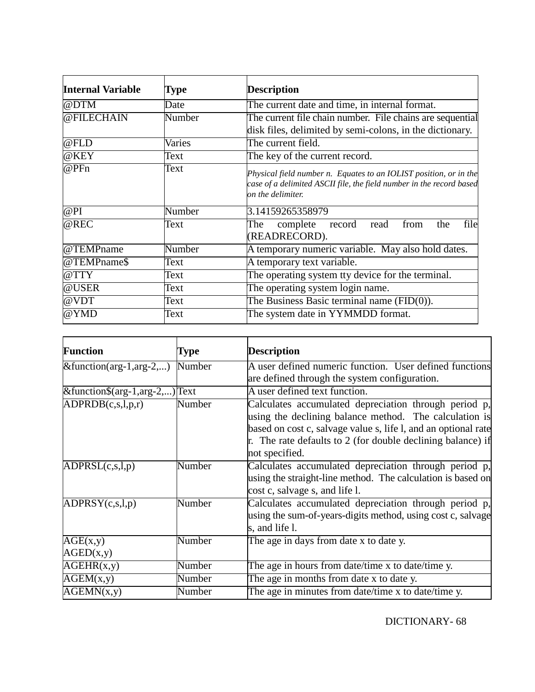| <b>Internal Variable</b> | Type   | <b>Description</b>                                                                                                                                             |
|--------------------------|--------|----------------------------------------------------------------------------------------------------------------------------------------------------------------|
| @DTM                     | Date   | The current date and time, in internal format.                                                                                                                 |
| @FILECHAIN               | Number | The current file chain number. File chains are sequential<br>disk files, delimited by semi-colons, in the dictionary.                                          |
| @FLD                     | Varies | The current field.                                                                                                                                             |
| @KEY                     | Text   | The key of the current record.                                                                                                                                 |
| $@$ PFn                  | Text   | Physical field number n. Equates to an IOLIST position, or in the<br>case of a delimited ASCII file, the field number in the record based<br>on the delimiter. |
| @PI                      | Number | 3.14159265358979                                                                                                                                               |
| @REC                     | Text   | file<br>The<br>complete<br>from<br>the<br>record<br>read<br>(READRECORD).                                                                                      |
| @TEMPname                | Number | A temporary numeric variable. May also hold dates.                                                                                                             |
| @TEMPname\$              | Text   | A temporary text variable.                                                                                                                                     |
| @TTY                     | Text   | The operating system tty device for the terminal.                                                                                                              |
| @USER                    | Text   | The operating system login name.                                                                                                                               |
| @VDT                     | Text   | The Business Basic terminal name $(FID(0))$ .                                                                                                                  |
| @YMD                     | Text   | The system date in YYMMDD format.                                                                                                                              |

| <b>Function</b>                   | Type   | <b>Description</b>                                                                                                                                                                                                                                                 |
|-----------------------------------|--------|--------------------------------------------------------------------------------------------------------------------------------------------------------------------------------------------------------------------------------------------------------------------|
| $\&$ function(arg-1,arg-2,)       | Number | A user defined numeric function. User defined functions<br>are defined through the system configuration.                                                                                                                                                           |
| &function $$(arg-1, arg-2,)$ Text |        | A user defined text function.                                                                                                                                                                                                                                      |
| ADPRDB(c,s,l,p,r)                 | Number | Calculates accumulated depreciation through period p,<br>using the declining balance method. The calculation is<br>based on cost c, salvage value s, life l, and an optional rate<br>r. The rate defaults to 2 (for double declining balance) if<br>not specified. |
| ADPRSL(c,s,l,p)                   | Number | Calculates accumulated depreciation through period p,<br>using the straight-line method. The calculation is based on<br>cost c, salvage s, and life 1.                                                                                                             |
| ADPRSY(c,s,l,p)                   | Number | Calculates accumulated depreciation through period p,<br>using the sum-of-years-digits method, using cost c, salvage<br>s, and life l.                                                                                                                             |
| $\overline{AGE}(x,y)$             | Number | The age in days from date x to date y.                                                                                                                                                                                                                             |
| AGED(x,y)                         |        |                                                                                                                                                                                                                                                                    |
| AGEHR(x,y)                        | Number | The age in hours from date/time x to date/time y.                                                                                                                                                                                                                  |
| AGEM(x,y)                         | Number | The age in months from date x to date y.                                                                                                                                                                                                                           |
| AGEMN(x,y)                        | Number | The age in minutes from date/time x to date/time y.                                                                                                                                                                                                                |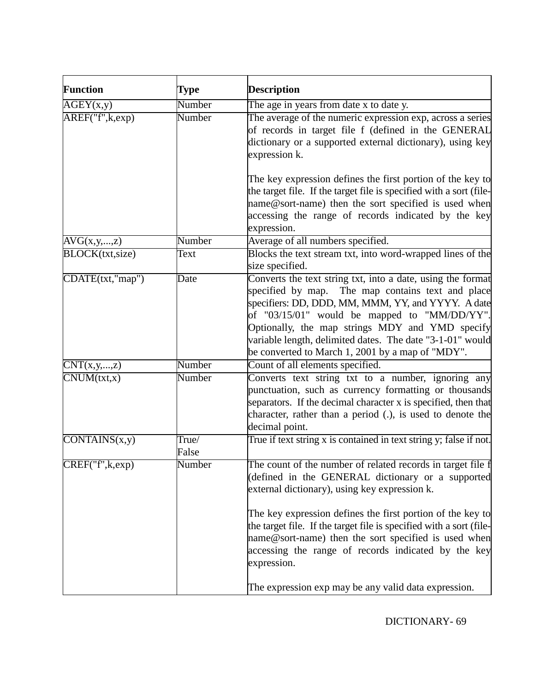| <b>Function</b>  | Type           | <b>Description</b>                                                                                                                                                                                                                                                                                                                                                                         |  |  |
|------------------|----------------|--------------------------------------------------------------------------------------------------------------------------------------------------------------------------------------------------------------------------------------------------------------------------------------------------------------------------------------------------------------------------------------------|--|--|
| AGEY(x,y)        | Number         | The age in years from date x to date y.                                                                                                                                                                                                                                                                                                                                                    |  |  |
| AREF("f",k,exp)  | Number         | The average of the numeric expression exp, across a series<br>of records in target file f (defined in the GENERAL<br>dictionary or a supported external dictionary), using key<br>expression k.                                                                                                                                                                                            |  |  |
|                  |                | The key expression defines the first portion of the key to<br>the target file. If the target file is specified with a sort (file-<br>name@sort-name) then the sort specified is used when<br>accessing the range of records indicated by the key<br>expression.                                                                                                                            |  |  |
| AVG(x,y,,z)      | Number         | Average of all numbers specified.                                                                                                                                                                                                                                                                                                                                                          |  |  |
| BLOCK(txt,size)  | Text           | Blocks the text stream txt, into word-wrapped lines of the<br>size specified.                                                                                                                                                                                                                                                                                                              |  |  |
| CDATE(txt,"map") | Date           | Converts the text string txt, into a date, using the format<br>specified by map. The map contains text and place<br>specifiers: DD, DDD, MM, MMM, YY, and YYYY. A date<br>of "03/15/01" would be mapped to "MM/DD/YY".<br>Optionally, the map strings MDY and YMD specify<br>variable length, delimited dates. The date "3-1-01" would<br>be converted to March 1, 2001 by a map of "MDY". |  |  |
| CNT(x,y,,z)      | Number         | Count of all elements specified.                                                                                                                                                                                                                                                                                                                                                           |  |  |
| CNUM(tx, x)      | Number         | Converts text string txt to a number, ignoring any<br>punctuation, such as currency formatting or thousands<br>separators. If the decimal character x is specified, then that<br>character, rather than a period (.), is used to denote the<br>decimal point.                                                                                                                              |  |  |
| CONTAINS(x,y)    | True/<br>False | True if text string x is contained in text string y; false if not.                                                                                                                                                                                                                                                                                                                         |  |  |
| CREF("f",k,exp)  | Number         | The count of the number of related records in target file f<br>(defined in the GENERAL dictionary or a supported<br>external dictionary), using key expression k.                                                                                                                                                                                                                          |  |  |
|                  |                | The key expression defines the first portion of the key to<br>the target file. If the target file is specified with a sort (file-<br>name@sort-name) then the sort specified is used when<br>accessing the range of records indicated by the key<br>expression.                                                                                                                            |  |  |
|                  |                | The expression exp may be any valid data expression.                                                                                                                                                                                                                                                                                                                                       |  |  |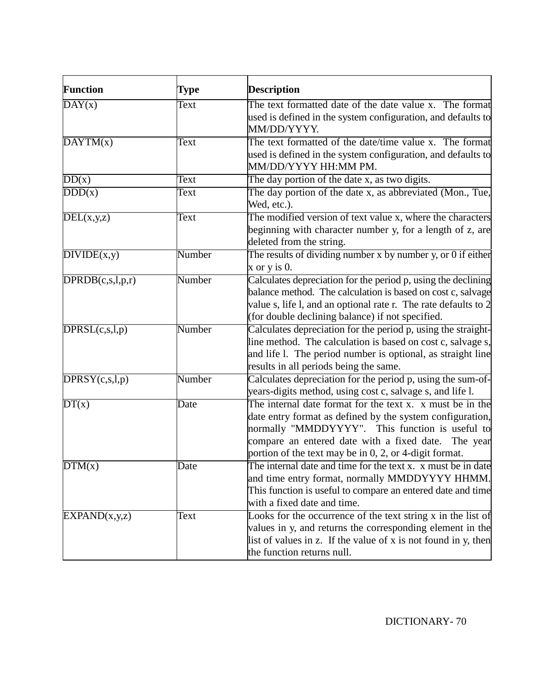| <b>Function</b>              | Type   | <b>Description</b>                                                                                                                                                                                                                                                                            |
|------------------------------|--------|-----------------------------------------------------------------------------------------------------------------------------------------------------------------------------------------------------------------------------------------------------------------------------------------------|
| DAY(x)                       | Text   | The text formatted date of the date value x. The format<br>used is defined in the system configuration, and defaults to<br>MM/DD/YYYY.                                                                                                                                                        |
| $\overline{\text{DAYTM}(x)}$ | Text   | The text formatted of the date/time value x. The format<br>used is defined in the system configuration, and defaults to<br>MM/DD/YYYY HH:MM PM.                                                                                                                                               |
| DD(x)                        | Text   | The day portion of the date x, as two digits.                                                                                                                                                                                                                                                 |
| DDD(x)                       | Text   | The day portion of the date x, as abbreviated (Mon., Tue,<br>Wed, etc.).                                                                                                                                                                                                                      |
| DEL(x,y,z)                   | Text   | The modified version of text value x, where the characters<br>beginning with character number y, for a length of z, are<br>deleted from the string.                                                                                                                                           |
| DIVIDE(x,y)                  | Number | The results of dividing number x by number y, or 0 if either<br>$x$ or $y$ is 0.                                                                                                                                                                                                              |
| DPRDB(c,s,l,p,r)             | Number | Calculates depreciation for the period p, using the declining<br>balance method. The calculation is based on cost c, salvage<br>value s, life l, and an optional rate r. The rate defaults to 2<br>(for double declining balance) if not specified.                                           |
| DPRSL(c,s,l,p)               | Number | Calculates depreciation for the period p, using the straight-<br>line method. The calculation is based on cost c, salvage s,<br>and life l. The period number is optional, as straight line<br>results in all periods being the same.                                                         |
| $\overline{DPRSY}(c,s,l,p)$  | Number | Calculates depreciation for the period p, using the sum-of-<br>years-digits method, using cost c, salvage s, and life l.                                                                                                                                                                      |
| DT(x)                        | Date   | The internal date format for the text x. x must be in the<br>date entry format as defined by the system configuration,<br>normally "MMDDYYYY". This function is useful to<br>compare an entered date with a fixed date.<br>The year<br>portion of the text may be in 0, 2, or 4-digit format. |
| DTM(x)                       | Date   | The internal date and time for the text x. x must be in date<br>and time entry format, normally MMDDYYYY HHMM.<br>This function is useful to compare an entered date and time<br>with a fixed date and time.                                                                                  |
| EXPAND(x,y,z)                | Text   | Looks for the occurrence of the text string x in the list of<br>values in y, and returns the corresponding element in the<br>list of values in z. If the value of x is not found in y, then<br>the function returns null.                                                                     |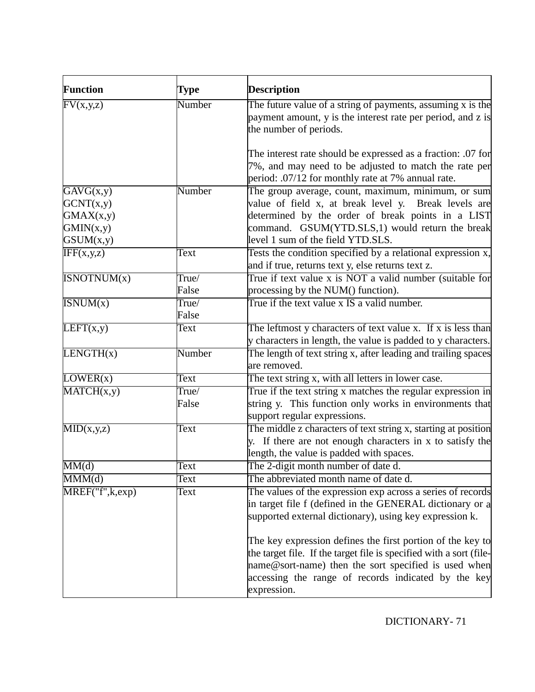| <b>Function</b>                 | <b>Type</b> | <b>Description</b>                                                                                          |
|---------------------------------|-------------|-------------------------------------------------------------------------------------------------------------|
| $\overline{FV(x,y,z)}$          | Number      | The future value of a string of payments, assuming x is the                                                 |
|                                 |             | payment amount, y is the interest rate per period, and z is                                                 |
|                                 |             | the number of periods.                                                                                      |
|                                 |             | The interest rate should be expressed as a fraction: .07 for                                                |
|                                 |             | 7%, and may need to be adjusted to match the rate per<br>period: .07/12 for monthly rate at 7% annual rate. |
| GAVG(x,y)                       | Number      | The group average, count, maximum, minimum, or sum                                                          |
| GCNT(x,y)                       |             | value of field x, at break level y. Break levels are                                                        |
| GMAX(x,y)                       |             | determined by the order of break points in a LIST                                                           |
| GMIN(x,y)                       |             | command. GSUM(YTD.SLS,1) would return the break                                                             |
| GSUM(x,y)                       |             | level 1 sum of the field YTD.SLS.                                                                           |
| IFF(x,y,z)                      | Text        | Tests the condition specified by a relational expression x,                                                 |
|                                 |             | and if true, returns text y, else returns text z.                                                           |
| $\overline{\text{ISNOTNUM}(x)}$ | True/       | True if text value x is NOT a valid number (suitable for                                                    |
|                                 | False       | processing by the NUM() function).                                                                          |
| ISNUM(x)                        | True/       | True if the text value x IS a valid number.                                                                 |
|                                 | False       |                                                                                                             |
| $\overline{\text{LEFT}(x,y)}$   | Text        | The leftmost y characters of text value x. If x is less than                                                |
|                                 |             | y characters in length, the value is padded to y characters.                                                |
| LENGTH(x)                       | Number      | The length of text string x, after leading and trailing spaces                                              |
|                                 |             | are removed.                                                                                                |
| LOWER(x)                        | Text        | The text string x, with all letters in lower case.                                                          |
| MATCH(x,y)                      | True/       | True if the text string x matches the regular expression in                                                 |
|                                 | False       | string y. This function only works in environments that<br>support regular expressions.                     |
| MID(x,y,z)                      | Text        | The middle z characters of text string x, starting at position                                              |
|                                 |             | y. If there are not enough characters in x to satisfy the                                                   |
|                                 |             | length, the value is padded with spaces.                                                                    |
| MM(d)                           | Text        | The 2-digit month number of date d.                                                                         |
| MMM(d)                          | Text        | The abbreviated month name of date d.                                                                       |
| MREF("f",k,exp)                 | Text        | The values of the expression exp across a series of records                                                 |
|                                 |             | in target file f (defined in the GENERAL dictionary or a                                                    |
|                                 |             |                                                                                                             |
|                                 |             | supported external dictionary), using key expression k.                                                     |
|                                 |             | The key expression defines the first portion of the key to                                                  |
|                                 |             | the target file. If the target file is specified with a sort (file-                                         |
|                                 |             | name@sort-name) then the sort specified is used when                                                        |
|                                 |             | accessing the range of records indicated by the key                                                         |
|                                 |             | expression.                                                                                                 |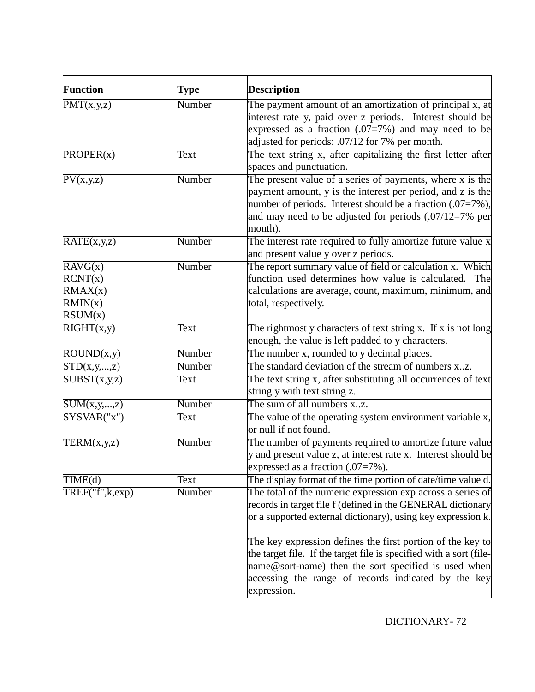| <b>Function</b>                                     | <b>Type</b> | <b>Description</b>                                                                                                                                                                                                                                                                                                                                                                                                                                           |
|-----------------------------------------------------|-------------|--------------------------------------------------------------------------------------------------------------------------------------------------------------------------------------------------------------------------------------------------------------------------------------------------------------------------------------------------------------------------------------------------------------------------------------------------------------|
| PMT(x,y,z)                                          | Number      | The payment amount of an amortization of principal x, at<br>interest rate y, paid over z periods. Interest should be<br>expressed as a fraction $(.07=7%)$ and may need to be<br>adjusted for periods: .07/12 for 7% per month.                                                                                                                                                                                                                              |
| PROPER(x)                                           | Text        | The text string x, after capitalizing the first letter after<br>spaces and punctuation.                                                                                                                                                                                                                                                                                                                                                                      |
| $\overline{PV}(x,y,z)$                              | Number      | The present value of a series of payments, where x is the<br>payment amount, y is the interest per period, and z is the<br>number of periods. Interest should be a fraction $(.07=7\%)$ ,<br>and may need to be adjusted for periods $(.07/12=7\%$ per<br>month).                                                                                                                                                                                            |
| RATE(x,y,z)                                         | Number      | The interest rate required to fully amortize future value x<br>and present value y over z periods.                                                                                                                                                                                                                                                                                                                                                           |
| RAVG(x)<br>RCNT(x)<br>RMAX(x)<br>RMIN(x)<br>RSUM(x) | Number      | The report summary value of field or calculation x. Which<br>function used determines how value is calculated. The<br>calculations are average, count, maximum, minimum, and<br>total, respectively.                                                                                                                                                                                                                                                         |
| $\overline{\text{RIGHT}(x,y)}$                      | Text        | The rightmost y characters of text string x. If x is not long<br>enough, the value is left padded to y characters.                                                                                                                                                                                                                                                                                                                                           |
| ROUND(x,y)                                          | Number      | The number x, rounded to y decimal places.                                                                                                                                                                                                                                                                                                                                                                                                                   |
| STD(x,y,,z)                                         | Number      | The standard deviation of the stream of numbers x                                                                                                                                                                                                                                                                                                                                                                                                            |
| SUBST(x,y,z)                                        | Text        | The text string x, after substituting all occurrences of text<br>string y with text string z.                                                                                                                                                                                                                                                                                                                                                                |
| SUM(x,y,,z)                                         | Number      | The sum of all numbers x.z.                                                                                                                                                                                                                                                                                                                                                                                                                                  |
| SYSVAR("x")                                         | Text        | The value of the operating system environment variable x,<br>or null if not found.                                                                                                                                                                                                                                                                                                                                                                           |
| TERM(x,y,z)                                         | Number      | The number of payments required to amortize future value<br>y and present value z, at interest rate x. Interest should be<br>expressed as a fraction $(.07=7\%)$ .                                                                                                                                                                                                                                                                                           |
| TIME(d)                                             | Text        | The display format of the time portion of date/time value d.                                                                                                                                                                                                                                                                                                                                                                                                 |
| TREF("f",k,exp)                                     | Number      | The total of the numeric expression exp across a series of<br>records in target file f (defined in the GENERAL dictionary<br>or a supported external dictionary), using key expression k.<br>The key expression defines the first portion of the key to<br>the target file. If the target file is specified with a sort (file-<br>name@sort-name) then the sort specified is used when<br>accessing the range of records indicated by the key<br>expression. |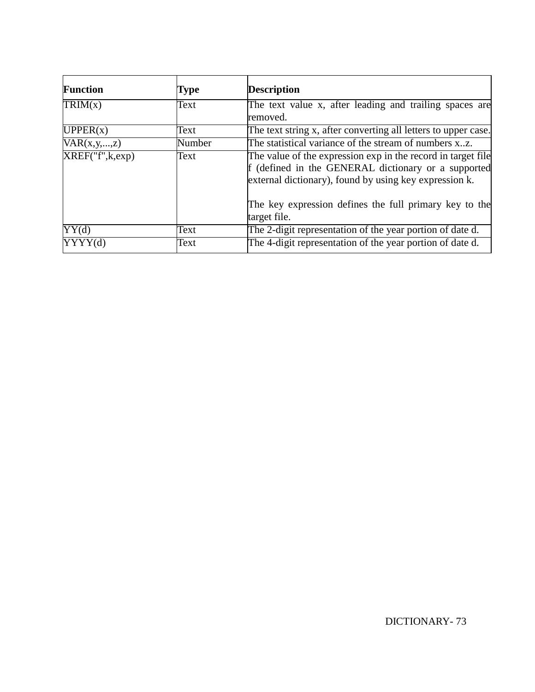| <b>Function</b>                      | Type   | <b>Description</b>                                                                                                                                                                                                                                      |
|--------------------------------------|--------|---------------------------------------------------------------------------------------------------------------------------------------------------------------------------------------------------------------------------------------------------------|
| TRIM(x)                              | Text   | The text value x, after leading and trailing spaces are<br>removed.                                                                                                                                                                                     |
| UPPER(x)                             | Text   | The text string x, after converting all letters to upper case.                                                                                                                                                                                          |
| VAR(x,y,,z)                          | Number | The statistical variance of the stream of numbers xz.                                                                                                                                                                                                   |
| $\overline{\text{XREF}}$ ("f",k,exp) | Text   | The value of the expression exp in the record in target file<br>f (defined in the GENERAL dictionary or a supported<br>external dictionary), found by using key expression k.<br>The key expression defines the full primary key to the<br>target file. |
| YY(d)                                | Text   | The 2-digit representation of the year portion of date d.                                                                                                                                                                                               |
| YYYY(d)                              | Text   | The 4-digit representation of the year portion of date d.                                                                                                                                                                                               |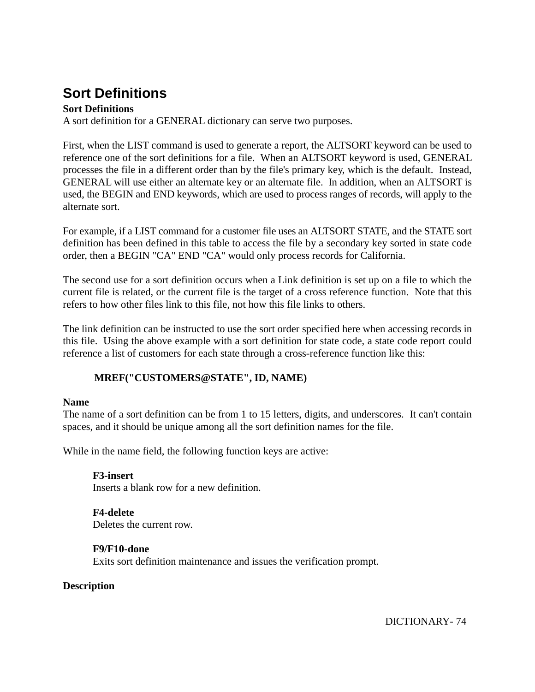# **Sort Definitions**

#### **Sort Definitions**

A sort definition for a GENERAL dictionary can serve two purposes.

First, when the LIST command is used to generate a report, the ALTSORT keyword can be used to reference one of the sort definitions for a file. When an ALTSORT keyword is used, GENERAL processes the file in a different order than by the file's primary key, which is the default. Instead, GENERAL will use either an alternate key or an alternate file. In addition, when an ALTSORT is used, the BEGIN and END keywords, which are used to process ranges of records, will apply to the alternate sort.

For example, if a LIST command for a customer file uses an ALTSORT STATE, and the STATE sort definition has been defined in this table to access the file by a secondary key sorted in state code order, then a BEGIN "CA" END "CA" would only process records for California.

The second use for a sort definition occurs when a Link definition is set up on a file to which the current file is related, or the current file is the target of a cross reference function. Note that this refers to how other files link to this file, not how this file links to others.

The link definition can be instructed to use the sort order specified here when accessing records in this file. Using the above example with a sort definition for state code, a state code report could reference a list of customers for each state through a cross-reference function like this:

#### **MREF("CUSTOMERS@STATE", ID, NAME)**

#### **Name**

The name of a sort definition can be from 1 to 15 letters, digits, and underscores. It can't contain spaces, and it should be unique among all the sort definition names for the file.

While in the name field, the following function keys are active:

**F3-insert** Inserts a blank row for a new definition.

#### **F4-delete**

Deletes the current row.

#### **F9/F10-done**

Exits sort definition maintenance and issues the verification prompt.

#### **Description**

DICTIONARY- 74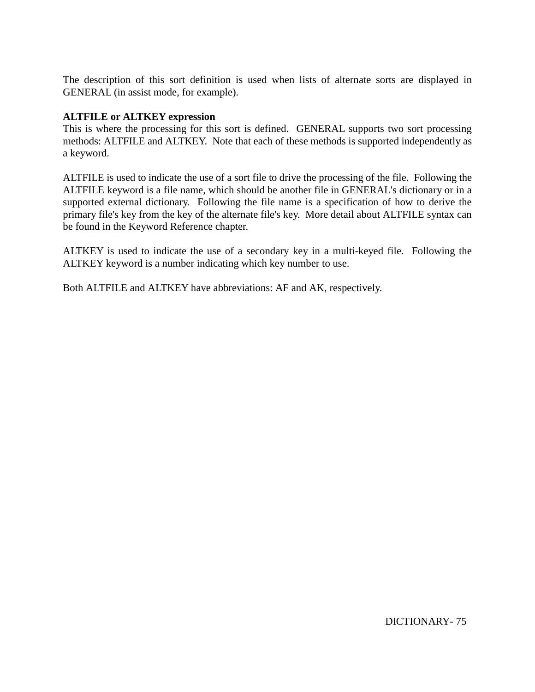The description of this sort definition is used when lists of alternate sorts are displayed in GENERAL (in assist mode, for example).

#### **ALTFILE or ALTKEY expression**

This is where the processing for this sort is defined. GENERAL supports two sort processing methods: ALTFILE and ALTKEY. Note that each of these methods is supported independently as a keyword.

ALTFILE is used to indicate the use of a sort file to drive the processing of the file. Following the ALTFILE keyword is a file name, which should be another file in GENERAL's dictionary or in a supported external dictionary. Following the file name is a specification of how to derive the primary file's key from the key of the alternate file's key. More detail about ALTFILE syntax can be found in the Keyword Reference chapter.

ALTKEY is used to indicate the use of a secondary key in a multi-keyed file. Following the ALTKEY keyword is a number indicating which key number to use.

Both ALTFILE and ALTKEY have abbreviations: AF and AK, respectively.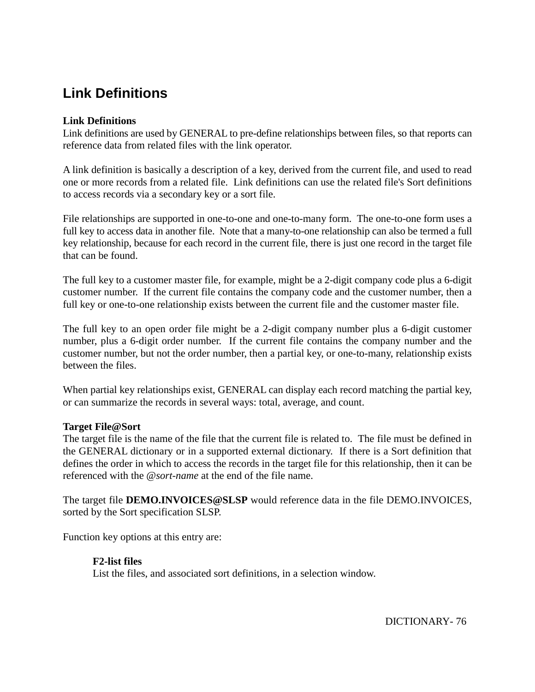## **Link Definitions**

#### **Link Definitions**

Link definitions are used by GENERAL to pre-define relationships between files, so that reports can reference data from related files with the link operator.

A link definition is basically a description of a key, derived from the current file, and used to read one or more records from a related file. Link definitions can use the related file's Sort definitions to access records via a secondary key or a sort file.

File relationships are supported in one-to-one and one-to-many form. The one-to-one form uses a full key to access data in another file. Note that a many-to-one relationship can also be termed a full key relationship, because for each record in the current file, there is just one record in the target file that can be found.

The full key to a customer master file, for example, might be a 2-digit company code plus a 6-digit customer number. If the current file contains the company code and the customer number, then a full key or one-to-one relationship exists between the current file and the customer master file.

The full key to an open order file might be a 2-digit company number plus a 6-digit customer number, plus a 6-digit order number. If the current file contains the company number and the customer number, but not the order number, then a partial key, or one-to-many, relationship exists between the files.

When partial key relationships exist, GENERAL can display each record matching the partial key, or can summarize the records in several ways: total, average, and count.

#### **Target File@Sort**

The target file is the name of the file that the current file is related to. The file must be defined in the GENERAL dictionary or in a supported external dictionary. If there is a Sort definition that defines the order in which to access the records in the target file for this relationship, then it can be referenced with the @*sort-name* at the end of the file name.

The target file **DEMO.INVOICES@SLSP** would reference data in the file DEMO.INVOICES, sorted by the Sort specification SLSP.

Function key options at this entry are:

#### **F2-list files**

List the files, and associated sort definitions, in a selection window.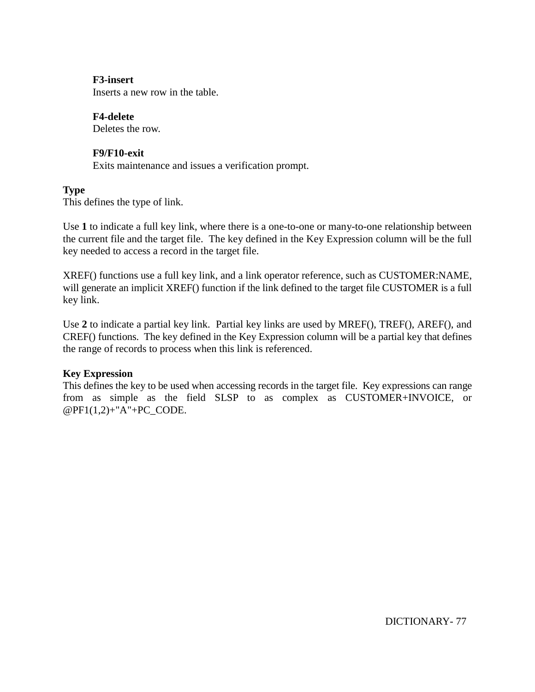#### **F3-insert**

Inserts a new row in the table.

#### **F4-delete**

Deletes the row.

#### **F9/F10-exit**

Exits maintenance and issues a verification prompt.

#### **Type**

This defines the type of link.

Use **1** to indicate a full key link, where there is a one-to-one or many-to-one relationship between the current file and the target file. The key defined in the Key Expression column will be the full key needed to access a record in the target file.

XREF() functions use a full key link, and a link operator reference, such as CUSTOMER:NAME, will generate an implicit XREF() function if the link defined to the target file CUSTOMER is a full key link.

Use **2** to indicate a partial key link. Partial key links are used by MREF(), TREF(), AREF(), and CREF() functions. The key defined in the Key Expression column will be a partial key that defines the range of records to process when this link is referenced.

#### **Key Expression**

This defines the key to be used when accessing records in the target file. Key expressions can range from as simple as the field SLSP to as complex as CUSTOMER+INVOICE, or @PF1(1,2)+"A"+PC\_CODE.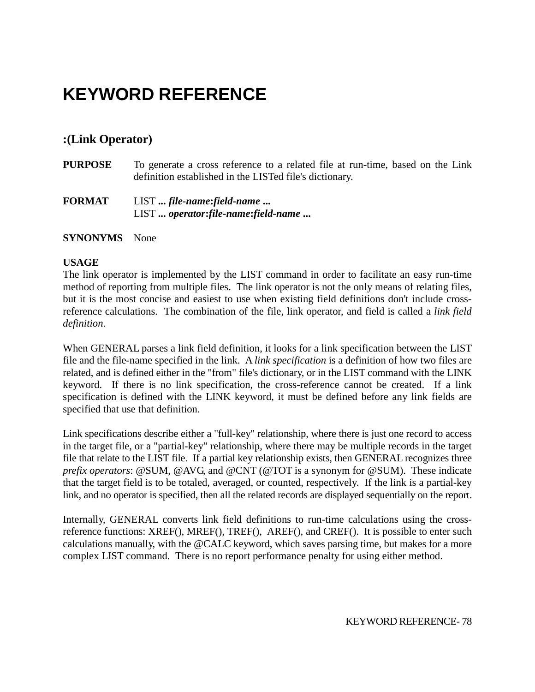# **KEYWORD REFERENCE**

### **:(Link Operator)**

**PURPOSE** To generate a cross reference to a related file at run-time, based on the Link definition established in the LISTed file's dictionary.

**FORMAT** LIST **...** *file-name***:***field-name* **...** LIST **...** *operator***:***file-name***:***field-name* **...**

#### **SYNONYMS** None

#### **USAGE**

The link operator is implemented by the LIST command in order to facilitate an easy run-time method of reporting from multiple files. The link operator is not the only means of relating files, but it is the most concise and easiest to use when existing field definitions don't include crossreference calculations. The combination of the file, link operator, and field is called a *link field definition*.

When GENERAL parses a link field definition, it looks for a link specification between the LIST file and the file-name specified in the link. A *link specification* is a definition of how two files are related, and is defined either in the "from" file's dictionary, or in the LIST command with the LINK keyword. If there is no link specification, the cross-reference cannot be created. If a link specification is defined with the LINK keyword, it must be defined before any link fields are specified that use that definition.

Link specifications describe either a "full-key" relationship, where there is just one record to access in the target file, or a "partial-key" relationship, where there may be multiple records in the target file that relate to the LIST file. If a partial key relationship exists, then GENERAL recognizes three *prefix operators*: @SUM, @AVG, and @CNT (@TOT is a synonym for @SUM). These indicate that the target field is to be totaled, averaged, or counted, respectively. If the link is a partial-key link, and no operator is specified, then all the related records are displayed sequentially on the report.

Internally, GENERAL converts link field definitions to run-time calculations using the crossreference functions: XREF(), MREF(), TREF(), AREF(), and CREF(). It is possible to enter such calculations manually, with the @CALC keyword, which saves parsing time, but makes for a more complex LIST command. There is no report performance penalty for using either method.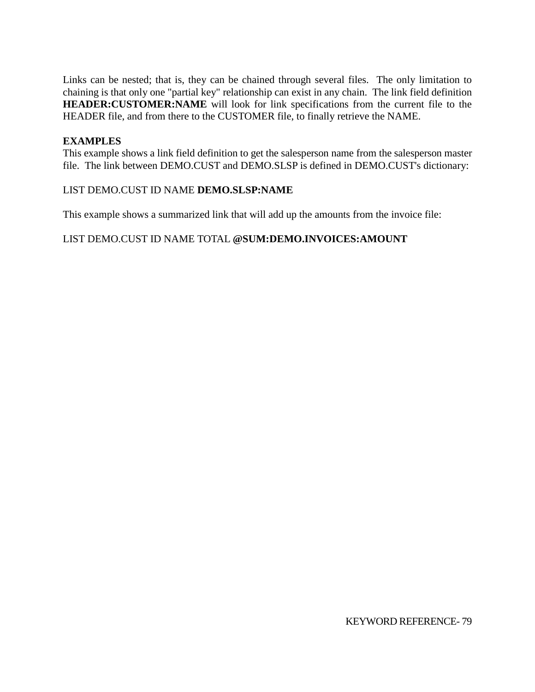Links can be nested; that is, they can be chained through several files. The only limitation to chaining is that only one "partial key" relationship can exist in any chain. The link field definition **HEADER:CUSTOMER:NAME** will look for link specifications from the current file to the HEADER file, and from there to the CUSTOMER file, to finally retrieve the NAME.

#### **EXAMPLES**

This example shows a link field definition to get the salesperson name from the salesperson master file. The link between DEMO.CUST and DEMO.SLSP is defined in DEMO.CUST's dictionary:

#### LIST DEMO.CUST ID NAME **DEMO.SLSP:NAME**

This example shows a summarized link that will add up the amounts from the invoice file:

#### LIST DEMO.CUST ID NAME TOTAL **@SUM:DEMO.INVOICES:AMOUNT**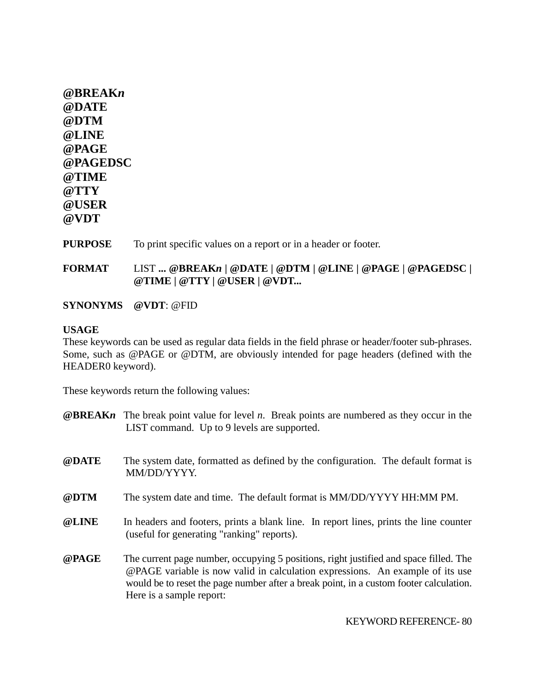### **@BREAK***n* **@DATE @DTM @LINE @PAGE @PAGEDSC @TIME @TTY @USER @VDT**

**PURPOSE** To print specific values on a report or in a header or footer.

**FORMAT** LIST **... @BREAK***n* **| @DATE | @DTM | @LINE | @PAGE | @PAGEDSC | @TIME | @TTY | @USER | @VDT...**

#### **SYNONYMS @VDT**: @FID

#### **USAGE**

These keywords can be used as regular data fields in the field phrase or header/footer sub-phrases. Some, such as @PAGE or @DTM, are obviously intended for page headers (defined with the HEADER0 keyword).

These keywords return the following values:

- **@BREAK***n* The break point value for level *n*. Break points are numbered as they occur in the LIST command. Up to 9 levels are supported.
- **@DATE** The system date, formatted as defined by the configuration. The default format is MM/DD/YYYY.
- **@DTM** The system date and time. The default format is MM/DD/YYYY HH:MM PM.
- **@LINE** In headers and footers, prints a blank line. In report lines, prints the line counter (useful for generating "ranking" reports).
- **@PAGE** The current page number, occupying 5 positions, right justified and space filled. The @PAGE variable is now valid in calculation expressions. An example of its use would be to reset the page number after a break point, in a custom footer calculation. Here is a sample report: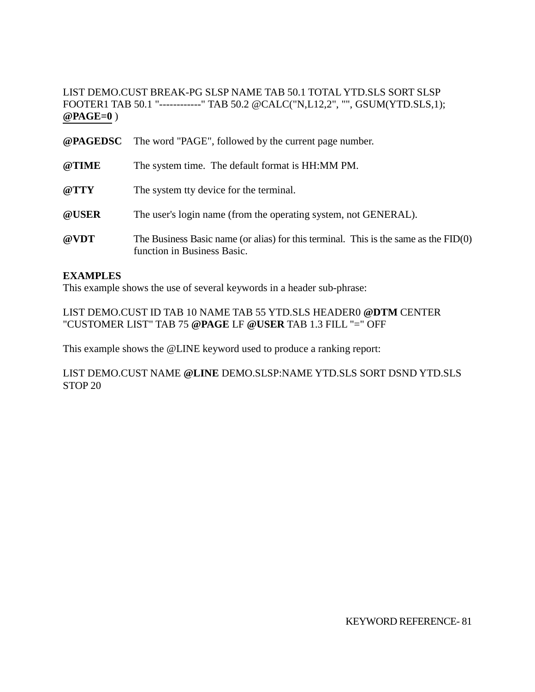#### LIST DEMO.CUST BREAK-PG SLSP NAME TAB 50.1 TOTAL YTD.SLS SORT SLSP FOOTER1 TAB 50.1 "------------" TAB 50.2 @CALC("N,L12,2", "", GSUM(YTD.SLS,1); **@PAGE=0** )

|       | <b>@PAGEDSC</b> The word "PAGE", followed by the current page number.                                                 |
|-------|-----------------------------------------------------------------------------------------------------------------------|
| @TIME | The system time. The default format is HH:MM PM.                                                                      |
| @TTY  | The system tty device for the terminal.                                                                               |
| @USER | The user's login name (from the operating system, not GENERAL).                                                       |
| @VDT  | The Business Basic name (or alias) for this terminal. This is the same as the $FID(0)$<br>function in Business Basic. |

#### **EXAMPLES**

This example shows the use of several keywords in a header sub-phrase:

LIST DEMO.CUST ID TAB 10 NAME TAB 55 YTD.SLS HEADER0 **@DTM** CENTER "CUSTOMER LIST" TAB 75 **@PAGE** LF **@USER** TAB 1.3 FILL "=" OFF

This example shows the @LINE keyword used to produce a ranking report:

LIST DEMO.CUST NAME **@LINE** DEMO.SLSP:NAME YTD.SLS SORT DSND YTD.SLS STOP 20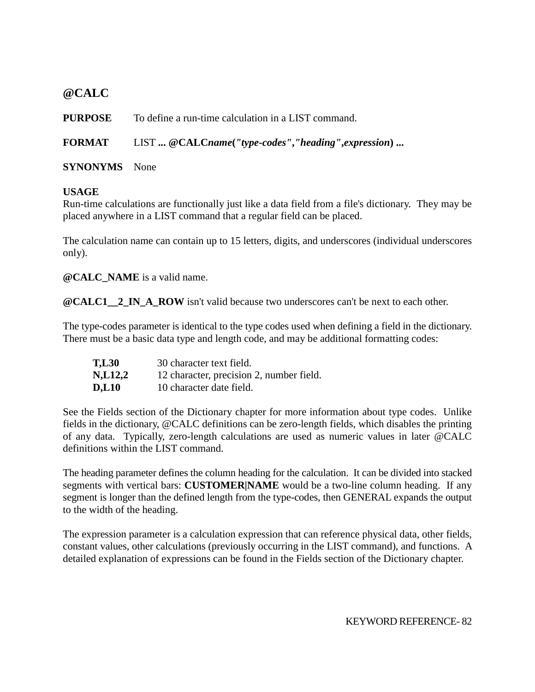### **@CALC**

**PURPOSE** To define a run-time calculation in a LIST command.

**FORMAT** LIST **... @CALC***name***(***"type-codes"***,***"heading"***,***expression***) ...**

#### **SYNONYMS** None

#### **USAGE**

Run-time calculations are functionally just like a data field from a file's dictionary. They may be placed anywhere in a LIST command that a regular field can be placed.

The calculation name can contain up to 15 letters, digits, and underscores (individual underscores only).

**@CALC\_NAME** is a valid name.

**@CALC1** 2 IN A ROW isn't valid because two underscores can't be next to each other.

The type-codes parameter is identical to the type codes used when defining a field in the dictionary. There must be a basic data type and length code, and may be additional formatting codes:

| <b>T,L30</b>   | 30 character text field.                 |
|----------------|------------------------------------------|
| <b>N,L12,2</b> | 12 character, precision 2, number field. |
| <b>D,L10</b>   | 10 character date field.                 |

See the Fields section of the Dictionary chapter for more information about type codes. Unlike fields in the dictionary, @CALC definitions can be zero-length fields, which disables the printing of any data. Typically, zero-length calculations are used as numeric values in later @CALC definitions within the LIST command.

The heading parameter defines the column heading for the calculation. It can be divided into stacked segments with vertical bars: **CUSTOMER|NAME** would be a two-line column heading. If any segment is longer than the defined length from the type-codes, then GENERAL expands the output to the width of the heading.

The expression parameter is a calculation expression that can reference physical data, other fields, constant values, other calculations (previously occurring in the LIST command), and functions. A detailed explanation of expressions can be found in the Fields section of the Dictionary chapter.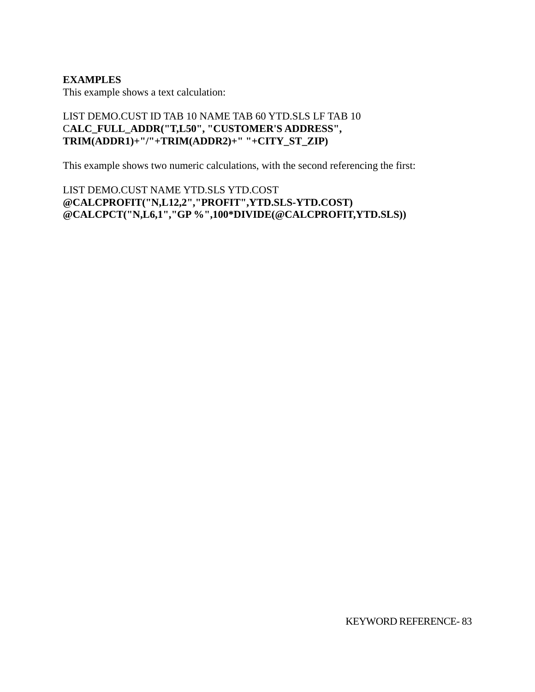#### **EXAMPLES**

This example shows a text calculation:

#### LIST DEMO.CUST ID TAB 10 NAME TAB 60 YTD.SLS LF TAB 10 C**ALC\_FULL\_ADDR("T,L50", "CUSTOMER'S ADDRESS", TRIM(ADDR1)+"/"+TRIM(ADDR2)+" "+CITY\_ST\_ZIP)**

This example shows two numeric calculations, with the second referencing the first:

LIST DEMO.CUST NAME YTD.SLS YTD.COST **@CALCPROFIT("N,L12,2","PROFIT",YTD.SLS-YTD.COST) @CALCPCT("N,L6,1","GP %",100\*DIVIDE(@CALCPROFIT,YTD.SLS))**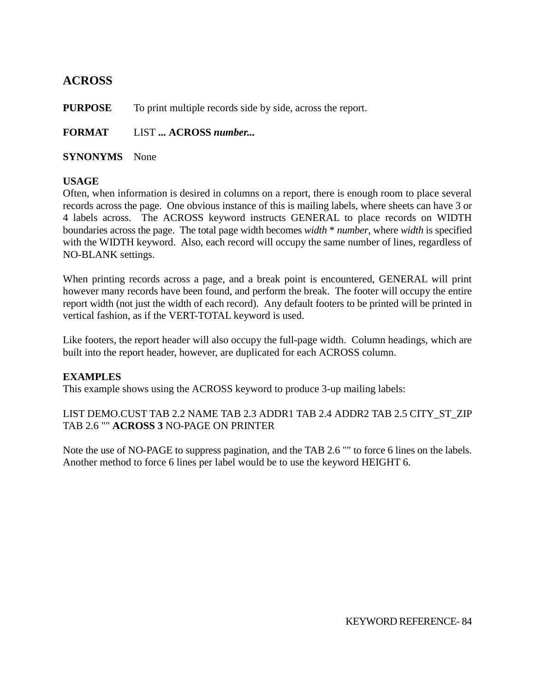### **ACROSS**

**PURPOSE** To print multiple records side by side, across the report.

**FORMAT** LIST **... ACROSS** *number...*

**SYNONYMS** None

#### **USAGE**

Often, when information is desired in columns on a report, there is enough room to place several records across the page. One obvious instance of this is mailing labels, where sheets can have 3 or 4 labels across. The ACROSS keyword instructs GENERAL to place records on WIDTH boundaries across the page. The total page width becomes *width* \* *number*, where *width* is specified with the WIDTH keyword. Also, each record will occupy the same number of lines, regardless of NO-BLANK settings.

When printing records across a page, and a break point is encountered, GENERAL will print however many records have been found, and perform the break. The footer will occupy the entire report width (not just the width of each record). Any default footers to be printed will be printed in vertical fashion, as if the VERT-TOTAL keyword is used.

Like footers, the report header will also occupy the full-page width. Column headings, which are built into the report header, however, are duplicated for each ACROSS column.

#### **EXAMPLES**

This example shows using the ACROSS keyword to produce 3-up mailing labels:

LIST DEMO.CUST TAB 2.2 NAME TAB 2.3 ADDR1 TAB 2.4 ADDR2 TAB 2.5 CITY\_ST\_ZIP TAB 2.6 "" **ACROSS 3** NO-PAGE ON PRINTER

Note the use of NO-PAGE to suppress pagination, and the TAB 2.6 "" to force 6 lines on the labels. Another method to force 6 lines per label would be to use the keyword HEIGHT 6.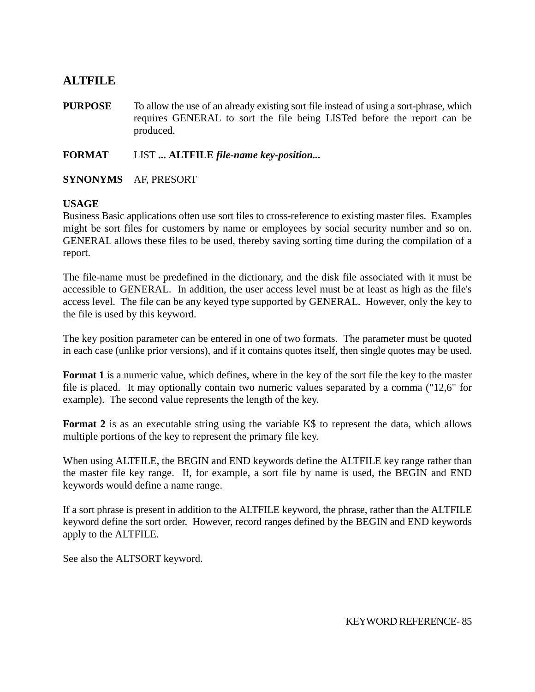### **ALTFILE**

**PURPOSE** To allow the use of an already existing sort file instead of using a sort-phrase, which requires GENERAL to sort the file being LISTed before the report can be produced.

#### **FORMAT** LIST **... ALTFILE** *file-name key-position...*

#### **SYNONYMS** AF, PRESORT

#### **USAGE**

Business Basic applications often use sort files to cross-reference to existing master files. Examples might be sort files for customers by name or employees by social security number and so on. GENERAL allows these files to be used, thereby saving sorting time during the compilation of a report.

The file-name must be predefined in the dictionary, and the disk file associated with it must be accessible to GENERAL. In addition, the user access level must be at least as high as the file's access level. The file can be any keyed type supported by GENERAL. However, only the key to the file is used by this keyword.

The key position parameter can be entered in one of two formats. The parameter must be quoted in each case (unlike prior versions), and if it contains quotes itself, then single quotes may be used.

**Format 1** is a numeric value, which defines, where in the key of the sort file the key to the master file is placed. It may optionally contain two numeric values separated by a comma ("12,6" for example). The second value represents the length of the key.

**Format 2** is as an executable string using the variable K\$ to represent the data, which allows multiple portions of the key to represent the primary file key.

When using ALTFILE, the BEGIN and END keywords define the ALTFILE key range rather than the master file key range. If, for example, a sort file by name is used, the BEGIN and END keywords would define a name range.

If a sort phrase is present in addition to the ALTFILE keyword, the phrase, rather than the ALTFILE keyword define the sort order. However, record ranges defined by the BEGIN and END keywords apply to the ALTFILE.

See also the ALTSORT keyword.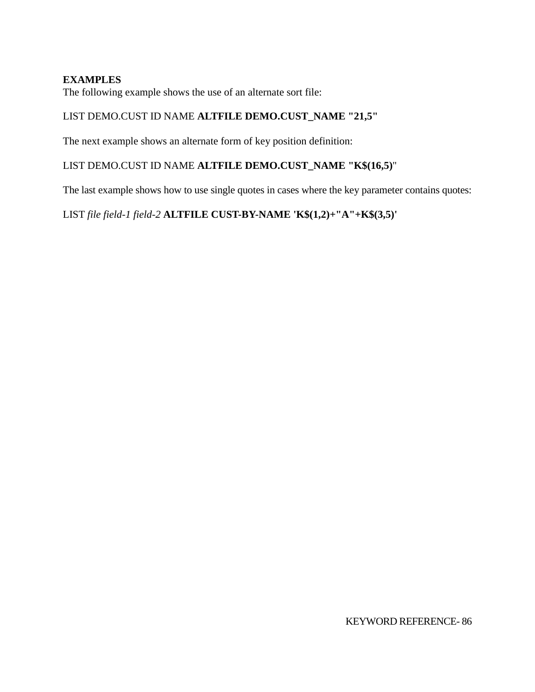#### **EXAMPLES**

The following example shows the use of an alternate sort file:

### LIST DEMO.CUST ID NAME **ALTFILE DEMO.CUST\_NAME "21,5"**

The next example shows an alternate form of key position definition:

### LIST DEMO.CUST ID NAME **ALTFILE DEMO.CUST\_NAME "K\$(16,5)**"

The last example shows how to use single quotes in cases where the key parameter contains quotes:

LIST *file field-1 field-2* **ALTFILE CUST-BY-NAME 'K\$(1,2)+"A"+K\$(3,5)'**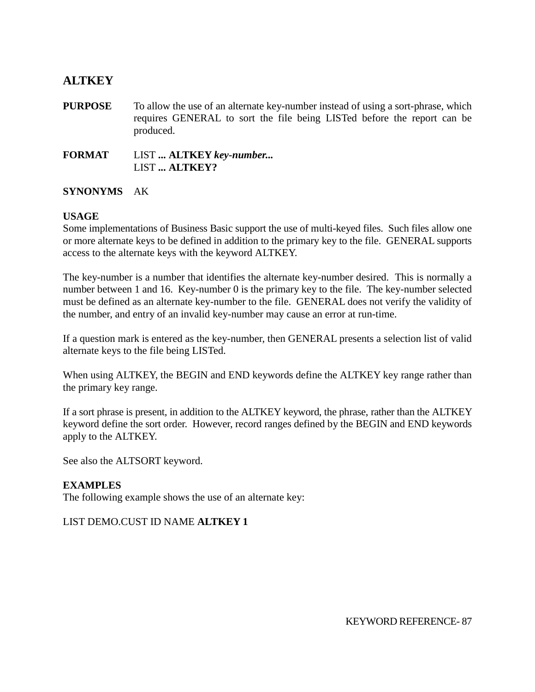### **ALTKEY**

**PURPOSE** To allow the use of an alternate key-number instead of using a sort-phrase, which requires GENERAL to sort the file being LISTed before the report can be produced.

**FORMAT** LIST **... ALTKEY** *key-number...* LIST **... ALTKEY?**

#### **SYNONYMS** AK

#### **USAGE**

Some implementations of Business Basic support the use of multi-keyed files. Such files allow one or more alternate keys to be defined in addition to the primary key to the file. GENERAL supports access to the alternate keys with the keyword ALTKEY.

The key-number is a number that identifies the alternate key-number desired. This is normally a number between 1 and 16. Key-number 0 is the primary key to the file. The key-number selected must be defined as an alternate key-number to the file. GENERAL does not verify the validity of the number, and entry of an invalid key-number may cause an error at run-time.

If a question mark is entered as the key-number, then GENERAL presents a selection list of valid alternate keys to the file being LISTed.

When using ALTKEY, the BEGIN and END keywords define the ALTKEY key range rather than the primary key range.

If a sort phrase is present, in addition to the ALTKEY keyword, the phrase, rather than the ALTKEY keyword define the sort order. However, record ranges defined by the BEGIN and END keywords apply to the ALTKEY.

See also the ALTSORT keyword.

**EXAMPLES** The following example shows the use of an alternate key:

#### LIST DEMO.CUST ID NAME **ALTKEY 1**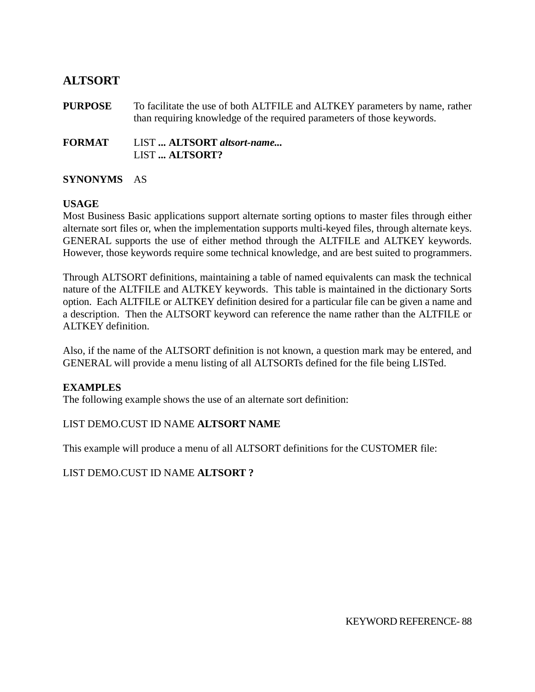### **ALTSORT**

**PURPOSE** To facilitate the use of both ALTFILE and ALTKEY parameters by name, rather than requiring knowledge of the required parameters of those keywords.

**FORMAT** LIST **... ALTSORT** *altsort-name...* LIST **... ALTSORT?**

#### **SYNONYMS** AS

#### **USAGE**

Most Business Basic applications support alternate sorting options to master files through either alternate sort files or, when the implementation supports multi-keyed files, through alternate keys. GENERAL supports the use of either method through the ALTFILE and ALTKEY keywords. However, those keywords require some technical knowledge, and are best suited to programmers.

Through ALTSORT definitions, maintaining a table of named equivalents can mask the technical nature of the ALTFILE and ALTKEY keywords. This table is maintained in the dictionary Sorts option. Each ALTFILE or ALTKEY definition desired for a particular file can be given a name and a description. Then the ALTSORT keyword can reference the name rather than the ALTFILE or ALTKEY definition.

Also, if the name of the ALTSORT definition is not known, a question mark may be entered, and GENERAL will provide a menu listing of all ALTSORTs defined for the file being LISTed.

#### **EXAMPLES**

The following example shows the use of an alternate sort definition:

#### LIST DEMO.CUST ID NAME **ALTSORT NAME**

This example will produce a menu of all ALTSORT definitions for the CUSTOMER file:

LIST DEMO.CUST ID NAME **ALTSORT ?**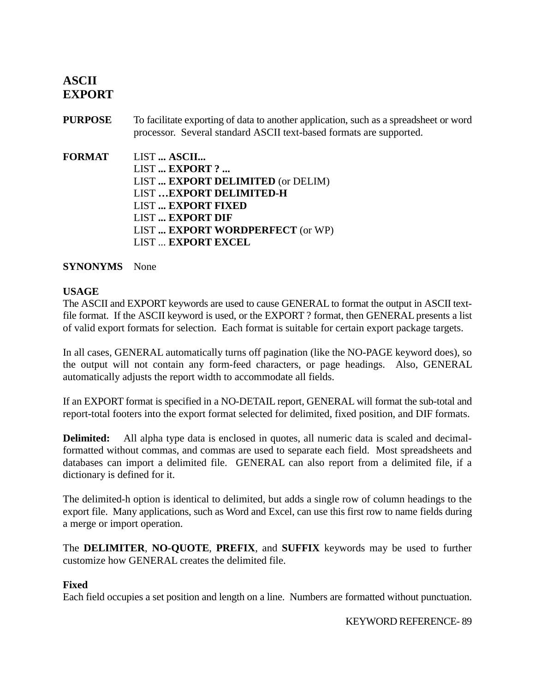### **ASCII EXPORT**

**PURPOSE** To facilitate exporting of data to another application, such as a spreadsheet or word processor. Several standard ASCII text-based formats are supported.

**FORMAT** LIST **... ASCII...** LIST **... EXPORT ? ...** LIST **... EXPORT DELIMITED** (or DELIM) LIST **…EXPORT DELIMITED-H** LIST **... EXPORT FIXED** LIST **... EXPORT DIF** LIST **... EXPORT WORDPERFECT** (or WP) LIST ... **EXPORT EXCEL**

**SYNONYMS** None

#### **USAGE**

The ASCII and EXPORT keywords are used to cause GENERAL to format the output in ASCII textfile format. If the ASCII keyword is used, or the EXPORT ? format, then GENERAL presents a list of valid export formats for selection. Each format is suitable for certain export package targets.

In all cases, GENERAL automatically turns off pagination (like the NO-PAGE keyword does), so the output will not contain any form-feed characters, or page headings. Also, GENERAL automatically adjusts the report width to accommodate all fields.

If an EXPORT format is specified in a NO-DETAIL report, GENERAL will format the sub-total and report-total footers into the export format selected for delimited, fixed position, and DIF formats.

**Delimited:** All alpha type data is enclosed in quotes, all numeric data is scaled and decimalformatted without commas, and commas are used to separate each field. Most spreadsheets and databases can import a delimited file. GENERAL can also report from a delimited file, if a dictionary is defined for it.

The delimited-h option is identical to delimited, but adds a single row of column headings to the export file. Many applications, such as Word and Excel, can use this first row to name fields during a merge or import operation.

The **DELIMITER**, **NO-QUOTE**, **PREFIX**, and **SUFFIX** keywords may be used to further customize how GENERAL creates the delimited file.

#### **Fixed**

Each field occupies a set position and length on a line. Numbers are formatted without punctuation.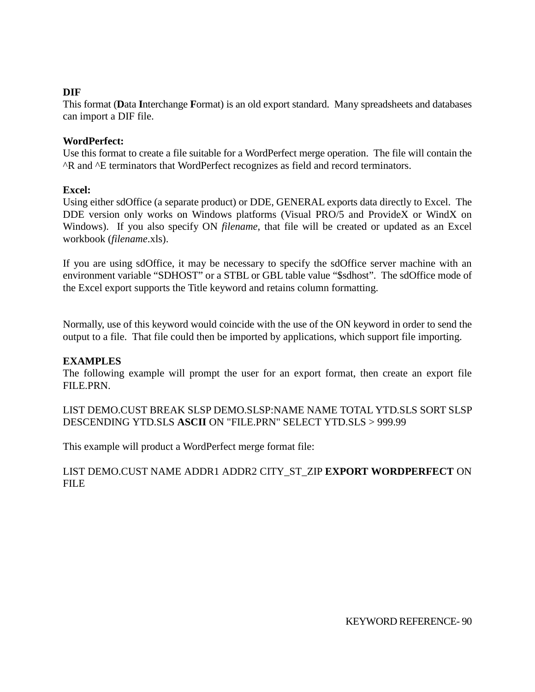#### **DIF**

This format (**D**ata **I**nterchange **F**ormat) is an old export standard. Many spreadsheets and databases can import a DIF file.

#### **WordPerfect:**

Use this format to create a file suitable for a WordPerfect merge operation. The file will contain the ^R and ^E terminators that WordPerfect recognizes as field and record terminators.

#### **Excel:**

Using either sdOffice (a separate product) or DDE, GENERAL exports data directly to Excel. The DDE version only works on Windows platforms (Visual PRO/5 and ProvideX or WindX on Windows). If you also specify ON *filename*, that file will be created or updated as an Excel workbook (*filename*.xls).

If you are using sdOffice, it may be necessary to specify the sdOffice server machine with an environment variable "SDHOST" or a STBL or GBL table value "\$sdhost". The sdOffice mode of the Excel export supports the Title keyword and retains column formatting.

Normally, use of this keyword would coincide with the use of the ON keyword in order to send the output to a file. That file could then be imported by applications, which support file importing.

#### **EXAMPLES**

The following example will prompt the user for an export format, then create an export file FILE.PRN.

LIST DEMO.CUST BREAK SLSP DEMO.SLSP:NAME NAME TOTAL YTD.SLS SORT SLSP DESCENDING YTD.SLS **ASCII** ON "FILE.PRN" SELECT YTD.SLS > 999.99

This example will product a WordPerfect merge format file:

#### LIST DEMO.CUST NAME ADDR1 ADDR2 CITY\_ST\_ZIP **EXPORT WORDPERFECT** ON FILE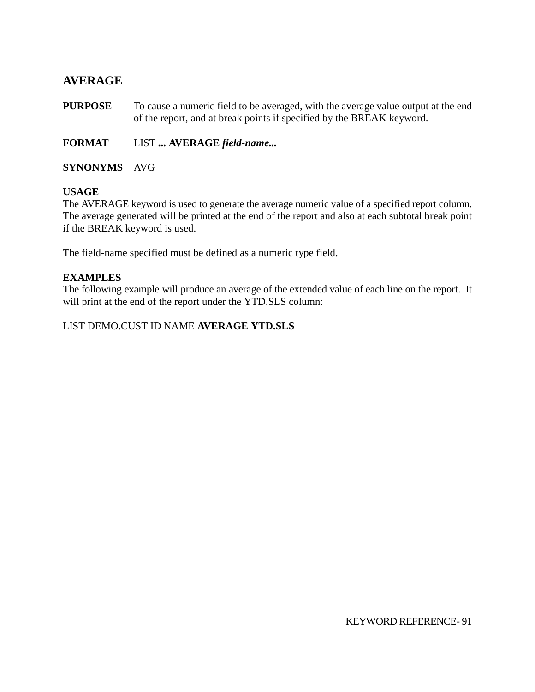### **AVERAGE**

**PURPOSE** To cause a numeric field to be averaged, with the average value output at the end of the report, and at break points if specified by the BREAK keyword.

**FORMAT** LIST **... AVERAGE** *field-name...*

**SYNONYMS** AVG

#### **USAGE**

The AVERAGE keyword is used to generate the average numeric value of a specified report column. The average generated will be printed at the end of the report and also at each subtotal break point if the BREAK keyword is used.

The field-name specified must be defined as a numeric type field.

#### **EXAMPLES**

The following example will produce an average of the extended value of each line on the report. It will print at the end of the report under the YTD.SLS column:

#### LIST DEMO.CUST ID NAME **AVERAGE YTD.SLS**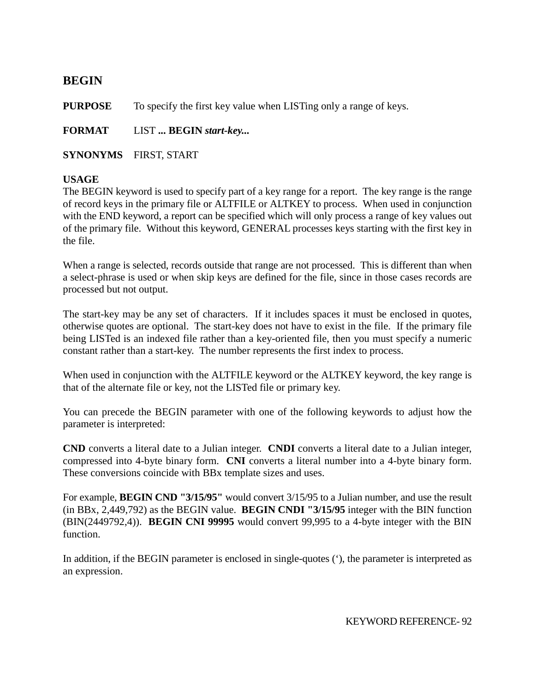### **BEGIN**

**PURPOSE** To specify the first key value when LISTing only a range of keys.

**FORMAT** LIST **... BEGIN** *start-key...*

**SYNONYMS** FIRST, START

#### **USAGE**

The BEGIN keyword is used to specify part of a key range for a report. The key range is the range of record keys in the primary file or ALTFILE or ALTKEY to process. When used in conjunction with the END keyword, a report can be specified which will only process a range of key values out of the primary file. Without this keyword, GENERAL processes keys starting with the first key in the file.

When a range is selected, records outside that range are not processed. This is different than when a select-phrase is used or when skip keys are defined for the file, since in those cases records are processed but not output.

The start-key may be any set of characters. If it includes spaces it must be enclosed in quotes, otherwise quotes are optional. The start-key does not have to exist in the file. If the primary file being LISTed is an indexed file rather than a key-oriented file, then you must specify a numeric constant rather than a start-key. The number represents the first index to process.

When used in conjunction with the ALTFILE keyword or the ALTKEY keyword, the key range is that of the alternate file or key, not the LISTed file or primary key.

You can precede the BEGIN parameter with one of the following keywords to adjust how the parameter is interpreted:

**CND** converts a literal date to a Julian integer. **CNDI** converts a literal date to a Julian integer, compressed into 4-byte binary form. **CNI** converts a literal number into a 4-byte binary form. These conversions coincide with BBx template sizes and uses.

For example, **BEGIN CND "3/15/95"** would convert 3/15/95 to a Julian number, and use the result (in BBx, 2,449,792) as the BEGIN value. **BEGIN CNDI "3/15/95** integer with the BIN function (BIN(2449792,4)). **BEGIN CNI 99995** would convert 99,995 to a 4-byte integer with the BIN function.

In addition, if the BEGIN parameter is enclosed in single-quotes ('), the parameter is interpreted as an expression.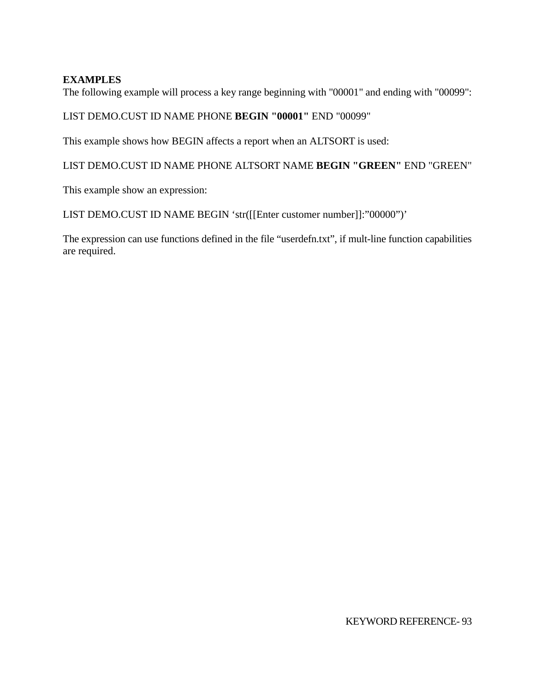#### **EXAMPLES**

The following example will process a key range beginning with "00001" and ending with "00099":

#### LIST DEMO.CUST ID NAME PHONE **BEGIN "00001"** END "00099"

This example shows how BEGIN affects a report when an ALTSORT is used:

#### LIST DEMO.CUST ID NAME PHONE ALTSORT NAME **BEGIN "GREEN"** END "GREEN"

This example show an expression:

LIST DEMO.CUST ID NAME BEGIN 'str([[Enter customer number]]:"00000")'

The expression can use functions defined in the file "userdefn.txt", if mult-line function capabilities are required.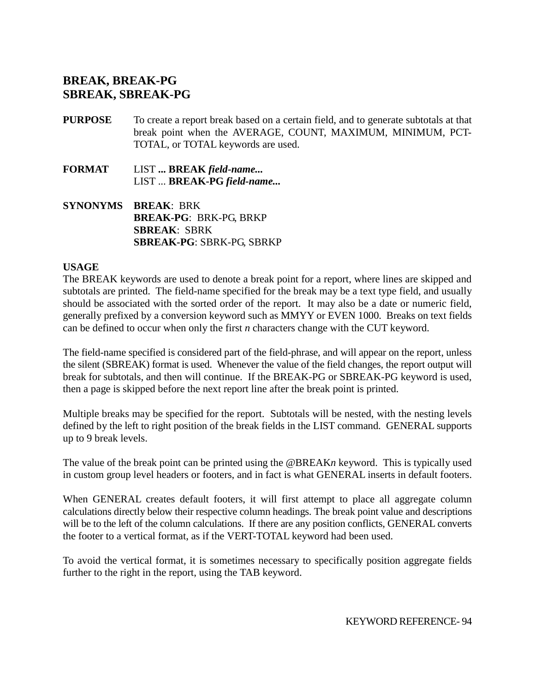### **BREAK, BREAK-PG SBREAK, SBREAK-PG**

- **PURPOSE** To create a report break based on a certain field, and to generate subtotals at that break point when the AVERAGE, COUNT, MAXIMUM, MINIMUM, PCT-TOTAL, or TOTAL keywords are used.
- **FORMAT** LIST **... BREAK** *field-name...* LIST ... **BREAK-PG** *field-name...*
- **SYNONYMS BREAK**: BRK **BREAK-PG**: BRK-PG, BRKP **SBREAK**: SBRK **SBREAK-PG**: SBRK-PG, SBRKP

#### **USAGE**

The BREAK keywords are used to denote a break point for a report, where lines are skipped and subtotals are printed. The field-name specified for the break may be a text type field, and usually should be associated with the sorted order of the report. It may also be a date or numeric field, generally prefixed by a conversion keyword such as MMYY or EVEN 1000. Breaks on text fields can be defined to occur when only the first *n* characters change with the CUT keyword.

The field-name specified is considered part of the field-phrase, and will appear on the report, unless the silent (SBREAK) format is used. Whenever the value of the field changes, the report output will break for subtotals, and then will continue. If the BREAK-PG or SBREAK-PG keyword is used, then a page is skipped before the next report line after the break point is printed.

Multiple breaks may be specified for the report. Subtotals will be nested, with the nesting levels defined by the left to right position of the break fields in the LIST command. GENERAL supports up to 9 break levels.

The value of the break point can be printed using the @BREAK*n* keyword. This is typically used in custom group level headers or footers, and in fact is what GENERAL inserts in default footers.

When GENERAL creates default footers, it will first attempt to place all aggregate column calculations directly below their respective column headings. The break point value and descriptions will be to the left of the column calculations. If there are any position conflicts, GENERAL converts the footer to a vertical format, as if the VERT-TOTAL keyword had been used.

To avoid the vertical format, it is sometimes necessary to specifically position aggregate fields further to the right in the report, using the TAB keyword.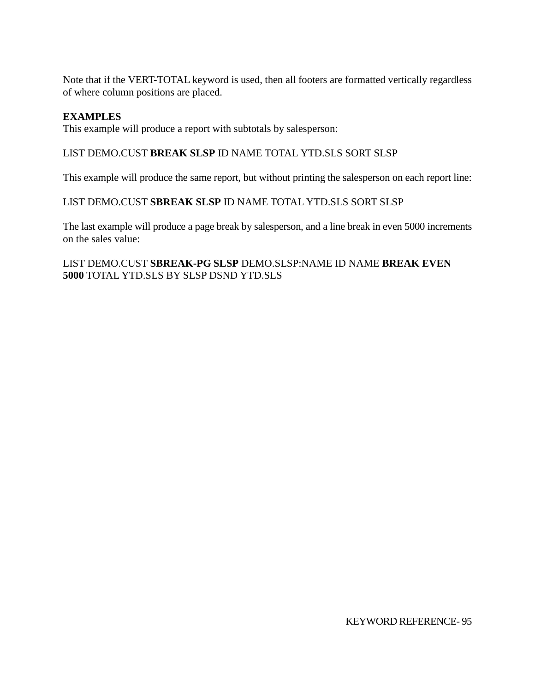Note that if the VERT-TOTAL keyword is used, then all footers are formatted vertically regardless of where column positions are placed.

#### **EXAMPLES**

This example will produce a report with subtotals by salesperson:

#### LIST DEMO.CUST **BREAK SLSP** ID NAME TOTAL YTD.SLS SORT SLSP

This example will produce the same report, but without printing the salesperson on each report line:

#### LIST DEMO.CUST **SBREAK SLSP** ID NAME TOTAL YTD.SLS SORT SLSP

The last example will produce a page break by salesperson, and a line break in even 5000 increments on the sales value:

#### LIST DEMO.CUST **SBREAK-PG SLSP** DEMO.SLSP:NAME ID NAME **BREAK EVEN 5000** TOTAL YTD.SLS BY SLSP DSND YTD.SLS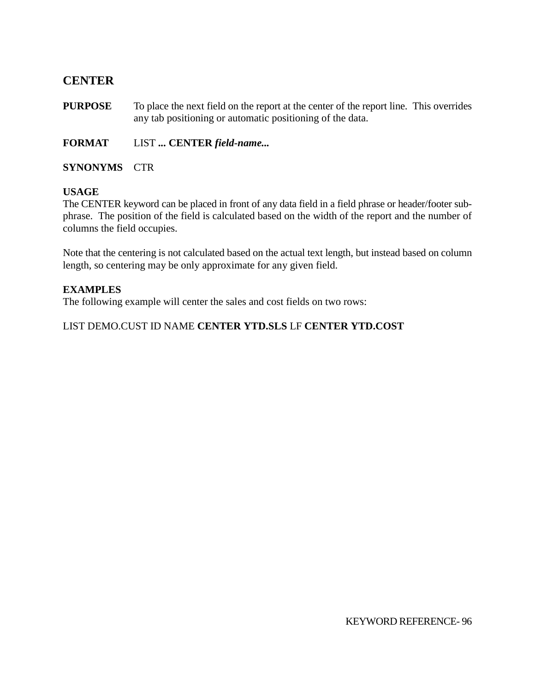### **CENTER**

**PURPOSE** To place the next field on the report at the center of the report line. This overrides any tab positioning or automatic positioning of the data.

**FORMAT** LIST **... CENTER** *field-name...*

**SYNONYMS** CTR

#### **USAGE**

The CENTER keyword can be placed in front of any data field in a field phrase or header/footer subphrase. The position of the field is calculated based on the width of the report and the number of columns the field occupies.

Note that the centering is not calculated based on the actual text length, but instead based on column length, so centering may be only approximate for any given field.

#### **EXAMPLES**

The following example will center the sales and cost fields on two rows:

#### LIST DEMO.CUST ID NAME **CENTER YTD.SLS** LF **CENTER YTD.COST**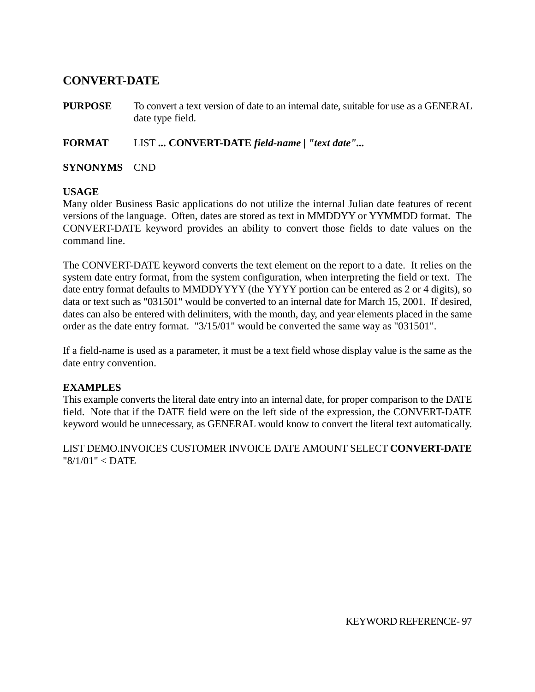### **CONVERT-DATE**

**PURPOSE** To convert a text version of date to an internal date, suitable for use as a GENERAL date type field.

**FORMAT** LIST **... CONVERT-DATE** *field-name | "text date"...*

#### **SYNONYMS** CND

#### **USAGE**

Many older Business Basic applications do not utilize the internal Julian date features of recent versions of the language. Often, dates are stored as text in MMDDYY or YYMMDD format. The CONVERT-DATE keyword provides an ability to convert those fields to date values on the command line.

The CONVERT-DATE keyword converts the text element on the report to a date. It relies on the system date entry format, from the system configuration, when interpreting the field or text. The date entry format defaults to MMDDYYYY (the YYYY portion can be entered as 2 or 4 digits), so data or text such as "031501" would be converted to an internal date for March 15, 2001. If desired, dates can also be entered with delimiters, with the month, day, and year elements placed in the same order as the date entry format. "3/15/01" would be converted the same way as "031501".

If a field-name is used as a parameter, it must be a text field whose display value is the same as the date entry convention.

#### **EXAMPLES**

This example converts the literal date entry into an internal date, for proper comparison to the DATE field. Note that if the DATE field were on the left side of the expression, the CONVERT-DATE keyword would be unnecessary, as GENERAL would know to convert the literal text automatically.

LIST DEMO.INVOICES CUSTOMER INVOICE DATE AMOUNT SELECT **CONVERT-DATE** "8/1/01" < DATE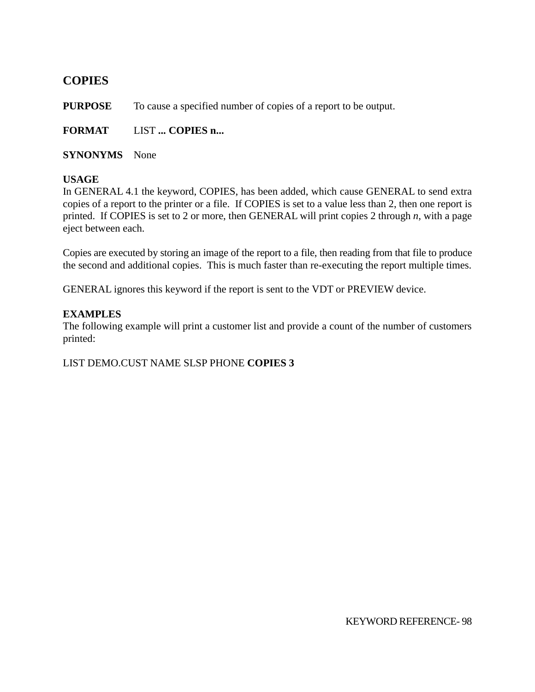### **COPIES**

**PURPOSE** To cause a specified number of copies of a report to be output.

**FORMAT** LIST **... COPIES n...**

**SYNONYMS** None

#### **USAGE**

In GENERAL 4.1 the keyword, COPIES, has been added, which cause GENERAL to send extra copies of a report to the printer or a file. If COPIES is set to a value less than 2, then one report is printed. If COPIES is set to 2 or more, then GENERAL will print copies 2 through *n*, with a page eject between each.

Copies are executed by storing an image of the report to a file, then reading from that file to produce the second and additional copies. This is much faster than re-executing the report multiple times.

GENERAL ignores this keyword if the report is sent to the VDT or PREVIEW device.

#### **EXAMPLES**

The following example will print a customer list and provide a count of the number of customers printed:

LIST DEMO.CUST NAME SLSP PHONE **COPIES 3**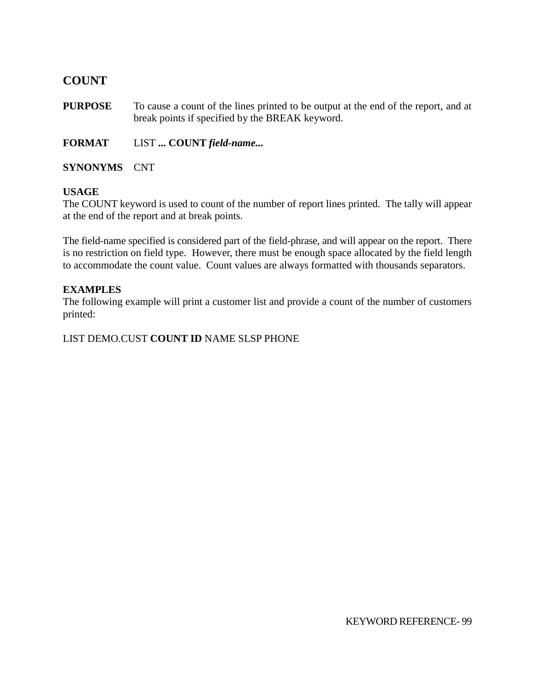### **COUNT**

- **PURPOSE** To cause a count of the lines printed to be output at the end of the report, and at break points if specified by the BREAK keyword.
- **FORMAT** LIST **... COUNT** *field-name...*

**SYNONYMS** CNT

#### **USAGE**

The COUNT keyword is used to count of the number of report lines printed. The tally will appear at the end of the report and at break points.

The field-name specified is considered part of the field-phrase, and will appear on the report. There is no restriction on field type. However, there must be enough space allocated by the field length to accommodate the count value. Count values are always formatted with thousands separators.

#### **EXAMPLES**

The following example will print a customer list and provide a count of the number of customers printed:

LIST DEMO.CUST **COUNT ID** NAME SLSP PHONE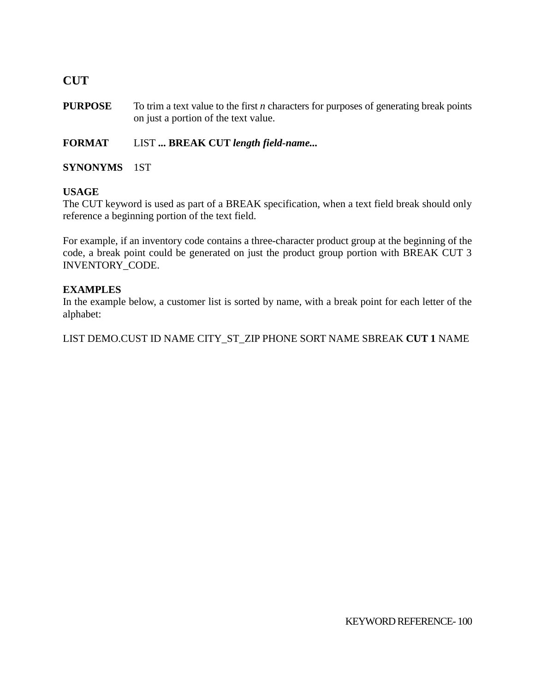### **CUT**

**PURPOSE** To trim a text value to the first *n* characters for purposes of generating break points on just a portion of the text value.

**FORMAT** LIST **... BREAK CUT** *length field-name...*

#### **SYNONYMS** 1ST

#### **USAGE**

The CUT keyword is used as part of a BREAK specification, when a text field break should only reference a beginning portion of the text field.

For example, if an inventory code contains a three-character product group at the beginning of the code, a break point could be generated on just the product group portion with BREAK CUT 3 INVENTORY\_CODE.

#### **EXAMPLES**

In the example below, a customer list is sorted by name, with a break point for each letter of the alphabet:

LIST DEMO.CUST ID NAME CITY\_ST\_ZIP PHONE SORT NAME SBREAK **CUT 1** NAME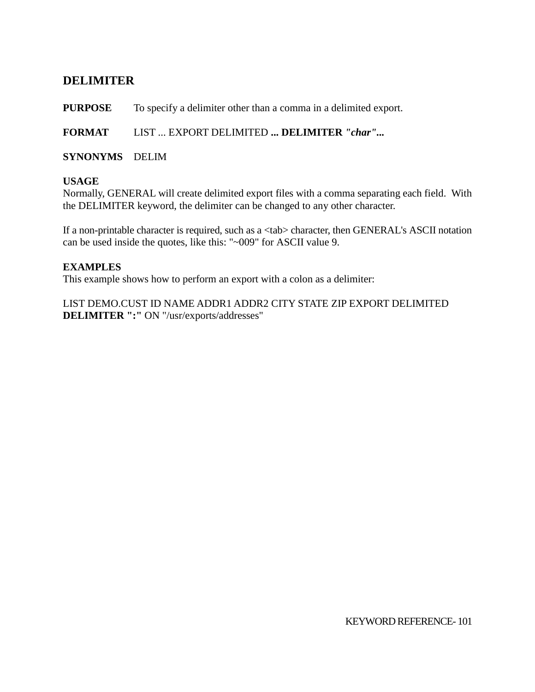### **DELIMITER**

**PURPOSE** To specify a delimiter other than a comma in a delimited export.

**FORMAT** LIST ... EXPORT DELIMITED **... DELIMITER** *"char"...*

**SYNONYMS** DELIM

#### **USAGE**

Normally, GENERAL will create delimited export files with a comma separating each field. With the DELIMITER keyword, the delimiter can be changed to any other character.

If a non-printable character is required, such as a <tab> character, then GENERAL's ASCII notation can be used inside the quotes, like this: "~009" for ASCII value 9.

#### **EXAMPLES**

This example shows how to perform an export with a colon as a delimiter:

LIST DEMO.CUST ID NAME ADDR1 ADDR2 CITY STATE ZIP EXPORT DELIMITED **DELIMITER ":"** ON "/usr/exports/addresses"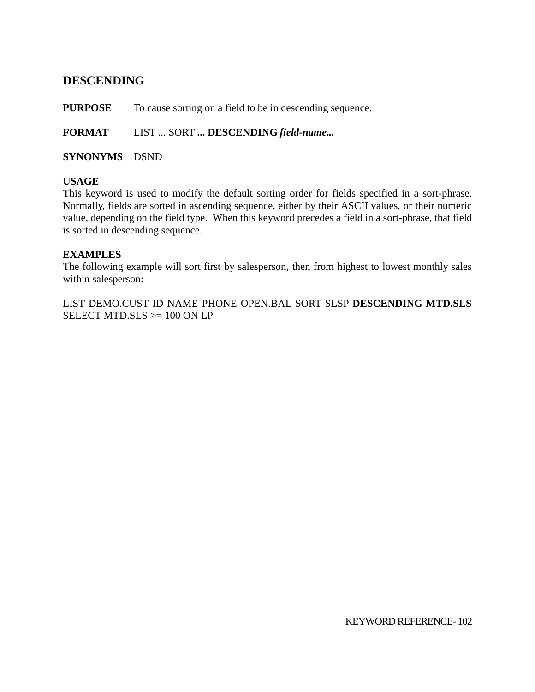### **DESCENDING**

**PURPOSE** To cause sorting on a field to be in descending sequence.

**FORMAT** LIST ... SORT **... DESCENDING** *field-name...*

**SYNONYMS** DSND

#### **USAGE**

This keyword is used to modify the default sorting order for fields specified in a sort-phrase. Normally, fields are sorted in ascending sequence, either by their ASCII values, or their numeric value, depending on the field type. When this keyword precedes a field in a sort-phrase, that field is sorted in descending sequence.

#### **EXAMPLES**

The following example will sort first by salesperson, then from highest to lowest monthly sales within salesperson:

LIST DEMO.CUST ID NAME PHONE OPEN.BAL SORT SLSP **DESCENDING MTD.SLS** SELECT MTD.SLS  $>= 100$  ON LP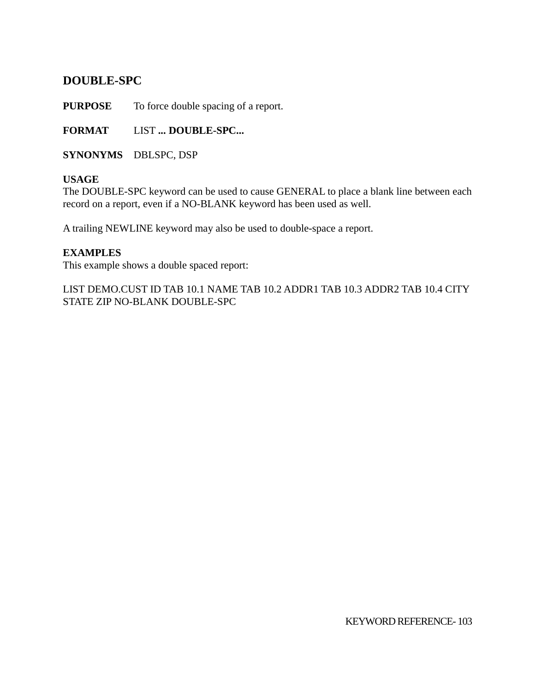### **DOUBLE-SPC**

**PURPOSE** To force double spacing of a report.

**FORMAT** LIST **... DOUBLE-SPC...**

**SYNONYMS** DBLSPC, DSP

#### **USAGE**

The DOUBLE-SPC keyword can be used to cause GENERAL to place a blank line between each record on a report, even if a NO-BLANK keyword has been used as well.

A trailing NEWLINE keyword may also be used to double-space a report.

#### **EXAMPLES**

This example shows a double spaced report:

LIST DEMO.CUST ID TAB 10.1 NAME TAB 10.2 ADDR1 TAB 10.3 ADDR2 TAB 10.4 CITY STATE ZIP NO-BLANK DOUBLE-SPC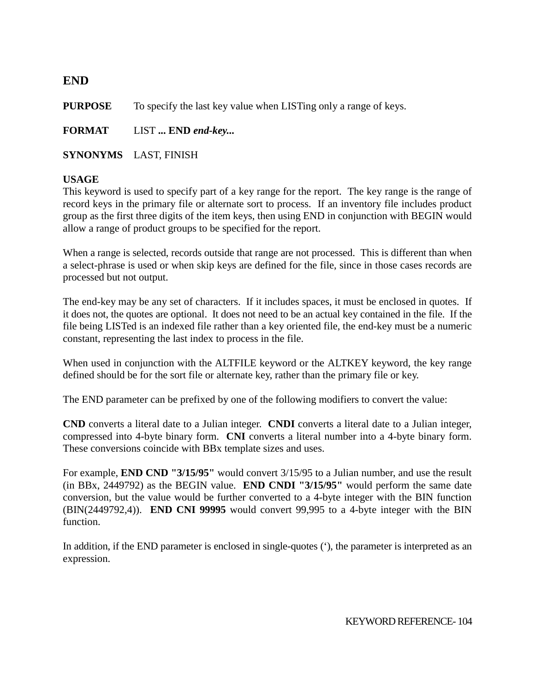### **END**

**PURPOSE** To specify the last key value when LISTing only a range of keys.

**FORMAT** LIST **... END** *end-key...*

**SYNONYMS** LAST, FINISH

#### **USAGE**

This keyword is used to specify part of a key range for the report. The key range is the range of record keys in the primary file or alternate sort to process. If an inventory file includes product group as the first three digits of the item keys, then using END in conjunction with BEGIN would allow a range of product groups to be specified for the report.

When a range is selected, records outside that range are not processed. This is different than when a select-phrase is used or when skip keys are defined for the file, since in those cases records are processed but not output.

The end-key may be any set of characters. If it includes spaces, it must be enclosed in quotes. If it does not, the quotes are optional. It does not need to be an actual key contained in the file. If the file being LISTed is an indexed file rather than a key oriented file, the end-key must be a numeric constant, representing the last index to process in the file.

When used in conjunction with the ALTFILE keyword or the ALTKEY keyword, the key range defined should be for the sort file or alternate key, rather than the primary file or key.

The END parameter can be prefixed by one of the following modifiers to convert the value:

**CND** converts a literal date to a Julian integer. **CNDI** converts a literal date to a Julian integer, compressed into 4-byte binary form. **CNI** converts a literal number into a 4-byte binary form. These conversions coincide with BBx template sizes and uses.

For example, **END CND "3/15/95"** would convert 3/15/95 to a Julian number, and use the result (in BBx, 2449792) as the BEGIN value. **END CNDI "3/15/95"** would perform the same date conversion, but the value would be further converted to a 4-byte integer with the BIN function (BIN(2449792,4)). **END CNI 99995** would convert 99,995 to a 4-byte integer with the BIN function.

In addition, if the END parameter is enclosed in single-quotes ('), the parameter is interpreted as an expression.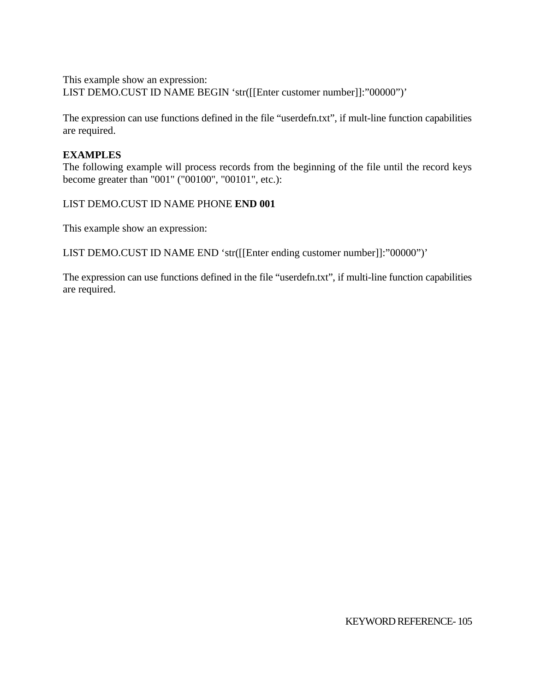This example show an expression: LIST DEMO.CUST ID NAME BEGIN 'str([[Enter customer number]]:"00000")'

The expression can use functions defined in the file "userdefn.txt", if mult-line function capabilities are required.

#### **EXAMPLES**

The following example will process records from the beginning of the file until the record keys become greater than "001" ("00100", "00101", etc.):

#### LIST DEMO.CUST ID NAME PHONE **END 001**

This example show an expression:

LIST DEMO.CUST ID NAME END 'str([[Enter ending customer number]]:"00000")'

The expression can use functions defined in the file "userdefn.txt", if multi-line function capabilities are required.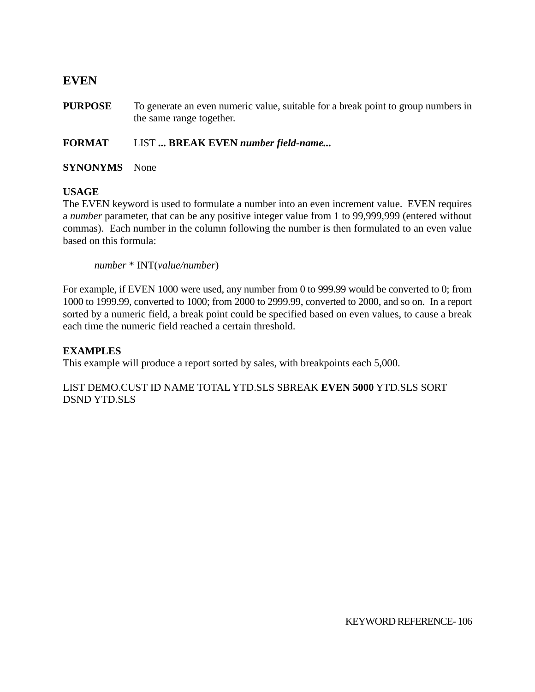### **EVEN**

**PURPOSE** To generate an even numeric value, suitable for a break point to group numbers in the same range together.

#### **FORMAT** LIST **... BREAK EVEN** *number field-name...*

#### **SYNONYMS** None

#### **USAGE**

The EVEN keyword is used to formulate a number into an even increment value. EVEN requires a *number* parameter, that can be any positive integer value from 1 to 99,999,999 (entered without commas). Each number in the column following the number is then formulated to an even value based on this formula:

*number* \* INT(*value/number*)

For example, if EVEN 1000 were used, any number from 0 to 999.99 would be converted to 0; from 1000 to 1999.99, converted to 1000; from 2000 to 2999.99, converted to 2000, and so on. In a report sorted by a numeric field, a break point could be specified based on even values, to cause a break each time the numeric field reached a certain threshold.

#### **EXAMPLES**

This example will produce a report sorted by sales, with breakpoints each 5,000.

#### LIST DEMO.CUST ID NAME TOTAL YTD.SLS SBREAK **EVEN 5000** YTD.SLS SORT DSND YTD.SLS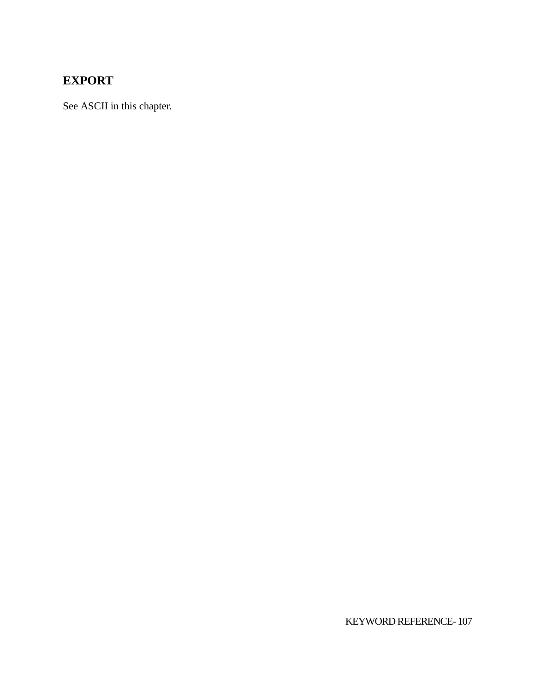### **EXPORT**

See ASCII in this chapter.

KEYWORD REFERENCE- 107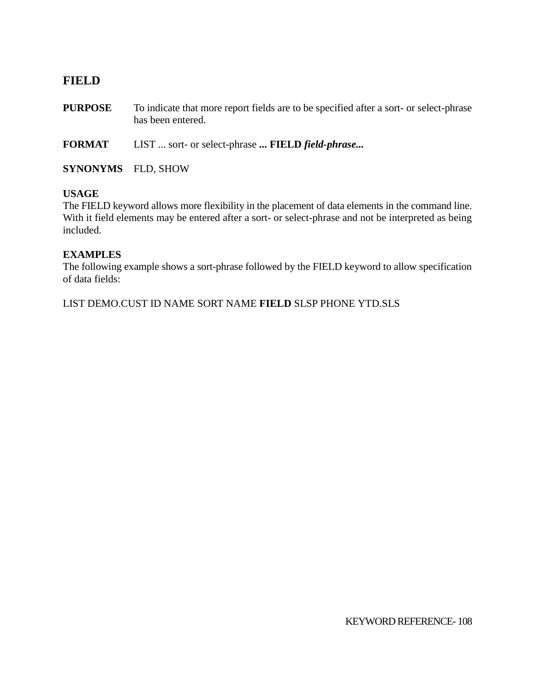### **FIELD**

- **PURPOSE** To indicate that more report fields are to be specified after a sort- or select-phrase has been entered.
- **FORMAT** LIST ... sort- or select-phrase **... FIELD** *field-phrase...*

#### **SYNONYMS** FLD, SHOW

#### **USAGE**

The FIELD keyword allows more flexibility in the placement of data elements in the command line. With it field elements may be entered after a sort- or select-phrase and not be interpreted as being included.

#### **EXAMPLES**

The following example shows a sort-phrase followed by the FIELD keyword to allow specification of data fields:

LIST DEMO.CUST ID NAME SORT NAME **FIELD** SLSP PHONE YTD.SLS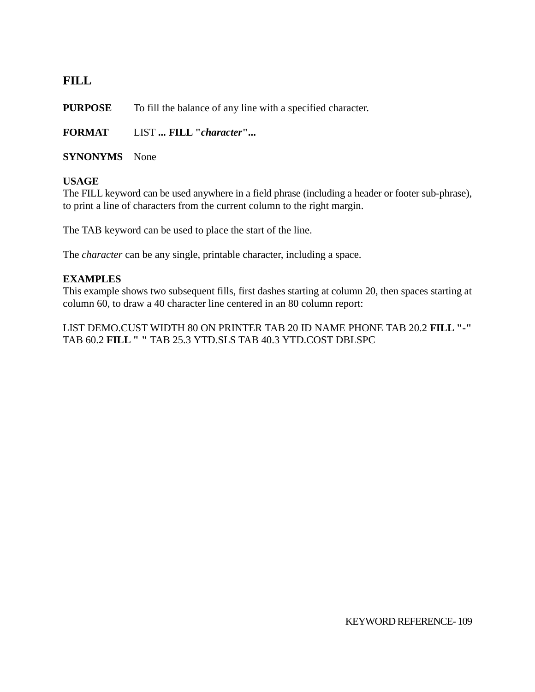### **FILL**

**PURPOSE** To fill the balance of any line with a specified character.

**FORMAT** LIST **... FILL "***character***"...**

**SYNONYMS** None

### **USAGE**

The FILL keyword can be used anywhere in a field phrase (including a header or footer sub-phrase), to print a line of characters from the current column to the right margin.

The TAB keyword can be used to place the start of the line.

The *character* can be any single, printable character, including a space.

### **EXAMPLES**

This example shows two subsequent fills, first dashes starting at column 20, then spaces starting at column 60, to draw a 40 character line centered in an 80 column report:

LIST DEMO.CUST WIDTH 80 ON PRINTER TAB 20 ID NAME PHONE TAB 20.2 **FILL "-"** TAB 60.2 **FILL " "** TAB 25.3 YTD.SLS TAB 40.3 YTD.COST DBLSPC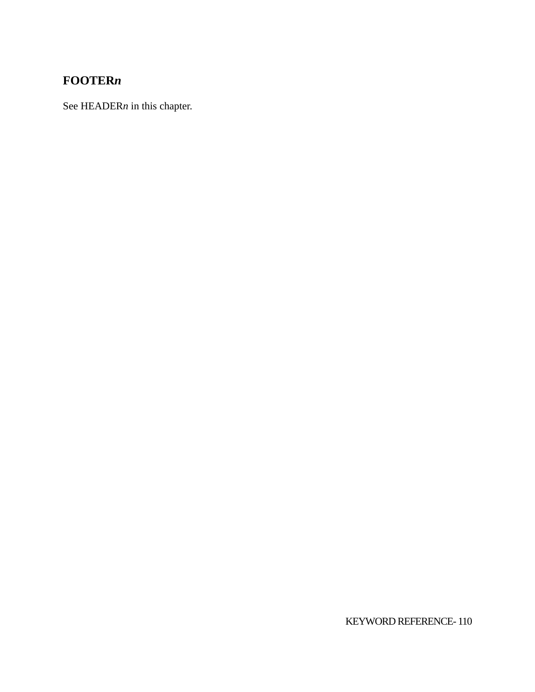## **FOOTER***n*

See HEADER*n* in this chapter.

KEYWORD REFERENCE- 110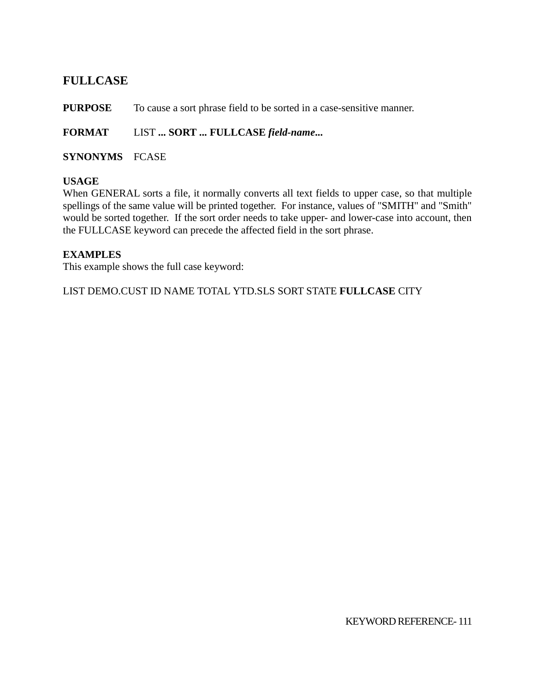### **FULLCASE**

**PURPOSE** To cause a sort phrase field to be sorted in a case-sensitive manner.

**FORMAT** LIST **... SORT ... FULLCASE** *field-name***...**

**SYNONYMS** FCASE

### **USAGE**

When GENERAL sorts a file, it normally converts all text fields to upper case, so that multiple spellings of the same value will be printed together. For instance, values of "SMITH" and "Smith" would be sorted together. If the sort order needs to take upper- and lower-case into account, then the FULLCASE keyword can precede the affected field in the sort phrase.

### **EXAMPLES**

This example shows the full case keyword:

LIST DEMO.CUST ID NAME TOTAL YTD.SLS SORT STATE **FULLCASE** CITY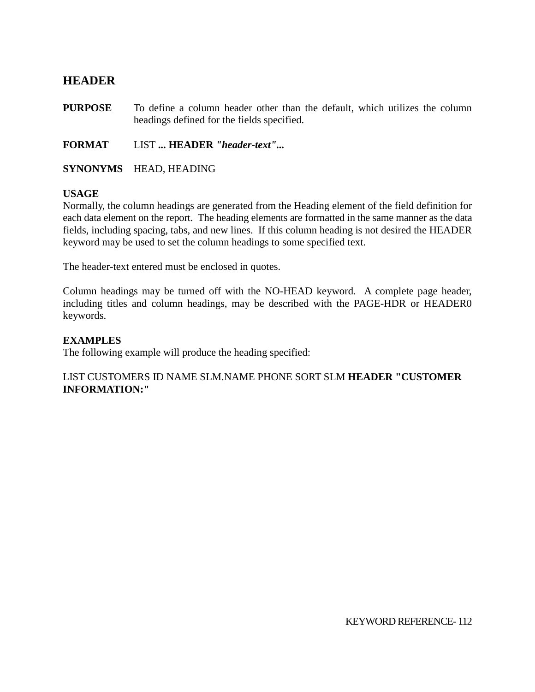### **HEADER**

**PURPOSE** To define a column header other than the default, which utilizes the column headings defined for the fields specified.

**FORMAT** LIST **... HEADER** *"header-text"...*

**SYNONYMS** HEAD, HEADING

### **USAGE**

Normally, the column headings are generated from the Heading element of the field definition for each data element on the report. The heading elements are formatted in the same manner as the data fields, including spacing, tabs, and new lines. If this column heading is not desired the HEADER keyword may be used to set the column headings to some specified text.

The header-text entered must be enclosed in quotes.

Column headings may be turned off with the NO-HEAD keyword. A complete page header, including titles and column headings, may be described with the PAGE-HDR or HEADER0 keywords.

### **EXAMPLES**

The following example will produce the heading specified:

### LIST CUSTOMERS ID NAME SLM.NAME PHONE SORT SLM **HEADER "CUSTOMER INFORMATION:"**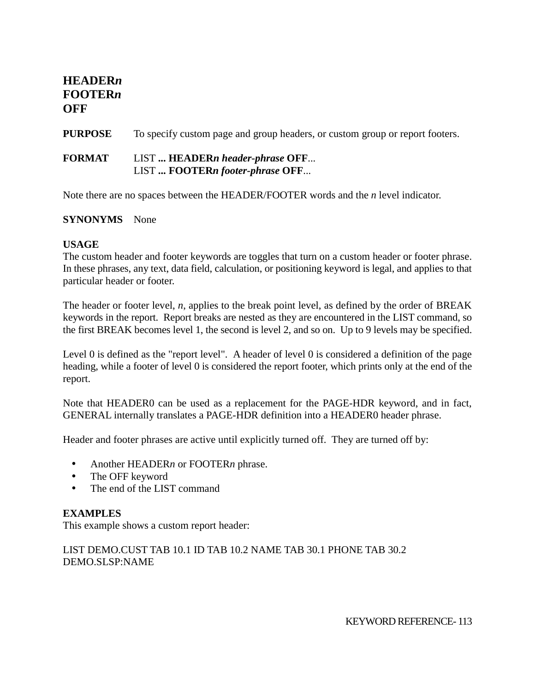### **HEADER***n* **FOOTER***n* **OFF**

**PURPOSE** To specify custom page and group headers, or custom group or report footers.

**FORMAT** LIST **... HEADER***n header-phrase* **OFF**... LIST **... FOOTER***n footer-phrase* **OFF**...

Note there are no spaces between the HEADER/FOOTER words and the *n* level indicator.

### **SYNONYMS** None

### **USAGE**

The custom header and footer keywords are toggles that turn on a custom header or footer phrase. In these phrases, any text, data field, calculation, or positioning keyword is legal, and applies to that particular header or footer.

The header or footer level, *n*, applies to the break point level, as defined by the order of BREAK keywords in the report. Report breaks are nested as they are encountered in the LIST command, so the first BREAK becomes level 1, the second is level 2, and so on. Up to 9 levels may be specified.

Level 0 is defined as the "report level". A header of level 0 is considered a definition of the page heading, while a footer of level 0 is considered the report footer, which prints only at the end of the report.

Note that HEADER0 can be used as a replacement for the PAGE-HDR keyword, and in fact, GENERAL internally translates a PAGE-HDR definition into a HEADER0 header phrase.

Header and footer phrases are active until explicitly turned off. They are turned off by:

- Another HEADER*n* or FOOTER*n* phrase.
- The OFF keyword
- The end of the LIST command

### **EXAMPLES**

This example shows a custom report header:

LIST DEMO.CUST TAB 10.1 ID TAB 10.2 NAME TAB 30.1 PHONE TAB 30.2 DEMO.SLSP:NAME

KEYWORD REFERENCE- 113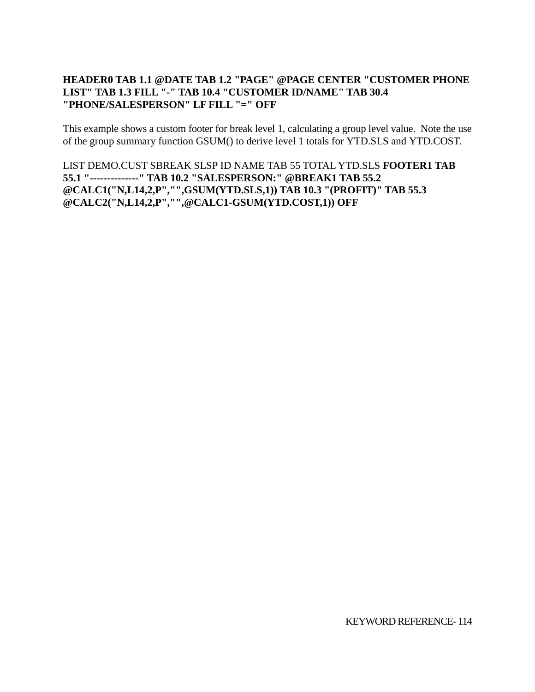### **HEADER0 TAB 1.1 @DATE TAB 1.2 "PAGE" @PAGE CENTER "CUSTOMER PHONE LIST" TAB 1.3 FILL "-" TAB 10.4 "CUSTOMER ID/NAME" TAB 30.4 "PHONE/SALESPERSON" LF FILL "=" OFF**

This example shows a custom footer for break level 1, calculating a group level value. Note the use of the group summary function GSUM() to derive level 1 totals for YTD.SLS and YTD.COST.

LIST DEMO.CUST SBREAK SLSP ID NAME TAB 55 TOTAL YTD.SLS **FOOTER1 TAB 55.1 "--------------" TAB 10.2 "SALESPERSON:" @BREAK1 TAB 55.2 @CALC1("N,L14,2,P","",GSUM(YTD.SLS,1)) TAB 10.3 "(PROFIT)" TAB 55.3 @CALC2("N,L14,2,P","",@CALC1-GSUM(YTD.COST,1)) OFF**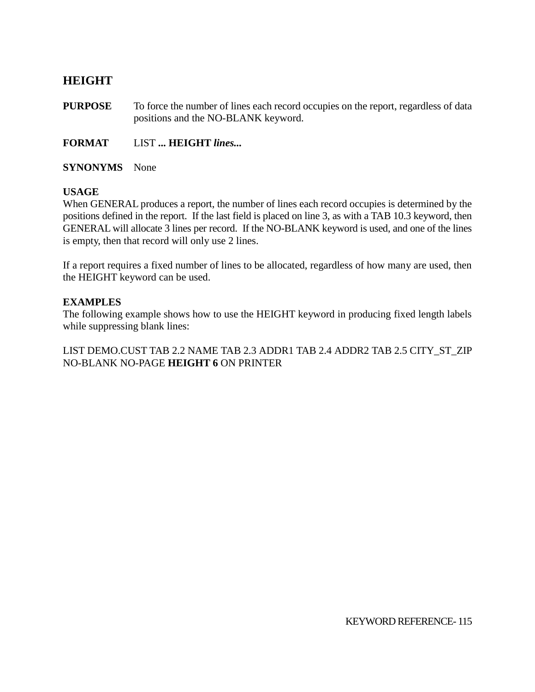### **HEIGHT**

**PURPOSE** To force the number of lines each record occupies on the report, regardless of data positions and the NO-BLANK keyword.

**FORMAT** LIST **... HEIGHT** *lines...*

### **SYNONYMS** None

### **USAGE**

When GENERAL produces a report, the number of lines each record occupies is determined by the positions defined in the report. If the last field is placed on line 3, as with a TAB 10.3 keyword, then GENERAL will allocate 3 lines per record. If the NO-BLANK keyword is used, and one of the lines is empty, then that record will only use 2 lines.

If a report requires a fixed number of lines to be allocated, regardless of how many are used, then the HEIGHT keyword can be used.

### **EXAMPLES**

The following example shows how to use the HEIGHT keyword in producing fixed length labels while suppressing blank lines:

LIST DEMO.CUST TAB 2.2 NAME TAB 2.3 ADDR1 TAB 2.4 ADDR2 TAB 2.5 CITY\_ST\_ZIP NO-BLANK NO-PAGE **HEIGHT 6** ON PRINTER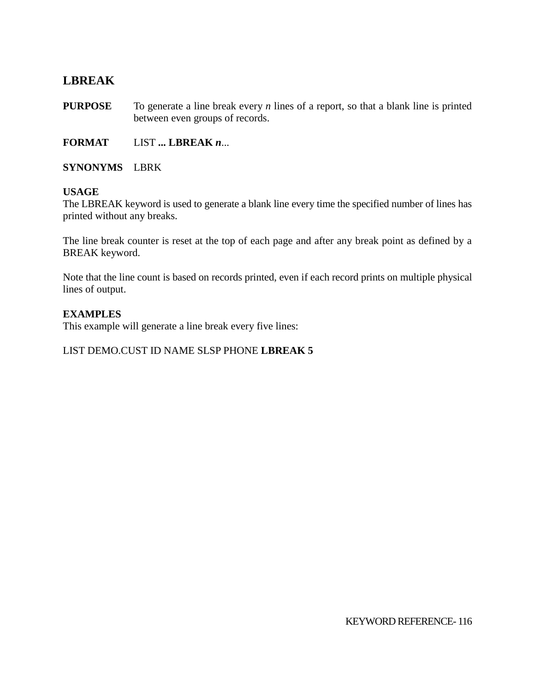### **LBREAK**

- **PURPOSE** To generate a line break every *n* lines of a report, so that a blank line is printed between even groups of records.
- **FORMAT** LIST **... LBREAK** *n*...

### **SYNONYMS** LBRK

### **USAGE**

The LBREAK keyword is used to generate a blank line every time the specified number of lines has printed without any breaks.

The line break counter is reset at the top of each page and after any break point as defined by a BREAK keyword.

Note that the line count is based on records printed, even if each record prints on multiple physical lines of output.

### **EXAMPLES**

This example will generate a line break every five lines:

### LIST DEMO.CUST ID NAME SLSP PHONE **LBREAK 5**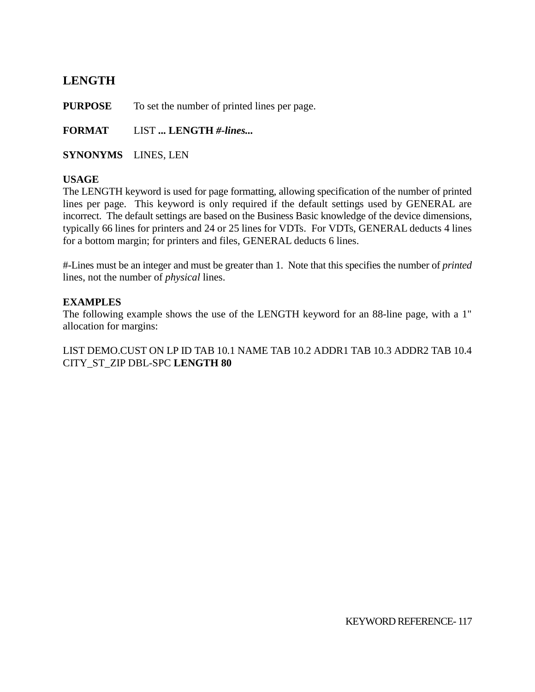### **LENGTH**

**PURPOSE** To set the number of printed lines per page.

**FORMAT** LIST **... LENGTH** *#-lines...*

**SYNONYMS** LINES, LEN

### **USAGE**

The LENGTH keyword is used for page formatting, allowing specification of the number of printed lines per page. This keyword is only required if the default settings used by GENERAL are incorrect. The default settings are based on the Business Basic knowledge of the device dimensions, typically 66 lines for printers and 24 or 25 lines for VDTs. For VDTs, GENERAL deducts 4 lines for a bottom margin; for printers and files, GENERAL deducts 6 lines.

#-Lines must be an integer and must be greater than 1. Note that this specifies the number of *printed* lines, not the number of *physical* lines.

### **EXAMPLES**

The following example shows the use of the LENGTH keyword for an 88-line page, with a 1" allocation for margins:

LIST DEMO.CUST ON LP ID TAB 10.1 NAME TAB 10.2 ADDR1 TAB 10.3 ADDR2 TAB 10.4 CITY\_ST\_ZIP DBL-SPC **LENGTH 80**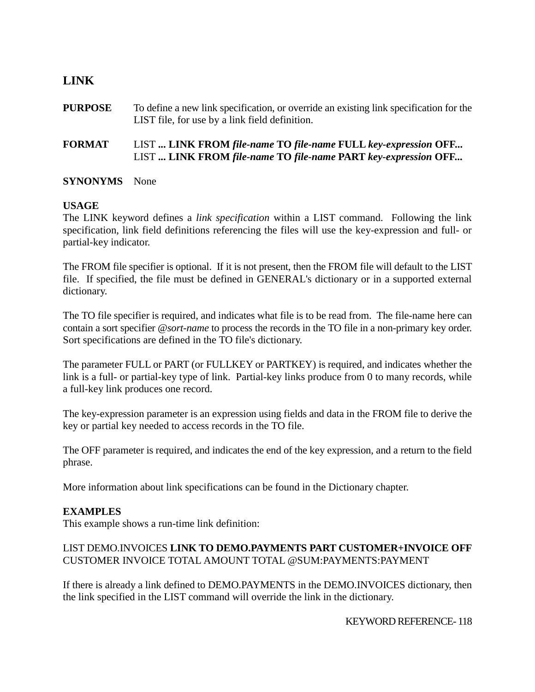### **LINK**

**PURPOSE** To define a new link specification, or override an existing link specification for the LIST file, for use by a link field definition.

### **FORMAT** LIST **... LINK FROM** *file-name* **TO** *file-name* **FULL** *key-expression* **OFF...** LIST **... LINK FROM** *file-name* **TO** *file-name* **PART** *key-expression* **OFF...**

### **SYNONYMS** None

### **USAGE**

The LINK keyword defines a *link specification* within a LIST command. Following the link specification, link field definitions referencing the files will use the key-expression and full- or partial-key indicator.

The FROM file specifier is optional. If it is not present, then the FROM file will default to the LIST file. If specified, the file must be defined in GENERAL's dictionary or in a supported external dictionary.

The TO file specifier is required, and indicates what file is to be read from. The file-name here can contain a sort specifier @*sort-name* to process the records in the TO file in a non-primary key order. Sort specifications are defined in the TO file's dictionary.

The parameter FULL or PART (or FULLKEY or PARTKEY) is required, and indicates whether the link is a full- or partial-key type of link. Partial-key links produce from 0 to many records, while a full-key link produces one record.

The key-expression parameter is an expression using fields and data in the FROM file to derive the key or partial key needed to access records in the TO file.

The OFF parameter is required, and indicates the end of the key expression, and a return to the field phrase.

More information about link specifications can be found in the Dictionary chapter.

### **EXAMPLES**

This example shows a run-time link definition:

### LIST DEMO.INVOICES **LINK TO DEMO.PAYMENTS PART CUSTOMER+INVOICE OFF** CUSTOMER INVOICE TOTAL AMOUNT TOTAL @SUM:PAYMENTS:PAYMENT

If there is already a link defined to DEMO.PAYMENTS in the DEMO.INVOICES dictionary, then the link specified in the LIST command will override the link in the dictionary.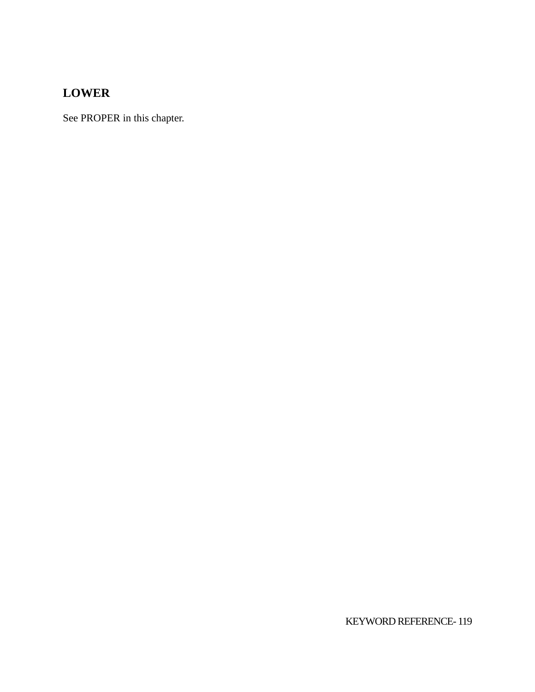## **LOWER**

See PROPER in this chapter.

KEYWORD REFERENCE- 119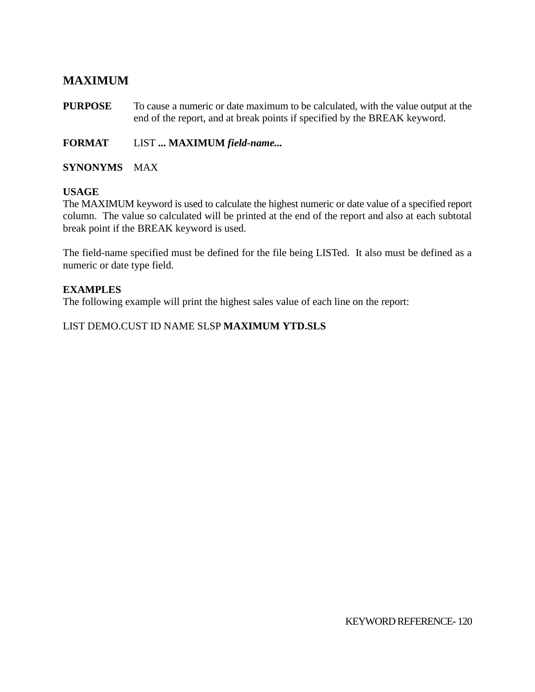### **MAXIMUM**

**PURPOSE** To cause a numeric or date maximum to be calculated, with the value output at the end of the report, and at break points if specified by the BREAK keyword.

**FORMAT** LIST **... MAXIMUM** *field-name...*

**SYNONYMS** MAX

### **USAGE**

The MAXIMUM keyword is used to calculate the highest numeric or date value of a specified report column. The value so calculated will be printed at the end of the report and also at each subtotal break point if the BREAK keyword is used.

The field-name specified must be defined for the file being LISTed. It also must be defined as a numeric or date type field.

### **EXAMPLES**

The following example will print the highest sales value of each line on the report:

### LIST DEMO.CUST ID NAME SLSP **MAXIMUM YTD.SLS**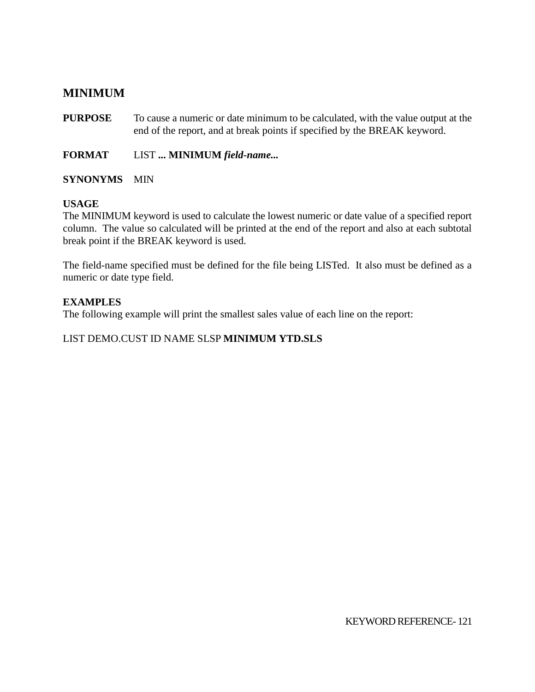### **MINIMUM**

**PURPOSE** To cause a numeric or date minimum to be calculated, with the value output at the end of the report, and at break points if specified by the BREAK keyword.

**FORMAT** LIST **... MINIMUM** *field-name...*

### **SYNONYMS** MIN

### **USAGE**

The MINIMUM keyword is used to calculate the lowest numeric or date value of a specified report column. The value so calculated will be printed at the end of the report and also at each subtotal break point if the BREAK keyword is used.

The field-name specified must be defined for the file being LISTed. It also must be defined as a numeric or date type field.

#### **EXAMPLES**

The following example will print the smallest sales value of each line on the report:

### LIST DEMO.CUST ID NAME SLSP **MINIMUM YTD.SLS**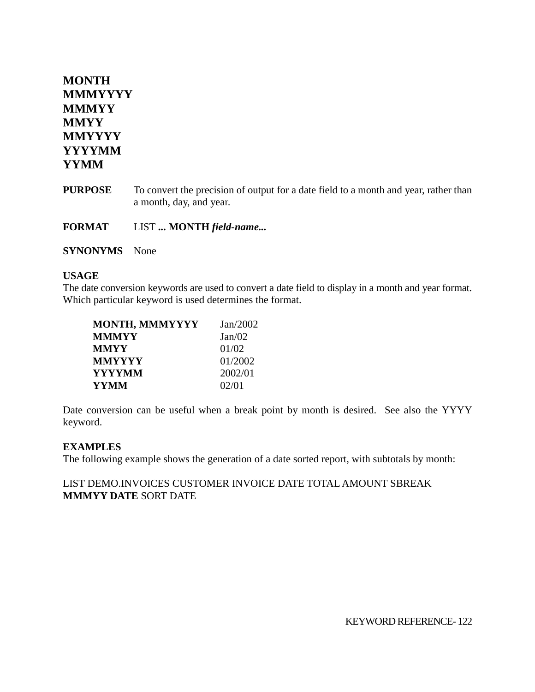### **MONTH MMMYYYY MMMYY MMYY MMYYYY YYYYMM YYMM**

**PURPOSE** To convert the precision of output for a date field to a month and year, rather than a month, day, and year.

**FORMAT** LIST **... MONTH** *field-name...*

**SYNONYMS** None

### **USAGE**

The date conversion keywords are used to convert a date field to display in a month and year format. Which particular keyword is used determines the format.

| <b>MONTH, MMMYYYY</b> | Jan/2002 |
|-----------------------|----------|
| <b>MMMYY</b>          | Jan/02   |
| <b>MMYY</b>           | 01/02    |
| <b>MMYYYY</b>         | 01/2002  |
| <b>YYYYMM</b>         | 2002/01  |
| <b>YYMM</b>           | 02/01    |

Date conversion can be useful when a break point by month is desired. See also the YYYY keyword.

### **EXAMPLES**

The following example shows the generation of a date sorted report, with subtotals by month:

LIST DEMO.INVOICES CUSTOMER INVOICE DATE TOTAL AMOUNT SBREAK **MMMYY DATE** SORT DATE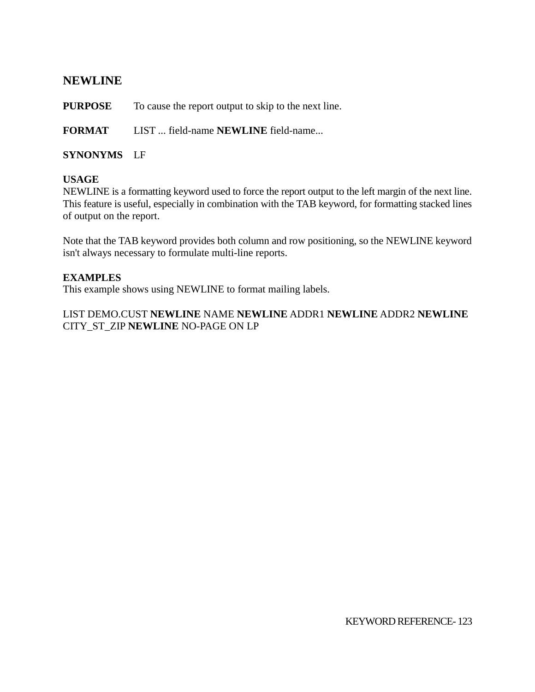### **NEWLINE**

- **PURPOSE** To cause the report output to skip to the next line.
- **FORMAT** LIST ... field-name **NEWLINE** field-name...

### **SYNONYMS** LF

### **USAGE**

NEWLINE is a formatting keyword used to force the report output to the left margin of the next line. This feature is useful, especially in combination with the TAB keyword, for formatting stacked lines of output on the report.

Note that the TAB keyword provides both column and row positioning, so the NEWLINE keyword isn't always necessary to formulate multi-line reports.

### **EXAMPLES**

This example shows using NEWLINE to format mailing labels.

LIST DEMO.CUST **NEWLINE** NAME **NEWLINE** ADDR1 **NEWLINE** ADDR2 **NEWLINE** CITY\_ST\_ZIP **NEWLINE** NO-PAGE ON LP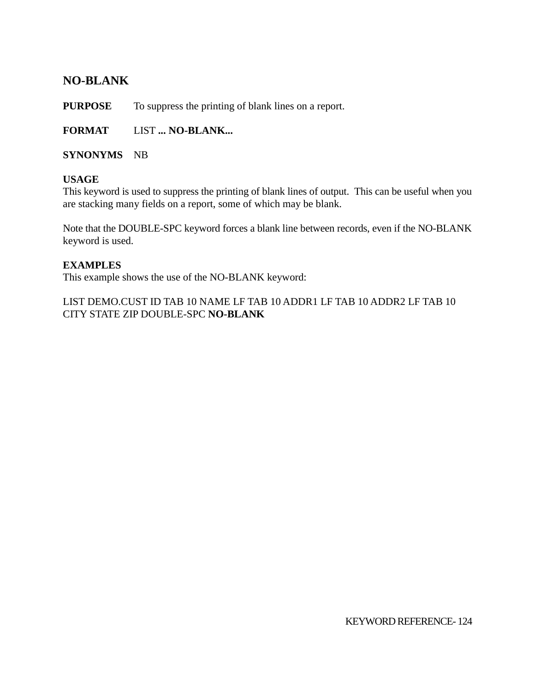### **NO-BLANK**

**PURPOSE** To suppress the printing of blank lines on a report.

**FORMAT** LIST **... NO-BLANK...**

**SYNONYMS** NB

### **USAGE**

This keyword is used to suppress the printing of blank lines of output. This can be useful when you are stacking many fields on a report, some of which may be blank.

Note that the DOUBLE-SPC keyword forces a blank line between records, even if the NO-BLANK keyword is used.

### **EXAMPLES**

This example shows the use of the NO-BLANK keyword:

LIST DEMO.CUST ID TAB 10 NAME LF TAB 10 ADDR1 LF TAB 10 ADDR2 LF TAB 10 CITY STATE ZIP DOUBLE-SPC **NO-BLANK**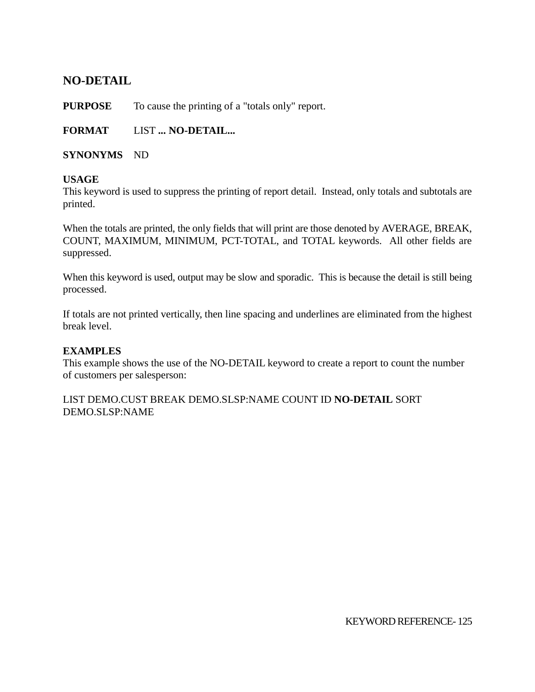### **NO-DETAIL**

**PURPOSE** To cause the printing of a "totals only" report.

**FORMAT** LIST **... NO-DETAIL...**

**SYNONYMS** ND

### **USAGE**

This keyword is used to suppress the printing of report detail. Instead, only totals and subtotals are printed.

When the totals are printed, the only fields that will print are those denoted by AVERAGE, BREAK, COUNT, MAXIMUM, MINIMUM, PCT-TOTAL, and TOTAL keywords. All other fields are suppressed.

When this keyword is used, output may be slow and sporadic. This is because the detail is still being processed.

If totals are not printed vertically, then line spacing and underlines are eliminated from the highest break level.

### **EXAMPLES**

This example shows the use of the NO-DETAIL keyword to create a report to count the number of customers per salesperson:

LIST DEMO.CUST BREAK DEMO.SLSP:NAME COUNT ID **NO-DETAIL** SORT DEMO.SLSP:NAME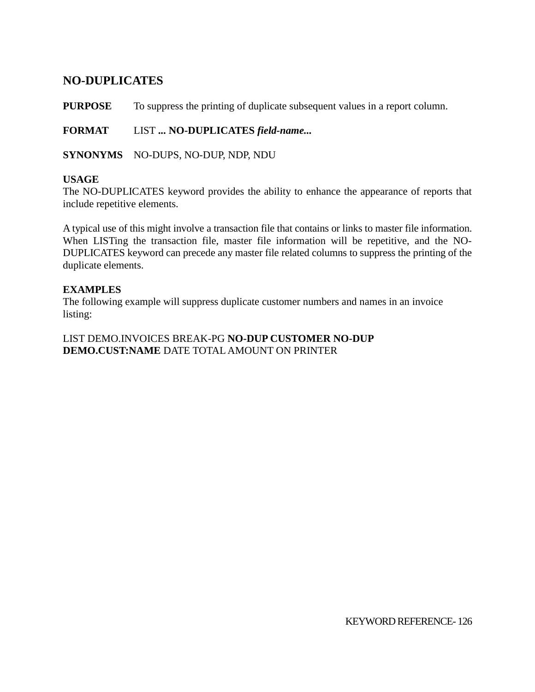### **NO-DUPLICATES**

**PURPOSE** To suppress the printing of duplicate subsequent values in a report column.

**FORMAT** LIST **... NO-DUPLICATES** *field-name...*

**SYNONYMS** NO-DUPS, NO-DUP, NDP, NDU

### **USAGE**

The NO-DUPLICATES keyword provides the ability to enhance the appearance of reports that include repetitive elements.

A typical use of this might involve a transaction file that contains or links to master file information. When LISTing the transaction file, master file information will be repetitive, and the NO-DUPLICATES keyword can precede any master file related columns to suppress the printing of the duplicate elements.

### **EXAMPLES**

The following example will suppress duplicate customer numbers and names in an invoice listing:

LIST DEMO.INVOICES BREAK-PG **NO-DUP CUSTOMER NO-DUP DEMO.CUST:NAME** DATE TOTAL AMOUNT ON PRINTER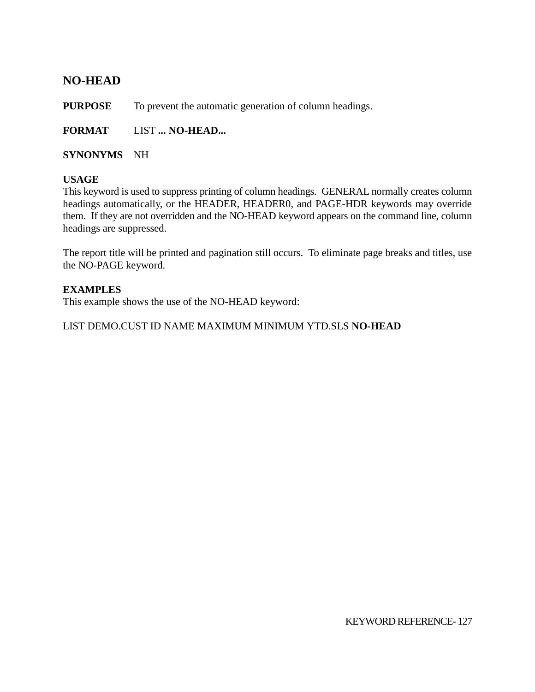### **NO-HEAD**

- **PURPOSE** To prevent the automatic generation of column headings.
- **FORMAT** LIST **... NO-HEAD...**

**SYNONYMS** NH

### **USAGE**

This keyword is used to suppress printing of column headings. GENERAL normally creates column headings automatically, or the HEADER, HEADER0, and PAGE-HDR keywords may override them. If they are not overridden and the NO-HEAD keyword appears on the command line, column headings are suppressed.

The report title will be printed and pagination still occurs. To eliminate page breaks and titles, use the NO-PAGE keyword.

### **EXAMPLES**

This example shows the use of the NO-HEAD keyword:

LIST DEMO.CUST ID NAME MAXIMUM MINIMUM YTD.SLS **NO-HEAD**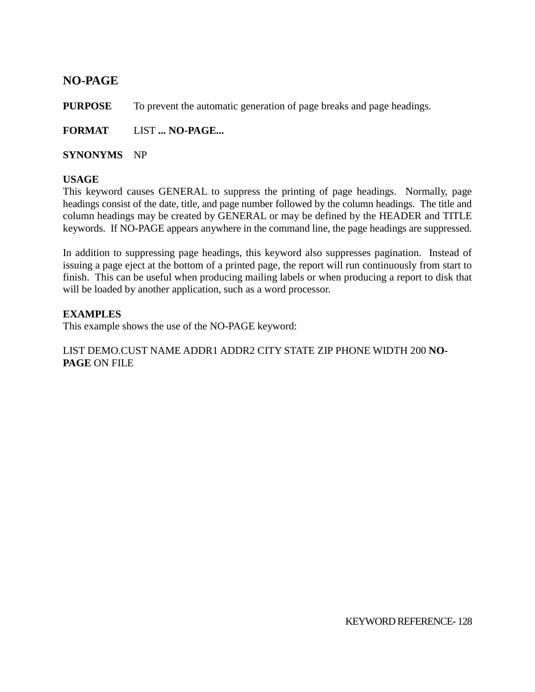### **NO-PAGE**

**PURPOSE** To prevent the automatic generation of page breaks and page headings.

**FORMAT** LIST **... NO-PAGE...**

### **SYNONYMS** NP

### **USAGE**

This keyword causes GENERAL to suppress the printing of page headings. Normally, page headings consist of the date, title, and page number followed by the column headings. The title and column headings may be created by GENERAL or may be defined by the HEADER and TITLE keywords. If NO-PAGE appears anywhere in the command line, the page headings are suppressed.

In addition to suppressing page headings, this keyword also suppresses pagination. Instead of issuing a page eject at the bottom of a printed page, the report will run continuously from start to finish. This can be useful when producing mailing labels or when producing a report to disk that will be loaded by another application, such as a word processor.

### **EXAMPLES**

This example shows the use of the NO-PAGE keyword:

### LIST DEMO.CUST NAME ADDR1 ADDR2 CITY STATE ZIP PHONE WIDTH 200 **NO-PAGE** ON FILE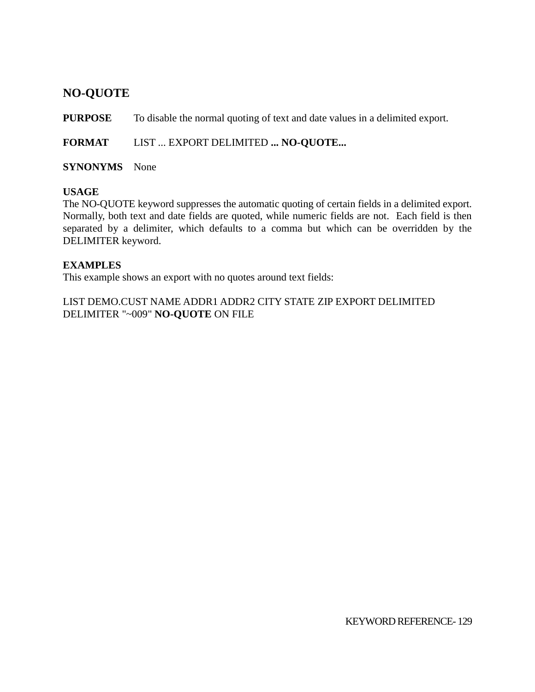### **NO-QUOTE**

**PURPOSE** To disable the normal quoting of text and date values in a delimited export.

**FORMAT** LIST ... EXPORT DELIMITED **... NO-QUOTE...**

**SYNONYMS** None

#### **USAGE**

The NO-QUOTE keyword suppresses the automatic quoting of certain fields in a delimited export. Normally, both text and date fields are quoted, while numeric fields are not. Each field is then separated by a delimiter, which defaults to a comma but which can be overridden by the DELIMITER keyword.

### **EXAMPLES**

This example shows an export with no quotes around text fields:

LIST DEMO.CUST NAME ADDR1 ADDR2 CITY STATE ZIP EXPORT DELIMITED DELIMITER "~009" **NO-QUOTE** ON FILE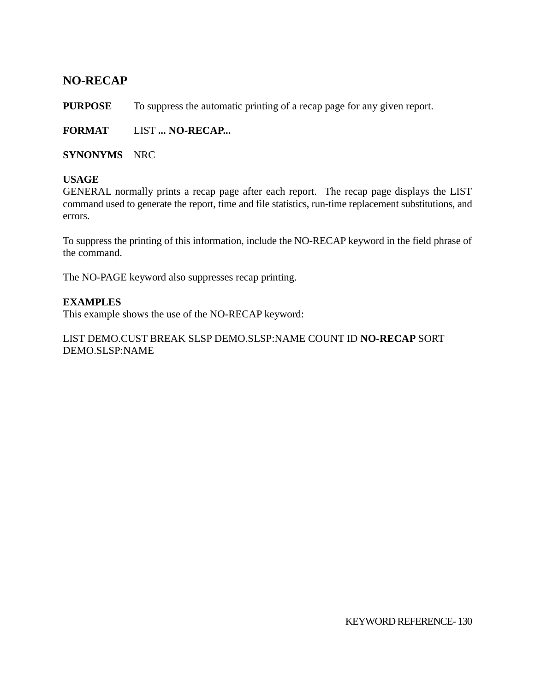### **NO-RECAP**

- **PURPOSE** To suppress the automatic printing of a recap page for any given report.
- **FORMAT** LIST **... NO-RECAP...**

**SYNONYMS** NRC

### **USAGE**

GENERAL normally prints a recap page after each report. The recap page displays the LIST command used to generate the report, time and file statistics, run-time replacement substitutions, and errors.

To suppress the printing of this information, include the NO-RECAP keyword in the field phrase of the command.

The NO-PAGE keyword also suppresses recap printing.

### **EXAMPLES**

This example shows the use of the NO-RECAP keyword:

LIST DEMO.CUST BREAK SLSP DEMO.SLSP:NAME COUNT ID **NO-RECAP** SORT DEMO.SLSP:NAME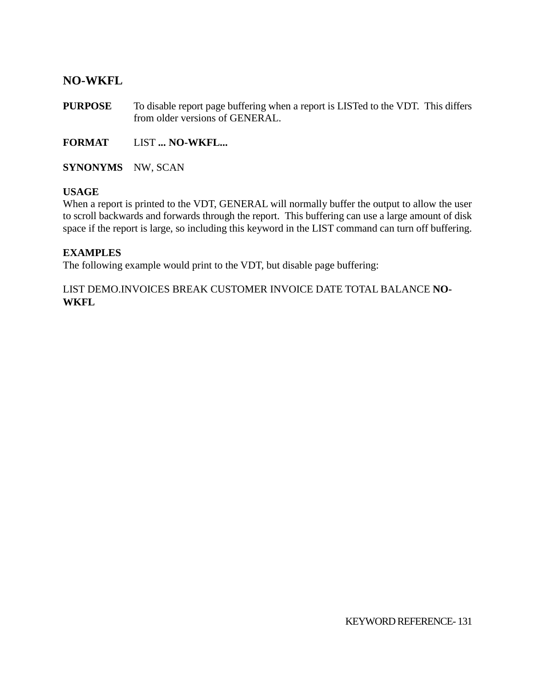### **NO-WKFL**

**PURPOSE** To disable report page buffering when a report is LISTed to the VDT. This differs from older versions of GENERAL.

**FORMAT** LIST **... NO-WKFL...**

**SYNONYMS** NW, SCAN

### **USAGE**

When a report is printed to the VDT, GENERAL will normally buffer the output to allow the user to scroll backwards and forwards through the report. This buffering can use a large amount of disk space if the report is large, so including this keyword in the LIST command can turn off buffering.

### **EXAMPLES**

The following example would print to the VDT, but disable page buffering:

### LIST DEMO.INVOICES BREAK CUSTOMER INVOICE DATE TOTAL BALANCE **NO-WKFL**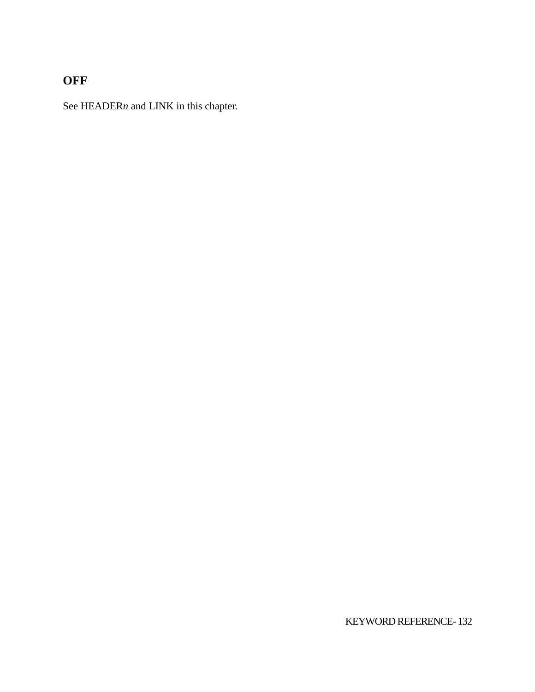# **OFF**

See HEADER*n* and LINK in this chapter.

KEYWORD REFERENCE- 132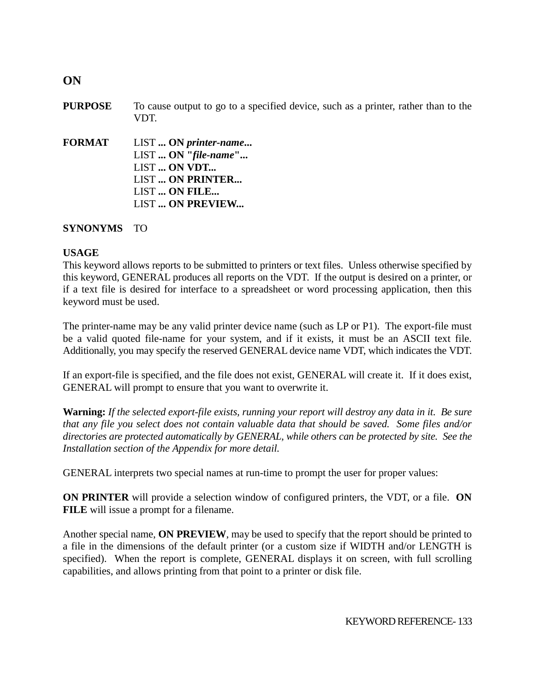### **ON**

- **PURPOSE** To cause output to go to a specified device, such as a printer, rather than to the VDT.
- **FORMAT** LIST **... ON** *printer-name***...** LIST **... ON "***file-name***"...** LIST **... ON VDT...** LIST **... ON PRINTER...** LIST **... ON FILE...** LIST **... ON PREVIEW...**

### **SYNONYMS** TO

### **USAGE**

This keyword allows reports to be submitted to printers or text files. Unless otherwise specified by this keyword, GENERAL produces all reports on the VDT. If the output is desired on a printer, or if a text file is desired for interface to a spreadsheet or word processing application, then this keyword must be used.

The printer-name may be any valid printer device name (such as LP or P1). The export-file must be a valid quoted file-name for your system, and if it exists, it must be an ASCII text file. Additionally, you may specify the reserved GENERAL device name VDT, which indicates the VDT.

If an export-file is specified, and the file does not exist, GENERAL will create it. If it does exist, GENERAL will prompt to ensure that you want to overwrite it.

**Warning:** *If the selected export-file exists, running your report will destroy any data in it. Be sure that any file you select does not contain valuable data that should be saved. Some files and/or directories are protected automatically by GENERAL, while others can be protected by site. See the Installation section of the Appendix for more detail.*

GENERAL interprets two special names at run-time to prompt the user for proper values:

**ON PRINTER** will provide a selection window of configured printers, the VDT, or a file. **ON FILE** will issue a prompt for a filename.

Another special name, **ON PREVIEW**, may be used to specify that the report should be printed to a file in the dimensions of the default printer (or a custom size if WIDTH and/or LENGTH is specified). When the report is complete, GENERAL displays it on screen, with full scrolling capabilities, and allows printing from that point to a printer or disk file.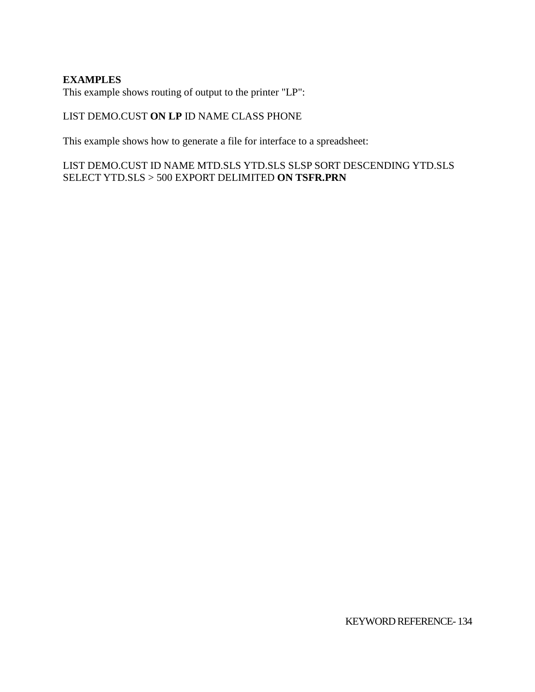### **EXAMPLES**

This example shows routing of output to the printer "LP":

### LIST DEMO.CUST **ON LP** ID NAME CLASS PHONE

This example shows how to generate a file for interface to a spreadsheet:

LIST DEMO.CUST ID NAME MTD.SLS YTD.SLS SLSP SORT DESCENDING YTD.SLS SELECT YTD.SLS > 500 EXPORT DELIMITED **ON TSFR.PRN**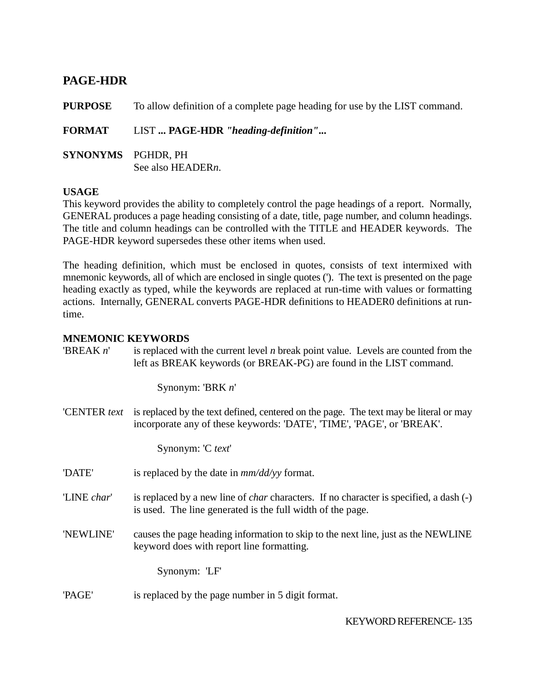### **PAGE-HDR**

**PURPOSE** To allow definition of a complete page heading for use by the LIST command.

**FORMAT** LIST **... PAGE-HDR** *"heading-definition"***...**

**SYNONYMS** PGHDR, PH See also HEADER*n*.

### **USAGE**

This keyword provides the ability to completely control the page headings of a report. Normally, GENERAL produces a page heading consisting of a date, title, page number, and column headings. The title and column headings can be controlled with the TITLE and HEADER keywords. The PAGE-HDR keyword supersedes these other items when used.

The heading definition, which must be enclosed in quotes, consists of text intermixed with mnemonic keywords, all of which are enclosed in single quotes ('). The text is presented on the page heading exactly as typed, while the keywords are replaced at run-time with values or formatting actions. Internally, GENERAL converts PAGE-HDR definitions to HEADER0 definitions at runtime.

### **MNEMONIC KEYWORDS**

| 'BREAK $n'$  | is replaced with the current level $n$ break point value. Levels are counted from the<br>left as BREAK keywords (or BREAK-PG) are found in the LIST command.    |
|--------------|-----------------------------------------------------------------------------------------------------------------------------------------------------------------|
|              | Synonym: 'BRK $n'$                                                                                                                                              |
| 'CENTER text | is replaced by the text defined, centered on the page. The text may be literal or may<br>incorporate any of these keywords: 'DATE', 'TIME', 'PAGE', or 'BREAK'. |
|              | Synonym: 'C text'                                                                                                                                               |
| 'DATE'       | is replaced by the date in $mm/dd/yy$ format.                                                                                                                   |
| 'LINE char'  | is replaced by a new line of <i>char</i> characters. If no character is specified, a dash (-)<br>is used. The line generated is the full width of the page.     |
| 'NEWLINE'    | causes the page heading information to skip to the next line, just as the NEWLINE<br>keyword does with report line formatting.                                  |
|              | Synonym: 'LF'                                                                                                                                                   |
| 'PAGE'       | is replaced by the page number in 5 digit format.                                                                                                               |

KEYWORD REFERENCE- 135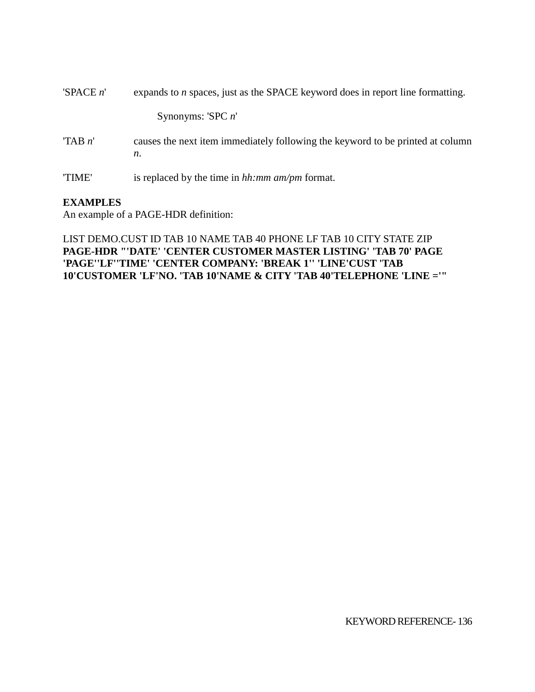| 'SPACE $n'$      | expands to <i>n</i> spaces, just as the SPACE keyword does in report line formatting.        |
|------------------|----------------------------------------------------------------------------------------------|
|                  | Synonyms: 'SPC $n'$                                                                          |
| $\text{TAB } n'$ | causes the next item immediately following the keyword to be printed at column<br><i>n</i> . |
| 'TIME'           | is replaced by the time in hh:mm am/pm format.                                               |

### **EXAMPLES**

An example of a PAGE-HDR definition:

### LIST DEMO.CUST ID TAB 10 NAME TAB 40 PHONE LF TAB 10 CITY STATE ZIP **PAGE-HDR "'DATE' 'CENTER CUSTOMER MASTER LISTING' 'TAB 70' PAGE 'PAGE''LF''TIME' 'CENTER COMPANY: 'BREAK 1'' 'LINE'CUST 'TAB 10'CUSTOMER 'LF'NO. 'TAB 10'NAME & CITY 'TAB 40'TELEPHONE 'LINE ='"**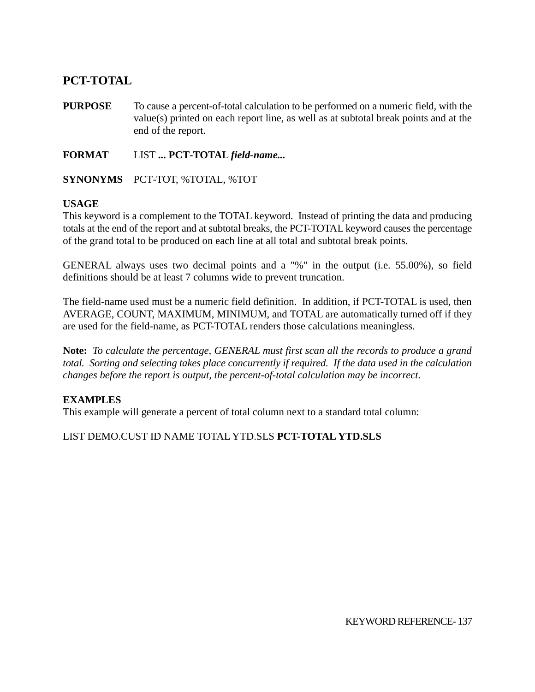### **PCT-TOTAL**

**PURPOSE** To cause a percent-of-total calculation to be performed on a numeric field, with the value(s) printed on each report line, as well as at subtotal break points and at the end of the report.

**FORMAT** LIST **... PCT-TOTAL** *field-name...*

**SYNONYMS** PCT-TOT, %TOTAL, %TOT

### **USAGE**

This keyword is a complement to the TOTAL keyword. Instead of printing the data and producing totals at the end of the report and at subtotal breaks, the PCT-TOTAL keyword causes the percentage of the grand total to be produced on each line at all total and subtotal break points.

GENERAL always uses two decimal points and a "%" in the output (i.e. 55.00%), so field definitions should be at least 7 columns wide to prevent truncation.

The field-name used must be a numeric field definition. In addition, if PCT-TOTAL is used, then AVERAGE, COUNT, MAXIMUM, MINIMUM, and TOTAL are automatically turned off if they are used for the field-name, as PCT-TOTAL renders those calculations meaningless.

**Note:** *To calculate the percentage, GENERAL must first scan all the records to produce a grand total. Sorting and selecting takes place concurrently if required. If the data used in the calculation changes before the report is output, the percent-of-total calculation may be incorrect.*

### **EXAMPLES**

This example will generate a percent of total column next to a standard total column:

### LIST DEMO.CUST ID NAME TOTAL YTD.SLS **PCT-TOTAL YTD.SLS**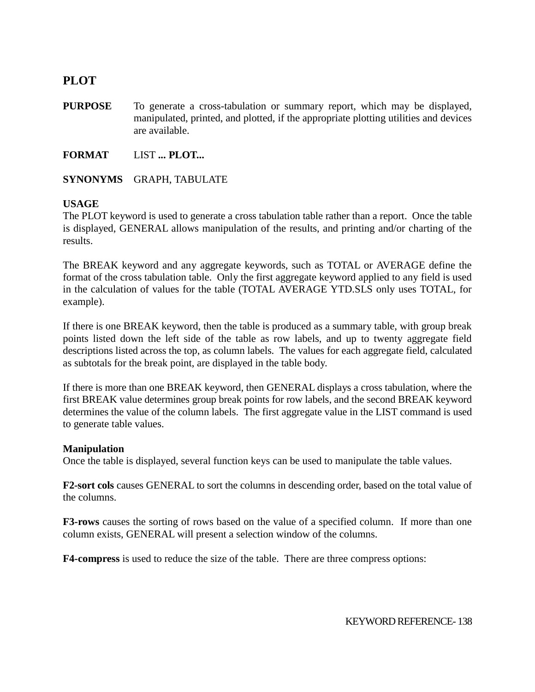### **PLOT**

**PURPOSE** To generate a cross-tabulation or summary report, which may be displayed, manipulated, printed, and plotted, if the appropriate plotting utilities and devices are available.

**FORMAT** LIST **... PLOT...**

**SYNONYMS** GRAPH, TABULATE

### **USAGE**

The PLOT keyword is used to generate a cross tabulation table rather than a report. Once the table is displayed, GENERAL allows manipulation of the results, and printing and/or charting of the results.

The BREAK keyword and any aggregate keywords, such as TOTAL or AVERAGE define the format of the cross tabulation table. Only the first aggregate keyword applied to any field is used in the calculation of values for the table (TOTAL AVERAGE YTD.SLS only uses TOTAL, for example).

If there is one BREAK keyword, then the table is produced as a summary table, with group break points listed down the left side of the table as row labels, and up to twenty aggregate field descriptions listed across the top, as column labels. The values for each aggregate field, calculated as subtotals for the break point, are displayed in the table body.

If there is more than one BREAK keyword, then GENERAL displays a cross tabulation, where the first BREAK value determines group break points for row labels, and the second BREAK keyword determines the value of the column labels. The first aggregate value in the LIST command is used to generate table values.

### **Manipulation**

Once the table is displayed, several function keys can be used to manipulate the table values.

**F2-sort cols** causes GENERAL to sort the columns in descending order, based on the total value of the columns.

**F3-rows** causes the sorting of rows based on the value of a specified column. If more than one column exists, GENERAL will present a selection window of the columns.

**F4-compress** is used to reduce the size of the table. There are three compress options: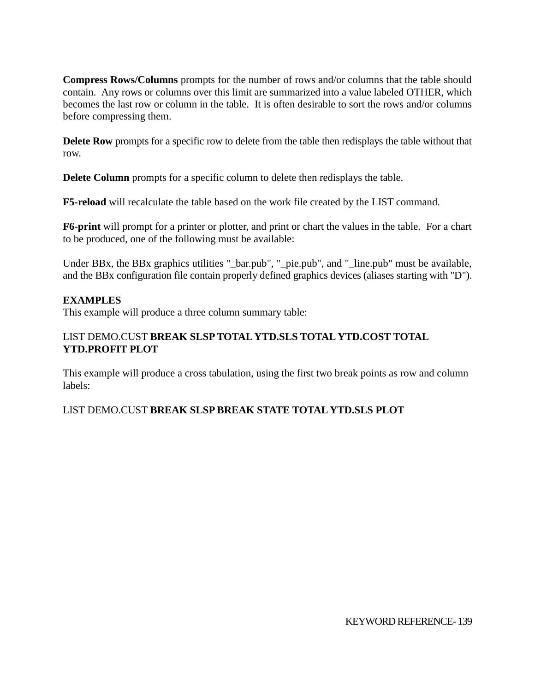**Compress Rows/Columns** prompts for the number of rows and/or columns that the table should contain. Any rows or columns over this limit are summarized into a value labeled OTHER, which becomes the last row or column in the table. It is often desirable to sort the rows and/or columns before compressing them.

**Delete Row** prompts for a specific row to delete from the table then redisplays the table without that row.

**Delete Column** prompts for a specific column to delete then redisplays the table.

**F5-reload** will recalculate the table based on the work file created by the LIST command.

**F6-print** will prompt for a printer or plotter, and print or chart the values in the table. For a chart to be produced, one of the following must be available:

Under BBx, the BBx graphics utilities "\_bar.pub", "\_pie.pub", and "\_line.pub" must be available, and the BBx configuration file contain properly defined graphics devices (aliases starting with "D").

### **EXAMPLES**

This example will produce a three column summary table:

### LIST DEMO.CUST **BREAK SLSP TOTAL YTD.SLS TOTAL YTD.COST TOTAL YTD.PROFIT PLOT**

This example will produce a cross tabulation, using the first two break points as row and column labels:

### LIST DEMO.CUST **BREAK SLSP BREAK STATE TOTAL YTD.SLS PLOT**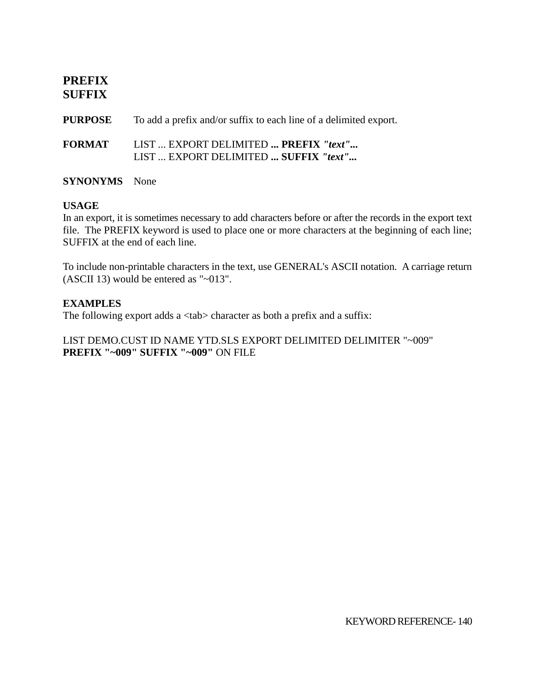### **PREFIX SUFFIX**

| <b>PURPOSE</b> To add a prefix and/or suffix to each line of a delimited export.                   |
|----------------------------------------------------------------------------------------------------|
| <b>FORMAT</b> LIST  EXPORT DELIMITED <b>PREFIX</b> "text"<br>LIST  EXPORT DELIMITED  SUFFIX "text" |

### **SYNONYMS** None

### **USAGE**

In an export, it is sometimes necessary to add characters before or after the records in the export text file. The PREFIX keyword is used to place one or more characters at the beginning of each line; SUFFIX at the end of each line.

To include non-printable characters in the text, use GENERAL's ASCII notation. A carriage return (ASCII 13) would be entered as "~013".

### **EXAMPLES**

The following export adds a <tab> character as both a prefix and a suffix:

LIST DEMO.CUST ID NAME YTD.SLS EXPORT DELIMITED DELIMITER "~009" **PREFIX "~009" SUFFIX "~009"** ON FILE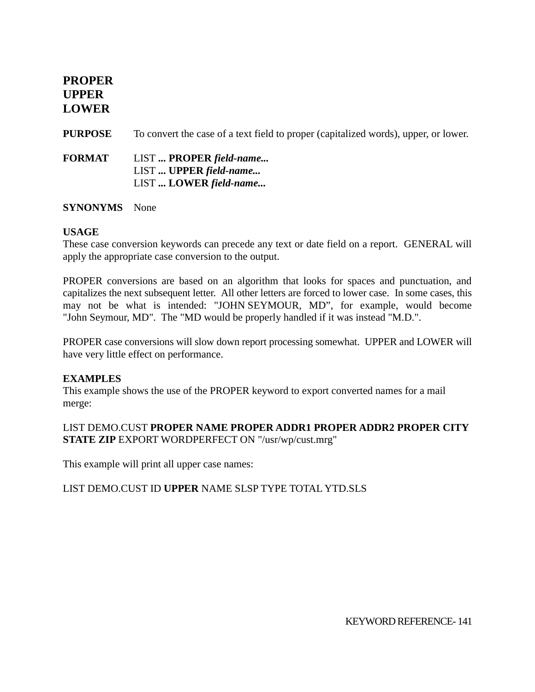### **PROPER UPPER LOWER**

**PURPOSE** To convert the case of a text field to proper (capitalized words), upper, or lower.

**FORMAT** LIST **... PROPER** *field-name...* LIST **... UPPER** *field-name...* LIST **... LOWER** *field-name...*

**SYNONYMS** None

### **USAGE**

These case conversion keywords can precede any text or date field on a report. GENERAL will apply the appropriate case conversion to the output.

PROPER conversions are based on an algorithm that looks for spaces and punctuation, and capitalizes the next subsequent letter. All other letters are forced to lower case. In some cases, this may not be what is intended: "JOHN SEYMOUR, MD", for example, would become "John Seymour, MD". The "MD would be properly handled if it was instead "M.D.".

PROPER case conversions will slow down report processing somewhat. UPPER and LOWER will have very little effect on performance.

### **EXAMPLES**

This example shows the use of the PROPER keyword to export converted names for a mail merge:

### LIST DEMO.CUST **PROPER NAME PROPER ADDR1 PROPER ADDR2 PROPER CITY STATE ZIP** EXPORT WORDPERFECT ON "/usr/wp/cust.mrg"

This example will print all upper case names:

### LIST DEMO.CUST ID **UPPER** NAME SLSP TYPE TOTAL YTD.SLS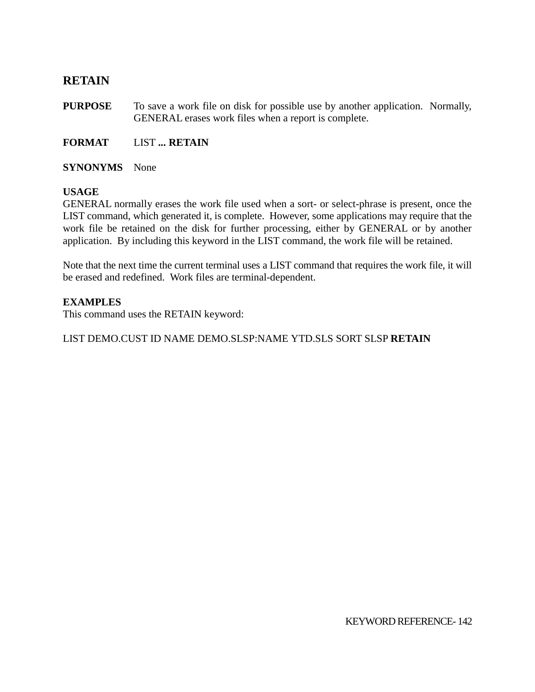### **RETAIN**

**PURPOSE** To save a work file on disk for possible use by another application. Normally, GENERAL erases work files when a report is complete.

**FORMAT** LIST **... RETAIN**

**SYNONYMS** None

#### **USAGE**

GENERAL normally erases the work file used when a sort- or select-phrase is present, once the LIST command, which generated it, is complete. However, some applications may require that the work file be retained on the disk for further processing, either by GENERAL or by another application. By including this keyword in the LIST command, the work file will be retained.

Note that the next time the current terminal uses a LIST command that requires the work file, it will be erased and redefined. Work files are terminal-dependent.

### **EXAMPLES**

This command uses the RETAIN keyword:

LIST DEMO.CUST ID NAME DEMO.SLSP:NAME YTD.SLS SORT SLSP **RETAIN**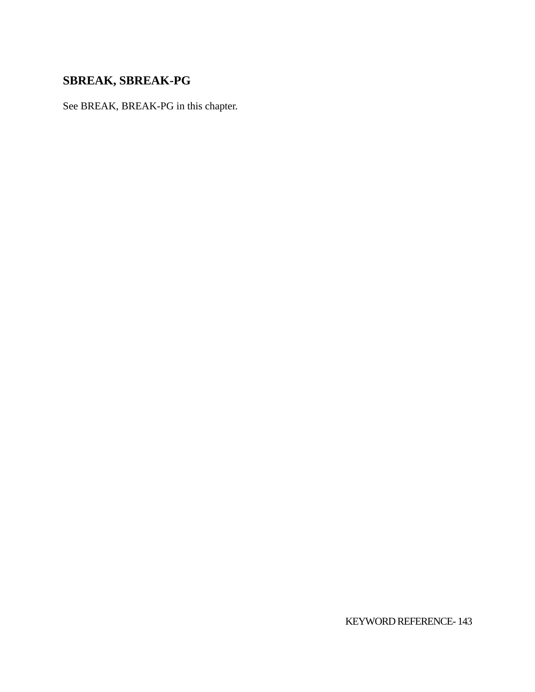# **SBREAK, SBREAK-PG**

See BREAK, BREAK-PG in this chapter.

KEYWORD REFERENCE- 143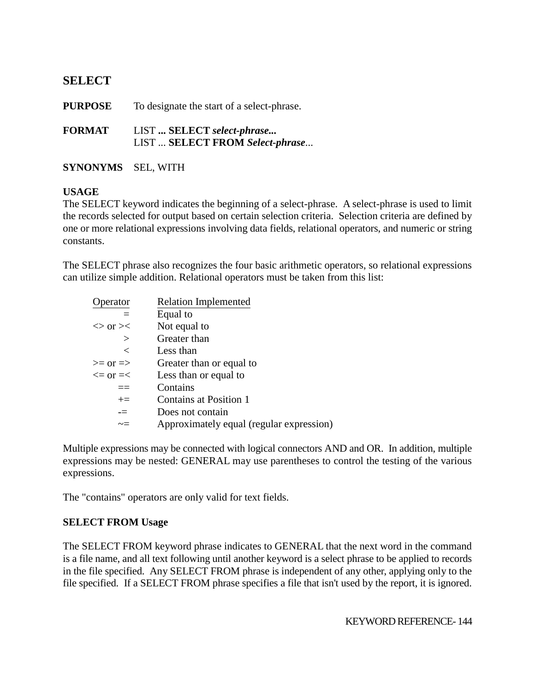### **SELECT**

**PURPOSE** To designate the start of a select-phrase.

**FORMAT** LIST **... SELECT** *select-phrase...* LIST ... **SELECT FROM** *Select-phrase*...

### **SYNONYMS** SEL, WITH

### **USAGE**

The SELECT keyword indicates the beginning of a select-phrase. A select-phrase is used to limit the records selected for output based on certain selection criteria. Selection criteria are defined by one or more relational expressions involving data fields, relational operators, and numeric or string constants.

The SELECT phrase also recognizes the four basic arithmetic operators, so relational expressions can utilize simple addition. Relational operators must be taken from this list:

| perator                | <b>Relation Implemented</b>              |
|------------------------|------------------------------------------|
|                        | Equal to                                 |
| $\langle$ or $\rangle$ | Not equal to                             |
| >                      | Greater than                             |
| $\,<\,$                | Less than                                |
| $>=$ or $=$            | Greater than or equal to                 |
| $\leq$ or $=\leq$      | Less than or equal to                    |
|                        | Contains                                 |
| $+=$                   | <b>Contains at Position 1</b>            |
| $=$                    | Does not contain                         |
| $\sim$ $-$             | Approximately equal (regular expression) |
|                        |                                          |

Multiple expressions may be connected with logical connectors AND and OR. In addition, multiple expressions may be nested: GENERAL may use parentheses to control the testing of the various expressions.

The "contains" operators are only valid for text fields.

### **SELECT FROM Usage**

The SELECT FROM keyword phrase indicates to GENERAL that the next word in the command is a file name, and all text following until another keyword is a select phrase to be applied to records in the file specified. Any SELECT FROM phrase is independent of any other, applying only to the file specified. If a SELECT FROM phrase specifies a file that isn't used by the report, it is ignored.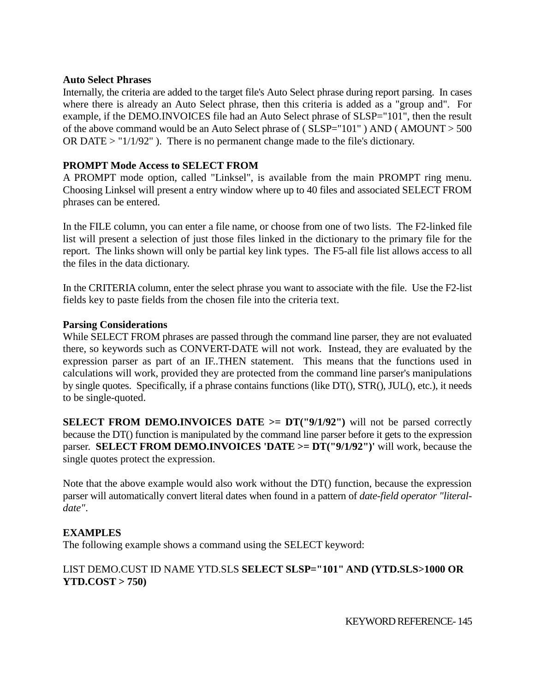#### **Auto Select Phrases**

Internally, the criteria are added to the target file's Auto Select phrase during report parsing. In cases where there is already an Auto Select phrase, then this criteria is added as a "group and". For example, if the DEMO.INVOICES file had an Auto Select phrase of SLSP="101", then the result of the above command would be an Auto Select phrase of ( SLSP="101" ) AND ( AMOUNT > 500 OR DATE  $>$  "1/1/92"). There is no permanent change made to the file's dictionary.

#### **PROMPT Mode Access to SELECT FROM**

A PROMPT mode option, called "Linksel", is available from the main PROMPT ring menu. Choosing Linksel will present a entry window where up to 40 files and associated SELECT FROM phrases can be entered.

In the FILE column, you can enter a file name, or choose from one of two lists. The F2-linked file list will present a selection of just those files linked in the dictionary to the primary file for the report. The links shown will only be partial key link types. The F5-all file list allows access to all the files in the data dictionary.

In the CRITERIA column, enter the select phrase you want to associate with the file. Use the F2-list fields key to paste fields from the chosen file into the criteria text.

#### **Parsing Considerations**

While SELECT FROM phrases are passed through the command line parser, they are not evaluated there, so keywords such as CONVERT-DATE will not work. Instead, they are evaluated by the expression parser as part of an IF..THEN statement. This means that the functions used in calculations will work, provided they are protected from the command line parser's manipulations by single quotes. Specifically, if a phrase contains functions (like DT(), STR(), JUL(), etc.), it needs to be single-quoted.

**SELECT FROM DEMO.INVOICES DATE**  $>= D T("9/1/92")$  will not be parsed correctly because the DT() function is manipulated by the command line parser before it gets to the expression parser. **SELECT FROM DEMO.INVOICES 'DATE >= DT("9/1/92")'** will work, because the single quotes protect the expression.

Note that the above example would also work without the DT() function, because the expression parser will automatically convert literal dates when found in a pattern of *date-field operator "literaldate"*.

#### **EXAMPLES**

The following example shows a command using the SELECT keyword:

#### LIST DEMO.CUST ID NAME YTD.SLS **SELECT SLSP="101" AND (YTD.SLS>1000 OR YTD.COST > 750)**

KEYWORD REFERENCE- 145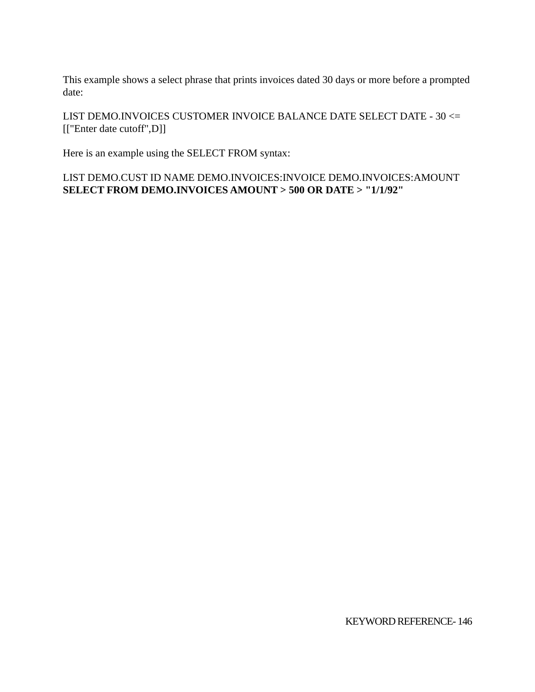This example shows a select phrase that prints invoices dated 30 days or more before a prompted date:

LIST DEMO.INVOICES CUSTOMER INVOICE BALANCE DATE SELECT DATE - 30 <= [["Enter date cutoff",D]]

Here is an example using the SELECT FROM syntax:

LIST DEMO.CUST ID NAME DEMO.INVOICES:INVOICE DEMO.INVOICES:AMOUNT **SELECT FROM DEMO.INVOICES AMOUNT > 500 OR DATE > "1/1/92"**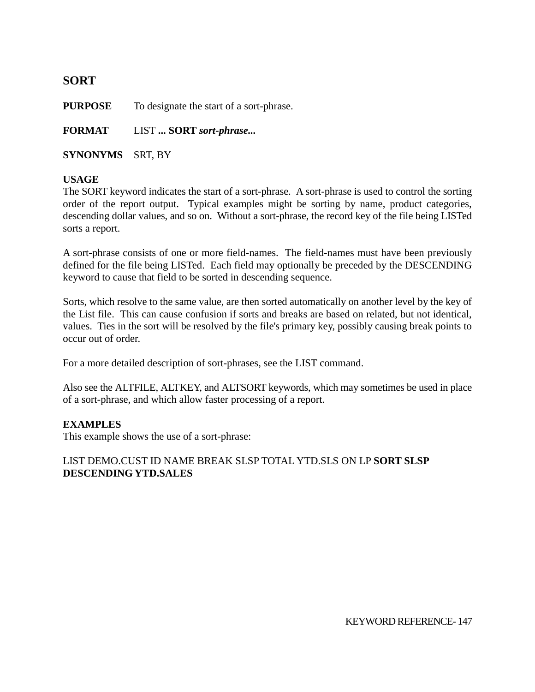### **SORT**

**PURPOSE** To designate the start of a sort-phrase.

**FORMAT** LIST **... SORT** *sort-phrase...*

**SYNONYMS** SRT, BY

#### **USAGE**

The SORT keyword indicates the start of a sort-phrase. A sort-phrase is used to control the sorting order of the report output. Typical examples might be sorting by name, product categories, descending dollar values, and so on. Without a sort-phrase, the record key of the file being LISTed sorts a report.

A sort-phrase consists of one or more field-names. The field-names must have been previously defined for the file being LISTed. Each field may optionally be preceded by the DESCENDING keyword to cause that field to be sorted in descending sequence.

Sorts, which resolve to the same value, are then sorted automatically on another level by the key of the List file. This can cause confusion if sorts and breaks are based on related, but not identical, values. Ties in the sort will be resolved by the file's primary key, possibly causing break points to occur out of order.

For a more detailed description of sort-phrases, see the LIST command.

Also see the ALTFILE, ALTKEY, and ALTSORT keywords, which may sometimes be used in place of a sort-phrase, and which allow faster processing of a report.

#### **EXAMPLES**

This example shows the use of a sort-phrase:

#### LIST DEMO.CUST ID NAME BREAK SLSP TOTAL YTD.SLS ON LP **SORT SLSP DESCENDING YTD.SALES**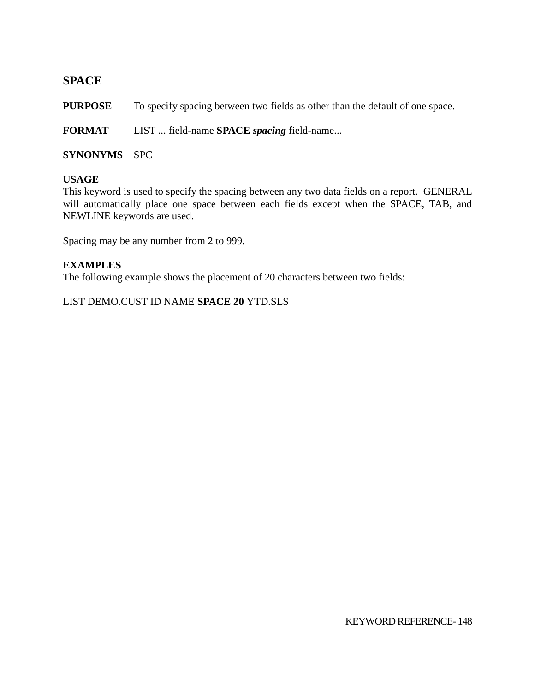### **SPACE**

- **PURPOSE** To specify spacing between two fields as other than the default of one space.
- **FORMAT** LIST ... field-name **SPACE** *spacing* field-name...

#### **SYNONYMS** SPC

#### **USAGE**

This keyword is used to specify the spacing between any two data fields on a report. GENERAL will automatically place one space between each fields except when the SPACE, TAB, and NEWLINE keywords are used.

Spacing may be any number from 2 to 999.

#### **EXAMPLES**

The following example shows the placement of 20 characters between two fields:

#### LIST DEMO.CUST ID NAME **SPACE 20** YTD.SLS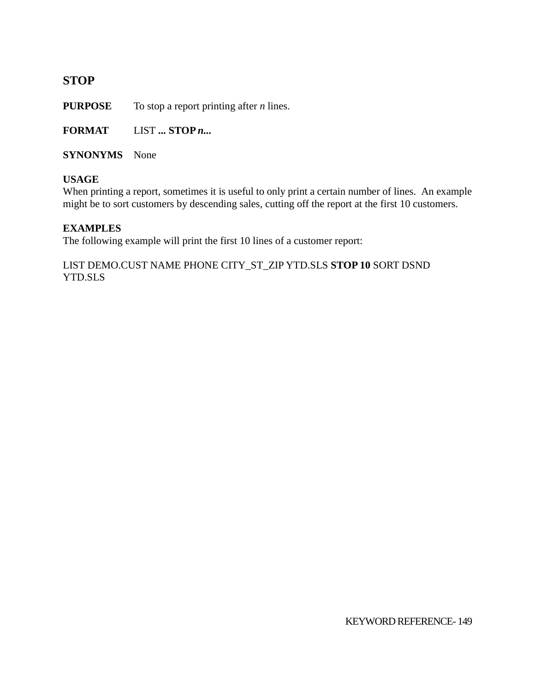### **STOP**

**PURPOSE** To stop a report printing after *n* lines.

**FORMAT** LIST **... STOP** *n...*

**SYNONYMS** None

#### **USAGE**

When printing a report, sometimes it is useful to only print a certain number of lines. An example might be to sort customers by descending sales, cutting off the report at the first 10 customers.

#### **EXAMPLES**

The following example will print the first 10 lines of a customer report:

#### LIST DEMO.CUST NAME PHONE CITY\_ST\_ZIP YTD.SLS **STOP 10** SORT DSND YTD.SLS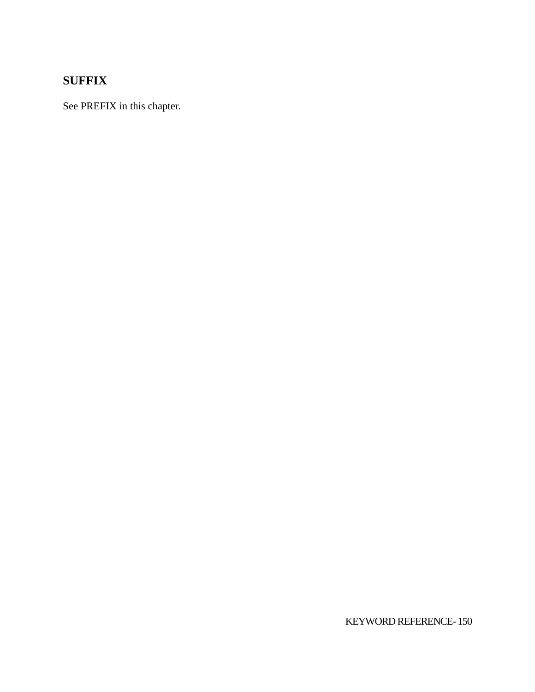### **SUFFIX**

See PREFIX in this chapter.

KEYWORD REFERENCE- 150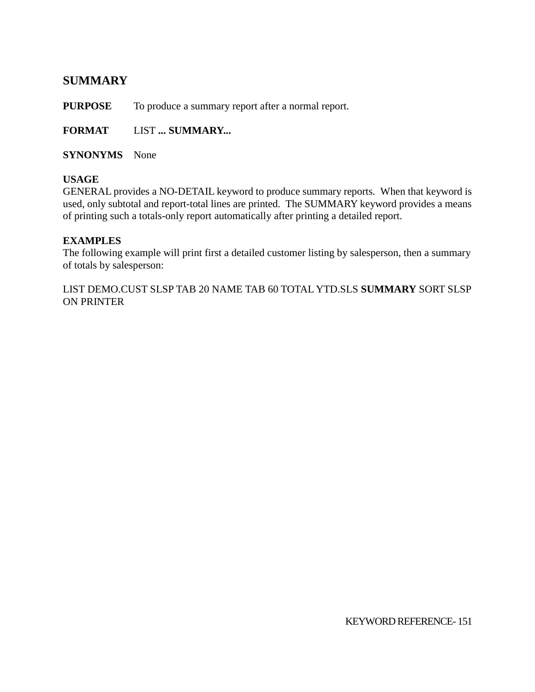### **SUMMARY**

- **PURPOSE** To produce a summary report after a normal report.
- **FORMAT** LIST **... SUMMARY...**

**SYNONYMS** None

#### **USAGE**

GENERAL provides a NO-DETAIL keyword to produce summary reports. When that keyword is used, only subtotal and report-total lines are printed. The SUMMARY keyword provides a means of printing such a totals-only report automatically after printing a detailed report.

#### **EXAMPLES**

The following example will print first a detailed customer listing by salesperson, then a summary of totals by salesperson:

LIST DEMO.CUST SLSP TAB 20 NAME TAB 60 TOTAL YTD.SLS **SUMMARY** SORT SLSP ON PRINTER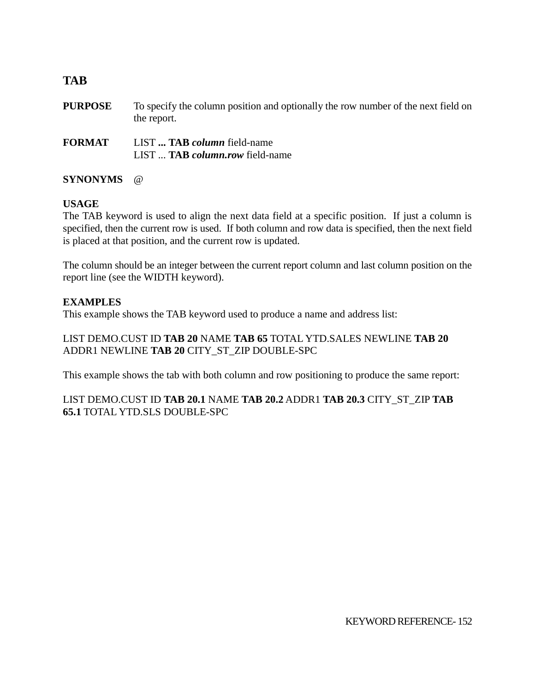### **TAB**

**PURPOSE** To specify the column position and optionally the row number of the next field on the report.

**FORMAT** LIST **... TAB** *column* field-name LIST ... **TAB** *column.row* field-name

#### **SYNONYMS** @

#### **USAGE**

The TAB keyword is used to align the next data field at a specific position. If just a column is specified, then the current row is used. If both column and row data is specified, then the next field is placed at that position, and the current row is updated.

The column should be an integer between the current report column and last column position on the report line (see the WIDTH keyword).

#### **EXAMPLES**

This example shows the TAB keyword used to produce a name and address list:

LIST DEMO.CUST ID **TAB 20** NAME **TAB 65** TOTAL YTD.SALES NEWLINE **TAB 20** ADDR1 NEWLINE **TAB 20** CITY\_ST\_ZIP DOUBLE-SPC

This example shows the tab with both column and row positioning to produce the same report:

LIST DEMO.CUST ID **TAB 20.1** NAME **TAB 20.2** ADDR1 **TAB 20.3** CITY\_ST\_ZIP **TAB 65.1** TOTAL YTD.SLS DOUBLE-SPC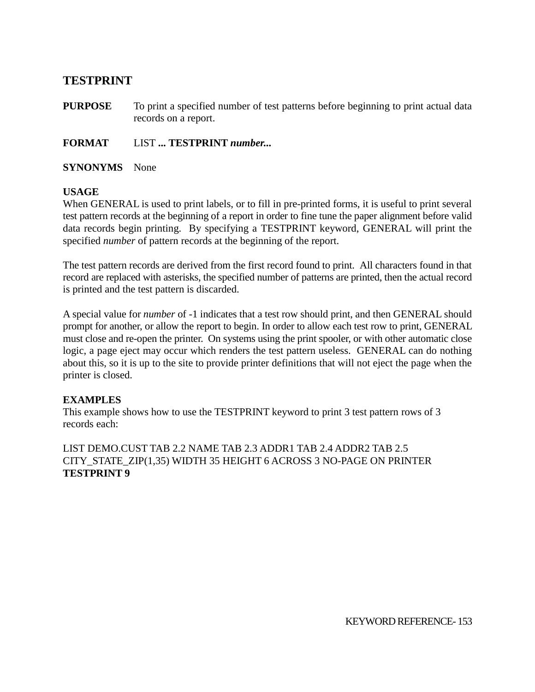### **TESTPRINT**

**PURPOSE** To print a specified number of test patterns before beginning to print actual data records on a report.

**FORMAT** LIST **... TESTPRINT** *number...*

**SYNONYMS** None

#### **USAGE**

When GENERAL is used to print labels, or to fill in pre-printed forms, it is useful to print several test pattern records at the beginning of a report in order to fine tune the paper alignment before valid data records begin printing. By specifying a TESTPRINT keyword, GENERAL will print the specified *number* of pattern records at the beginning of the report.

The test pattern records are derived from the first record found to print. All characters found in that record are replaced with asterisks, the specified number of patterns are printed, then the actual record is printed and the test pattern is discarded.

A special value for *number* of -1 indicates that a test row should print, and then GENERAL should prompt for another, or allow the report to begin. In order to allow each test row to print, GENERAL must close and re-open the printer. On systems using the print spooler, or with other automatic close logic, a page eject may occur which renders the test pattern useless. GENERAL can do nothing about this, so it is up to the site to provide printer definitions that will not eject the page when the printer is closed.

#### **EXAMPLES**

This example shows how to use the TESTPRINT keyword to print 3 test pattern rows of 3 records each:

LIST DEMO.CUST TAB 2.2 NAME TAB 2.3 ADDR1 TAB 2.4 ADDR2 TAB 2.5 CITY\_STATE\_ZIP(1,35) WIDTH 35 HEIGHT 6 ACROSS 3 NO-PAGE ON PRINTER **TESTPRINT 9**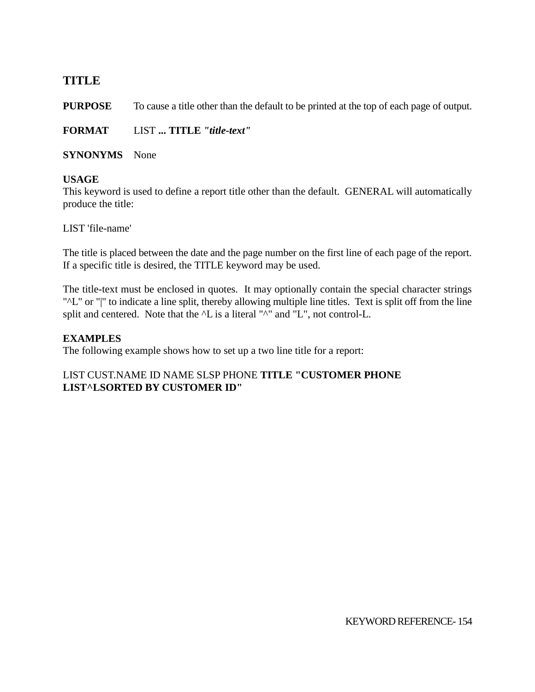### **TITLE**

**PURPOSE** To cause a title other than the default to be printed at the top of each page of output.

**FORMAT** LIST **... TITLE** *"title-text"*

**SYNONYMS** None

#### **USAGE**

This keyword is used to define a report title other than the default. GENERAL will automatically produce the title:

LIST 'file-name'

The title is placed between the date and the page number on the first line of each page of the report. If a specific title is desired, the TITLE keyword may be used.

The title-text must be enclosed in quotes. It may optionally contain the special character strings "<sup>^L"</sup> or "|" to indicate a line split, thereby allowing multiple line titles. Text is split off from the line split and centered. Note that the  $\Delta$  is a literal " $\Delta$ " and "L", not control-L.

#### **EXAMPLES**

The following example shows how to set up a two line title for a report:

#### LIST CUST.NAME ID NAME SLSP PHONE **TITLE "CUSTOMER PHONE LIST^LSORTED BY CUSTOMER ID"**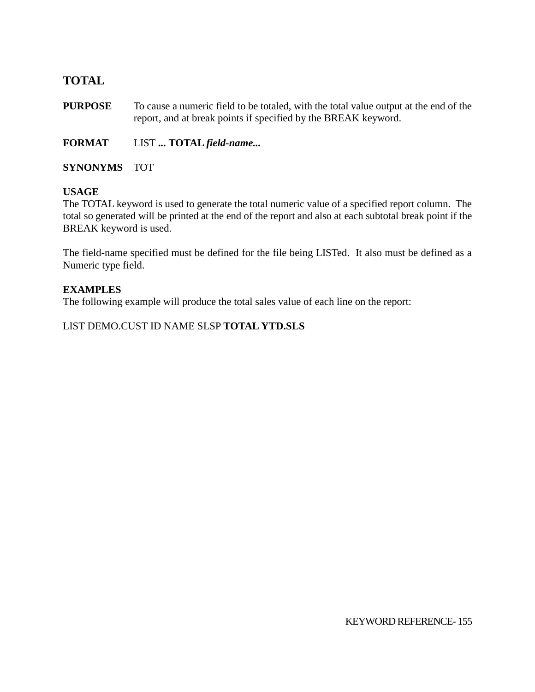### **TOTAL**

**PURPOSE** To cause a numeric field to be totaled, with the total value output at the end of the report, and at break points if specified by the BREAK keyword.

**FORMAT** LIST **... TOTAL** *field-name...*

**SYNONYMS** TOT

#### **USAGE**

The TOTAL keyword is used to generate the total numeric value of a specified report column. The total so generated will be printed at the end of the report and also at each subtotal break point if the BREAK keyword is used.

The field-name specified must be defined for the file being LISTed. It also must be defined as a Numeric type field.

#### **EXAMPLES**

The following example will produce the total sales value of each line on the report:

#### LIST DEMO.CUST ID NAME SLSP **TOTAL YTD.SLS**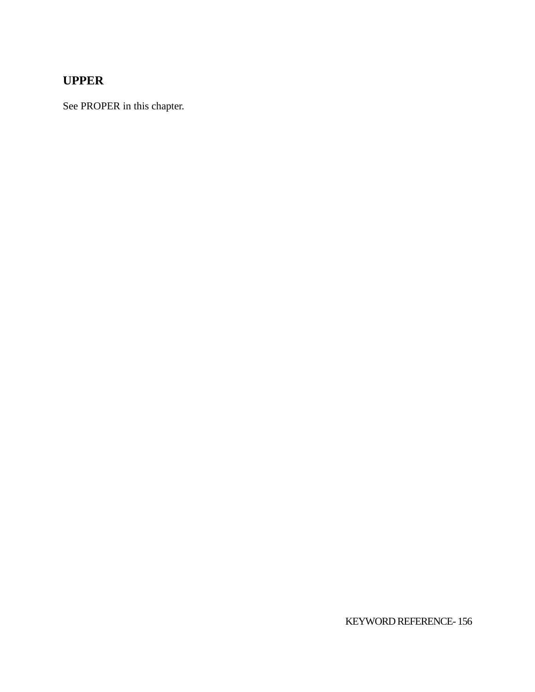### **UPPER**

See PROPER in this chapter.

KEYWORD REFERENCE- 156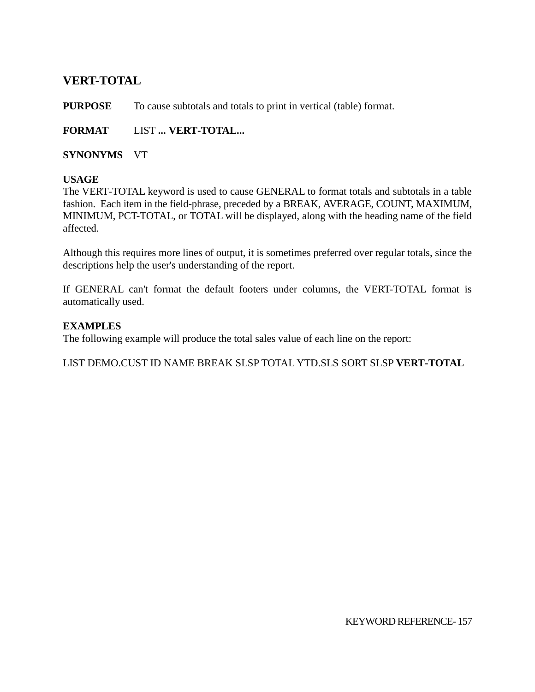### **VERT-TOTAL**

**PURPOSE** To cause subtotals and totals to print in vertical (table) format.

**FORMAT** LIST **... VERT-TOTAL...**

#### **SYNONYMS** VT

#### **USAGE**

The VERT-TOTAL keyword is used to cause GENERAL to format totals and subtotals in a table fashion. Each item in the field-phrase, preceded by a BREAK, AVERAGE, COUNT, MAXIMUM, MINIMUM, PCT-TOTAL, or TOTAL will be displayed, along with the heading name of the field affected.

Although this requires more lines of output, it is sometimes preferred over regular totals, since the descriptions help the user's understanding of the report.

If GENERAL can't format the default footers under columns, the VERT-TOTAL format is automatically used.

#### **EXAMPLES**

The following example will produce the total sales value of each line on the report:

LIST DEMO.CUST ID NAME BREAK SLSP TOTAL YTD.SLS SORT SLSP **VERT-TOTAL**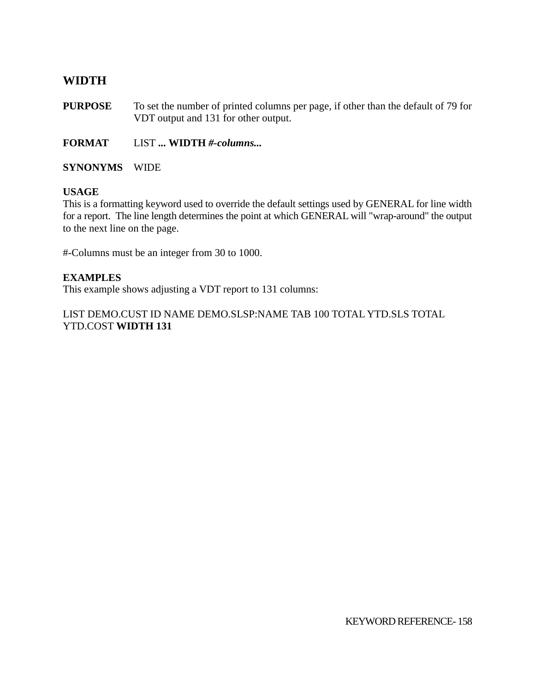### **WIDTH**

**PURPOSE** To set the number of printed columns per page, if other than the default of 79 for VDT output and 131 for other output.

**FORMAT** LIST **... WIDTH** *#-columns...*

**SYNONYMS** WIDE

#### **USAGE**

This is a formatting keyword used to override the default settings used by GENERAL for line width for a report. The line length determines the point at which GENERAL will "wrap-around" the output to the next line on the page.

#-Columns must be an integer from 30 to 1000.

#### **EXAMPLES**

This example shows adjusting a VDT report to 131 columns:

LIST DEMO.CUST ID NAME DEMO.SLSP:NAME TAB 100 TOTAL YTD.SLS TOTAL YTD.COST **WIDTH 131**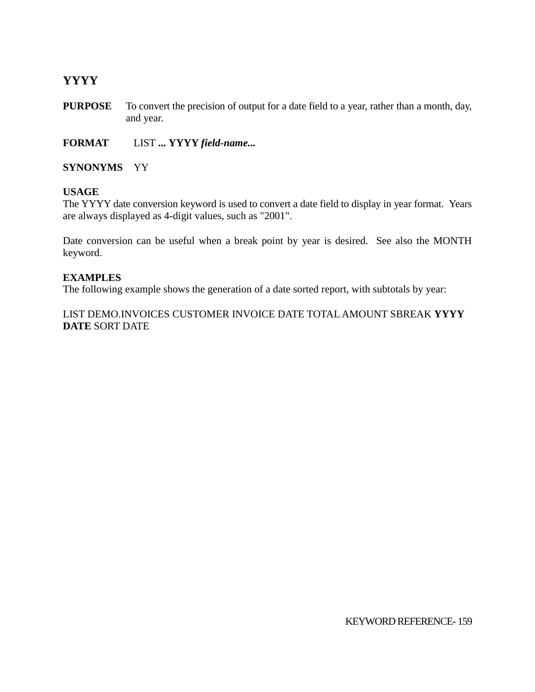### **YYYY**

- **PURPOSE** To convert the precision of output for a date field to a year, rather than a month, day, and year.
- **FORMAT** LIST **... YYYY** *field-name...*

#### **SYNONYMS** YY

#### **USAGE**

The YYYY date conversion keyword is used to convert a date field to display in year format. Years are always displayed as 4-digit values, such as "2001".

Date conversion can be useful when a break point by year is desired. See also the MONTH keyword.

#### **EXAMPLES**

The following example shows the generation of a date sorted report, with subtotals by year:

LIST DEMO.INVOICES CUSTOMER INVOICE DATE TOTAL AMOUNT SBREAK **YYYY DATE** SORT DATE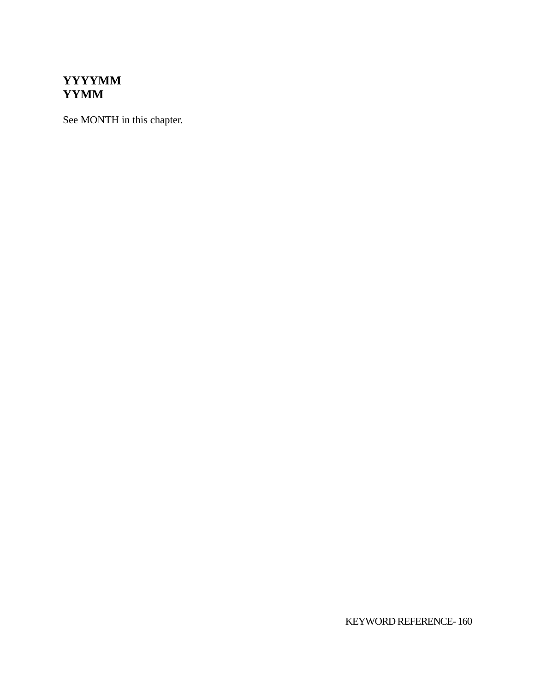### **YYYYMM YYMM**

See MONTH in this chapter.

KEYWORD REFERENCE- 160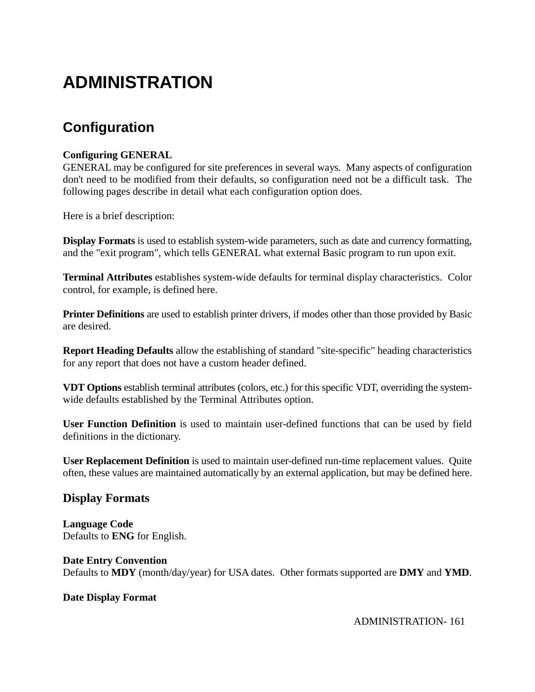# **ADMINISTRATION**

## **Configuration**

#### **Configuring GENERAL**

GENERAL may be configured for site preferences in several ways. Many aspects of configuration don't need to be modified from their defaults, so configuration need not be a difficult task. The following pages describe in detail what each configuration option does.

Here is a brief description:

**Display Formats** is used to establish system-wide parameters, such as date and currency formatting, and the "exit program", which tells GENERAL what external Basic program to run upon exit.

**Terminal Attributes** establishes system-wide defaults for terminal display characteristics. Color control, for example, is defined here.

**Printer Definitions** are used to establish printer drivers, if modes other than those provided by Basic are desired.

**Report Heading Defaults** allow the establishing of standard "site-specific" heading characteristics for any report that does not have a custom header defined.

**VDT Options** establish terminal attributes (colors, etc.) for this specific VDT, overriding the systemwide defaults established by the Terminal Attributes option.

**User Function Definition** is used to maintain user-defined functions that can be used by field definitions in the dictionary.

**User Replacement Definition** is used to maintain user-defined run-time replacement values. Quite often, these values are maintained automatically by an external application, but may be defined here.

### **Display Formats**

**Language Code** Defaults to **ENG** for English.

**Date Entry Convention** Defaults to **MDY** (month/day/year) for USA dates. Other formats supported are **DMY** and **YMD**.

#### **Date Display Format**

ADMINISTRATION- 161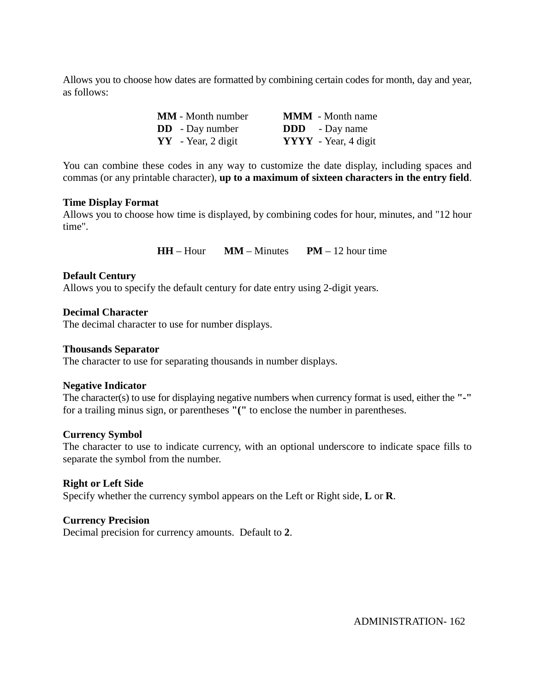Allows you to choose how dates are formatted by combining certain codes for month, day and year, as follows:

| <b>MM</b> - Month number | <b>MMM</b> - Month name |
|--------------------------|-------------------------|
| <b>DD</b> - Day number   | <b>DDD</b> - Day name   |
| $YY - Year$ , 2 digit    | YYYY - Year, 4 digit    |

You can combine these codes in any way to customize the date display, including spaces and commas (or any printable character), **up to a maximum of sixteen characters in the entry field**.

#### **Time Display Format**

Allows you to choose how time is displayed, by combining codes for hour, minutes, and "12 hour time".

**HH** – Hour **MM** – Minutes **PM** – 12 hour time

#### **Default Century**

Allows you to specify the default century for date entry using 2-digit years.

#### **Decimal Character**

The decimal character to use for number displays.

#### **Thousands Separator**

The character to use for separating thousands in number displays.

#### **Negative Indicator**

The character(s) to use for displaying negative numbers when currency format is used, either the **"-"** for a trailing minus sign, or parentheses **"("** to enclose the number in parentheses.

#### **Currency Symbol**

The character to use to indicate currency, with an optional underscore to indicate space fills to separate the symbol from the number.

#### **Right or Left Side**

Specify whether the currency symbol appears on the Left or Right side, **L** or **R**.

#### **Currency Precision**

Decimal precision for currency amounts. Default to **2**.

ADMINISTRATION- 162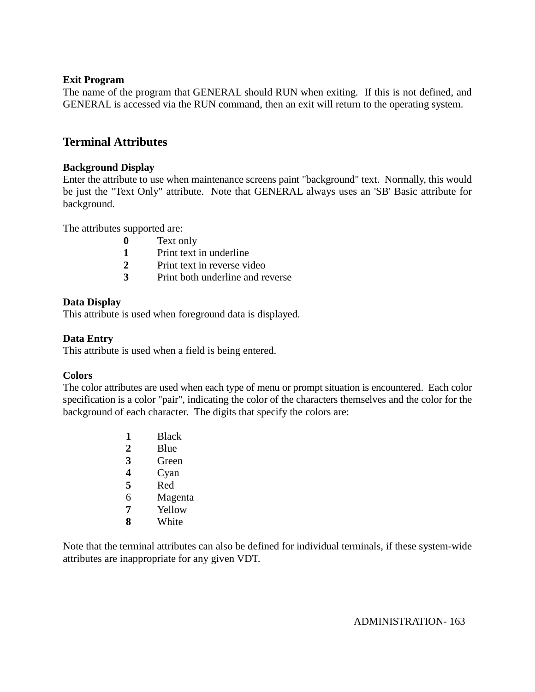#### **Exit Program**

The name of the program that GENERAL should RUN when exiting. If this is not defined, and GENERAL is accessed via the RUN command, then an exit will return to the operating system.

### **Terminal Attributes**

#### **Background Display**

Enter the attribute to use when maintenance screens paint "background" text. Normally, this would be just the "Text Only" attribute. Note that GENERAL always uses an 'SB' Basic attribute for background.

The attributes supported are:

- **0** Text only
- **1** Print text in underline
- **2** Print text in reverse video
- **3** Print both underline and reverse

#### **Data Display**

This attribute is used when foreground data is displayed.

#### **Data Entry**

This attribute is used when a field is being entered.

#### **Colors**

The color attributes are used when each type of menu or prompt situation is encountered. Each color specification is a color "pair", indicating the color of the characters themselves and the color for the background of each character. The digits that specify the colors are:

- **1** Black
- **2** Blue
- **3** Green
- **4** Cyan
- **5** Red
- 6 Magenta
- **7** Yellow
- **8** White

Note that the terminal attributes can also be defined for individual terminals, if these system-wide attributes are inappropriate for any given VDT.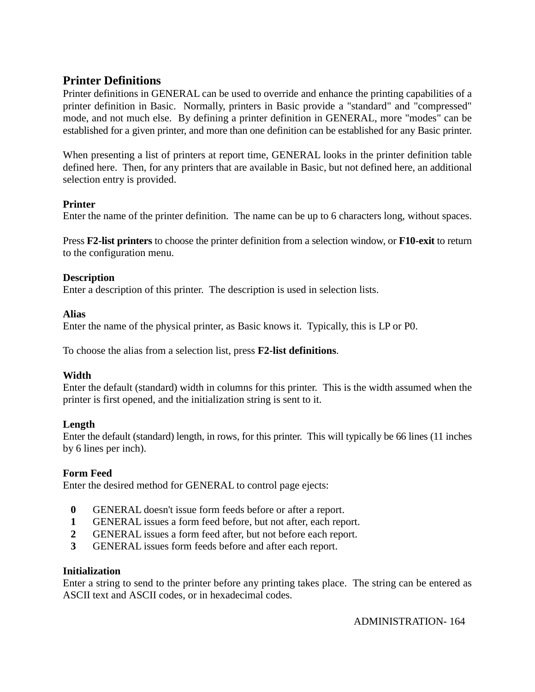### **Printer Definitions**

Printer definitions in GENERAL can be used to override and enhance the printing capabilities of a printer definition in Basic. Normally, printers in Basic provide a "standard" and "compressed" mode, and not much else. By defining a printer definition in GENERAL, more "modes" can be established for a given printer, and more than one definition can be established for any Basic printer.

When presenting a list of printers at report time, GENERAL looks in the printer definition table defined here. Then, for any printers that are available in Basic, but not defined here, an additional selection entry is provided.

#### **Printer**

Enter the name of the printer definition. The name can be up to 6 characters long, without spaces.

Press **F2-list printers** to choose the printer definition from a selection window, or **F10-exit** to return to the configuration menu.

#### **Description**

Enter a description of this printer. The description is used in selection lists.

#### **Alias**

Enter the name of the physical printer, as Basic knows it. Typically, this is LP or P0.

To choose the alias from a selection list, press **F2-list definitions**.

#### **Width**

Enter the default (standard) width in columns for this printer. This is the width assumed when the printer is first opened, and the initialization string is sent to it.

#### **Length**

Enter the default (standard) length, in rows, for this printer. This will typically be 66 lines (11 inches by 6 lines per inch).

#### **Form Feed**

Enter the desired method for GENERAL to control page ejects:

- **0** GENERAL doesn't issue form feeds before or after a report.
- **1** GENERAL issues a form feed before, but not after, each report.
- **2** GENERAL issues a form feed after, but not before each report.
- **3** GENERAL issues form feeds before and after each report.

#### **Initialization**

Enter a string to send to the printer before any printing takes place. The string can be entered as ASCII text and ASCII codes, or in hexadecimal codes.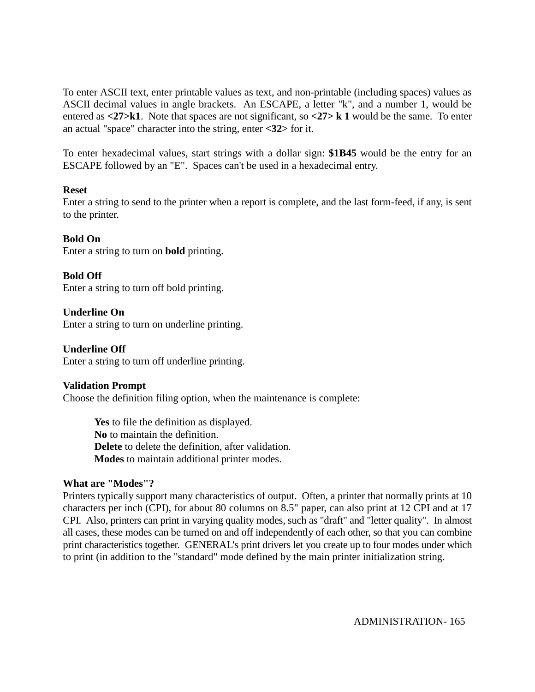To enter ASCII text, enter printable values as text, and non-printable (including spaces) values as ASCII decimal values in angle brackets. An ESCAPE, a letter "k", and a number 1, would be entered as **<27>k1**. Note that spaces are not significant, so **<27> k 1** would be the same. To enter an actual "space" character into the string, enter **<32>** for it.

To enter hexadecimal values, start strings with a dollar sign: **\$1B45** would be the entry for an ESCAPE followed by an "E". Spaces can't be used in a hexadecimal entry.

#### **Reset**

Enter a string to send to the printer when a report is complete, and the last form-feed, if any, is sent to the printer.

#### **Bold On**

Enter a string to turn on **bold** printing.

**Bold Off**

Enter a string to turn off bold printing.

**Underline On** Enter a string to turn on underline printing.

**Underline Off** Enter a string to turn off underline printing.

#### **Validation Prompt**

Choose the definition filing option, when the maintenance is complete:

**Yes** to file the definition as displayed. **No** to maintain the definition. **Delete** to delete the definition, after validation. **Modes** to maintain additional printer modes.

#### **What are "Modes"?**

Printers typically support many characteristics of output. Often, a printer that normally prints at 10 characters per inch (CPI), for about 80 columns on 8.5" paper, can also print at 12 CPI and at 17 CPI. Also, printers can print in varying quality modes, such as "draft" and "letter quality". In almost all cases, these modes can be turned on and off independently of each other, so that you can combine print characteristics together. GENERAL's print drivers let you create up to four modes under which to print (in addition to the "standard" mode defined by the main printer initialization string.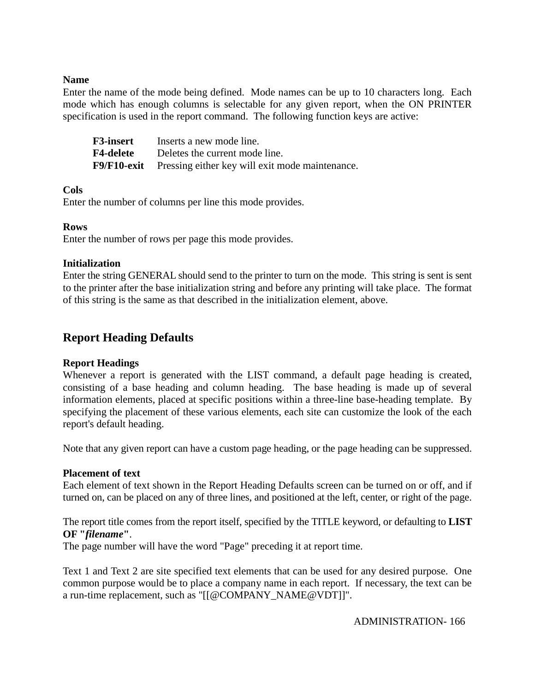#### **Name**

Enter the name of the mode being defined. Mode names can be up to 10 characters long. Each mode which has enough columns is selectable for any given report, when the ON PRINTER specification is used in the report command. The following function keys are active:

| <b>F3-insert</b> | Inserts a new mode line.                                           |
|------------------|--------------------------------------------------------------------|
| F4-delete        | Deletes the current mode line.                                     |
|                  | <b>F9/F10-exit</b> Pressing either key will exit mode maintenance. |

#### **Cols**

Enter the number of columns per line this mode provides.

#### **Rows**

Enter the number of rows per page this mode provides.

#### **Initialization**

Enter the string GENERAL should send to the printer to turn on the mode. This string is sent is sent to the printer after the base initialization string and before any printing will take place. The format of this string is the same as that described in the initialization element, above.

### **Report Heading Defaults**

#### **Report Headings**

Whenever a report is generated with the LIST command, a default page heading is created, consisting of a base heading and column heading. The base heading is made up of several information elements, placed at specific positions within a three-line base-heading template. By specifying the placement of these various elements, each site can customize the look of the each report's default heading.

Note that any given report can have a custom page heading, or the page heading can be suppressed.

#### **Placement of text**

Each element of text shown in the Report Heading Defaults screen can be turned on or off, and if turned on, can be placed on any of three lines, and positioned at the left, center, or right of the page.

The report title comes from the report itself, specified by the TITLE keyword, or defaulting to **LIST OF "***filename***"**.

The page number will have the word "Page" preceding it at report time.

Text 1 and Text 2 are site specified text elements that can be used for any desired purpose. One common purpose would be to place a company name in each report. If necessary, the text can be a run-time replacement, such as "[[@COMPANY\_NAME@VDT]]".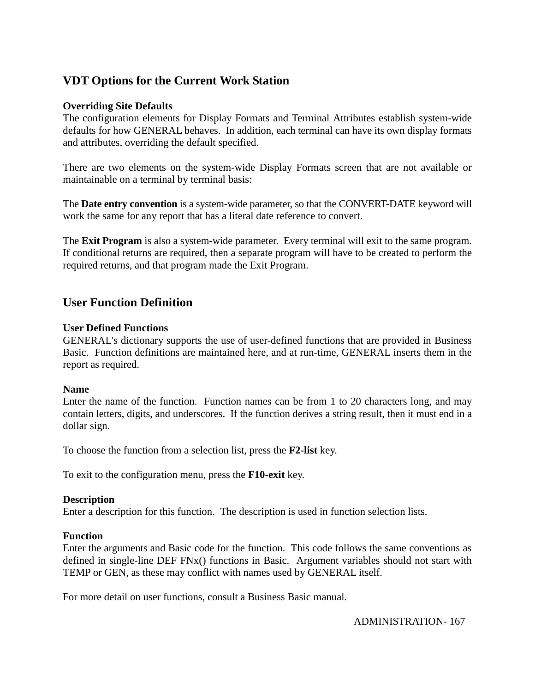### **VDT Options for the Current Work Station**

#### **Overriding Site Defaults**

The configuration elements for Display Formats and Terminal Attributes establish system-wide defaults for how GENERAL behaves. In addition, each terminal can have its own display formats and attributes, overriding the default specified.

There are two elements on the system-wide Display Formats screen that are not available or maintainable on a terminal by terminal basis:

The **Date entry convention** is a system-wide parameter, so that the CONVERT-DATE keyword will work the same for any report that has a literal date reference to convert.

The **Exit Program** is also a system-wide parameter. Every terminal will exit to the same program. If conditional returns are required, then a separate program will have to be created to perform the required returns, and that program made the Exit Program.

### **User Function Definition**

#### **User Defined Functions**

GENERAL's dictionary supports the use of user-defined functions that are provided in Business Basic. Function definitions are maintained here, and at run-time, GENERAL inserts them in the report as required.

#### **Name**

Enter the name of the function. Function names can be from 1 to 20 characters long, and may contain letters, digits, and underscores. If the function derives a string result, then it must end in a dollar sign.

To choose the function from a selection list, press the **F2-list** key.

To exit to the configuration menu, press the **F10-exit** key.

#### **Description**

Enter a description for this function. The description is used in function selection lists.

#### **Function**

Enter the arguments and Basic code for the function. This code follows the same conventions as defined in single-line DEF FNx() functions in Basic. Argument variables should not start with TEMP or GEN, as these may conflict with names used by GENERAL itself.

For more detail on user functions, consult a Business Basic manual.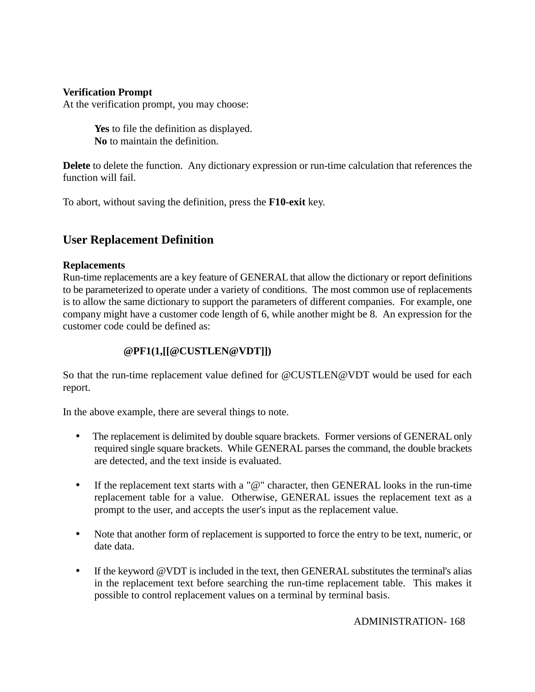#### **Verification Prompt**

At the verification prompt, you may choose:

**Yes** to file the definition as displayed. **No** to maintain the definition.

**Delete** to delete the function. Any dictionary expression or run-time calculation that references the function will fail.

To abort, without saving the definition, press the **F10-exit** key.

### **User Replacement Definition**

#### **Replacements**

Run-time replacements are a key feature of GENERAL that allow the dictionary or report definitions to be parameterized to operate under a variety of conditions. The most common use of replacements is to allow the same dictionary to support the parameters of different companies. For example, one company might have a customer code length of 6, while another might be 8. An expression for the customer code could be defined as:

#### **@PF1(1,[[@CUSTLEN@VDT]])**

So that the run-time replacement value defined for @CUSTLEN@VDT would be used for each report.

In the above example, there are several things to note.

- The replacement is delimited by double square brackets. Former versions of GENERAL only required single square brackets. While GENERAL parses the command, the double brackets are detected, and the text inside is evaluated.
- If the replacement text starts with a "@" character, then GENERAL looks in the run-time replacement table for a value. Otherwise, GENERAL issues the replacement text as a prompt to the user, and accepts the user's input as the replacement value.
- Note that another form of replacement is supported to force the entry to be text, numeric, or date data.
- If the keyword @VDT is included in the text, then GENERAL substitutes the terminal's alias in the replacement text before searching the run-time replacement table. This makes it possible to control replacement values on a terminal by terminal basis.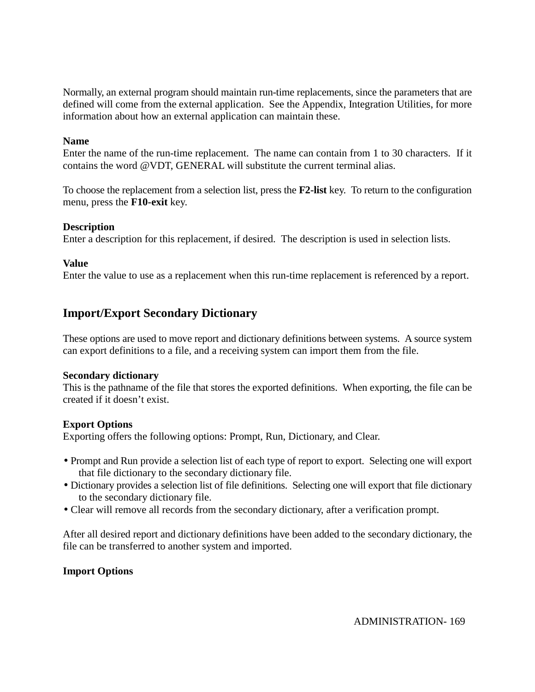Normally, an external program should maintain run-time replacements, since the parameters that are defined will come from the external application. See the Appendix, Integration Utilities, for more information about how an external application can maintain these.

#### **Name**

Enter the name of the run-time replacement. The name can contain from 1 to 30 characters. If it contains the word @VDT, GENERAL will substitute the current terminal alias.

To choose the replacement from a selection list, press the **F2-list** key. To return to the configuration menu, press the **F10-exit** key.

#### **Description**

Enter a description for this replacement, if desired. The description is used in selection lists.

#### **Value**

Enter the value to use as a replacement when this run-time replacement is referenced by a report.

### **Import/Export Secondary Dictionary**

These options are used to move report and dictionary definitions between systems. A source system can export definitions to a file, and a receiving system can import them from the file.

#### **Secondary dictionary**

This is the pathname of the file that stores the exported definitions. When exporting, the file can be created if it doesn't exist.

#### **Export Options**

Exporting offers the following options: Prompt, Run, Dictionary, and Clear.

- Prompt and Run provide a selection list of each type of report to export. Selecting one will export that file dictionary to the secondary dictionary file.
- Dictionary provides a selection list of file definitions. Selecting one will export that file dictionary to the secondary dictionary file.
- Clear will remove all records from the secondary dictionary, after a verification prompt.

After all desired report and dictionary definitions have been added to the secondary dictionary, the file can be transferred to another system and imported.

#### **Import Options**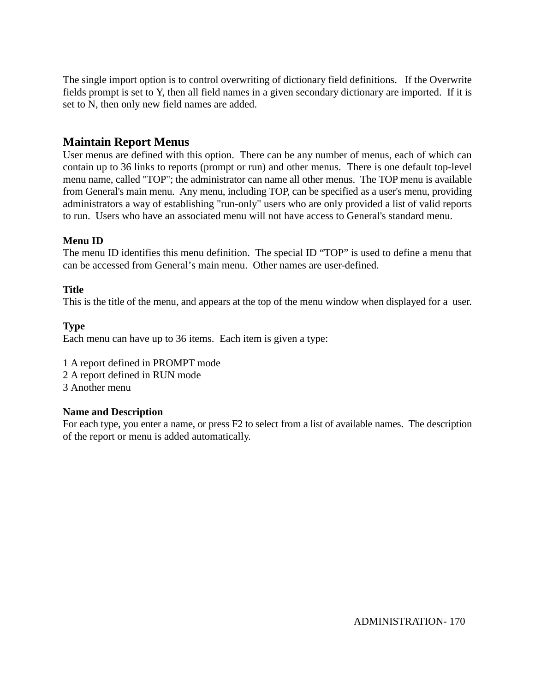The single import option is to control overwriting of dictionary field definitions. If the Overwrite fields prompt is set to Y, then all field names in a given secondary dictionary are imported. If it is set to N, then only new field names are added.

### **Maintain Report Menus**

User menus are defined with this option. There can be any number of menus, each of which can contain up to 36 links to reports (prompt or run) and other menus. There is one default top-level menu name, called "TOP"; the administrator can name all other menus. The TOP menu is available from General's main menu. Any menu, including TOP, can be specified as a user's menu, providing administrators a way of establishing "run-only" users who are only provided a list of valid reports to run. Users who have an associated menu will not have access to General's standard menu.

#### **Menu ID**

The menu ID identifies this menu definition. The special ID "TOP" is used to define a menu that can be accessed from General's main menu. Other names are user-defined.

#### **Title**

This is the title of the menu, and appears at the top of the menu window when displayed for a user.

#### **Type**

Each menu can have up to 36 items. Each item is given a type:

- 1 A report defined in PROMPT mode 2 A report defined in RUN mode
- 3 Another menu

#### **Name and Description**

For each type, you enter a name, or press F2 to select from a list of available names. The description of the report or menu is added automatically.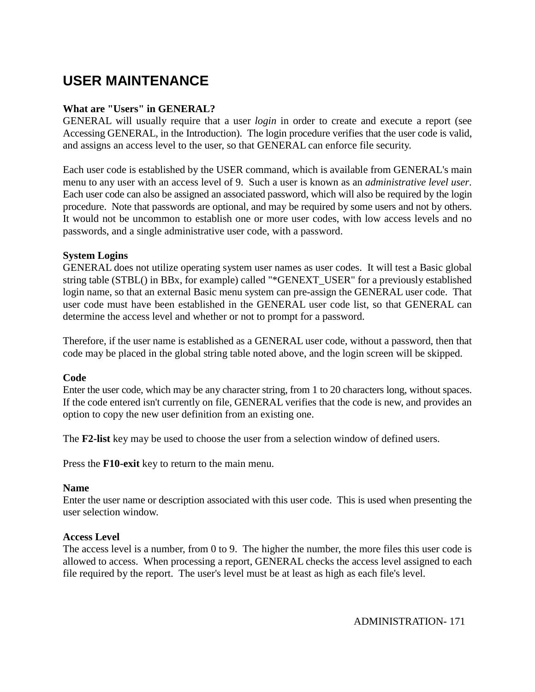# **USER MAINTENANCE**

#### **What are "Users" in GENERAL?**

GENERAL will usually require that a user *login* in order to create and execute a report (see Accessing GENERAL, in the Introduction). The login procedure verifies that the user code is valid, and assigns an access level to the user, so that GENERAL can enforce file security.

Each user code is established by the USER command, which is available from GENERAL's main menu to any user with an access level of 9. Such a user is known as an *administrative level user*. Each user code can also be assigned an associated password, which will also be required by the login procedure. Note that passwords are optional, and may be required by some users and not by others. It would not be uncommon to establish one or more user codes, with low access levels and no passwords, and a single administrative user code, with a password.

#### **System Logins**

GENERAL does not utilize operating system user names as user codes. It will test a Basic global string table (STBL() in BBx, for example) called "\*GENEXT\_USER" for a previously established login name, so that an external Basic menu system can pre-assign the GENERAL user code. That user code must have been established in the GENERAL user code list, so that GENERAL can determine the access level and whether or not to prompt for a password.

Therefore, if the user name is established as a GENERAL user code, without a password, then that code may be placed in the global string table noted above, and the login screen will be skipped.

#### **Code**

Enter the user code, which may be any character string, from 1 to 20 characters long, without spaces. If the code entered isn't currently on file, GENERAL verifies that the code is new, and provides an option to copy the new user definition from an existing one.

The **F2-list** key may be used to choose the user from a selection window of defined users.

Press the **F10-exit** key to return to the main menu.

#### **Name**

Enter the user name or description associated with this user code. This is used when presenting the user selection window.

#### **Access Level**

The access level is a number, from 0 to 9. The higher the number, the more files this user code is allowed to access. When processing a report, GENERAL checks the access level assigned to each file required by the report. The user's level must be at least as high as each file's level.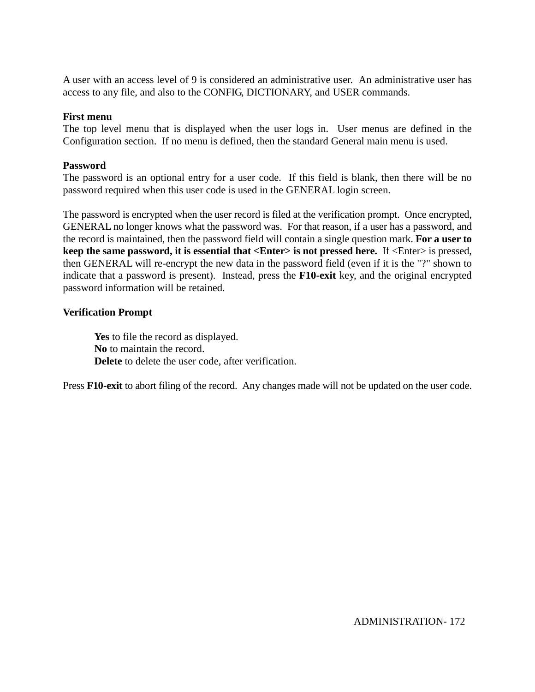A user with an access level of 9 is considered an administrative user. An administrative user has access to any file, and also to the CONFIG, DICTIONARY, and USER commands.

#### **First menu**

The top level menu that is displayed when the user logs in. User menus are defined in the Configuration section. If no menu is defined, then the standard General main menu is used.

#### **Password**

The password is an optional entry for a user code. If this field is blank, then there will be no password required when this user code is used in the GENERAL login screen.

The password is encrypted when the user record is filed at the verification prompt. Once encrypted, GENERAL no longer knows what the password was. For that reason, if a user has a password, and the record is maintained, then the password field will contain a single question mark. **For a user to keep the same password, it is essential that <Enter> is not pressed here.** If <Enter> is pressed, then GENERAL will re-encrypt the new data in the password field (even if it is the "?" shown to indicate that a password is present). Instead, press the **F10-exit** key, and the original encrypted password information will be retained.

#### **Verification Prompt**

**Yes** to file the record as displayed. **No** to maintain the record. **Delete** to delete the user code, after verification.

Press **F10-exit** to abort filing of the record. Any changes made will not be updated on the user code.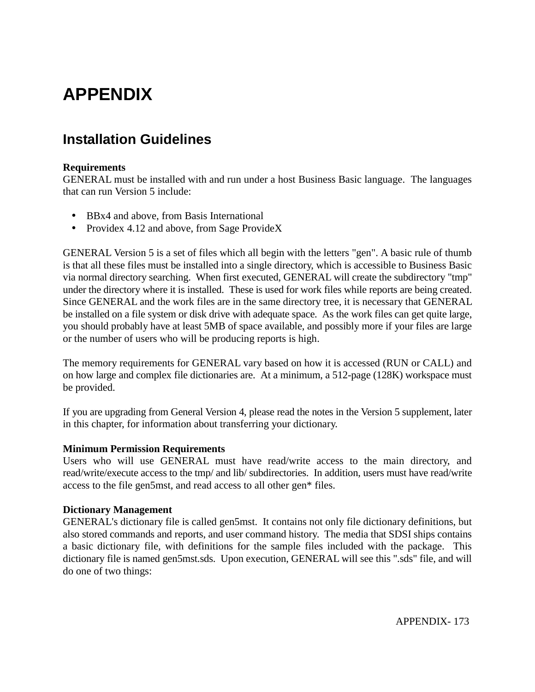# **APPENDIX**

# **Installation Guidelines**

#### **Requirements**

GENERAL must be installed with and run under a host Business Basic language. The languages that can run Version 5 include:

- BBx4 and above, from Basis International
- Providex 4.12 and above, from Sage ProvideX

GENERAL Version 5 is a set of files which all begin with the letters "gen". A basic rule of thumb is that all these files must be installed into a single directory, which is accessible to Business Basic via normal directory searching. When first executed, GENERAL will create the subdirectory "tmp" under the directory where it is installed. These is used for work files while reports are being created. Since GENERAL and the work files are in the same directory tree, it is necessary that GENERAL be installed on a file system or disk drive with adequate space. As the work files can get quite large, you should probably have at least 5MB of space available, and possibly more if your files are large or the number of users who will be producing reports is high.

The memory requirements for GENERAL vary based on how it is accessed (RUN or CALL) and on how large and complex file dictionaries are. At a minimum, a 512-page (128K) workspace must be provided.

If you are upgrading from General Version 4, please read the notes in the Version 5 supplement, later in this chapter, for information about transferring your dictionary.

#### **Minimum Permission Requirements**

Users who will use GENERAL must have read/write access to the main directory, and read/write/execute access to the tmp/ and lib/ subdirectories. In addition, users must have read/write access to the file gen5mst, and read access to all other gen\* files.

#### **Dictionary Management**

GENERAL's dictionary file is called gen5mst. It contains not only file dictionary definitions, but also stored commands and reports, and user command history. The media that SDSI ships contains a basic dictionary file, with definitions for the sample files included with the package. This dictionary file is named gen5mst.sds. Upon execution, GENERAL will see this ".sds" file, and will do one of two things: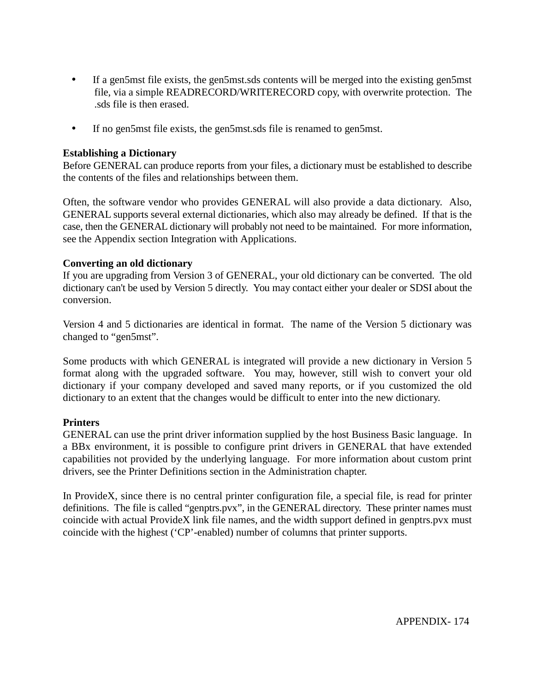- If a gen5mst file exists, the gen5mst.sds contents will be merged into the existing gen5mst file, via a simple READRECORD/WRITERECORD copy, with overwrite protection. The .sds file is then erased.
- If no gen5mst file exists, the gen5mst.sds file is renamed to gen5mst.

#### **Establishing a Dictionary**

Before GENERAL can produce reports from your files, a dictionary must be established to describe the contents of the files and relationships between them.

Often, the software vendor who provides GENERAL will also provide a data dictionary. Also, GENERAL supports several external dictionaries, which also may already be defined. If that is the case, then the GENERAL dictionary will probably not need to be maintained. For more information, see the Appendix section Integration with Applications.

#### **Converting an old dictionary**

If you are upgrading from Version 3 of GENERAL, your old dictionary can be converted. The old dictionary can't be used by Version 5 directly. You may contact either your dealer or SDSI about the conversion.

Version 4 and 5 dictionaries are identical in format. The name of the Version 5 dictionary was changed to "gen5mst".

Some products with which GENERAL is integrated will provide a new dictionary in Version 5 format along with the upgraded software. You may, however, still wish to convert your old dictionary if your company developed and saved many reports, or if you customized the old dictionary to an extent that the changes would be difficult to enter into the new dictionary.

#### **Printers**

GENERAL can use the print driver information supplied by the host Business Basic language. In a BBx environment, it is possible to configure print drivers in GENERAL that have extended capabilities not provided by the underlying language. For more information about custom print drivers, see the Printer Definitions section in the Administration chapter.

In ProvideX, since there is no central printer configuration file, a special file, is read for printer definitions. The file is called "genptrs.pvx", in the GENERAL directory. These printer names must coincide with actual ProvideX link file names, and the width support defined in genptrs.pvx must coincide with the highest ('CP'-enabled) number of columns that printer supports.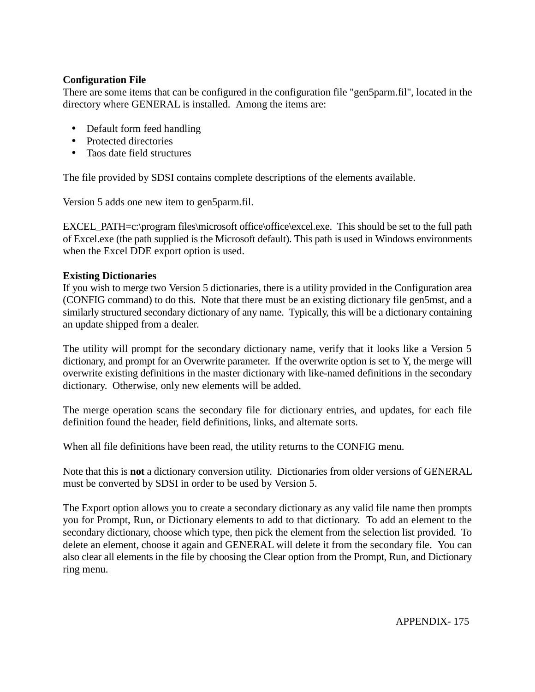#### **Configuration File**

There are some items that can be configured in the configuration file "gen5parm.fil", located in the directory where GENERAL is installed. Among the items are:

- Default form feed handling
- Protected directories
- Taos date field structures

The file provided by SDSI contains complete descriptions of the elements available.

Version 5 adds one new item to gen5parm.fil.

EXCEL\_PATH=c:\program files\microsoft office\office\excel.exe. This should be set to the full path of Excel.exe (the path supplied is the Microsoft default). This path is used in Windows environments when the Excel DDE export option is used.

#### **Existing Dictionaries**

If you wish to merge two Version 5 dictionaries, there is a utility provided in the Configuration area (CONFIG command) to do this. Note that there must be an existing dictionary file gen5mst, and a similarly structured secondary dictionary of any name. Typically, this will be a dictionary containing an update shipped from a dealer.

The utility will prompt for the secondary dictionary name, verify that it looks like a Version 5 dictionary, and prompt for an Overwrite parameter. If the overwrite option is set to Y, the merge will overwrite existing definitions in the master dictionary with like-named definitions in the secondary dictionary. Otherwise, only new elements will be added.

The merge operation scans the secondary file for dictionary entries, and updates, for each file definition found the header, field definitions, links, and alternate sorts.

When all file definitions have been read, the utility returns to the CONFIG menu.

Note that this is **not** a dictionary conversion utility. Dictionaries from older versions of GENERAL must be converted by SDSI in order to be used by Version 5.

The Export option allows you to create a secondary dictionary as any valid file name then prompts you for Prompt, Run, or Dictionary elements to add to that dictionary. To add an element to the secondary dictionary, choose which type, then pick the element from the selection list provided. To delete an element, choose it again and GENERAL will delete it from the secondary file. You can also clear all elements in the file by choosing the Clear option from the Prompt, Run, and Dictionary ring menu.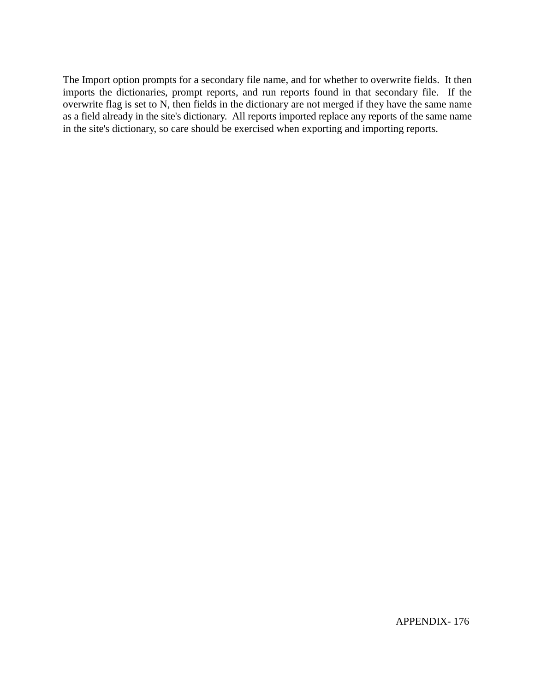The Import option prompts for a secondary file name, and for whether to overwrite fields. It then imports the dictionaries, prompt reports, and run reports found in that secondary file. If the overwrite flag is set to N, then fields in the dictionary are not merged if they have the same name as a field already in the site's dictionary. All reports imported replace any reports of the same name in the site's dictionary, so care should be exercised when exporting and importing reports.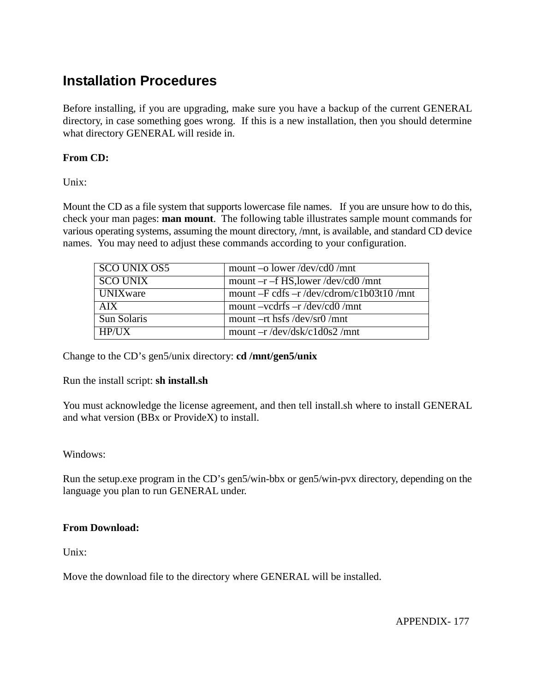## **Installation Procedures**

Before installing, if you are upgrading, make sure you have a backup of the current GENERAL directory, in case something goes wrong. If this is a new installation, then you should determine what directory GENERAL will reside in.

#### **From CD:**

Unix:

Mount the CD as a file system that supports lowercase file names. If you are unsure how to do this, check your man pages: **man mount**. The following table illustrates sample mount commands for various operating systems, assuming the mount directory, /mnt, is available, and standard CD device names. You may need to adjust these commands according to your configuration.

| SCO UNIX OS5    | mount $-\sigma$ lower /dev/cd0 /mnt           |
|-----------------|-----------------------------------------------|
| <b>SCO UNIX</b> | mount $-r - f$ HS, lower /dev/cd0 /mnt        |
| UNIXware        | mount $-F$ cdfs $-r$ /dev/cdrom/c1b03t10 /mnt |
| AIX             | mount $-vcdrfs - r/dev/cd0/mnt$               |
| Sun Solaris     | mount –rt hsfs /dev/sr0 /mnt                  |
| HP/UX           | mount $-r$ /dev/dsk/c1d0s2 /mnt               |

Change to the CD's gen5/unix directory: **cd /mnt/gen5/unix**

#### Run the install script: **sh install.sh**

You must acknowledge the license agreement, and then tell install.sh where to install GENERAL and what version (BBx or ProvideX) to install.

#### Windows:

Run the setup.exe program in the CD's gen5/win-bbx or gen5/win-pvx directory, depending on the language you plan to run GENERAL under.

#### **From Download:**

Unix:

Move the download file to the directory where GENERAL will be installed.

APPENDIX- 177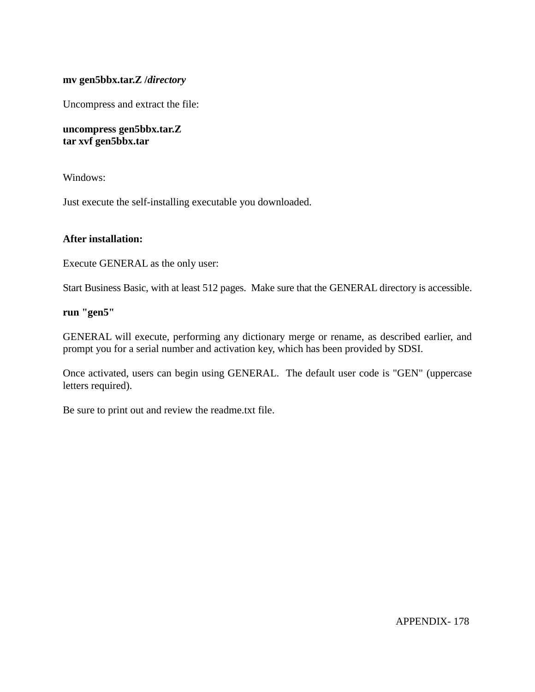#### **mv gen5bbx.tar.Z /***directory*

Uncompress and extract the file:

#### **uncompress gen5bbx.tar.Z tar xvf gen5bbx.tar**

Windows:

Just execute the self-installing executable you downloaded.

#### **After installation:**

Execute GENERAL as the only user:

Start Business Basic, with at least 512 pages. Make sure that the GENERAL directory is accessible.

#### **run "gen5"**

GENERAL will execute, performing any dictionary merge or rename, as described earlier, and prompt you for a serial number and activation key, which has been provided by SDSI.

Once activated, users can begin using GENERAL. The default user code is "GEN" (uppercase letters required).

Be sure to print out and review the readme.txt file.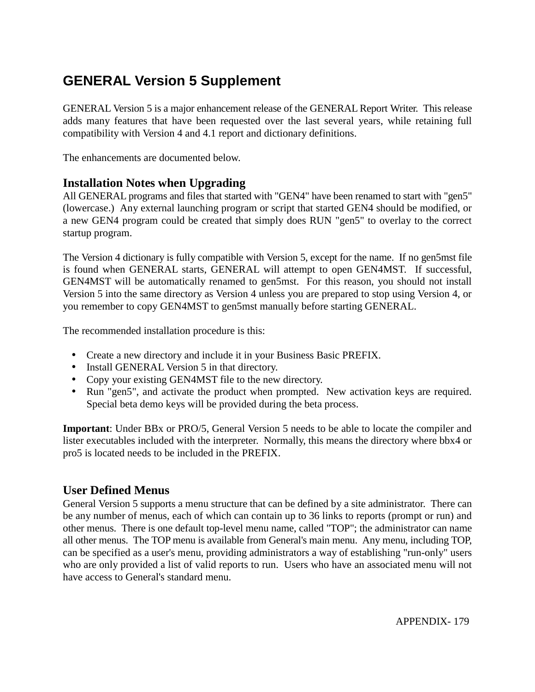# **GENERAL Version 5 Supplement**

GENERAL Version 5 is a major enhancement release of the GENERAL Report Writer. This release adds many features that have been requested over the last several years, while retaining full compatibility with Version 4 and 4.1 report and dictionary definitions.

The enhancements are documented below.

### **Installation Notes when Upgrading**

All GENERAL programs and files that started with "GEN4" have been renamed to start with "gen5" (lowercase.) Any external launching program or script that started GEN4 should be modified, or a new GEN4 program could be created that simply does RUN "gen5" to overlay to the correct startup program.

The Version 4 dictionary is fully compatible with Version 5, except for the name. If no gen5mst file is found when GENERAL starts, GENERAL will attempt to open GEN4MST. If successful, GEN4MST will be automatically renamed to gen5mst. For this reason, you should not install Version 5 into the same directory as Version 4 unless you are prepared to stop using Version 4, or you remember to copy GEN4MST to gen5mst manually before starting GENERAL.

The recommended installation procedure is this:

- Create a new directory and include it in your Business Basic PREFIX.
- Install GENERAL Version 5 in that directory.
- Copy your existing GEN4MST file to the new directory.
- Run "gen5", and activate the product when prompted. New activation keys are required. Special beta demo keys will be provided during the beta process.

**Important**: Under BBx or PRO/5, General Version 5 needs to be able to locate the compiler and lister executables included with the interpreter. Normally, this means the directory where bbx4 or pro5 is located needs to be included in the PREFIX.

### **User Defined Menus**

General Version 5 supports a menu structure that can be defined by a site administrator. There can be any number of menus, each of which can contain up to 36 links to reports (prompt or run) and other menus. There is one default top-level menu name, called "TOP"; the administrator can name all other menus. The TOP menu is available from General's main menu. Any menu, including TOP, can be specified as a user's menu, providing administrators a way of establishing "run-only" users who are only provided a list of valid reports to run. Users who have an associated menu will not have access to General's standard menu.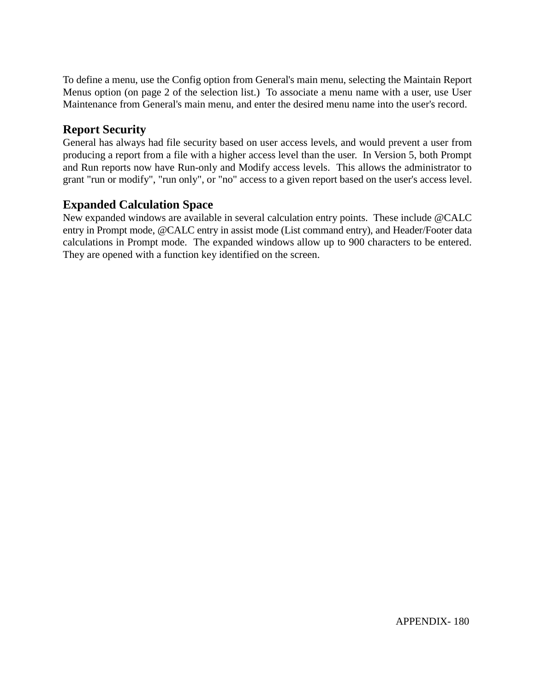To define a menu, use the Config option from General's main menu, selecting the Maintain Report Menus option (on page 2 of the selection list.) To associate a menu name with a user, use User Maintenance from General's main menu, and enter the desired menu name into the user's record.

### **Report Security**

General has always had file security based on user access levels, and would prevent a user from producing a report from a file with a higher access level than the user. In Version 5, both Prompt and Run reports now have Run-only and Modify access levels. This allows the administrator to grant "run or modify", "run only", or "no" access to a given report based on the user's access level.

### **Expanded Calculation Space**

New expanded windows are available in several calculation entry points. These include @CALC entry in Prompt mode, @CALC entry in assist mode (List command entry), and Header/Footer data calculations in Prompt mode. The expanded windows allow up to 900 characters to be entered. They are opened with a function key identified on the screen.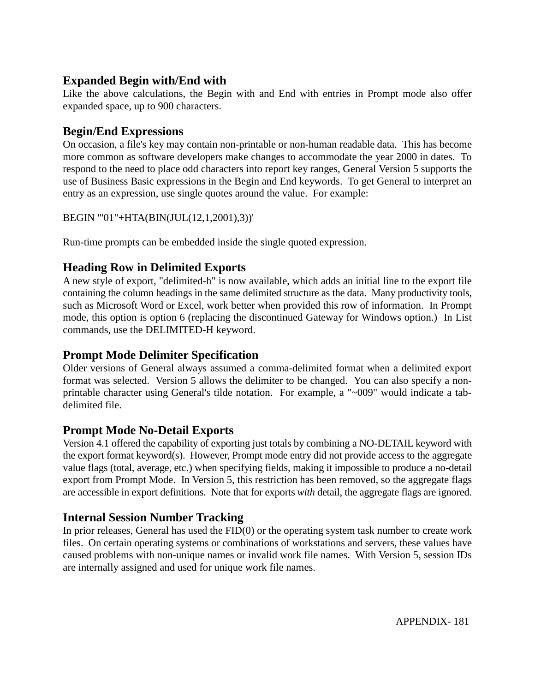# **Expanded Begin with/End with**

Like the above calculations, the Begin with and End with entries in Prompt mode also offer expanded space, up to 900 characters.

# **Begin/End Expressions**

On occasion, a file's key may contain non-printable or non-human readable data. This has become more common as software developers make changes to accommodate the year 2000 in dates. To respond to the need to place odd characters into report key ranges, General Version 5 supports the use of Business Basic expressions in the Begin and End keywords. To get General to interpret an entry as an expression, use single quotes around the value. For example:

BEGIN '"01"+HTA(BIN(JUL(12,1,2001),3))'

Run-time prompts can be embedded inside the single quoted expression.

# **Heading Row in Delimited Exports**

A new style of export, "delimited-h" is now available, which adds an initial line to the export file containing the column headings in the same delimited structure as the data. Many productivity tools, such as Microsoft Word or Excel, work better when provided this row of information. In Prompt mode, this option is option 6 (replacing the discontinued Gateway for Windows option.) In List commands, use the DELIMITED-H keyword.

# **Prompt Mode Delimiter Specification**

Older versions of General always assumed a comma-delimited format when a delimited export format was selected. Version 5 allows the delimiter to be changed. You can also specify a nonprintable character using General's tilde notation. For example, a "~009" would indicate a tabdelimited file.

## **Prompt Mode No-Detail Exports**

Version 4.1 offered the capability of exporting just totals by combining a NO-DETAIL keyword with the export format keyword(s). However, Prompt mode entry did not provide access to the aggregate value flags (total, average, etc.) when specifying fields, making it impossible to produce a no-detail export from Prompt Mode. In Version 5, this restriction has been removed, so the aggregate flags are accessible in export definitions. Note that for exports *with* detail, the aggregate flags are ignored.

## **Internal Session Number Tracking**

In prior releases, General has used the FID(0) or the operating system task number to create work files. On certain operating systems or combinations of workstations and servers, these values have caused problems with non-unique names or invalid work file names. With Version 5, session IDs are internally assigned and used for unique work file names.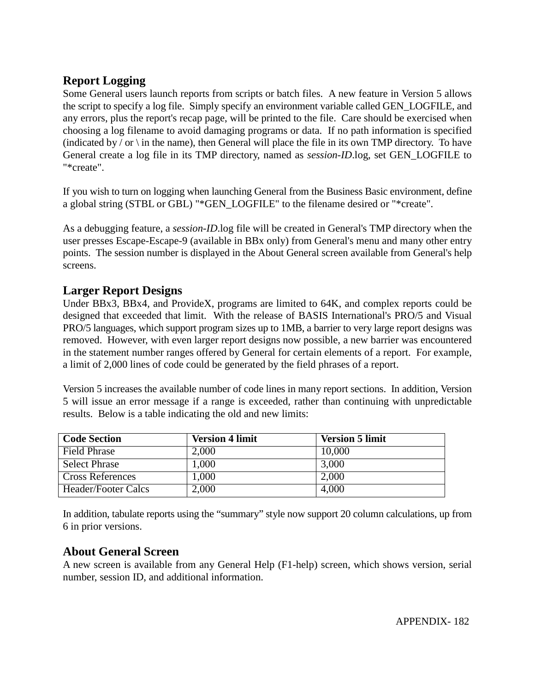# **Report Logging**

Some General users launch reports from scripts or batch files. A new feature in Version 5 allows the script to specify a log file. Simply specify an environment variable called GEN\_LOGFILE, and any errors, plus the report's recap page, will be printed to the file. Care should be exercised when choosing a log filename to avoid damaging programs or data. If no path information is specified (indicated by / or \ in the name), then General will place the file in its own TMP directory. To have General create a log file in its TMP directory, named as *session-ID*.log, set GEN\_LOGFILE to "\*create".

If you wish to turn on logging when launching General from the Business Basic environment, define a global string (STBL or GBL) "\*GEN\_LOGFILE" to the filename desired or "\*create".

As a debugging feature, a *session-ID*.log file will be created in General's TMP directory when the user presses Escape-Escape-9 (available in BBx only) from General's menu and many other entry points. The session number is displayed in the About General screen available from General's help screens.

## **Larger Report Designs**

Under BBx3, BBx4, and ProvideX, programs are limited to 64K, and complex reports could be designed that exceeded that limit. With the release of BASIS International's PRO/5 and Visual PRO/5 languages, which support program sizes up to 1MB, a barrier to very large report designs was removed. However, with even larger report designs now possible, a new barrier was encountered in the statement number ranges offered by General for certain elements of a report. For example, a limit of 2,000 lines of code could be generated by the field phrases of a report.

Version 5 increases the available number of code lines in many report sections. In addition, Version 5 will issue an error message if a range is exceeded, rather than continuing with unpredictable results. Below is a table indicating the old and new limits:

| <b>Code Section</b>        | <b>Version 4 limit</b> | <b>Version 5 limit</b> |
|----------------------------|------------------------|------------------------|
| <b>Field Phrase</b>        | 2,000                  | 10,000                 |
| <b>Select Phrase</b>       | 1,000                  | 3,000                  |
| <b>Cross References</b>    | 1,000                  | 2,000                  |
| <b>Header/Footer Calcs</b> | 2,000                  | 4,000                  |

In addition, tabulate reports using the "summary" style now support 20 column calculations, up from 6 in prior versions.

## **About General Screen**

A new screen is available from any General Help (F1-help) screen, which shows version, serial number, session ID, and additional information.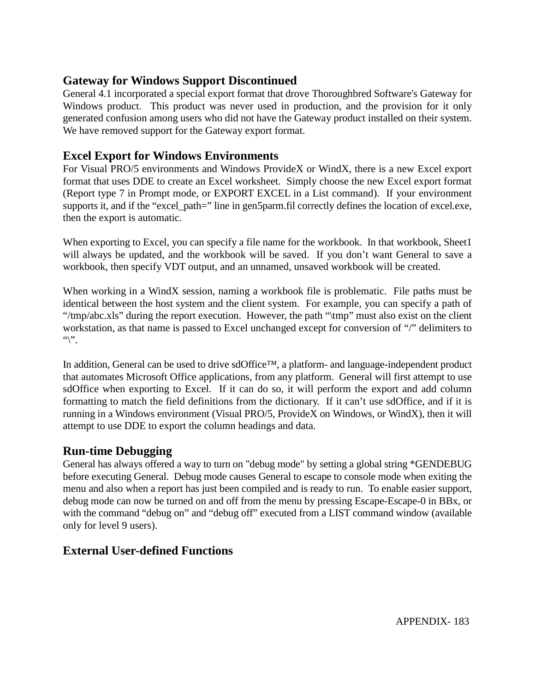## **Gateway for Windows Support Discontinued**

General 4.1 incorporated a special export format that drove Thoroughbred Software's Gateway for Windows product. This product was never used in production, and the provision for it only generated confusion among users who did not have the Gateway product installed on their system. We have removed support for the Gateway export format.

## **Excel Export for Windows Environments**

For Visual PRO/5 environments and Windows ProvideX or WindX, there is a new Excel export format that uses DDE to create an Excel worksheet. Simply choose the new Excel export format (Report type 7 in Prompt mode, or EXPORT EXCEL in a List command). If your environment supports it, and if the "excel\_path=" line in gen5parm.fil correctly defines the location of excel.exe, then the export is automatic.

When exporting to Excel, you can specify a file name for the workbook. In that workbook, Sheet1 will always be updated, and the workbook will be saved. If you don't want General to save a workbook, then specify VDT output, and an unnamed, unsaved workbook will be created.

When working in a WindX session, naming a workbook file is problematic. File paths must be identical between the host system and the client system. For example, you can specify a path of "/tmp/abc.xls" during the report execution. However, the path "\tmp" must also exist on the client workstation, as that name is passed to Excel unchanged except for conversion of "/" delimiters to  $\mathcal{L}$ ".

In addition, General can be used to drive sdOffice™, a platform- and language-independent product that automates Microsoft Office applications, from any platform. General will first attempt to use sdOffice when exporting to Excel. If it can do so, it will perform the export and add column formatting to match the field definitions from the dictionary. If it can't use sdOffice, and if it is running in a Windows environment (Visual PRO/5, ProvideX on Windows, or WindX), then it will attempt to use DDE to export the column headings and data.

## **Run-time Debugging**

General has always offered a way to turn on "debug mode" by setting a global string \*GENDEBUG before executing General. Debug mode causes General to escape to console mode when exiting the menu and also when a report has just been compiled and is ready to run. To enable easier support, debug mode can now be turned on and off from the menu by pressing Escape-Escape-0 in BBx, or with the command "debug on" and "debug off" executed from a LIST command window (available only for level 9 users).

## **External User-defined Functions**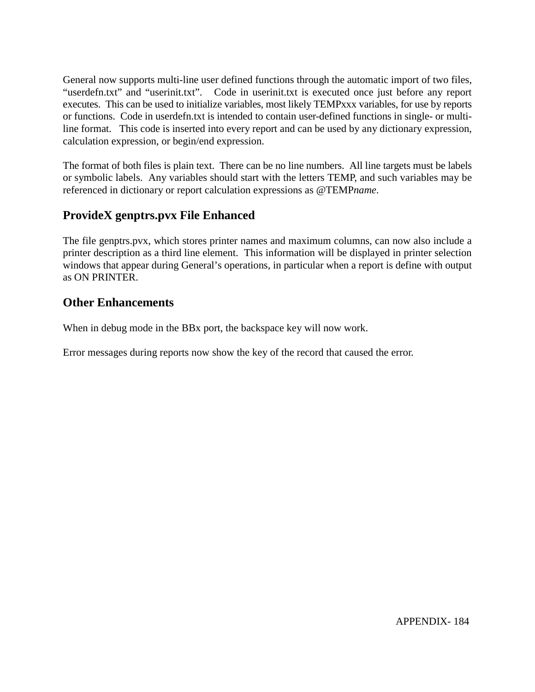General now supports multi-line user defined functions through the automatic import of two files, "userdefn.txt" and "userinit.txt". Code in userinit.txt is executed once just before any report executes. This can be used to initialize variables, most likely TEMPxxx variables, for use by reports or functions. Code in userdefn.txt is intended to contain user-defined functions in single- or multiline format. This code is inserted into every report and can be used by any dictionary expression, calculation expression, or begin/end expression.

The format of both files is plain text. There can be no line numbers. All line targets must be labels or symbolic labels. Any variables should start with the letters TEMP, and such variables may be referenced in dictionary or report calculation expressions as @TEMP*name*.

# **ProvideX genptrs.pvx File Enhanced**

The file genptrs.pvx, which stores printer names and maximum columns, can now also include a printer description as a third line element. This information will be displayed in printer selection windows that appear during General's operations, in particular when a report is define with output as ON PRINTER.

## **Other Enhancements**

When in debug mode in the BBx port, the backspace key will now work.

Error messages during reports now show the key of the record that caused the error.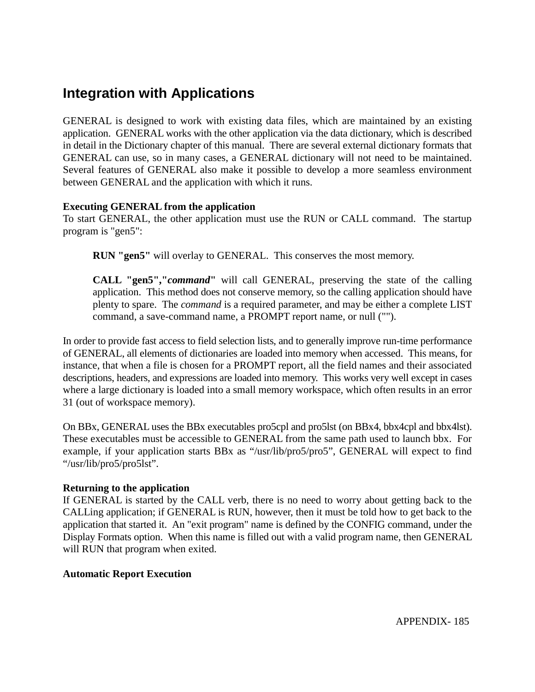# **Integration with Applications**

GENERAL is designed to work with existing data files, which are maintained by an existing application. GENERAL works with the other application via the data dictionary, which is described in detail in the Dictionary chapter of this manual. There are several external dictionary formats that GENERAL can use, so in many cases, a GENERAL dictionary will not need to be maintained. Several features of GENERAL also make it possible to develop a more seamless environment between GENERAL and the application with which it runs.

## **Executing GENERAL from the application**

To start GENERAL, the other application must use the RUN or CALL command. The startup program is "gen5":

**RUN "gen5"** will overlay to GENERAL. This conserves the most memory.

**CALL "gen5","***command***"** will call GENERAL, preserving the state of the calling application. This method does not conserve memory, so the calling application should have plenty to spare. The *command* is a required parameter, and may be either a complete LIST command, a save-command name, a PROMPT report name, or null ("").

In order to provide fast access to field selection lists, and to generally improve run-time performance of GENERAL, all elements of dictionaries are loaded into memory when accessed. This means, for instance, that when a file is chosen for a PROMPT report, all the field names and their associated descriptions, headers, and expressions are loaded into memory. This works very well except in cases where a large dictionary is loaded into a small memory workspace, which often results in an error 31 (out of workspace memory).

On BBx, GENERAL uses the BBx executables pro5cpl and pro5lst (on BBx4, bbx4cpl and bbx4lst). These executables must be accessible to GENERAL from the same path used to launch bbx. For example, if your application starts BBx as "/usr/lib/pro5/pro5", GENERAL will expect to find "/usr/lib/pro5/pro5lst".

#### **Returning to the application**

If GENERAL is started by the CALL verb, there is no need to worry about getting back to the CALLing application; if GENERAL is RUN, however, then it must be told how to get back to the application that started it. An "exit program" name is defined by the CONFIG command, under the Display Formats option. When this name is filled out with a valid program name, then GENERAL will RUN that program when exited.

#### **Automatic Report Execution**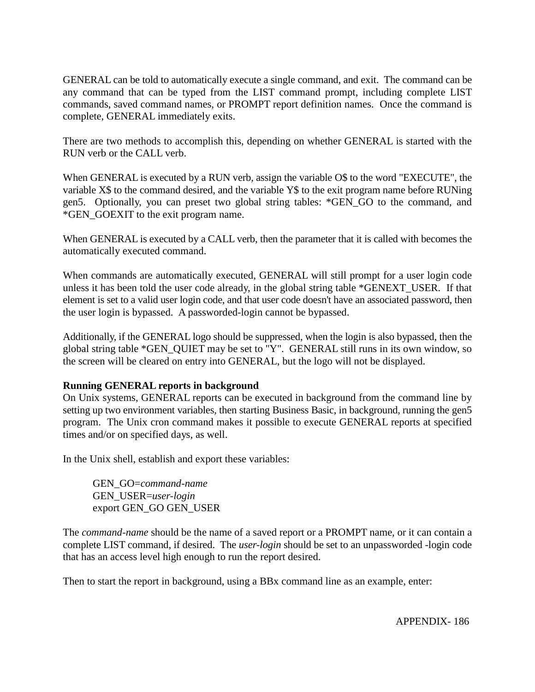GENERAL can be told to automatically execute a single command, and exit. The command can be any command that can be typed from the LIST command prompt, including complete LIST commands, saved command names, or PROMPT report definition names. Once the command is complete, GENERAL immediately exits.

There are two methods to accomplish this, depending on whether GENERAL is started with the RUN verb or the CALL verb.

When GENERAL is executed by a RUN verb, assign the variable O\$ to the word "EXECUTE", the variable X\$ to the command desired, and the variable Y\$ to the exit program name before RUNing gen5. Optionally, you can preset two global string tables: \*GEN\_GO to the command, and \*GEN\_GOEXIT to the exit program name.

When GENERAL is executed by a CALL verb, then the parameter that it is called with becomes the automatically executed command.

When commands are automatically executed, GENERAL will still prompt for a user login code unless it has been told the user code already, in the global string table \*GENEXT\_USER. If that element is set to a valid user login code, and that user code doesn't have an associated password, then the user login is bypassed. A passworded-login cannot be bypassed.

Additionally, if the GENERAL logo should be suppressed, when the login is also bypassed, then the global string table \*GEN\_QUIET may be set to "Y". GENERAL still runs in its own window, so the screen will be cleared on entry into GENERAL, but the logo will not be displayed.

## **Running GENERAL reports in background**

On Unix systems, GENERAL reports can be executed in background from the command line by setting up two environment variables, then starting Business Basic, in background, running the gen5 program. The Unix cron command makes it possible to execute GENERAL reports at specified times and/or on specified days, as well.

In the Unix shell, establish and export these variables:

GEN\_GO=*command-name* GEN\_USER=*user-login* export GEN\_GO GEN\_USER

The *command-name* should be the name of a saved report or a PROMPT name, or it can contain a complete LIST command, if desired. The *user-login* should be set to an unpassworded -login code that has an access level high enough to run the report desired.

Then to start the report in background, using a BBx command line as an example, enter: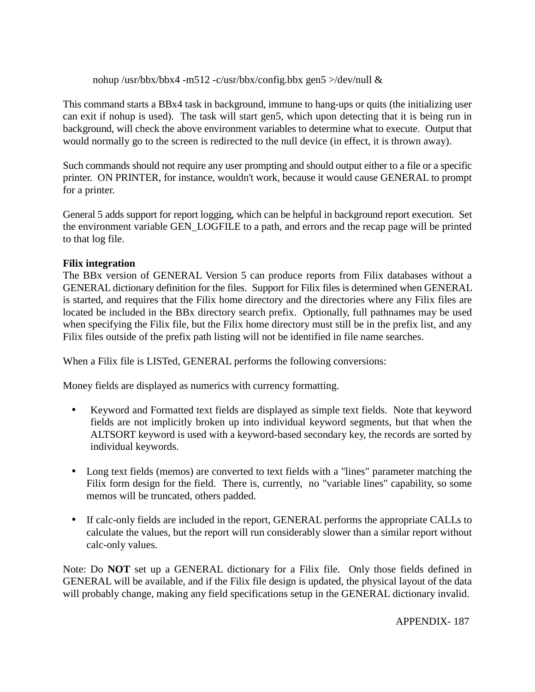nohup /usr/bbx/bbx4 -m512 -c/usr/bbx/config.bbx gen5 >/dev/null &

This command starts a BBx4 task in background, immune to hang-ups or quits (the initializing user can exit if nohup is used). The task will start gen5, which upon detecting that it is being run in background, will check the above environment variables to determine what to execute. Output that would normally go to the screen is redirected to the null device (in effect, it is thrown away).

Such commands should not require any user prompting and should output either to a file or a specific printer. ON PRINTER, for instance, wouldn't work, because it would cause GENERAL to prompt for a printer.

General 5 adds support for report logging, which can be helpful in background report execution. Set the environment variable GEN\_LOGFILE to a path, and errors and the recap page will be printed to that log file.

## **Filix integration**

The BBx version of GENERAL Version 5 can produce reports from Filix databases without a GENERAL dictionary definition for the files. Support for Filix files is determined when GENERAL is started, and requires that the Filix home directory and the directories where any Filix files are located be included in the BBx directory search prefix. Optionally, full pathnames may be used when specifying the Filix file, but the Filix home directory must still be in the prefix list, and any Filix files outside of the prefix path listing will not be identified in file name searches.

When a Filix file is LISTed, GENERAL performs the following conversions:

Money fields are displayed as numerics with currency formatting.

- Keyword and Formatted text fields are displayed as simple text fields. Note that keyword fields are not implicitly broken up into individual keyword segments, but that when the ALTSORT keyword is used with a keyword-based secondary key, the records are sorted by individual keywords.
- Long text fields (memos) are converted to text fields with a "lines" parameter matching the Filix form design for the field. There is, currently, no "variable lines" capability, so some memos will be truncated, others padded.
- If calc-only fields are included in the report, GENERAL performs the appropriate CALLs to calculate the values, but the report will run considerably slower than a similar report without calc-only values.

Note: Do **NOT** set up a GENERAL dictionary for a Filix file. Only those fields defined in GENERAL will be available, and if the Filix file design is updated, the physical layout of the data will probably change, making any field specifications setup in the GENERAL dictionary invalid.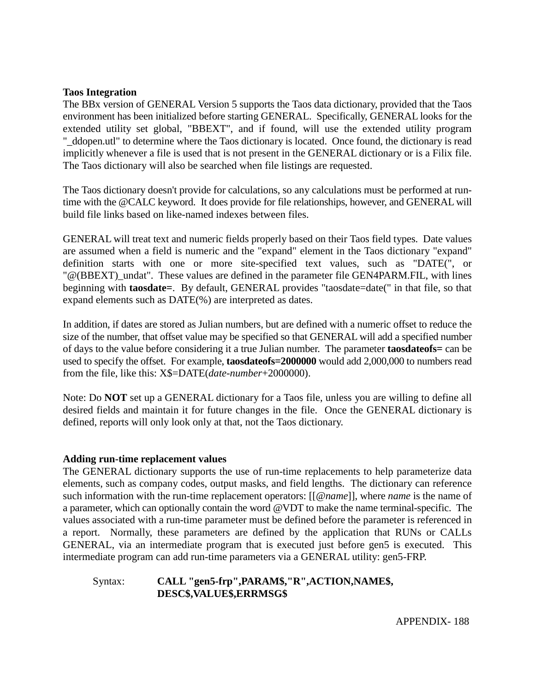#### **Taos Integration**

The BBx version of GENERAL Version 5 supports the Taos data dictionary, provided that the Taos environment has been initialized before starting GENERAL. Specifically, GENERAL looks for the extended utility set global, "BBEXT", and if found, will use the extended utility program "\_ddopen.utl" to determine where the Taos dictionary is located. Once found, the dictionary is read implicitly whenever a file is used that is not present in the GENERAL dictionary or is a Filix file. The Taos dictionary will also be searched when file listings are requested.

The Taos dictionary doesn't provide for calculations, so any calculations must be performed at runtime with the @CALC keyword. It does provide for file relationships, however, and GENERAL will build file links based on like-named indexes between files.

GENERAL will treat text and numeric fields properly based on their Taos field types. Date values are assumed when a field is numeric and the "expand" element in the Taos dictionary "expand" definition starts with one or more site-specified text values, such as "DATE(", or "@(BBEXT)\_undat". These values are defined in the parameter file GEN4PARM.FIL, with lines beginning with **taosdate=**. By default, GENERAL provides "taosdate=date(" in that file, so that expand elements such as DATE(%) are interpreted as dates.

In addition, if dates are stored as Julian numbers, but are defined with a numeric offset to reduce the size of the number, that offset value may be specified so that GENERAL will add a specified number of days to the value before considering it a true Julian number. The parameter **taosdateofs=** can be used to specify the offset. For example, **taosdateofs=2000000** would add 2,000,000 to numbers read from the file, like this: X\$=DATE(*date-number*+2000000).

Note: Do **NOT** set up a GENERAL dictionary for a Taos file, unless you are willing to define all desired fields and maintain it for future changes in the file. Once the GENERAL dictionary is defined, reports will only look only at that, not the Taos dictionary.

#### **Adding run-time replacement values**

The GENERAL dictionary supports the use of run-time replacements to help parameterize data elements, such as company codes, output masks, and field lengths. The dictionary can reference such information with the run-time replacement operators: [[@*name*]], where *name* is the name of a parameter, which can optionally contain the word @VDT to make the name terminal-specific. The values associated with a run-time parameter must be defined before the parameter is referenced in a report. Normally, these parameters are defined by the application that RUNs or CALLs GENERAL, via an intermediate program that is executed just before gen5 is executed. This intermediate program can add run-time parameters via a GENERAL utility: gen5-FRP.

Syntax: **CALL "gen5-frp",PARAM\$,"R",ACTION,NAME\$, DESC\$,VALUE\$,ERRMSG\$**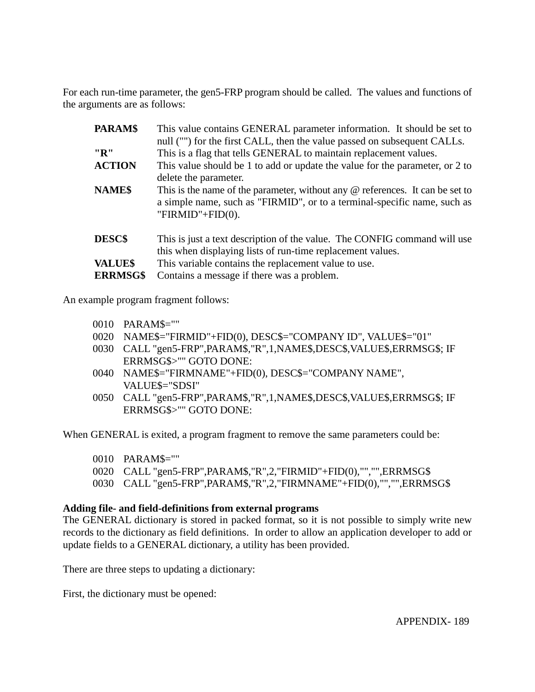For each run-time parameter, the gen5-FRP program should be called. The values and functions of the arguments are as follows:

| PARAM\$         | This value contains GENERAL parameter information. It should be set to<br>null ("") for the first CALL, then the value passed on subsequent CALLs.                                       |
|-----------------|------------------------------------------------------------------------------------------------------------------------------------------------------------------------------------------|
| "R"             | This is a flag that tells GENERAL to maintain replacement values.                                                                                                                        |
| <b>ACTION</b>   | This value should be 1 to add or update the value for the parameter, or 2 to<br>delete the parameter.                                                                                    |
| <b>NAME\$</b>   | This is the name of the parameter, without any $\omega$ references. It can be set to<br>a simple name, such as "FIRMID", or to a terminal-specific name, such as<br>"FIRMID"+FID $(0)$ . |
| <b>DESC\$</b>   | This is just a text description of the value. The CONFIG command will use<br>this when displaying lists of run-time replacement values.                                                  |
| <b>VALUE\$</b>  | This variable contains the replacement value to use.                                                                                                                                     |
| <b>ERRMSG\$</b> | Contains a message if there was a problem.                                                                                                                                               |

An example program fragment follows:

- 0010 PARAM\$=""
- 0020 NAME\$="FIRMID"+FID(0), DESC\$="COMPANY ID", VALUE\$="01"
- 0030 CALL "gen5-FRP",PARAM\$,"R",1,NAME\$,DESC\$,VALUE\$,ERRMSG\$; IF ERRMSG\$>"" GOTO DONE:
- 0040 NAME\$="FIRMNAME"+FID(0), DESC\$="COMPANY NAME", VALUE\$="SDSI"
- 0050 CALL "gen5-FRP",PARAM\$,"R",1,NAME\$,DESC\$,VALUE\$,ERRMSG\$; IF ERRMSG\$>"" GOTO DONE:

When GENERAL is exited, a program fragment to remove the same parameters could be:

- 0010 PARAM\$=""
- 0020 CALL "gen5-FRP",PARAM\$,"R",2,"FIRMID"+FID(0),"","",ERRMSG\$
- 0030 CALL "gen5-FRP",PARAM\$,"R",2,"FIRMNAME"+FID(0),"","",ERRMSG\$

#### **Adding file- and field-definitions from external programs**

The GENERAL dictionary is stored in packed format, so it is not possible to simply write new records to the dictionary as field definitions. In order to allow an application developer to add or update fields to a GENERAL dictionary, a utility has been provided.

There are three steps to updating a dictionary:

First, the dictionary must be opened: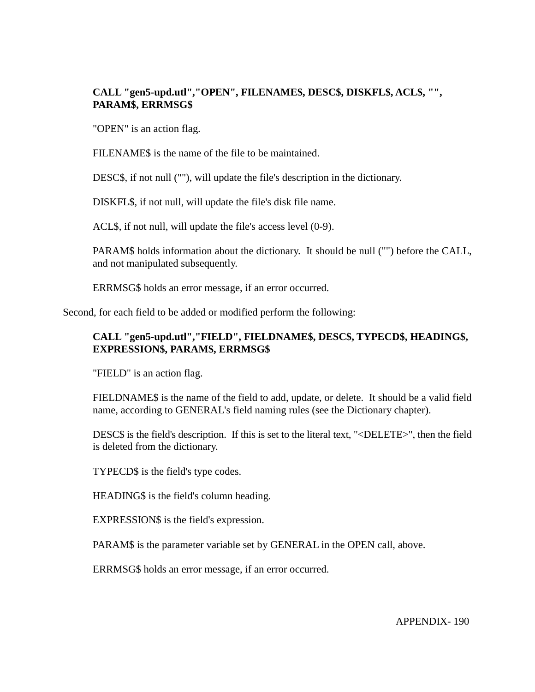## **CALL "gen5-upd.utl","OPEN", FILENAME\$, DESC\$, DISKFL\$, ACL\$, "", PARAM\$, ERRMSG\$**

"OPEN" is an action flag.

FILENAME\$ is the name of the file to be maintained.

DESC\$, if not null (""), will update the file's description in the dictionary.

DISKFL\$, if not null, will update the file's disk file name.

ACL\$, if not null, will update the file's access level (0-9).

PARAM\$ holds information about the dictionary. It should be null ("") before the CALL, and not manipulated subsequently.

ERRMSG\$ holds an error message, if an error occurred.

Second, for each field to be added or modified perform the following:

## **CALL "gen5-upd.utl","FIELD", FIELDNAME\$, DESC\$, TYPECD\$, HEADING\$, EXPRESSION\$, PARAM\$, ERRMSG\$**

"FIELD" is an action flag.

FIELDNAME\$ is the name of the field to add, update, or delete. It should be a valid field name, according to GENERAL's field naming rules (see the Dictionary chapter).

DESC\$ is the field's description. If this is set to the literal text, "<DELETE>", then the field is deleted from the dictionary.

TYPECD\$ is the field's type codes.

HEADING\$ is the field's column heading.

EXPRESSION\$ is the field's expression.

PARAM\$ is the parameter variable set by GENERAL in the OPEN call, above.

ERRMSG\$ holds an error message, if an error occurred.

APPENDIX- 190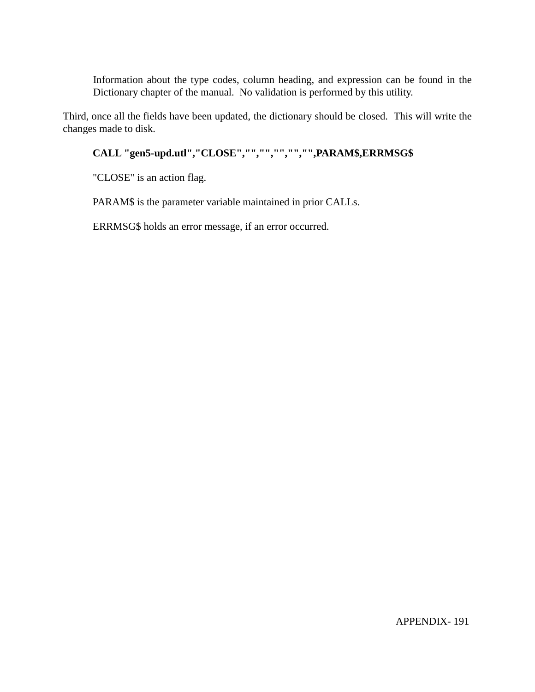Information about the type codes, column heading, and expression can be found in the Dictionary chapter of the manual. No validation is performed by this utility.

Third, once all the fields have been updated, the dictionary should be closed. This will write the changes made to disk.

# **CALL "gen5-upd.utl","CLOSE","","","","","",PARAM\$,ERRMSG\$**

"CLOSE" is an action flag.

PARAM\$ is the parameter variable maintained in prior CALLs.

ERRMSG\$ holds an error message, if an error occurred.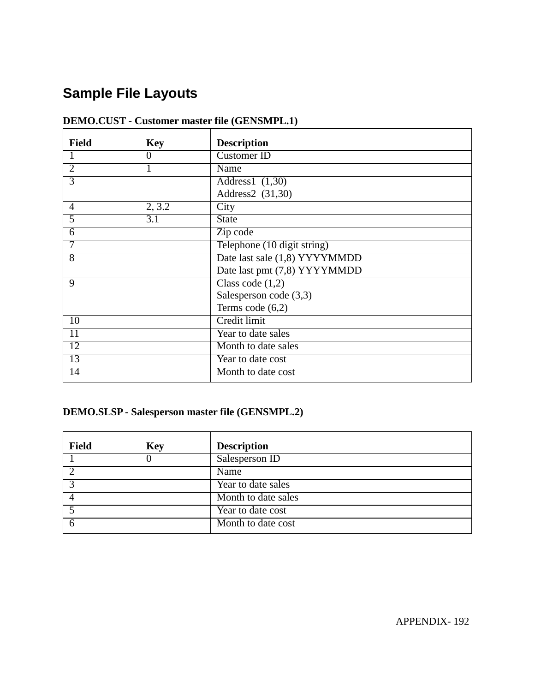# **Sample File Layouts**

| <b>Field</b>   | <b>Key</b> | <b>Description</b>            |
|----------------|------------|-------------------------------|
|                | $\Omega$   | Customer ID                   |
| $\overline{2}$ |            | Name                          |
| $\overline{3}$ |            | Address $1(1,30)$             |
|                |            | Address2 (31,30)              |
| $\overline{4}$ | 2, 3.2     | City                          |
| 5              | 3.1        | <b>State</b>                  |
| 6              |            | Zip code                      |
| $\overline{7}$ |            | Telephone (10 digit string)   |
| $\overline{8}$ |            | Date last sale (1,8) YYYYMMDD |
|                |            | Date last pmt (7,8) YYYYMMDD  |
| 9              |            | Class code $(1,2)$            |
|                |            | Salesperson code $(3,3)$      |
|                |            | Terms code $(6,2)$            |
| 10             |            | Credit limit                  |
| 11             |            | Year to date sales            |
| 12             |            | Month to date sales           |
| 13             |            | Year to date cost             |
| 14             |            | Month to date cost            |

## **DEMO.CUST - Customer master file (GENSMPL.1)**

## **DEMO.SLSP - Salesperson master file (GENSMPL.2)**

| <b>Field</b>  | <b>Key</b> | <b>Description</b>  |
|---------------|------------|---------------------|
|               |            | Salesperson ID      |
| $\mathcal{D}$ |            | Name                |
| $\mathbf{z}$  |            | Year to date sales  |
|               |            | Month to date sales |
|               |            | Year to date cost   |
| 6             |            | Month to date cost  |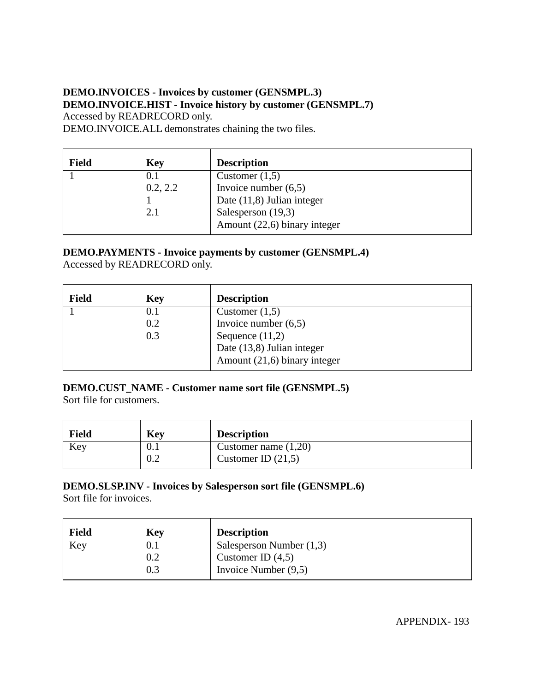### **DEMO.INVOICES - Invoices by customer (GENSMPL.3) DEMO.INVOICE.HIST - Invoice history by customer (GENSMPL.7)** Accessed by READRECORD only.

DEMO.INVOICE.ALL demonstrates chaining the two files.

| <b>Field</b> | <b>Key</b> | <b>Description</b>           |
|--------------|------------|------------------------------|
|              | O.I        | Customer $(1,5)$             |
|              | 0.2, 2.2   | Invoice number $(6,5)$       |
|              |            | Date $(11,8)$ Julian integer |
|              | 2.1        | Salesperson (19,3)           |
|              |            | Amount (22,6) binary integer |

## **DEMO.PAYMENTS - Invoice payments by customer (GENSMPL.4)**

Accessed by READRECORD only.

| <b>Field</b> | Key | <b>Description</b>           |
|--------------|-----|------------------------------|
|              | 0.1 | Customer $(1,5)$             |
|              | 0.2 | Invoice number $(6,5)$       |
|              | 0.3 | Sequence $(11,2)$            |
|              |     | Date (13,8) Julian integer   |
|              |     | Amount (21,6) binary integer |

## **DEMO.CUST\_NAME - Customer name sort file (GENSMPL.5)**

Sort file for customers.

| <b>Field</b> | <b>Key</b> | <b>Description</b>     |
|--------------|------------|------------------------|
| Key          | U. I       | Customer name $(1,20)$ |
|              | $\rm 0.2$  | Customer ID $(21,5)$   |

## **DEMO.SLSP.INV - Invoices by Salesperson sort file (GENSMPL.6)**

Sort file for invoices.

| <b>Field</b> | <b>Key</b> | <b>Description</b>         |
|--------------|------------|----------------------------|
| Key          | U.I        | Salesperson Number $(1,3)$ |
|              | 0.2        | Customer ID $(4,5)$        |
|              | 0.3        | Invoice Number $(9,5)$     |